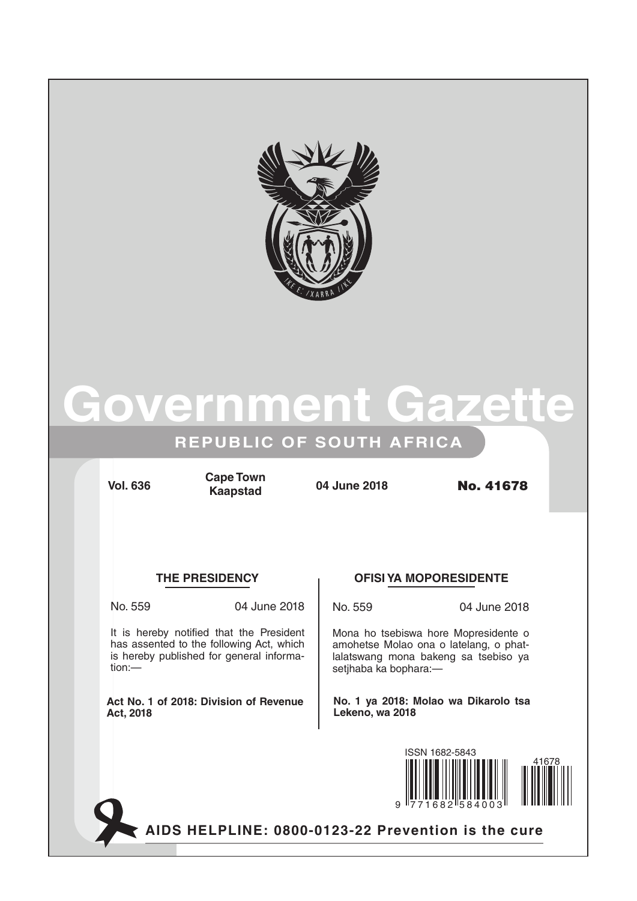

# **Government Gazette**

## **REPUBLIC OF SOUTH AFRICA**

**Vol. 636 04 June 2018** No. 41678 **Cape Town Kaapstad**

### **THE PRESIDENCY OFISI YA MOPORESIDENTE**

It is hereby notified that the President has assented to the following Act, which is hereby published for general informa-

**Act No. 1 of 2018: Division of Revenue** 

tion:—

**Act, 2018**

No. 559 04 June 2018

No. 559 04 June 2018

Mona ho tsebiswa hore Mopresidente o amohetse Molao ona o latelang, o phatlalatswang mona bakeng sa tsebiso ya setjhaba ka bophara:—

**No. 1 ya 2018: Molao wa Dikarolo tsa Lekeno, wa 2018**



**AIDS HELPLINE: 0800-0123-22 Prevention is the cure**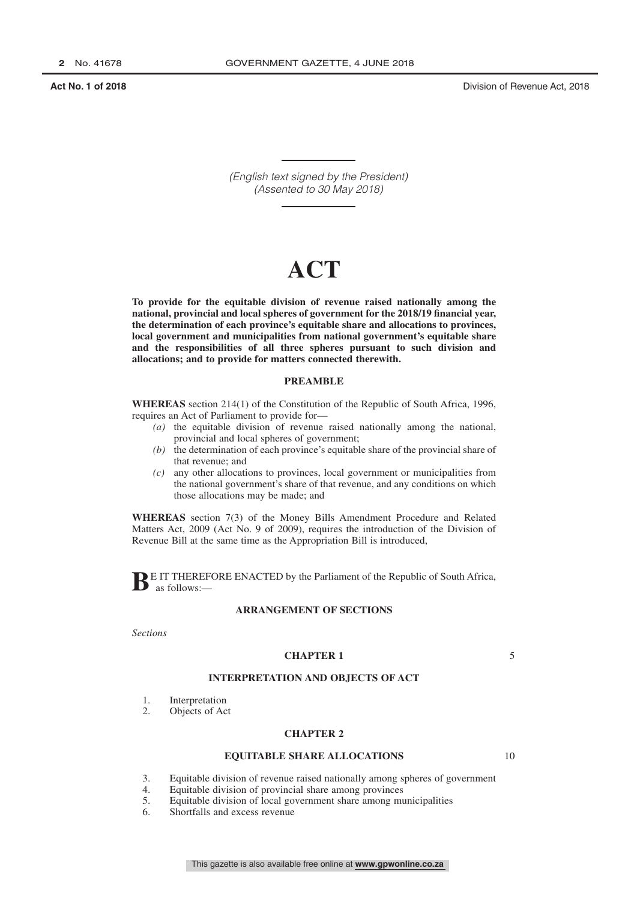*(English text signed by the President) (Assented to 30 May 2018)*

# **ACT**

**To provide for the equitable division of revenue raised nationally among the national, provincial and local spheres of government for the 2018/19 financial year, the determination of each province's equitable share and allocations to provinces, local government and municipalities from national government's equitable share and the responsibilities of all three spheres pursuant to such division and allocations; and to provide for matters connected therewith.**

### **PREAMBLE**

**WHEREAS** section 214(1) of the Constitution of the Republic of South Africa, 1996, requires an Act of Parliament to provide for—

- *(a)* the equitable division of revenue raised nationally among the national, provincial and local spheres of government;
- *(b)* the determination of each province's equitable share of the provincial share of that revenue; and
- *(c)* any other allocations to provinces, local government or municipalities from the national government's share of that revenue, and any conditions on which those allocations may be made; and

**WHEREAS** section 7(3) of the Money Bills Amendment Procedure and Related Matters Act, 2009 (Act No. 9 of 2009), requires the introduction of the Division of Revenue Bill at the same time as the Appropriation Bill is introduced,

**BE IT THEREFORE ENACTED** by the Parliament of the Republic of South Africa, as follows:—

#### **ARRANGEMENT OF SECTIONS**

*Sections*

#### **CHAPTER 1**

5

### **INTERPRETATION AND OBJECTS OF ACT**

- 1. Interpretation
- 2. Objects of Act

#### **CHAPTER 2**

#### **EQUITABLE SHARE ALLOCATIONS**

- 3. Equitable division of revenue raised nationally among spheres of government
- 4. Equitable division of provincial share among provinces<br>5. Equitable division of local government share among mu
- 5. Equitable division of local government share among municipalities
- 6. Shortfalls and excess revenue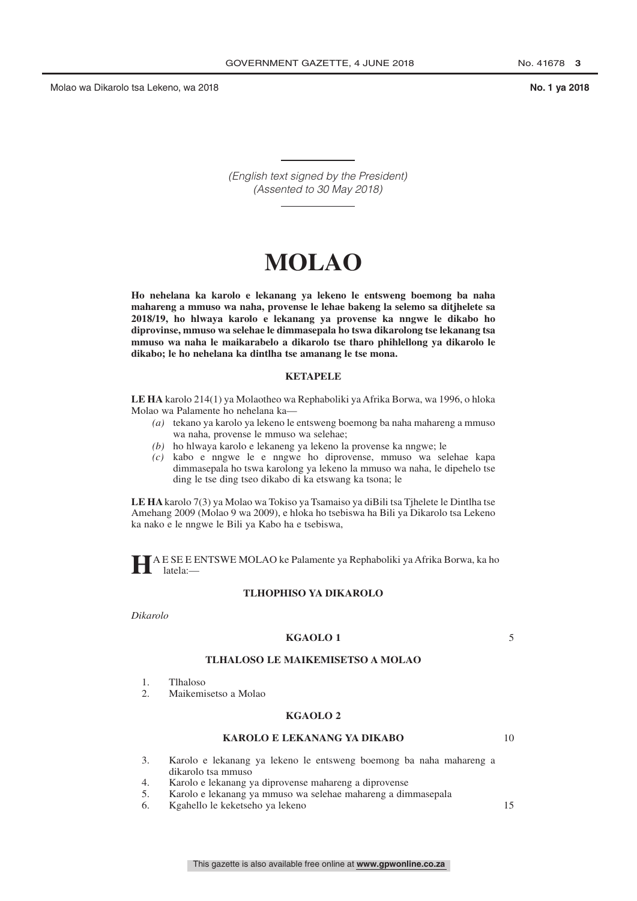*(English text signed by the President) (Assented to 30 May 2018)*

# **MOLAO**

**Ho nehelana ka karolo e lekanang ya lekeno le entsweng boemong ba naha mahareng a mmuso wa naha, provense le lehae bakeng la selemo sa ditjhelete sa 2018/19, ho hlwaya karolo e lekanang ya provense ka nngwe le dikabo ho diprovinse, mmuso wa selehae le dimmasepala ho tswa dikarolong tse lekanang tsa mmuso wa naha le maikarabelo a dikarolo tse tharo phihlellong ya dikarolo le dikabo; le ho nehelana ka dintlha tse amanang le tse mona.**

#### **KETAPELE**

**LE HA** karolo 214(1) ya Molaotheo wa Rephaboliki ya Afrika Borwa, wa 1996, o hloka Molao wa Palamente ho nehelana ka—

- *(a)* tekano ya karolo ya lekeno le entsweng boemong ba naha mahareng a mmuso wa naha, provense le mmuso wa selehae;
- *(b)* ho hlwaya karolo e lekaneng ya lekeno la provense ka nngwe; le
- *(c)* kabo e nngwe le e nngwe ho diprovense, mmuso wa selehae kapa dimmasepala ho tswa karolong ya lekeno la mmuso wa naha, le dipehelo tse ding le tse ding tseo dikabo di ka etswang ka tsona; le

**LE HA** karolo 7(3) ya Molao wa Tokiso ya Tsamaiso ya diBili tsa Tjhelete le Dintlha tse Amehang 2009 (Molao 9 wa 2009), e hloka ho tsebiswa ha Bili ya Dikarolo tsa Lekeno ka nako e le nngwe le Bili ya Kabo ha e tsebiswa,

**H**A E SE E ENTSWE MOLAO ke Palamente ya Rephaboliki ya Afrika Borwa, ka ho latela:—

#### **TLHOPHISO YA DIKAROLO**

*Dikarolo*

#### **KGAOLO 1**

5

#### **TLHALOSO LE MAIKEMISETSO A MOLAO**

- 1. Tlhaloso
- 2. Maikemisetso a Molao

#### **KGAOLO 2**

#### **KAROLO E LEKANANG YA DIKABO**

10

- 3. Karolo e lekanang ya lekeno le entsweng boemong ba naha mahareng a dikarolo tsa mmuso
- 4. Karolo e lekanang ya diprovense mahareng a diprovense
- 5. Karolo e lekanang ya mmuso wa selehae mahareng a dimmasepala
- 6. Kgahello le keketseho ya lekeno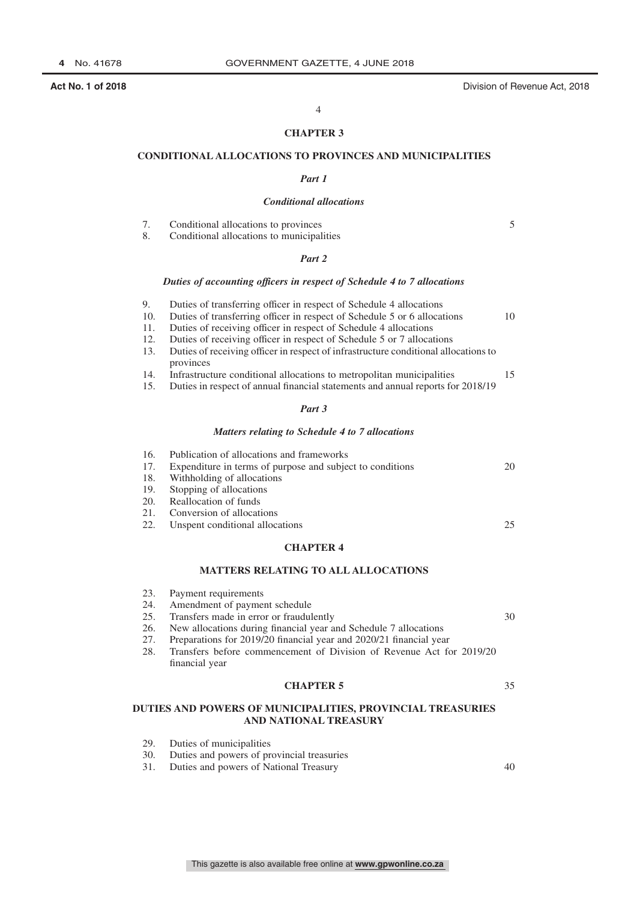5

30

35

40

#### 4

### **CHAPTER 3**

#### **CONDITIONAL ALLOCATIONS TO PROVINCES AND MUNICIPALITIES**

#### *Part 1*

#### *Conditional allocations*

7. Conditional allocations to provinces

8. Conditional allocations to municipalities

#### *Part 2*

#### *Duties of accounting officers in respect of Schedule 4 to 7 allocations*

| 9.         | Duties of transferring officer in respect of Schedule 4 allocations                              |    |
|------------|--------------------------------------------------------------------------------------------------|----|
| 10.        | Duties of transferring officer in respect of Schedule 5 or 6 allocations                         | 10 |
| 11.        | Duties of receiving officer in respect of Schedule 4 allocations                                 |    |
| 12.        | Duties of receiving officer in respect of Schedule 5 or 7 allocations                            |    |
| 13.        | Duties of receiving officer in respect of infrastructure conditional allocations to<br>provinces |    |
| 14.        | Infrastructure conditional allocations to metropolitan municipalities                            | 15 |
| 15.        | Duties in respect of annual financial statements and annual reports for 2018/19                  |    |
|            | Part 3                                                                                           |    |
|            |                                                                                                  |    |
|            | Matters relating to Schedule 4 to 7 allocations                                                  |    |
| 16.        | Publication of allocations and frameworks                                                        |    |
| 17.        | Expenditure in terms of purpose and subject to conditions                                        | 20 |
| 18.        | Withholding of allocations                                                                       |    |
| 19.        | Stopping of allocations                                                                          |    |
| <b>20.</b> | Reallocation of funds                                                                            |    |
| 21.        | Conversion of allocations                                                                        |    |

22. Unspent conditional allocations

#### **CHAPTER 4**

#### **MATTERS RELATING TO ALL ALLOCATIONS**

- 23. Payment requirements<br>24. Amendment of paymer
- Amendment of payment schedule
- 25. Transfers made in error or fraudulently<br>26. New allocations during financial year at New allocations during financial year and Schedule 7 allocations
- 27. Preparations for 2019/20 financial year and 2020/21 financial year
- 28. Transfers before commencement of Division of Revenue Act for 2019/20 financial year

### **CHAPTER 5**

#### **DUTIES AND POWERS OF MUNICIPALITIES, PROVINCIAL TREASURIES AND NATIONAL TREASURY**

- 29. Duties of municipalities<br>30. Duties and powers of pro
- 30. Duties and powers of provincial treasuries
- 31. Duties and powers of National Treasury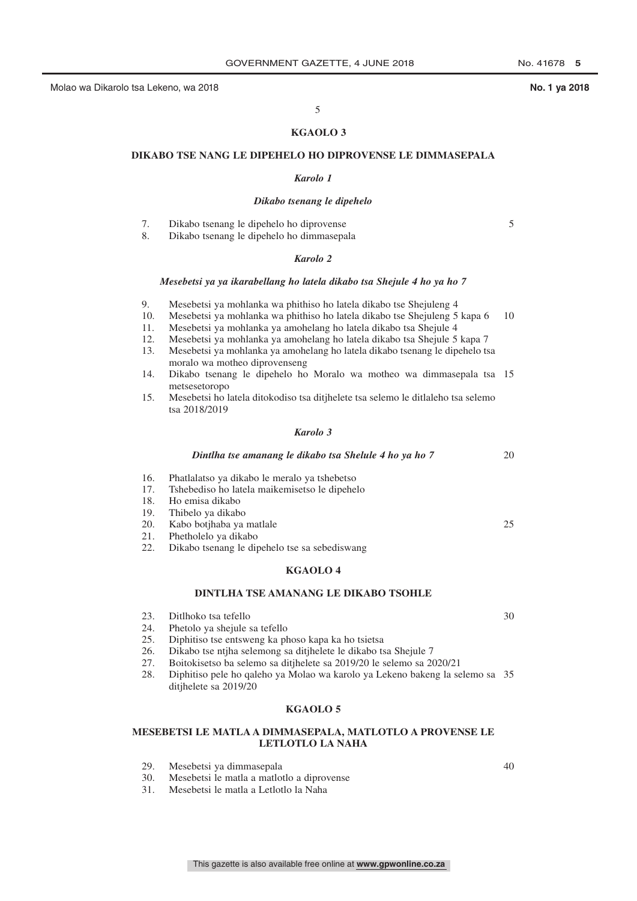5

20

 $25$ 

30

#### 5

#### **KGAOLO 3**

#### **DIKABO TSE NANG LE DIPEHELO HO DIPROVENSE LE DIMMASEPALA**

#### *Karolo 1*

#### *Dikabo tsenang le dipehelo*

7. Dikabo tsenang le dipehelo ho diprovense

8. Dikabo tsenang le dipehelo ho dimmasepala

#### *Karolo 2*

#### *Mesebetsi ya ya ikarabellang ho latela dikabo tsa Shejule 4 ho ya ho 7*

- 9. Mesebetsi ya mohlanka wa phithiso ho latela dikabo tse Shejuleng 4
- 10. Mesebetsi ya mohlanka wa phithiso ho latela dikabo tse Shejuleng 5 kapa 6 10
- 11. Mesebetsi ya mohlanka ya amohelang ho latela dikabo tsa Shejule 4
- 12. Mesebetsi ya mohlanka ya amohelang ho latela dikabo tsa Shejule 5 kapa 7
- 13. Mesebetsi ya mohlanka ya amohelang ho latela dikabo tsenang le dipehelo tsa moralo wa motheo diprovenseng
- 14. Dikabo tsenang le dipehelo ho Moralo wa motheo wa dimmasepala tsa 15 metsesetoropo
- 15. Mesebetsi ho latela ditokodiso tsa ditjhelete tsa selemo le ditlaleho tsa selemo tsa 2018/2019

#### *Karolo 3*

#### *Dintlha tse amanang le dikabo tsa Shelule 4 ho ya ho 7*

- 16. Phatlalatso ya dikabo le meralo ya tshebetso
- 17. Tshebediso ho latela maikemisetso le dipehelo
- 18. Ho emisa dikabo
- 19. Thibelo ya dikabo
- 20. Kabo botjhaba ya matlale<br>21. Phetholelo va dikabo
- Phetholelo ya dikabo
- 22. Dikabo tsenang le dipehelo tse sa sebediswang

#### **KGAOLO 4**

#### **DINTLHA TSE AMANANG LE DIKABO TSOHLE**

- 23. Ditlhoko tsa tefello
- 24. Phetolo ya shejule sa tefello
- 25. Diphitiso tse entsweng ka phoso kapa ka ho tsietsa
- 26. Dikabo tse ntjha selemong sa ditjhelete le dikabo tsa Shejule 7
- 27. Boitokisetso ba selemo sa ditjhelete sa 2019/20 le selemo sa 2020/21
- 28. Diphitiso pele ho qaleho ya Molao wa karolo ya Lekeno bakeng la selemo sa 35 ditjhelete sa 2019/20

### **KGAOLO 5**

### **MESEBETSI LE MATLA A DIMMASEPALA, MATLOTLO A PROVENSE LE LETLOTLO LA NAHA**

This gazette is also available free online at **www.gpwonline.co.za**

- 29. Mesebetsi ya dimmasepala
- 30. Mesebetsi le matla a matlotlo a diprovense
- 31. Mesebetsi le matla a Letlotlo la Naha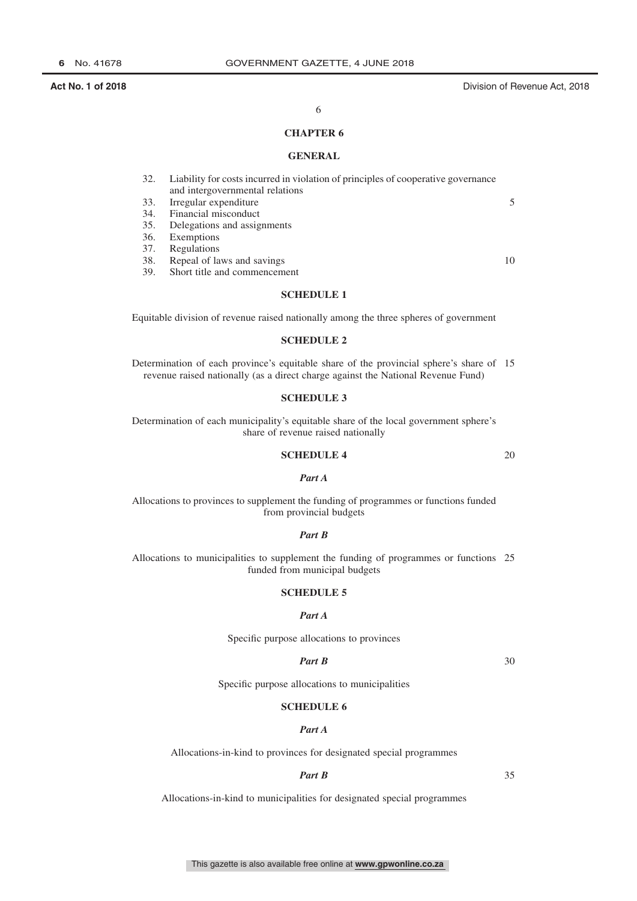### 6

#### **CHAPTER 6**

#### **GENERAL**

| 32. | Liability for costs incurred in violation of principles of cooperative governance |    |
|-----|-----------------------------------------------------------------------------------|----|
|     | and intergovernmental relations                                                   |    |
| 33. | Irregular expenditure                                                             | 5  |
| 34. | Financial misconduct                                                              |    |
| 35. | Delegations and assignments                                                       |    |
| 36. | Exemptions                                                                        |    |
| 37. | Regulations                                                                       |    |
| 38. | Repeal of laws and savings                                                        | 10 |
| 39. | Short title and commencement                                                      |    |

### **SCHEDULE 1**

Equitable division of revenue raised nationally among the three spheres of government

### **SCHEDULE 2**

Determination of each province's equitable share of the provincial sphere's share of 15 revenue raised nationally (as a direct charge against the National Revenue Fund)

#### **SCHEDULE 3**

Determination of each municipality's equitable share of the local government sphere's share of revenue raised nationally

### **SCHEDULE 4**

### *Part A*

Allocations to provinces to supplement the funding of programmes or functions funded from provincial budgets

#### *Part B*

Allocations to municipalities to supplement the funding of programmes or functions 25 funded from municipal budgets

#### **SCHEDULE 5**

#### *Part A*

Specific purpose allocations to provinces

### *Part B*

30

20

Specific purpose allocations to municipalities

### **SCHEDULE 6**

#### *Part A*

Allocations-in-kind to provinces for designated special programmes

#### *Part B*

35

Allocations-in-kind to municipalities for designated special programmes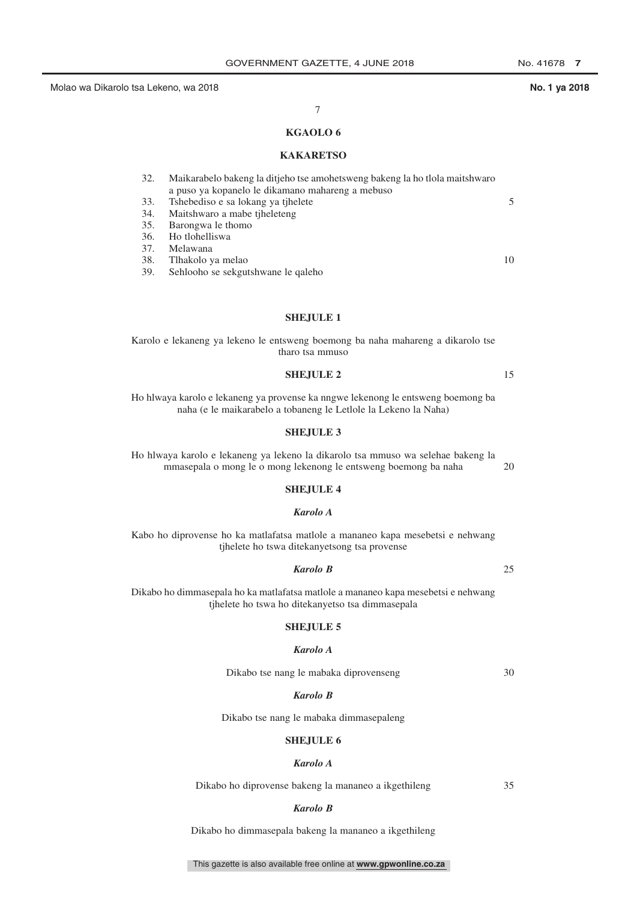### 7

### **KGAOLO 6**

#### **KAKARETSO**

| 32. | Maikarabelo bakeng la ditjeho tse amohetsweng bakeng la ho tlola maitshwaro |    |
|-----|-----------------------------------------------------------------------------|----|
|     | a puso ya kopanelo le dikamano mahareng a mebuso                            |    |
| 33. | Tshebediso e sa lokang ya tjhelete                                          | 5  |
| 34. | Maitshwaro a mabe tjheleteng                                                |    |
| 35. | Barongwa le thomo                                                           |    |
|     | 36. Ho tlohelliswa                                                          |    |
| 37. | Melawana                                                                    |    |
| 38. | Tlhakolo ya melao                                                           | 10 |
| 39. | Sehlooho se sekgutshwane le qaleho                                          |    |

#### **SHEJULE 1**

#### Karolo e lekaneng ya lekeno le entsweng boemong ba naha mahareng a dikarolo tse tharo tsa mmuso

#### **SHEJULE 2**

Ho hlwaya karolo e lekaneng ya provense ka nngwe lekenong le entsweng boemong ba naha (e le maikarabelo a tobaneng le Letlole la Lekeno la Naha)

#### **SHEJULE 3**

Ho hlwaya karolo e lekaneng ya lekeno la dikarolo tsa mmuso wa selehae bakeng la mmasepala o mong le o mong lekenong le entsweng boemong ba naha 20

#### **SHEJULE 4**

#### *Karolo A*

Kabo ho diprovense ho ka matlafatsa matlole a mananeo kapa mesebetsi e nehwang tjhelete ho tswa ditekanyetsong tsa provense

#### *Karolo B*

25

15

Dikabo ho dimmasepala ho ka matlafatsa matlole a mananeo kapa mesebetsi e nehwang tjhelete ho tswa ho ditekanyetso tsa dimmasepala

### **SHEJULE 5**

### *Karolo A*

Dikabo tse nang le mabaka diprovenseng

30

#### *Karolo B*

Dikabo tse nang le mabaka dimmasepaleng

#### **SHEJULE 6**

#### *Karolo A*

Dikabo ho diprovense bakeng la mananeo a ikgethileng

35

#### *Karolo B*

Dikabo ho dimmasepala bakeng la mananeo a ikgethileng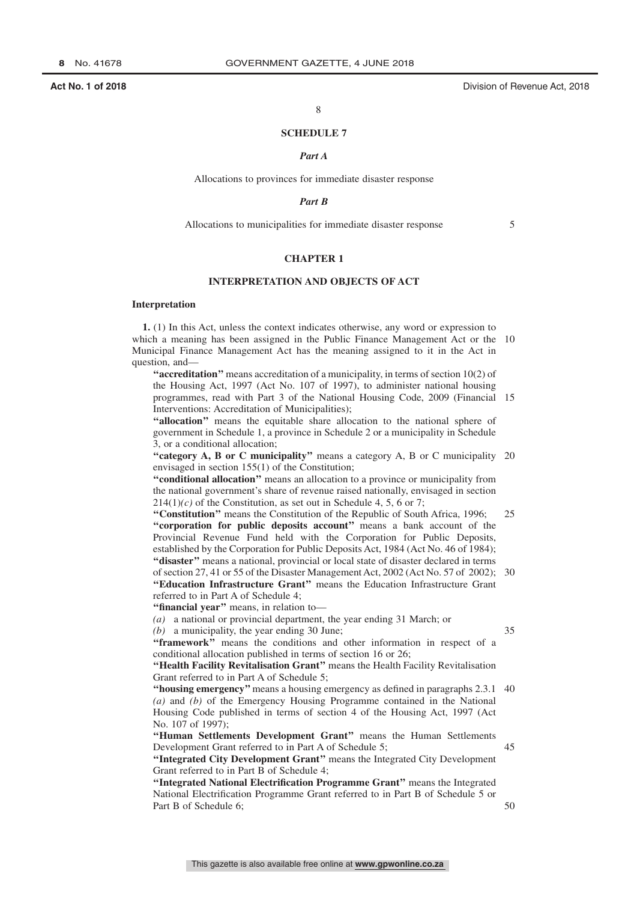#### **SCHEDULE 7**

#### *Part A*

Allocations to provinces for immediate disaster response

#### *Part B*

Allocations to municipalities for immediate disaster response

5

35

45

50

#### **CHAPTER 1**

#### **INTERPRETATION AND OBJECTS OF ACT**

#### **Interpretation**

**1.** (1) In this Act, unless the context indicates otherwise, any word or expression to which a meaning has been assigned in the Public Finance Management Act or the 10 Municipal Finance Management Act has the meaning assigned to it in the Act in question, and—

**''accreditation''** means accreditation of a municipality, in terms of section 10(2) of the Housing Act, 1997 (Act No. 107 of 1997), to administer national housing programmes, read with Part 3 of the National Housing Code, 2009 (Financial 15 Interventions: Accreditation of Municipalities);

"allocation" means the equitable share allocation to the national sphere of government in Schedule 1, a province in Schedule 2 or a municipality in Schedule 3, or a conditional allocation;

"category A, B or C municipality" means a category A, B or C municipality 20 envisaged in section 155(1) of the Constitution;

**''conditional allocation''** means an allocation to a province or municipality from the national government's share of revenue raised nationally, envisaged in section  $214(1)$ (c) of the Constitution, as set out in Schedule 4, 5, 6 or 7;

**''Constitution''** means the Constitution of the Republic of South Africa, 1996; **''corporation for public deposits account''** means a bank account of the Provincial Revenue Fund held with the Corporation for Public Deposits, established by the Corporation for Public Deposits Act, 1984 (Act No. 46 of 1984); **''disaster''** means a national, provincial or local state of disaster declared in terms 25

of section 27, 41 or 55 of the Disaster Management Act, 2002 (Act No. 57 of 2002); 30 **''Education Infrastructure Grant''** means the Education Infrastructure Grant referred to in Part A of Schedule 4;

**''financial year''** means, in relation to—

*(a)* a national or provincial department, the year ending 31 March; or

*(b)* a municipality, the year ending 30 June;

**''framework''** means the conditions and other information in respect of a conditional allocation published in terms of section 16 or 26;

**''Health Facility Revitalisation Grant''** means the Health Facility Revitalisation Grant referred to in Part A of Schedule 5;

**"housing emergency"** means a housing emergency as defined in paragraphs 2.3.1 40 *(a)* and *(b)* of the Emergency Housing Programme contained in the National Housing Code published in terms of section 4 of the Housing Act, 1997 (Act No. 107 of 1997);

**''Human Settlements Development Grant''** means the Human Settlements Development Grant referred to in Part A of Schedule 5;

**''Integrated City Development Grant''** means the Integrated City Development Grant referred to in Part B of Schedule 4;

**''Integrated National Electrification Programme Grant''** means the Integrated National Electrification Programme Grant referred to in Part B of Schedule 5 or Part B of Schedule 6;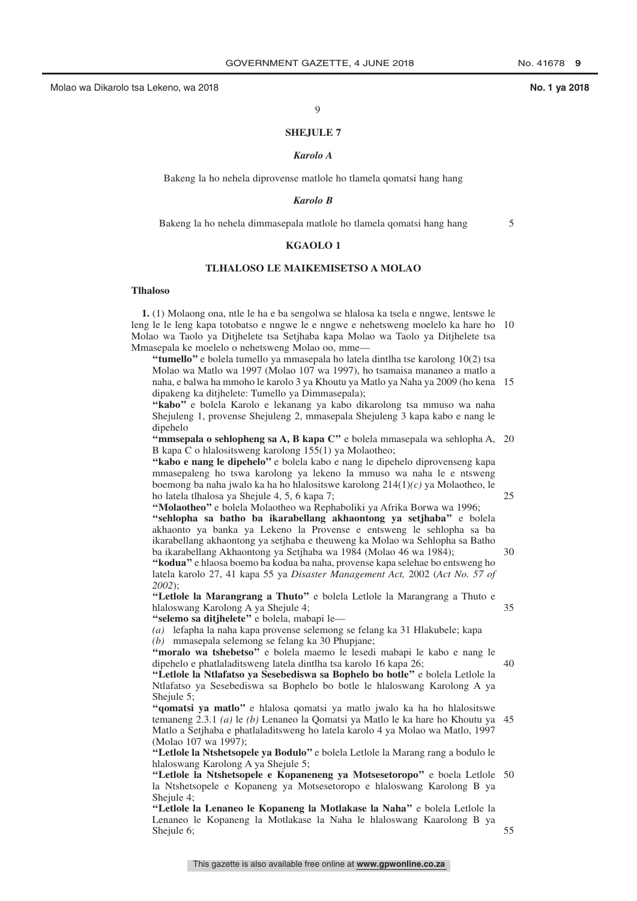5

25

30

35

40

55

#### 9

#### **SHEJULE 7**

#### *Karolo A*

Bakeng la ho nehela diprovense matlole ho tlamela qomatsi hang hang

#### *Karolo B*

Bakeng la ho nehela dimmasepala matlole ho tlamela qomatsi hang hang

#### **KGAOLO 1**

#### **TLHALOSO LE MAIKEMISETSO A MOLAO**

#### **Tlhaloso**

**1.** (1) Molaong ona, ntle le ha e ba sengolwa se hlalosa ka tsela e nngwe, lentswe le leng le le leng kapa totobatso e nngwe le e nngwe e nehetsweng moelelo ka hare ho 10 Molao wa Taolo ya Ditjhelete tsa Setjhaba kapa Molao wa Taolo ya Ditjhelete tsa Mmasepala ke moelelo o nehetsweng Molao oo, mme—

**''tumello''** e bolela tumello ya mmasepala ho latela dintlha tse karolong 10(2) tsa Molao wa Matlo wa 1997 (Molao 107 wa 1997), ho tsamaisa mananeo a matlo a naha, e balwa ha mmoho le karolo 3 ya Khoutu ya Matlo ya Naha ya 2009 (ho kena 15 dipakeng ka ditjhelete: Tumello ya Dimmasepala);

**''kabo''** e bolela Karolo e lekanang ya kabo dikarolong tsa mmuso wa naha Shejuleng 1, provense Shejuleng 2, mmasepala Shejuleng 3 kapa kabo e nang le dipehelo

"mmsepala o sehlopheng sa A, B kapa C" e bolela mmasepala wa sehlopha A, 20 B kapa C o hlalositsweng karolong 155(1) ya Molaotheo;

**''kabo e nang le dipehelo''** e bolela kabo e nang le dipehelo diprovenseng kapa mmasepaleng ho tswa karolong ya lekeno la mmuso wa naha le e ntsweng boemong ba naha jwalo ka ha ho hlalositswe karolong 214(1)*(c)* ya Molaotheo, le ho latela tlhalosa ya Shejule 4, 5, 6 kapa 7;

**''Molaotheo''** e bolela Molaotheo wa Rephaboliki ya Afrika Borwa wa 1996; **''sehlopha sa batho ba ikarabellang akhaontong ya setjhaba''** e bolela akhaonto ya banka ya Lekeno la Provense e entsweng le sehlopha sa ba ikarabellang akhaontong ya setjhaba e theuweng ka Molao wa Sehlopha sa Batho ba ikarabellang Akhaontong ya Setjhaba wa 1984 (Molao 46 wa 1984);

**''kodua''** e hlaosa boemo ba kodua ba naha, provense kapa selehae bo entsweng ho latela karolo 27, 41 kapa 55 ya *Disaster Management Act,* 2002 (*Act No. 57 of 2002*);

**''Letlole la Marangrang a Thuto''** e bolela Letlole la Marangrang a Thuto e hlaloswang Karolong A ya Shejule 4;

**''selemo sa ditjhelete''** e bolela, mabapi le—

*(a)* lefapha la naha kapa provense selemong se felang ka 31 Hlakubele; kapa *(b)* mmasepala selemong se felang ka 30 Phupjane;

**''moralo wa tshebetso''** e bolela maemo le lesedi mabapi le kabo e nang le dipehelo e phatlaladitsweng latela dintlha tsa karolo 16 kapa 26;

**''Letlole la Ntlafatso ya Sesebediswa sa Bophelo bo botle''** e bolela Letlole la Ntlafatso ya Sesebediswa sa Bophelo bo botle le hlaloswang Karolong A ya Shejule 5;

**''qomatsi ya matlo''** e hlalosa qomatsi ya matlo jwalo ka ha ho hlalositswe temaneng 2.3.1 *(a)* le *(b)* Lenaneo la Qomatsi ya Matlo le ka hare ho Khoutu ya 45 Matlo a Setjhaba e phatlaladitsweng ho latela karolo 4 ya Molao wa Matlo, 1997 (Molao 107 wa 1997);

**''Letlole la Ntshetsopele ya Bodulo''** e bolela Letlole la Marang rang a bodulo le hlaloswang Karolong A ya Shejule 5;

**''Letlole la Ntshetsopele e Kopaneneng ya Motsesetoropo''** e boela Letlole 50 la Ntshetsopele e Kopaneng ya Motsesetoropo e hlaloswang Karolong B ya Shejule 4;

**''Letlole la Lenaneo le Kopaneng la Motlakase la Naha''** e bolela Letlole la Lenaneo le Kopaneng la Motlakase la Naha le hlaloswang Kaarolong B ya Shejule 6;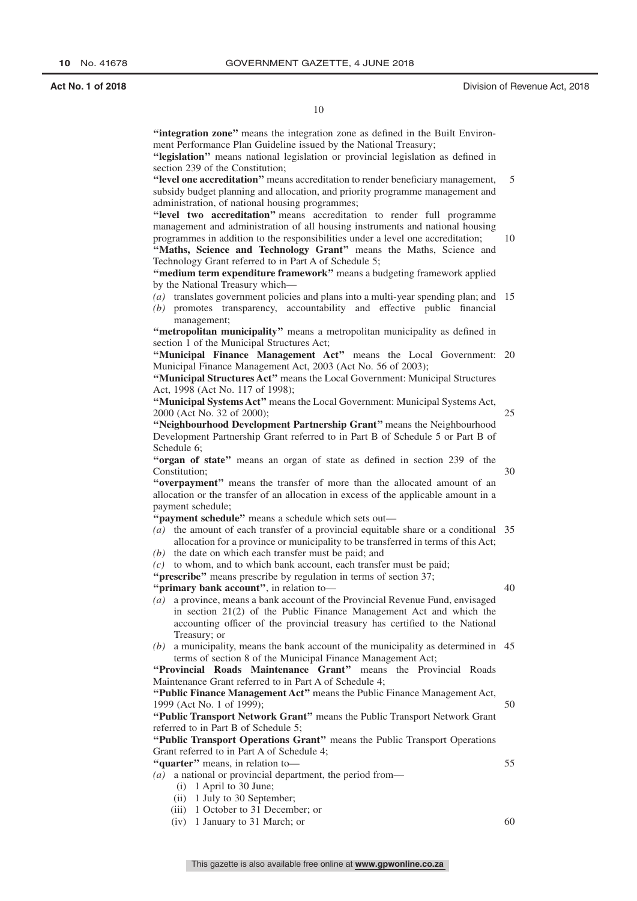**''integration zone''** means the integration zone as defined in the Built Environment Performance Plan Guideline issued by the National Treasury;

**''legislation''** means national legislation or provincial legislation as defined in section 239 of the Constitution;

**''level one accreditation''** means accreditation to render beneficiary management, subsidy budget planning and allocation, and priority programme management and administration, of national housing programmes; 5

"level two accreditation" means accreditation to render full programme management and administration of all housing instruments and national housing programmes in addition to the responsibilities under a level one accreditation;

"Maths, Science and Technology Grant" means the Maths, Science and Technology Grant referred to in Part A of Schedule 5; 10

**''medium term expenditure framework''** means a budgeting framework applied by the National Treasury which—

- *(a)* translates government policies and plans into a multi-year spending plan; and 15 *(b)* promotes transparency, accountability and effective public financial
- management; **''metropolitan municipality''** means a metropolitan municipality as defined in section 1 of the Municipal Structures Act;

"Municipal Finance Management Act" means the Local Government: 20 Municipal Finance Management Act, 2003 (Act No. 56 of 2003);

**''Municipal Structures Act''** means the Local Government: Municipal Structures Act, 1998 (Act No. 117 of 1998);

**''Municipal Systems Act''** means the Local Government: Municipal Systems Act, 2000 (Act No. 32 of 2000); 25

**''Neighbourhood Development Partnership Grant''** means the Neighbourhood Development Partnership Grant referred to in Part B of Schedule 5 or Part B of Schedule 6;

**''organ of state''** means an organ of state as defined in section 239 of the Constitution;

**''overpayment''** means the transfer of more than the allocated amount of an allocation or the transfer of an allocation in excess of the applicable amount in a payment schedule;

**''payment schedule''** means a schedule which sets out—

- *(a)* the amount of each transfer of a provincial equitable share or a conditional 35 allocation for a province or municipality to be transferred in terms of this Act;
- *(b)* the date on which each transfer must be paid; and

*(c)* to whom, and to which bank account, each transfer must be paid;

**"prescribe"** means prescribe by regulation in terms of section 37;

**''primary bank account''**, in relation to—

- *(a)* a province, means a bank account of the Provincial Revenue Fund, envisaged in section 21(2) of the Public Finance Management Act and which the accounting officer of the provincial treasury has certified to the National Treasury; or
- *(b)* a municipality, means the bank account of the municipality as determined in 45 terms of section 8 of the Municipal Finance Management Act;

"Provincial Roads Maintenance Grant" means the Provincial Roads Maintenance Grant referred to in Part A of Schedule 4;

**''Public Finance Management Act''** means the Public Finance Management Act, 1999 (Act No. 1 of 1999);

**''Public Transport Network Grant''** means the Public Transport Network Grant referred to in Part B of Schedule 5;

**''Public Transport Operations Grant''** means the Public Transport Operations Grant referred to in Part A of Schedule 4;

**''quarter''** means, in relation to—

- *(a)* a national or provincial department, the period from—
	- (i) 1 April to 30 June;
	- (ii) 1 July to 30 September;
	- (iii) 1 October to 31 December; or
	- (iv) 1 January to 31 March; or

55

50

30

40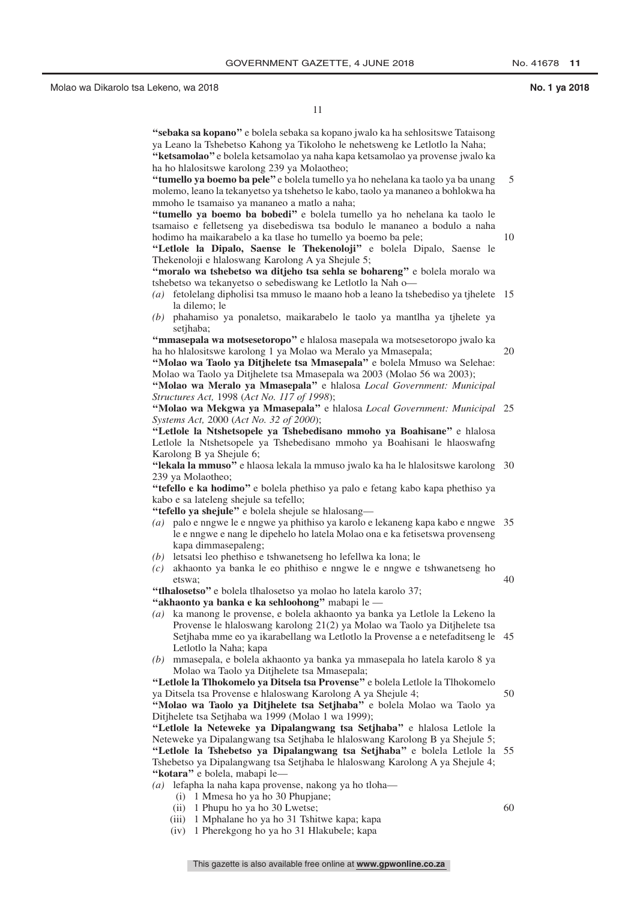10

20

11

**''sebaka sa kopano''** e bolela sebaka sa kopano jwalo ka ha sehlositswe Tataisong ya Leano la Tshebetso Kahong ya Tikoloho le nehetsweng ke Letlotlo la Naha; **''ketsamolao''** e bolela ketsamolao ya naha kapa ketsamolao ya provense jwalo ka ha ho hlalositswe karolong 239 ya Molaotheo;

**''tumello ya boemo ba pele''** e bolela tumello ya ho nehelana ka taolo ya ba unang molemo, leano la tekanyetso ya tshehetso le kabo, taolo ya mananeo a bohlokwa ha mmoho le tsamaiso ya mananeo a matlo a naha; 5

**''tumello ya boemo ba bobedi''** e bolela tumello ya ho nehelana ka taolo le tsamaiso e felletseng ya disebediswa tsa bodulo le mananeo a bodulo a naha hodimo ha maikarabelo a ka tlase ho tumello ya boemo ba pele;

**''Letlole la Dipalo, Saense le Thekenoloji''** e bolela Dipalo, Saense le Thekenoloji e hlaloswang Karolong A ya Shejule 5;

**''moralo wa tshebetso wa ditjeho tsa sehla se bohareng''** e bolela moralo wa tshebetso wa tekanyetso o sebediswang ke Letlotlo la Nah o—

- *(a)* fetolelang dipholisi tsa mmuso le maano hob a leano la tshebediso ya tjhelete 15 la dilemo; le
- *(b)* phahamiso ya ponaletso, maikarabelo le taolo ya mantlha ya tjhelete ya setjhaba;

**''mmasepala wa motsesetoropo''** e hlalosa masepala wa motsesetoropo jwalo ka ha ho hlalositswe karolong 1 ya Molao wa Meralo ya Mmasepala;

**''Molao wa Taolo ya Ditjhelete tsa Mmasepala''** e bolela Mmuso wa Selehae: Molao wa Taolo ya Ditjhelete tsa Mmasepala wa 2003 (Molao 56 wa 2003); **''Molao wa Meralo ya Mmasepala''** e hlalosa *Local Government: Municipal*

*Structures Act,* 1998 (*Act No. 117 of 1998*);

**''Molao wa Mekgwa ya Mmasepala''** e hlalosa *Local Government: Municipal* 25 *Systems Act,* 2000 (*Act No. 32 of 2000*);

**''Letlole la Ntshetsopele ya Tshebedisano mmoho ya Boahisane''** e hlalosa Letlole la Ntshetsopele ya Tshebedisano mmoho ya Boahisani le hlaoswafng Karolong B ya Shejule 6;

**''lekala la mmuso''** e hlaosa lekala la mmuso jwalo ka ha le hlalositswe karolong 30 239 ya Molaotheo;

**''tefello e ka hodimo''** e bolela phethiso ya palo e fetang kabo kapa phethiso ya kabo e sa lateleng shejule sa tefello;

**''tefello ya shejule''** e bolela shejule se hlalosang—

- *(a)* palo e nngwe le e nngwe ya phithiso ya karolo e lekaneng kapa kabo e nngwe 35 le e nngwe e nang le dipehelo ho latela Molao ona e ka fetisetswa provenseng kapa dimmasepaleng;
- *(b)* letsatsi leo phethiso e tshwanetseng ho lefellwa ka lona; le
- *(c)* akhaonto ya banka le eo phithiso e nngwe le e nngwe e tshwanetseng ho etswa; 40

60

**''tlhalosetso''** e bolela tlhalosetso ya molao ho latela karolo 37; **''akhaonto ya banka e ka sehloohong''** mabapi le —

*(a)* ka manong le provense, e bolela akhaonto ya banka ya Letlole la Lekeno la Provense le hlaloswang karolong 21(2) ya Molao wa Taolo ya Ditjhelete tsa Setjhaba mme eo ya ikarabellang wa Letlotlo la Provense a e netefaditseng le 45 Letlotlo la Naha; kapa

*(b)* mmasepala, e bolela akhaonto ya banka ya mmasepala ho latela karolo 8 ya Molao wa Taolo ya Ditjhelete tsa Mmasepala;

**''Letlole la Tlhokomelo ya Ditsela tsa Provense''** e bolela Letlole la Tlhokomelo ya Ditsela tsa Provense e hlaloswang Karolong A ya Shejule 4; 50

**''Molao wa Taolo ya Ditjhelete tsa Setjhaba''** e bolela Molao wa Taolo ya Ditjhelete tsa Setjhaba wa 1999 (Molao 1 wa 1999);

**''Letlole la Neteweke ya Dipalangwang tsa Setjhaba''** e hlalosa Letlole la

Neteweke ya Dipalangwang tsa Setjhaba le hlaloswang Karolong B ya Shejule 5; **''Letlole la Tshebetso ya Dipalangwang tsa Setjhaba''** e bolela Letlole la 55 Tshebetso ya Dipalangwang tsa Setjhaba le hlaloswang Karolong A ya Shejule 4; **''kotara''** e bolela, mabapi le—

*(a)* lefapha la naha kapa provense, nakong ya ho tloha—

- (i) 1 Mmesa ho ya ho 30 Phupjane;
- (ii) 1 Phupu ho ya ho 30 Lwetse;
- (iii) 1 Mphalane ho ya ho 31 Tshitwe kapa; kapa
- (iv) 1 Pherekgong ho ya ho 31 Hlakubele; kapa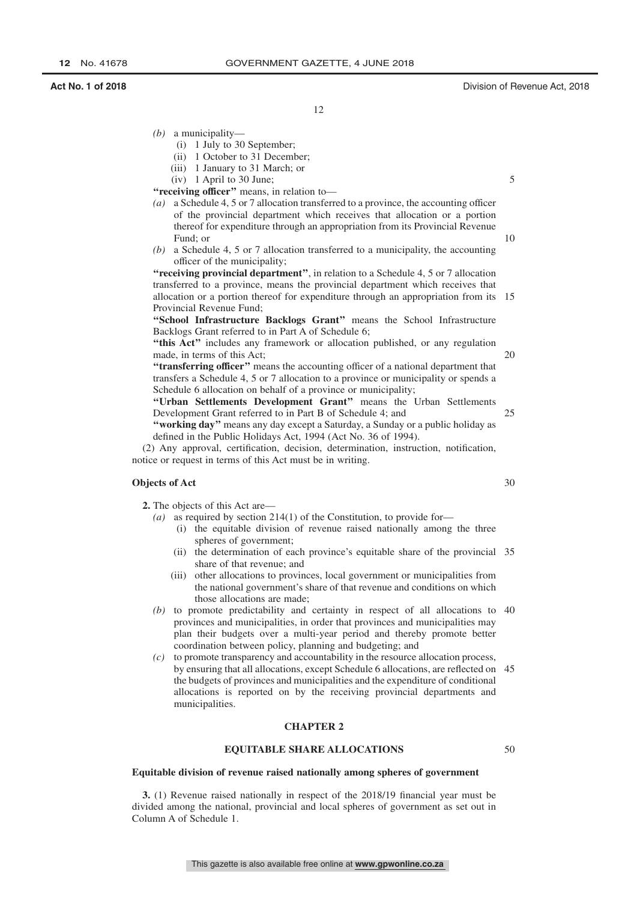5

25

30

12

- *(b)* a municipality—
	- (i) 1 July to 30 September;
	- (ii) 1 October to 31 December;
	- (iii) 1 January to 31 March; or
	- (iv) 1 April to 30 June;
- **''receiving officer''** means, in relation to—
- *(a)* a Schedule 4, 5 or 7 allocation transferred to a province, the accounting officer of the provincial department which receives that allocation or a portion thereof for expenditure through an appropriation from its Provincial Revenue Fund; or 10
- *(b)* a Schedule 4, 5 or 7 allocation transferred to a municipality, the accounting officer of the municipality;

**''receiving provincial department''**, in relation to a Schedule 4, 5 or 7 allocation transferred to a province, means the provincial department which receives that allocation or a portion thereof for expenditure through an appropriation from its 15 Provincial Revenue Fund;

**''School Infrastructure Backlogs Grant''** means the School Infrastructure Backlogs Grant referred to in Part A of Schedule 6;

"this Act" includes any framework or allocation published, or any regulation made, in terms of this Act;  $20$ 

**''transferring officer''** means the accounting officer of a national department that transfers a Schedule 4, 5 or 7 allocation to a province or municipality or spends a Schedule 6 allocation on behalf of a province or municipality;

**''Urban Settlements Development Grant''** means the Urban Settlements Development Grant referred to in Part B of Schedule 4; and

**''working day''** means any day except a Saturday, a Sunday or a public holiday as defined in the Public Holidays Act, 1994 (Act No. 36 of 1994).

(2) Any approval, certification, decision, determination, instruction, notification, notice or request in terms of this Act must be in writing.

#### **Objects of Act**

**2.** The objects of this Act are—

*(a)* as required by section 214(1) of the Constitution, to provide for—

- (i) the equitable division of revenue raised nationally among the three spheres of government;
- (ii) the determination of each province's equitable share of the provincial 35 share of that revenue; and
- (iii) other allocations to provinces, local government or municipalities from the national government's share of that revenue and conditions on which those allocations are made;
- *(b)* to promote predictability and certainty in respect of all allocations to 40 provinces and municipalities, in order that provinces and municipalities may plan their budgets over a multi-year period and thereby promote better coordination between policy, planning and budgeting; and

*(c)* to promote transparency and accountability in the resource allocation process, by ensuring that all allocations, except Schedule 6 allocations, are reflected on 45 the budgets of provinces and municipalities and the expenditure of conditional allocations is reported on by the receiving provincial departments and municipalities.

#### **CHAPTER 2**

#### **EQUITABLE SHARE ALLOCATIONS**

 $50$ 

#### **Equitable division of revenue raised nationally among spheres of government**

**3.** (1) Revenue raised nationally in respect of the 2018/19 financial year must be divided among the national, provincial and local spheres of government as set out in Column A of Schedule 1.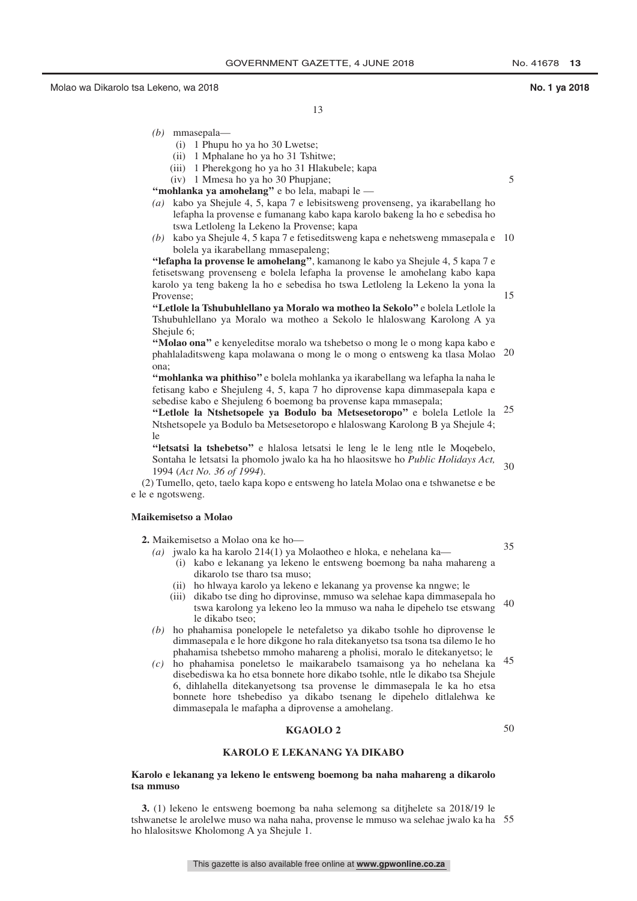5

15

13

- *(b)* mmasepala—
	- (i) 1 Phupu ho ya ho 30 Lwetse;
	- (ii) 1 Mphalane ho ya ho 31 Tshitwe;
	- (iii) 1 Pherekgong ho ya ho 31 Hlakubele; kapa
	- (iv) 1 Mmesa ho ya ho 30 Phupjane;

**''mohlanka ya amohelang''** e bo lela, mabapi le —

- *(a)* kabo ya Shejule 4, 5, kapa 7 e lebisitsweng provenseng, ya ikarabellang ho lefapha la provense e fumanang kabo kapa karolo bakeng la ho e sebedisa ho tswa Letloleng la Lekeno la Provense; kapa
- *(b)* kabo ya Shejule 4, 5 kapa 7 e fetiseditsweng kapa e nehetsweng mmasepala e 10 bolela ya ikarabellang mmasepaleng;

**''lefapha la provense le amohelang''**, kamanong le kabo ya Shejule 4, 5 kapa 7 e fetisetswang provenseng e bolela lefapha la provense le amohelang kabo kapa karolo ya teng bakeng la ho e sebedisa ho tswa Letloleng la Lekeno la yona la Provense;

**''Letlole la Tshubuhlellano ya Moralo wa motheo la Sekolo''** e bolela Letlole la Tshubuhlellano ya Moralo wa motheo a Sekolo le hlaloswang Karolong A ya Shejule 6;

"Molao ona" e kenyeleditse moralo wa tshebetso o mong le o mong kapa kabo e phahlaladitsweng kapa molawana o mong le o mong o entsweng ka tlasa Molao 20 ona;

**''mohlanka wa phithiso''** e bolela mohlanka ya ikarabellang wa lefapha la naha le fetisang kabo e Shejuleng 4, 5, kapa 7 ho diprovense kapa dimmasepala kapa e sebedise kabo e Shejuleng 6 boemong ba provense kapa mmasepala;

**''Letlole la Ntshetsopele ya Bodulo ba Metsesetoropo''** e bolela Letlole la 25 Ntshetsopele ya Bodulo ba Metsesetoropo e hlaloswang Karolong B ya Shejule 4; le

**''letsatsi la tshebetso''** e hlalosa letsatsi le leng le le leng ntle le Moqebelo, Sontaha le letsatsi la phomolo jwalo ka ha ho hlaositswe ho *Public Holidays Act,* 1994 (*Act No. 36 of 1994*). 30

(2) Tumello, qeto, taelo kapa kopo e entsweng ho latela Molao ona e tshwanetse e be e le e ngotsweng.

*(a)* jwalo ka ha karolo 214(1) ya Molaotheo e hloka, e nehelana ka—

#### **Maikemisetso a Molao**

**2.** Maikemisetso a Molao ona ke ho—

35

- (i) kabo e lekanang ya lekeno le entsweng boemong ba naha mahareng a dikarolo tse tharo tsa muso;
- (ii) ho hlwaya karolo ya lekeno e lekanang ya provense ka nngwe; le
- (iii) dikabo tse ding ho diprovinse, mmuso wa selehae kapa dimmasepala ho tswa karolong ya lekeno leo la mmuso wa naha le dipehelo tse etswang le dikabo tseo; 40
- *(b)* ho phahamisa ponelopele le netefaletso ya dikabo tsohle ho diprovense le dimmasepala e le hore dikgone ho rala ditekanyetso tsa tsona tsa dilemo le ho phahamisa tshebetso mmoho mahareng a pholisi, moralo le ditekanyetso; le
- *(c)* ho phahamisa poneletso le maikarabelo tsamaisong ya ho nehelana ka 45 disebediswa ka ho etsa bonnete hore dikabo tsohle, ntle le dikabo tsa Shejule 6, dihlahella ditekanyetsong tsa provense le dimmasepala le ka ho etsa bonnete hore tshebediso ya dikabo tsenang le dipehelo ditlalehwa ke dimmasepala le mafapha a diprovense a amohelang.

### **KGAOLO 2**

50

#### **KAROLO E LEKANANG YA DIKABO**

#### **Karolo e lekanang ya lekeno le entsweng boemong ba naha mahareng a dikarolo tsa mmuso**

**3.** (1) lekeno le entsweng boemong ba naha selemong sa ditjhelete sa 2018/19 le tshwanetse le arolelwe muso wa naha naha, provense le mmuso wa selehae jwalo ka ha 55ho hlalositswe Kholomong A ya Shejule 1.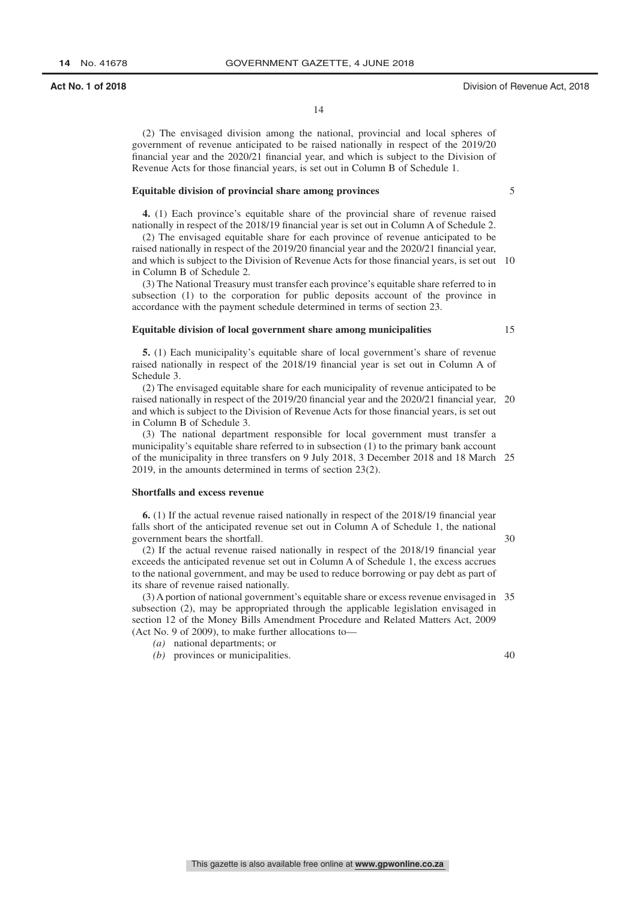5

15

14

(2) The envisaged division among the national, provincial and local spheres of government of revenue anticipated to be raised nationally in respect of the 2019/20 financial year and the 2020/21 financial year, and which is subject to the Division of Revenue Acts for those financial years, is set out in Column B of Schedule 1.

#### **Equitable division of provincial share among provinces**

**4.** (1) Each province's equitable share of the provincial share of revenue raised nationally in respect of the 2018/19 financial year is set out in Column A of Schedule 2.

(2) The envisaged equitable share for each province of revenue anticipated to be raised nationally in respect of the 2019/20 financial year and the 2020/21 financial year, and which is subject to the Division of Revenue Acts for those financial years, is set out 10 in Column B of Schedule 2.

(3) The National Treasury must transfer each province's equitable share referred to in subsection (1) to the corporation for public deposits account of the province in accordance with the payment schedule determined in terms of section 23.

#### **Equitable division of local government share among municipalities**

**5.** (1) Each municipality's equitable share of local government's share of revenue raised nationally in respect of the 2018/19 financial year is set out in Column A of Schedule 3.

(2) The envisaged equitable share for each municipality of revenue anticipated to be raised nationally in respect of the 2019/20 financial year and the 2020/21 financial year, 20 and which is subject to the Division of Revenue Acts for those financial years, is set out in Column B of Schedule 3.

(3) The national department responsible for local government must transfer a municipality's equitable share referred to in subsection (1) to the primary bank account of the municipality in three transfers on 9 July 2018, 3 December 2018 and 18 March 25 2019, in the amounts determined in terms of section 23(2).

#### **Shortfalls and excess revenue**

**6.** (1) If the actual revenue raised nationally in respect of the 2018/19 financial year falls short of the anticipated revenue set out in Column A of Schedule 1, the national government bears the shortfall.

30

(2) If the actual revenue raised nationally in respect of the 2018/19 financial year exceeds the anticipated revenue set out in Column A of Schedule 1, the excess accrues to the national government, and may be used to reduce borrowing or pay debt as part of its share of revenue raised nationally.

(3) A portion of national government's equitable share or excess revenue envisaged in 35 subsection (2), may be appropriated through the applicable legislation envisaged in section 12 of the Money Bills Amendment Procedure and Related Matters Act, 2009 (Act No. 9 of 2009), to make further allocations to—

- *(a)* national departments; or
- *(b)* provinces or municipalities.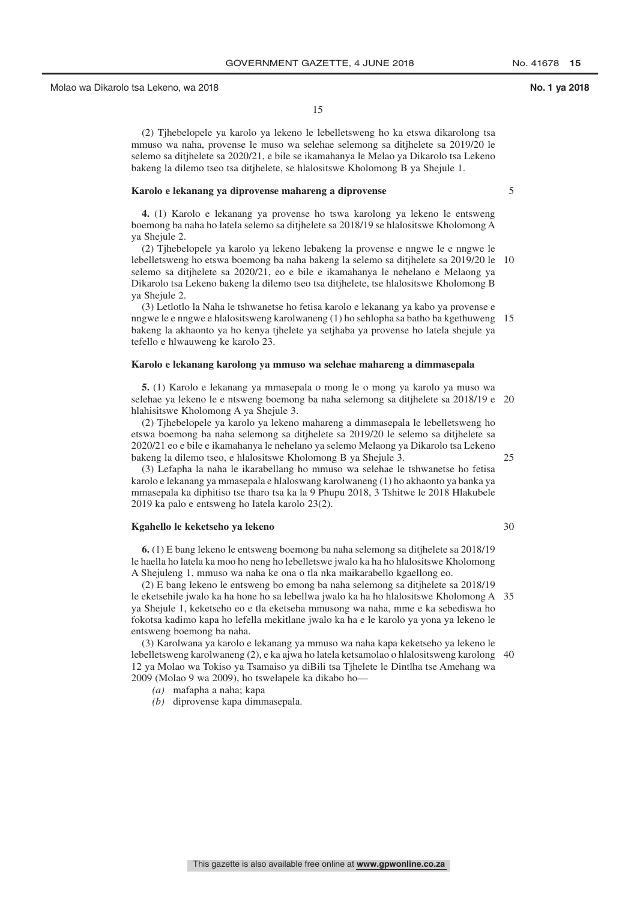(2) Tjhebelopele ya karolo ya lekeno le lebelletsweng ho ka etswa dikarolong tsa mmuso wa naha, provense le muso wa selehae selemong sa ditjhelete sa 2019/20 le selemo sa ditjhelete sa 2020/21, e bile se ikamahanya le Melao ya Dikarolo tsa Lekeno bakeng la dilemo tseo tsa ditjhelete, se hlalositswe Kholomong B ya Shejule 1.

#### **Karolo e lekanang ya diprovense mahareng a diprovense**

**4.** (1) Karolo e lekanang ya provense ho tswa karolong ya lekeno le entsweng boemong ba naha ho latela selemo sa ditjhelete sa 2018/19 se hlalositswe Kholomong A ya Shejule 2.

(2) Tjhebelopele ya karolo ya lekeno lebakeng la provense e nngwe le e nngwe le lebelletsweng ho etswa boemong ba naha bakeng la selemo sa ditjhelete sa 2019/20 le 10 selemo sa ditjhelete sa 2020/21, eo e bile e ikamahanya le nehelano e Melaong ya Dikarolo tsa Lekeno bakeng la dilemo tseo tsa ditjhelete, tse hlalositswe Kholomong B ya Shejule 2.

(3) Letlotlo la Naha le tshwanetse ho fetisa karolo e lekanang ya kabo ya provense e nngwe le e nngwe e hlalositsweng karolwaneng (1) ho sehlopha sa batho ba kgethuweng 15 bakeng la akhaonto ya ho kenya tjhelete ya setjhaba ya provense ho latela shejule ya tefello e hlwauweng ke karolo 23.

#### **Karolo e lekanang karolong ya mmuso wa selehae mahareng a dimmasepala**

**5.** (1) Karolo e lekanang ya mmasepala o mong le o mong ya karolo ya muso wa selehae ya lekeno le e ntsweng boemong ba naha selemong sa ditjhelete sa 2018/19 e 20 hlahisitswe Kholomong A ya Shejule 3.

(2) Tjhebelopele ya karolo ya lekeno mahareng a dimmasepala le lebelletsweng ho etswa boemong ba naha selemong sa ditjhelete sa 2019/20 le selemo sa ditjhelete sa 2020/21 eo e bile e ikamahanya le nehelano ya selemo Melaong ya Dikarolo tsa Lekeno bakeng la dilemo tseo, e hlalositswe Kholomong B ya Shejule 3.

(3) Lefapha la naha le ikarabellang ho mmuso wa selehae le tshwanetse ho fetisa karolo e lekanang ya mmasepala e hlaloswang karolwaneng (1) ho akhaonto ya banka ya mmasepala ka diphitiso tse tharo tsa ka la 9 Phupu 2018, 3 Tshitwe le 2018 Hlakubele 2019 ka palo e entsweng ho latela karolo 23(2).

#### **Kgahello le keketseho ya lekeno**

**6.** (1) E bang lekeno le entsweng boemong ba naha selemong sa ditjhelete sa 2018/19 le haella ho latela ka moo ho neng ho lebelletswe jwalo ka ha ho hlalositswe Kholomong A Shejuleng 1, mmuso wa naha ke ona o tla nka maikarabello kgaellong eo.

(2) E bang lekeno le entsweng bo emong ba naha selemong sa ditjhelete sa 2018/19 le eketsehile jwalo ka ha hone ho sa lebellwa jwalo ka ha ho hlalositswe Kholomong A 35 ya Shejule 1, keketseho eo e tla eketseha mmusong wa naha, mme e ka sebediswa ho fokotsa kadimo kapa ho lefella mekitlane jwalo ka ha e le karolo ya yona ya lekeno le entsweng boemong ba naha.

(3) Karolwana ya karolo e lekanang ya mmuso wa naha kapa keketseho ya lekeno le lebelletsweng karolwaneng (2), e ka ajwa ho latela ketsamolao o hlalositsweng karolong 4012 ya Molao wa Tokiso ya Tsamaiso ya diBili tsa Tjhelete le Dintlha tse Amehang wa 2009 (Molao 9 wa 2009), ho tswelapele ka dikabo ho—

*(a)* mafapha a naha; kapa

*(b)* diprovense kapa dimmasepala.

5

 $30$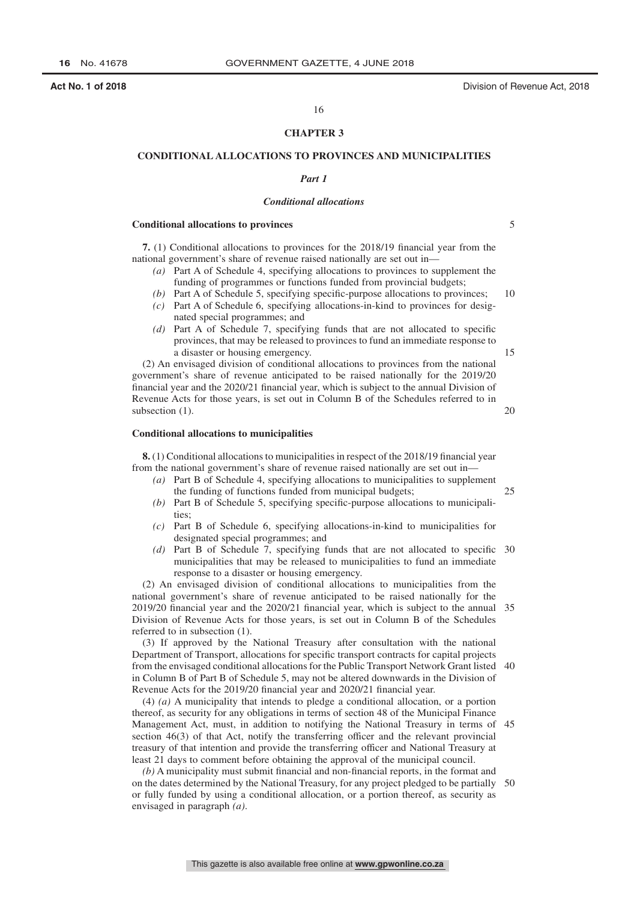#### 16

#### **CHAPTER 3**

#### **CONDITIONAL ALLOCATIONS TO PROVINCES AND MUNICIPALITIES**

#### *Part 1*

#### *Conditional allocations*

#### **Conditional allocations to provinces**

5

10

15

20

25

**7.** (1) Conditional allocations to provinces for the 2018/19 financial year from the national government's share of revenue raised nationally are set out in—

- *(a)* Part A of Schedule 4, specifying allocations to provinces to supplement the funding of programmes or functions funded from provincial budgets;
- *(b)* Part A of Schedule 5, specifying specific-purpose allocations to provinces; *(c)* Part A of Schedule 6, specifying allocations-in-kind to provinces for designated special programmes; and
- *(d)* Part A of Schedule 7, specifying funds that are not allocated to specific provinces, that may be released to provinces to fund an immediate response to a disaster or housing emergency.

(2) An envisaged division of conditional allocations to provinces from the national government's share of revenue anticipated to be raised nationally for the 2019/20 financial year and the 2020/21 financial year, which is subject to the annual Division of Revenue Acts for those years, is set out in Column B of the Schedules referred to in subsection  $(1)$ .

#### **Conditional allocations to municipalities**

**8.** (1) Conditional allocations to municipalities in respect of the 2018/19 financial year from the national government's share of revenue raised nationally are set out in—

- *(a)* Part B of Schedule 4, specifying allocations to municipalities to supplement the funding of functions funded from municipal budgets;
- *(b)* Part B of Schedule 5, specifying specific-purpose allocations to municipalities;
- *(c)* Part B of Schedule 6, specifying allocations-in-kind to municipalities for designated special programmes; and
- *(d)* Part B of Schedule 7, specifying funds that are not allocated to specific 30 municipalities that may be released to municipalities to fund an immediate response to a disaster or housing emergency.

(2) An envisaged division of conditional allocations to municipalities from the national government's share of revenue anticipated to be raised nationally for the 2019/20 financial year and the 2020/21 financial year, which is subject to the annual 35 Division of Revenue Acts for those years, is set out in Column B of the Schedules referred to in subsection (1).

(3) If approved by the National Treasury after consultation with the national Department of Transport, allocations for specific transport contracts for capital projects from the envisaged conditional allocations for the Public Transport Network Grant listed 40 in Column B of Part B of Schedule 5, may not be altered downwards in the Division of Revenue Acts for the 2019/20 financial year and 2020/21 financial year.

(4) *(a)* A municipality that intends to pledge a conditional allocation, or a portion thereof, as security for any obligations in terms of section 48 of the Municipal Finance Management Act, must, in addition to notifying the National Treasury in terms of 45 section 46(3) of that Act, notify the transferring officer and the relevant provincial treasury of that intention and provide the transferring officer and National Treasury at least 21 days to comment before obtaining the approval of the municipal council.

*(b)* A municipality must submit financial and non-financial reports, in the format and on the dates determined by the National Treasury, for any project pledged to be partially 50or fully funded by using a conditional allocation, or a portion thereof, as security as envisaged in paragraph *(a)*.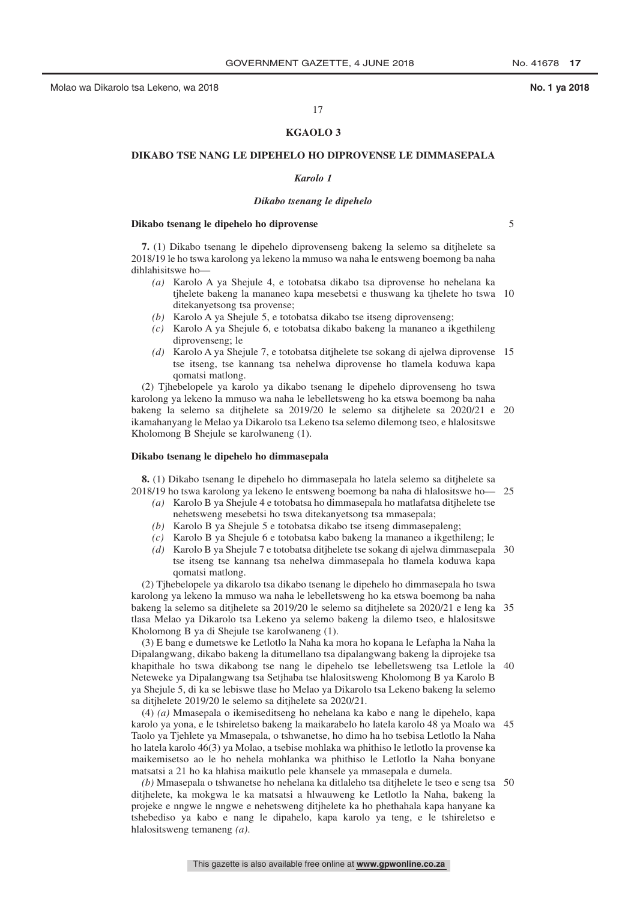#### 17

#### **KGAOLO 3**

#### **DIKABO TSE NANG LE DIPEHELO HO DIPROVENSE LE DIMMASEPALA**

#### *Karolo 1*

#### *Dikabo tsenang le dipehelo*

#### **Dikabo tsenang le dipehelo ho diprovense**

5

**7.** (1) Dikabo tsenang le dipehelo diprovenseng bakeng la selemo sa ditjhelete sa 2018/19 le ho tswa karolong ya lekeno la mmuso wa naha le entsweng boemong ba naha dihlahisitswe ho—

- *(a)* Karolo A ya Shejule 4, e totobatsa dikabo tsa diprovense ho nehelana ka tjhelete bakeng la mananeo kapa mesebetsi e thuswang ka tjhelete ho tswa 10 ditekanyetsong tsa provense;
- *(b)* Karolo A ya Shejule 5, e totobatsa dikabo tse itseng diprovenseng;
- *(c)* Karolo A ya Shejule 6, e totobatsa dikabo bakeng la mananeo a ikgethileng diprovenseng; le
- *(d)* Karolo A ya Shejule 7, e totobatsa ditjhelete tse sokang di ajelwa diprovense 15 tse itseng, tse kannang tsa nehelwa diprovense ho tlamela koduwa kapa qomatsi matlong.

(2) Tjhebelopele ya karolo ya dikabo tsenang le dipehelo diprovenseng ho tswa karolong ya lekeno la mmuso wa naha le lebelletsweng ho ka etswa boemong ba naha bakeng la selemo sa ditjhelete sa 2019/20 le selemo sa ditjhelete sa 2020/21 e 20 ikamahanyang le Melao ya Dikarolo tsa Lekeno tsa selemo dilemong tseo, e hlalositswe Kholomong B Shejule se karolwaneng (1).

#### **Dikabo tsenang le dipehelo ho dimmasepala**

**8.** (1) Dikabo tsenang le dipehelo ho dimmasepala ho latela selemo sa ditjhelete sa 2018/19 ho tswa karolong ya lekeno le entsweng boemong ba naha di hlalositswe ho— 25

- *(a)* Karolo B ya Shejule 4 e totobatsa ho dimmasepala ho matlafatsa ditjhelete tse nehetsweng mesebetsi ho tswa ditekanyetsong tsa mmasepala;
- *(b)* Karolo B ya Shejule 5 e totobatsa dikabo tse itseng dimmasepaleng;
- *(c)* Karolo B ya Shejule 6 e totobatsa kabo bakeng la mananeo a ikgethileng; le
- *(d)* Karolo B ya Shejule 7 e totobatsa ditjhelete tse sokang di ajelwa dimmasepala 30 tse itseng tse kannang tsa nehelwa dimmasepala ho tlamela koduwa kapa qomatsi matlong.

(2) Tjhebelopele ya dikarolo tsa dikabo tsenang le dipehelo ho dimmasepala ho tswa karolong ya lekeno la mmuso wa naha le lebelletsweng ho ka etswa boemong ba naha bakeng la selemo sa ditjhelete sa 2019/20 le selemo sa ditjhelete sa 2020/21 e leng ka 35 tlasa Melao ya Dikarolo tsa Lekeno ya selemo bakeng la dilemo tseo, e hlalositswe Kholomong B ya di Shejule tse karolwaneng (1).

(3) E bang e dumetswe ke Letlotlo la Naha ka mora ho kopana le Lefapha la Naha la Dipalangwang, dikabo bakeng la ditumellano tsa dipalangwang bakeng la diprojeke tsa khapithale ho tswa dikabong tse nang le dipehelo tse lebelletsweng tsa Letlole la 40 Neteweke ya Dipalangwang tsa Setjhaba tse hlalositsweng Kholomong B ya Karolo B ya Shejule 5, di ka se lebiswe tlase ho Melao ya Dikarolo tsa Lekeno bakeng la selemo sa ditjhelete 2019/20 le selemo sa ditjhelete sa 2020/21.

(4) *(a)* Mmasepala o ikemiseditseng ho nehelana ka kabo e nang le dipehelo, kapa karolo ya yona, e le tshireletso bakeng la maikarabelo ho latela karolo 48 ya Moalo wa 45 Taolo ya Tjehlete ya Mmasepala, o tshwanetse, ho dimo ha ho tsebisa Letlotlo la Naha ho latela karolo 46(3) ya Molao, a tsebise mohlaka wa phithiso le letlotlo la provense ka maikemisetso ao le ho nehela mohlanka wa phithiso le Letlotlo la Naha bonyane matsatsi a 21 ho ka hlahisa maikutlo pele khansele ya mmasepala e dumela.

*(b)* Mmasepala o tshwanetse ho nehelana ka ditlaleho tsa ditjhelete le tseo e seng tsa 50ditjhelete, ka mokgwa le ka matsatsi a hlwauweng ke Letlotlo la Naha, bakeng la projeke e nngwe le nngwe e nehetsweng ditjhelete ka ho phethahala kapa hanyane ka tshebediso ya kabo e nang le dipahelo, kapa karolo ya teng, e le tshireletso e hlalositsweng temaneng *(a)*.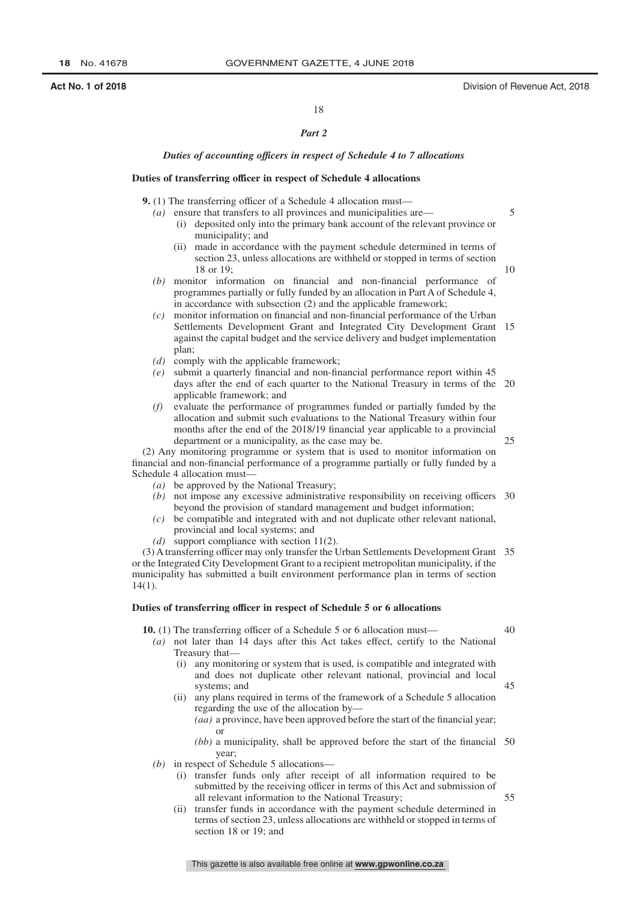5

10

 $25$ 

18

#### *Part 2*

#### *Duties of accounting officers in respect of Schedule 4 to 7 allocations*

#### **Duties of transferring officer in respect of Schedule 4 allocations**

**9.** (1) The transferring officer of a Schedule 4 allocation must—

- *(a)* ensure that transfers to all provinces and municipalities are— (i) deposited only into the primary bank account of the relevant province or municipality; and
	- (ii) made in accordance with the payment schedule determined in terms of section 23, unless allocations are withheld or stopped in terms of section 18 or 19;
- *(b)* monitor information on financial and non-financial performance of programmes partially or fully funded by an allocation in Part A of Schedule 4, in accordance with subsection (2) and the applicable framework;
- *(c)* monitor information on financial and non-financial performance of the Urban Settlements Development Grant and Integrated City Development Grant 15 against the capital budget and the service delivery and budget implementation plan;
- *(d)* comply with the applicable framework;
- *(e)* submit a quarterly financial and non-financial performance report within 45 days after the end of each quarter to the National Treasury in terms of the 20 applicable framework; and
- *(f)* evaluate the performance of programmes funded or partially funded by the allocation and submit such evaluations to the National Treasury within four months after the end of the 2018/19 financial year applicable to a provincial department or a municipality, as the case may be.

(2) Any monitoring programme or system that is used to monitor information on financial and non-financial performance of a programme partially or fully funded by a Schedule 4 allocation must—

- *(a)* be approved by the National Treasury;
- (b) not impose any excessive administrative responsibility on receiving officers 30 beyond the provision of standard management and budget information;
- *(c)* be compatible and integrated with and not duplicate other relevant national, provincial and local systems; and
- *(d)* support compliance with section 11(2).

(3) A transferring officer may only transfer the Urban Settlements Development Grant 35 or the Integrated City Development Grant to a recipient metropolitan municipality, if the municipality has submitted a built environment performance plan in terms of section 14(1).

#### **Duties of transferring officer in respect of Schedule 5 or 6 allocations**

**10.** (1) The transferring officer of a Schedule 5 or 6 allocation must—

40

45

55

- *(a)* not later than 14 days after this Act takes effect, certify to the National Treasury that—
	- (i) any monitoring or system that is used, is compatible and integrated with and does not duplicate other relevant national, provincial and local systems; and
	- (ii) any plans required in terms of the framework of a Schedule 5 allocation regarding the use of the allocation by—
		- *(aa)* a province, have been approved before the start of the financial year; or

*(bb)* a municipality, shall be approved before the start of the financial 50 year;

- *(b)* in respect of Schedule 5 allocations—
	- (i) transfer funds only after receipt of all information required to be submitted by the receiving officer in terms of this Act and submission of all relevant information to the National Treasury;
	- (ii) transfer funds in accordance with the payment schedule determined in terms of section 23, unless allocations are withheld or stopped in terms of section 18 or 19; and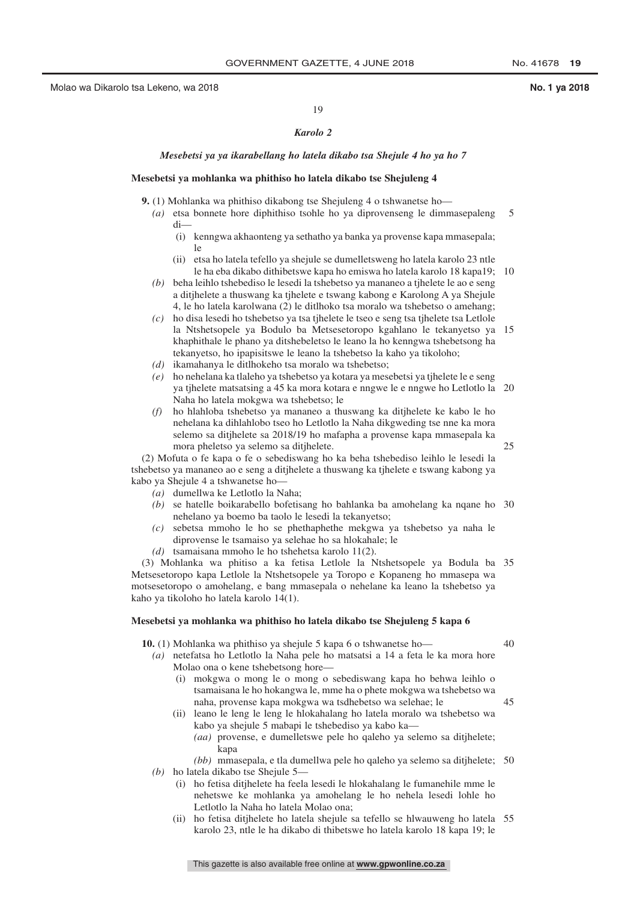40

45

19

#### *Karolo 2*

#### *Mesebetsi ya ya ikarabellang ho latela dikabo tsa Shejule 4 ho ya ho 7*

#### **Mesebetsi ya mohlanka wa phithiso ho latela dikabo tse Shejuleng 4**

**9.** (1) Mohlanka wa phithiso dikabong tse Shejuleng 4 o tshwanetse ho—

- *(a)* etsa bonnete hore diphithiso tsohle ho ya diprovenseng le dimmasepaleng di— 5
	- (i) kenngwa akhaonteng ya sethatho ya banka ya provense kapa mmasepala; le
	- (ii) etsa ho latela tefello ya shejule se dumelletsweng ho latela karolo 23 ntle le ha eba dikabo dithibetswe kapa ho emiswa ho latela karolo 18 kapa19; 10
- *(b)* beha leihlo tshebediso le lesedi la tshebetso ya mananeo a tjhelete le ao e seng a ditjhelete a thuswang ka tjhelete e tswang kabong e Karolong A ya Shejule 4, le ho latela karolwana (2) le ditlhoko tsa moralo wa tshebetso o amehang;
- *(c)* ho disa lesedi ho tshebetso ya tsa tjhelete le tseo e seng tsa tjhelete tsa Letlole la Ntshetsopele ya Bodulo ba Metsesetoropo kgahlano le tekanyetso ya 15 khaphithale le phano ya ditshebeletso le leano la ho kenngwa tshebetsong ha tekanyetso, ho ipapisitswe le leano la tshebetso la kaho ya tikoloho;
- *(d)* ikamahanya le ditlhokeho tsa moralo wa tshebetso;
- *(e)* ho nehelana ka tlaleho ya tshebetso ya kotara ya mesebetsi ya tjhelete le e seng ya tjhelete matsatsing a 45 ka mora kotara e nngwe le e nngwe ho Letlotlo la 20 Naha ho latela mokgwa wa tshebetso; le
- *(f)* ho hlahloba tshebetso ya mananeo a thuswang ka ditjhelete ke kabo le ho nehelana ka dihlahlobo tseo ho Letlotlo la Naha dikgweding tse nne ka mora selemo sa ditjhelete sa 2018/19 ho mafapha a provense kapa mmasepala ka mora pheletso ya selemo sa ditjhelete.

(2) Mofuta o fe kapa o fe o sebediswang ho ka beha tshebediso leihlo le lesedi la tshebetso ya mananeo ao e seng a ditjhelete a thuswang ka tjhelete e tswang kabong ya kabo ya Shejule 4 a tshwanetse ho—

- *(a)* dumellwa ke Letlotlo la Naha;
- *(b)* se hatelle boikarabello bofetisang ho bahlanka ba amohelang ka nqane ho 30 nehelano ya boemo ba taolo le lesedi la tekanyetso;
- *(c)* sebetsa mmoho le ho se phethaphethe mekgwa ya tshebetso ya naha le diprovense le tsamaiso ya selehae ho sa hlokahale; le
- *(d)* tsamaisana mmoho le ho tshehetsa karolo 11(2).

(3) Mohlanka wa phitiso a ka fetisa Letlole la Ntshetsopele ya Bodula ba 35 Metsesetoropo kapa Letlole la Ntshetsopele ya Toropo e Kopaneng ho mmasepa wa motsesetoropo o amohelang, e bang mmasepala o nehelane ka leano la tshebetso ya kaho ya tikoloho ho latela karolo 14(1).

#### **Mesebetsi ya mohlanka wa phithiso ho latela dikabo tse Shejuleng 5 kapa 6**

**10.** (1) Mohlanka wa phithiso ya shejule 5 kapa 6 o tshwanetse ho—

- *(a)* netefatsa ho Letlotlo la Naha pele ho matsatsi a 14 a feta le ka mora hore Molao ona o kene tshebetsong hore—
	- (i) mokgwa o mong le o mong o sebediswang kapa ho behwa leihlo o tsamaisana le ho hokangwa le, mme ha o phete mokgwa wa tshebetso wa naha, provense kapa mokgwa wa tsdhebetso wa selehae; le
	- (ii) leano le leng le leng le hlokahalang ho latela moralo wa tshebetso wa kabo ya shejule 5 mabapi le tshebediso ya kabo ka—
		- *(aa)* provense, e dumelletswe pele ho qaleho ya selemo sa ditjhelete; kapa

*(bb)* mmasepala, e tla dumellwa pele ho qaleho ya selemo sa ditjhelete; 50 *(b)* ho latela dikabo tse Shejule 5—

- (i) ho fetisa ditjhelete ha feela lesedi le hlokahalang le fumanehile mme le nehetswe ke mohlanka ya amohelang le ho nehela lesedi lohle ho Letlotlo la Naha ho latela Molao ona;
- (ii) ho fetisa ditjhelete ho latela shejule sa tefello se hlwauweng ho latela 55karolo 23, ntle le ha dikabo di thibetswe ho latela karolo 18 kapa 19; le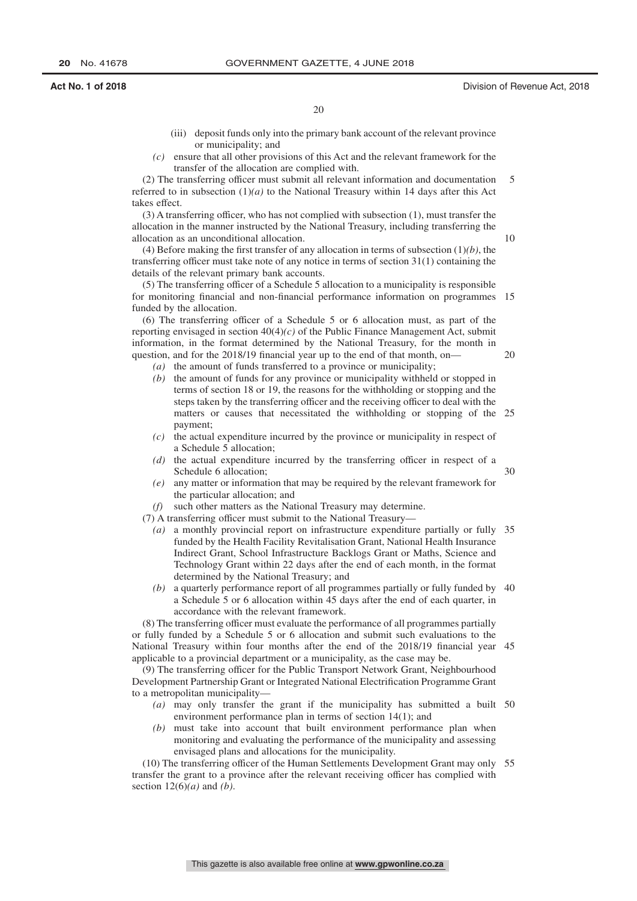- (iii) deposit funds only into the primary bank account of the relevant province or municipality; and
- *(c)* ensure that all other provisions of this Act and the relevant framework for the transfer of the allocation are complied with.

(2) The transferring officer must submit all relevant information and documentation referred to in subsection  $(1)(a)$  to the National Treasury within 14 days after this Act takes effect. 5

(3) A transferring officer, who has not complied with subsection (1), must transfer the allocation in the manner instructed by the National Treasury, including transferring the allocation as an unconditional allocation.

(4) Before making the first transfer of any allocation in terms of subsection (1)*(b)*, the transferring officer must take note of any notice in terms of section 31(1) containing the details of the relevant primary bank accounts.

(5) The transferring officer of a Schedule 5 allocation to a municipality is responsible for monitoring financial and non-financial performance information on programmes 15 funded by the allocation.

(6) The transferring officer of a Schedule 5 or 6 allocation must, as part of the reporting envisaged in section 40(4)*(c)* of the Public Finance Management Act, submit information, in the format determined by the National Treasury, for the month in question, and for the 2018/19 financial year up to the end of that month, on— 20

- *(a)* the amount of funds transferred to a province or municipality;
- *(b)* the amount of funds for any province or municipality withheld or stopped in terms of section 18 or 19, the reasons for the withholding or stopping and the steps taken by the transferring officer and the receiving officer to deal with the matters or causes that necessitated the withholding or stopping of the 25 payment;
- *(c)* the actual expenditure incurred by the province or municipality in respect of a Schedule 5 allocation;
- *(d)* the actual expenditure incurred by the transferring officer in respect of a Schedule 6 allocation; 30
- *(e)* any matter or information that may be required by the relevant framework for the particular allocation; and

*(f)* such other matters as the National Treasury may determine.

- (7) A transferring officer must submit to the National Treasury—
	- *(a)* a monthly provincial report on infrastructure expenditure partially or fully 35 funded by the Health Facility Revitalisation Grant, National Health Insurance Indirect Grant, School Infrastructure Backlogs Grant or Maths, Science and Technology Grant within 22 days after the end of each month, in the format determined by the National Treasury; and
	- *(b)* a quarterly performance report of all programmes partially or fully funded by 40 a Schedule 5 or 6 allocation within 45 days after the end of each quarter, in accordance with the relevant framework.

(8) The transferring officer must evaluate the performance of all programmes partially or fully funded by a Schedule 5 or 6 allocation and submit such evaluations to the National Treasury within four months after the end of the 2018/19 financial year 45 applicable to a provincial department or a municipality, as the case may be.

(9) The transferring officer for the Public Transport Network Grant, Neighbourhood Development Partnership Grant or Integrated National Electrification Programme Grant to a metropolitan municipality—

- *(a)* may only transfer the grant if the municipality has submitted a built 50 environment performance plan in terms of section 14(1); and
- *(b)* must take into account that built environment performance plan when monitoring and evaluating the performance of the municipality and assessing envisaged plans and allocations for the municipality.

(10) The transferring officer of the Human Settlements Development Grant may only 55transfer the grant to a province after the relevant receiving officer has complied with section 12(6)*(a)* and *(b)*.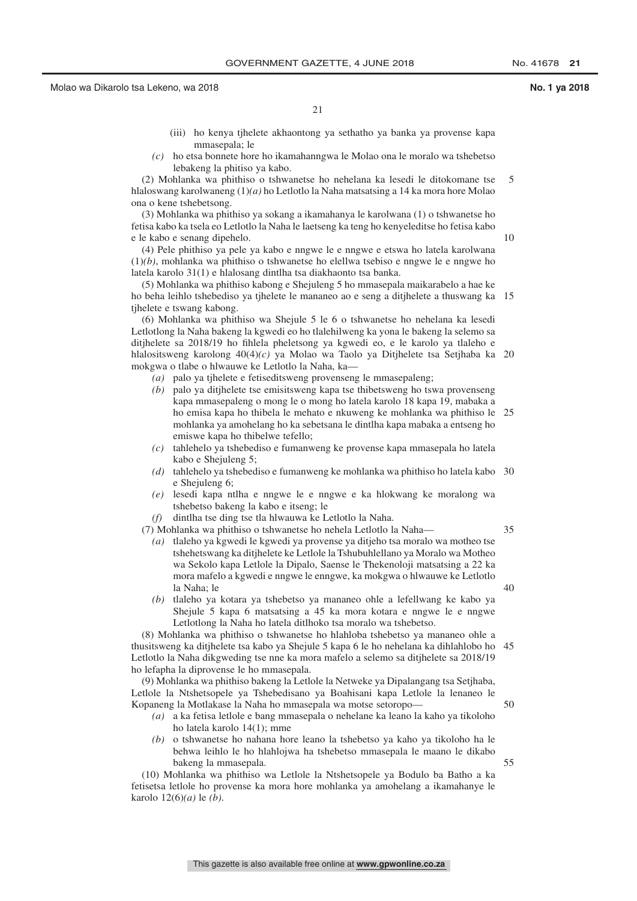10

21

- (iii) ho kenya tjhelete akhaontong ya sethatho ya banka ya provense kapa mmasepala; le
- *(c)* ho etsa bonnete hore ho ikamahanngwa le Molao ona le moralo wa tshebetso lebakeng la phitiso ya kabo.

(2) Mohlanka wa phithiso o tshwanetse ho nehelana ka lesedi le ditokomane tse hlaloswang karolwaneng (1)*(a)* ho Letlotlo la Naha matsatsing a 14 ka mora hore Molao ona o kene tshebetsong. 5

(3) Mohlanka wa phithiso ya sokang a ikamahanya le karolwana (1) o tshwanetse ho fetisa kabo ka tsela eo Letlotlo la Naha le laetseng ka teng ho kenyeleditse ho fetisa kabo e le kabo e senang dipehelo.

(4) Pele phithiso ya pele ya kabo e nngwe le e nngwe e etswa ho latela karolwana (1)*(b)*, mohlanka wa phithiso o tshwanetse ho elellwa tsebiso e nngwe le e nngwe ho latela karolo 31(1) e hlalosang dintlha tsa diakhaonto tsa banka.

(5) Mohlanka wa phithiso kabong e Shejuleng 5 ho mmasepala maikarabelo a hae ke ho beha leihlo tshebediso ya tjhelete le mananeo ao e seng a ditjhelete a thuswang ka 15 tjhelete e tswang kabong.

(6) Mohlanka wa phithiso wa Shejule 5 le 6 o tshwanetse ho nehelana ka lesedi Letlotlong la Naha bakeng la kgwedi eo ho tlalehilweng ka yona le bakeng la selemo sa ditjhelete sa 2018/19 ho fihlela pheletsong ya kgwedi eo, e le karolo ya tlaleho e hlalositsweng karolong 40(4)*(c)* ya Molao wa Taolo ya Ditjhelete tsa Setjhaba ka 20 mokgwa o tlabe o hlwauwe ke Letlotlo la Naha, ka—

- *(a)* palo ya tjhelete e fetiseditsweng provenseng le mmasepaleng;
- *(b)* palo ya ditjhelete tse emisitsweng kapa tse thibetsweng ho tswa provenseng kapa mmasepaleng o mong le o mong ho latela karolo 18 kapa 19, mabaka a ho emisa kapa ho thibela le mehato e nkuweng ke mohlanka wa phithiso le mohlanka ya amohelang ho ka sebetsana le dintlha kapa mabaka a entseng ho emiswe kapa ho thibelwe tefello; 25
- *(c)* tahlehelo ya tshebediso e fumanweng ke provense kapa mmasepala ho latela kabo e Shejuleng 5;
- *(d)* tahlehelo ya tshebediso e fumanweng ke mohlanka wa phithiso ho latela kabo 30 e Shejuleng 6;
- *(e)* lesedi kapa ntlha e nngwe le e nngwe e ka hlokwang ke moralong wa tshebetso bakeng la kabo e itseng; le
- *(f)* dintlha tse ding tse tla hlwauwa ke Letlotlo la Naha.

(7) Mohlanka wa phithiso o tshwanetse ho nehela Letlotlo la Naha—

- *(a)* tlaleho ya kgwedi le kgwedi ya provense ya ditjeho tsa moralo wa motheo tse tshehetswang ka ditjhelete ke Letlole la Tshubuhlellano ya Moralo wa Motheo wa Sekolo kapa Letlole la Dipalo, Saense le Thekenoloji matsatsing a 22 ka mora mafelo a kgwedi e nngwe le enngwe, ka mokgwa o hlwauwe ke Letlotlo la Naha; le
- *(b)* tlaleho ya kotara ya tshebetso ya mananeo ohle a lefellwang ke kabo ya Shejule 5 kapa 6 matsatsing a 45 ka mora kotara e nngwe le e nngwe Letlotlong la Naha ho latela ditlhoko tsa moralo wa tshebetso.

(8) Mohlanka wa phithiso o tshwanetse ho hlahloba tshebetso ya mananeo ohle a thusitsweng ka ditjhelete tsa kabo ya Shejule 5 kapa 6 le ho nehelana ka dihlahlobo ho Letlotlo la Naha dikgweding tse nne ka mora mafelo a selemo sa ditjhelete sa 2018/19 ho lefapha la diprovense le ho mmasepala. 45

(9) Mohlanka wa phithiso bakeng la Letlole la Netweke ya Dipalangang tsa Setjhaba, Letlole la Ntshetsopele ya Tshebedisano ya Boahisani kapa Letlole la lenaneo le Kopaneng la Motlakase la Naha ho mmasepala wa motse setoropo—

- *(a)* a ka fetisa letlole e bang mmasepala o nehelane ka leano la kaho ya tikoloho ho latela karolo 14(1); mme
- *(b)* o tshwanetse ho nahana hore leano la tshebetso ya kaho ya tikoloho ha le behwa leihlo le ho hlahlojwa ha tshebetso mmasepala le maano le dikabo bakeng la mmasepala.

(10) Mohlanka wa phithiso wa Letlole la Ntshetsopele ya Bodulo ba Batho a ka fetisetsa letlole ho provense ka mora hore mohlanka ya amohelang a ikamahanye le karolo 12(6)*(a)* le *(b)*.

55

50

35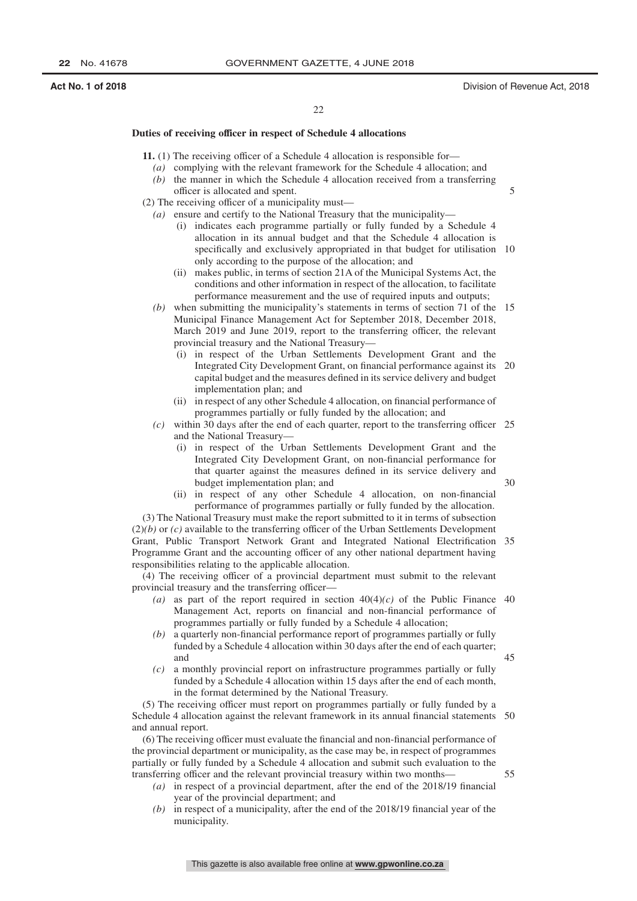5

30

45

55

#### 22

#### **Duties of receiving officer in respect of Schedule 4 allocations**

**11.** (1) The receiving officer of a Schedule 4 allocation is responsible for—

- *(a)* complying with the relevant framework for the Schedule 4 allocation; and
- *(b)* the manner in which the Schedule 4 allocation received from a transferring officer is allocated and spent.
- (2) The receiving officer of a municipality must—
	- *(a)* ensure and certify to the National Treasury that the municipality—
		- (i) indicates each programme partially or fully funded by a Schedule 4 allocation in its annual budget and that the Schedule 4 allocation is specifically and exclusively appropriated in that budget for utilisation 10 only according to the purpose of the allocation; and
		- (ii) makes public, in terms of section 21A of the Municipal Systems Act, the conditions and other information in respect of the allocation, to facilitate performance measurement and the use of required inputs and outputs;
	- *(b)* when submitting the municipality's statements in terms of section 71 of the 15 Municipal Finance Management Act for September 2018, December 2018, March 2019 and June 2019, report to the transferring officer, the relevant provincial treasury and the National Treasury—
		- (i) in respect of the Urban Settlements Development Grant and the Integrated City Development Grant, on financial performance against its 20 capital budget and the measures defined in its service delivery and budget implementation plan; and
		- (ii) in respect of any other Schedule 4 allocation, on financial performance of programmes partially or fully funded by the allocation; and
	- *(c)* within 30 days after the end of each quarter, report to the transferring officer 25 and the National Treasury—
		- (i) in respect of the Urban Settlements Development Grant and the Integrated City Development Grant, on non-financial performance for that quarter against the measures defined in its service delivery and budget implementation plan; and
		- (ii) in respect of any other Schedule 4 allocation, on non-financial performance of programmes partially or fully funded by the allocation.

(3) The National Treasury must make the report submitted to it in terms of subsection  $(2)(b)$  or  $(c)$  available to the transferring officer of the Urban Settlements Development Grant, Public Transport Network Grant and Integrated National Electrification 35 Programme Grant and the accounting officer of any other national department having responsibilities relating to the applicable allocation.

(4) The receiving officer of a provincial department must submit to the relevant provincial treasury and the transferring officer—

- (a) as part of the report required in section  $40(4)(c)$  of the Public Finance 40 Management Act, reports on financial and non-financial performance of programmes partially or fully funded by a Schedule 4 allocation;
- *(b)* a quarterly non-financial performance report of programmes partially or fully funded by a Schedule 4 allocation within 30 days after the end of each quarter; and
- *(c)* a monthly provincial report on infrastructure programmes partially or fully funded by a Schedule 4 allocation within 15 days after the end of each month, in the format determined by the National Treasury.

(5) The receiving officer must report on programmes partially or fully funded by a Schedule 4 allocation against the relevant framework in its annual financial statements 50 and annual report.

(6) The receiving officer must evaluate the financial and non-financial performance of the provincial department or municipality, as the case may be, in respect of programmes partially or fully funded by a Schedule 4 allocation and submit such evaluation to the transferring officer and the relevant provincial treasury within two months—

- *(a)* in respect of a provincial department, after the end of the 2018/19 financial year of the provincial department; and
- *(b)* in respect of a municipality, after the end of the 2018/19 financial year of the municipality.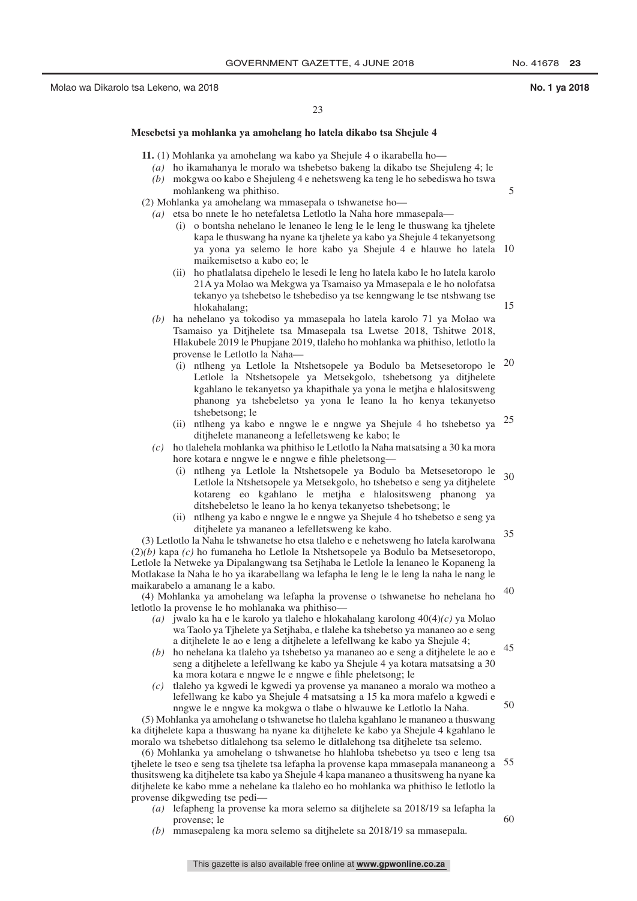5

15

 $50$ 

60

#### **Mesebetsi ya mohlanka ya amohelang ho latela dikabo tsa Shejule 4**

**11.** (1) Mohlanka ya amohelang wa kabo ya Shejule 4 o ikarabella ho—

- *(a)* ho ikamahanya le moralo wa tshebetso bakeng la dikabo tse Shejuleng 4; le
- *(b)* mokgwa oo kabo e Shejuleng 4 e nehetsweng ka teng le ho sebediswa ho tswa

- *(a)* etsa bo nnete le ho netefaletsa Letlotlo la Naha hore mmasepala—
	- (i) o bontsha nehelano le lenaneo le leng le le leng le thuswang ka tjhelete kapa le thuswang ha nyane ka tjhelete ya kabo ya Shejule 4 tekanyetsong ya yona ya selemo le hore kabo ya Shejule 4 e hlauwe ho latela 10 maikemisetso a kabo eo; le
	- (ii) ho phatlalatsa dipehelo le lesedi le leng ho latela kabo le ho latela karolo 21A ya Molao wa Mekgwa ya Tsamaiso ya Mmasepala e le ho nolofatsa tekanyo ya tshebetso le tshebediso ya tse kenngwang le tse ntshwang tse hlokahalang;
- *(b)* ha nehelano ya tokodiso ya mmasepala ho latela karolo 71 ya Molao wa Tsamaiso ya Ditjhelete tsa Mmasepala tsa Lwetse 2018, Tshitwe 2018, Hlakubele 2019 le Phupjane 2019, tlaleho ho mohlanka wa phithiso, letlotlo la provense le Letlotlo la Naha—
	- (i) ntlheng ya Letlole la Ntshetsopele ya Bodulo ba Metsesetoropo le 20 Letlole la Ntshetsopele ya Metsekgolo, tshebetsong ya ditjhelete kgahlano le tekanyetso ya khapithale ya yona le metjha e hlalositsweng phanong ya tshebeletso ya yona le leano la ho kenya tekanyetso tshebetsong; le
	- (ii) ntlheng ya kabo e nngwe le e nngwe ya Shejule 4 ho tshebetso ya  $25$ ditjhelete mananeong a lefelletsweng ke kabo; le
- *(c)* ho tlalehela mohlanka wa phithiso le Letlotlo la Naha matsatsing a 30 ka mora hore kotara e nngwe le e nngwe e fihle pheletsong—
	- (i) ntlheng ya Letlole la Ntshetsopele ya Bodulo ba Metsesetoropo le Letlole la Ntshetsopele ya Metsekgolo, ho tshebetso e seng ya ditjhelete kotareng eo kgahlano le metjha e hlalositsweng phanong ya ditshebeletso le leano la ho kenya tekanyetso tshebetsong; le 30
	- (ii) ntlheng ya kabo e nngwe le e nngwe ya Shejule 4 ho tshebetso e seng ya ditjhelete ya mananeo a lefelletsweng ke kabo.

(3) Letlotlo la Naha le tshwanetse ho etsa tlaleho e e nehetsweng ho latela karolwana (2)*(b)* kapa *(c)* ho fumaneha ho Letlole la Ntshetsopele ya Bodulo ba Metsesetoropo, Letlole la Netweke ya Dipalangwang tsa Setjhaba le Letlole la lenaneo le Kopaneng la Motlakase la Naha le ho ya ikarabellang wa lefapha le leng le le leng la naha le nang le maikarabelo a amanang le a kabo. 35 40

(4) Mohlanka ya amohelang wa lefapha la provense o tshwanetse ho nehelana ho letlotlo la provense le ho mohlanaka wa phithiso—

- *(a)* jwalo ka ha e le karolo ya tlaleho e hlokahalang karolong 40(4)*(c)* ya Molao wa Taolo ya Tjhelete ya Setjhaba, e tlalehe ka tshebetso ya mananeo ao e seng a ditjhelete le ao e leng a ditjhelete a lefellwang ke kabo ya Shejule 4;
- *(b)* ho nehelana ka tlaleho ya tshebetso ya mananeo ao e seng a ditjhelete le ao e seng a ditjhelete a lefellwang ke kabo ya Shejule 4 ya kotara matsatsing a 30 ka mora kotara e nngwe le e nngwe e fihle pheletsong; le 45
- *(c)* tlaleho ya kgwedi le kgwedi ya provense ya mananeo a moralo wa motheo a lefellwang ke kabo ya Shejule 4 matsatsing a 15 ka mora mafelo a kgwedi e nngwe le e nngwe ka mokgwa o tlabe o hlwauwe ke Letlotlo la Naha.

(5) Mohlanka ya amohelang o tshwanetse ho tlaleha kgahlano le mananeo a thuswang ka ditjhelete kapa a thuswang ha nyane ka ditjhelete ke kabo ya Shejule 4 kgahlano le moralo wa tshebetso ditlalehong tsa selemo le ditlalehong tsa ditjhelete tsa selemo.

(6) Mohlanka ya amohelang o tshwanetse ho hlahloba tshebetso ya tseo e leng tsa tjhelete le tseo e seng tsa tjhelete tsa lefapha la provense kapa mmasepala mananeong a 55 thusitsweng ka ditjhelete tsa kabo ya Shejule 4 kapa mananeo a thusitsweng ha nyane ka ditjhelete ke kabo mme a nehelane ka tlaleho eo ho mohlanka wa phithiso le letlotlo la provense dikgweding tse pedi—

- *(a)* lefapheng la provense ka mora selemo sa ditjhelete sa 2018/19 sa lefapha la provense; le
- *(b)* mmasepaleng ka mora selemo sa ditjhelete sa 2018/19 sa mmasepala.
	- This gazette is also available free online at **www.gpwonline.co.za**

mohlankeng wa phithiso. (2) Mohlanka ya amohelang wa mmasepala o tshwanetse ho—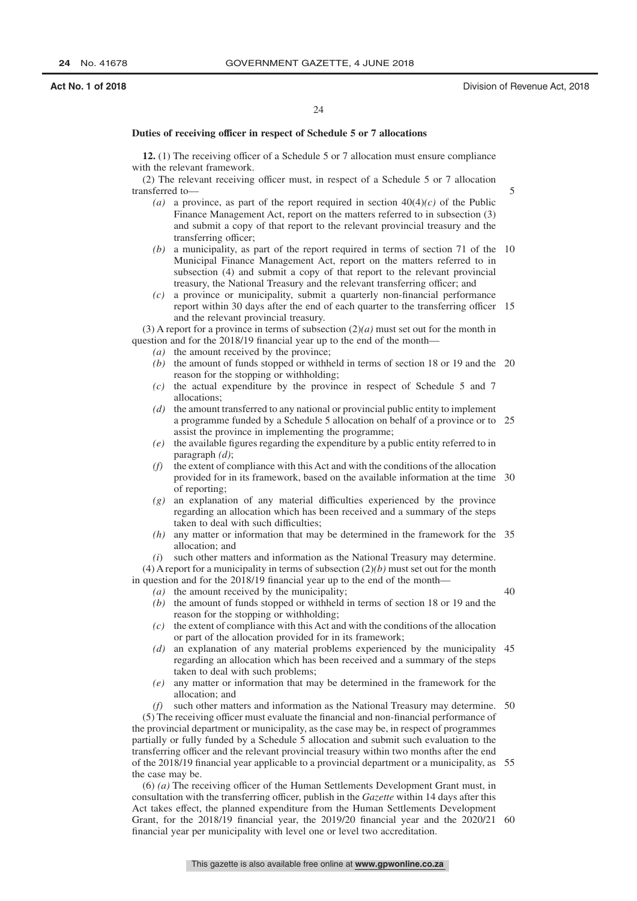40

#### **Duties of receiving officer in respect of Schedule 5 or 7 allocations**

**12.** (1) The receiving officer of a Schedule 5 or 7 allocation must ensure compliance with the relevant framework.

(2) The relevant receiving officer must, in respect of a Schedule 5 or 7 allocation transferred to—

- (a) a province, as part of the report required in section  $40(4)(c)$  of the Public Finance Management Act, report on the matters referred to in subsection (3) and submit a copy of that report to the relevant provincial treasury and the transferring officer;
- *(b)* a municipality, as part of the report required in terms of section 71 of the 10 Municipal Finance Management Act, report on the matters referred to in subsection (4) and submit a copy of that report to the relevant provincial treasury, the National Treasury and the relevant transferring officer; and
- *(c)* a province or municipality, submit a quarterly non-financial performance report within 30 days after the end of each quarter to the transferring officer 15 and the relevant provincial treasury.

(3) A report for a province in terms of subsection (2)*(a)* must set out for the month in question and for the 2018/19 financial year up to the end of the month—

- *(a)* the amount received by the province;
- *(b)* the amount of funds stopped or withheld in terms of section 18 or 19 and the 20 reason for the stopping or withholding;
- *(c)* the actual expenditure by the province in respect of Schedule 5 and 7 allocations;
- *(d)* the amount transferred to any national or provincial public entity to implement a programme funded by a Schedule 5 allocation on behalf of a province or to 25 assist the province in implementing the programme;
- *(e)* the available figures regarding the expenditure by a public entity referred to in paragraph *(d)*;
- *(f)* the extent of compliance with this Act and with the conditions of the allocation provided for in its framework, based on the available information at the time 30 of reporting;
- *(g)* an explanation of any material difficulties experienced by the province regarding an allocation which has been received and a summary of the steps taken to deal with such difficulties;
- *(h)* any matter or information that may be determined in the framework for the 35 allocation; and
- *(i*) such other matters and information as the National Treasury may determine.

(4) A report for a municipality in terms of subsection (2)*(b)* must set out for the month in question and for the 2018/19 financial year up to the end of the month—

- *(a)* the amount received by the municipality;
	- *(b)* the amount of funds stopped or withheld in terms of section 18 or 19 and the reason for the stopping or withholding;
	- *(c)* the extent of compliance with this Act and with the conditions of the allocation or part of the allocation provided for in its framework;
	- *(d)* an explanation of any material problems experienced by the municipality 45 regarding an allocation which has been received and a summary of the steps taken to deal with such problems;
	- *(e)* any matter or information that may be determined in the framework for the allocation; and

*(f)* such other matters and information as the National Treasury may determine. 50 (5) The receiving officer must evaluate the financial and non-financial performance of the provincial department or municipality, as the case may be, in respect of programmes partially or fully funded by a Schedule 5 allocation and submit such evaluation to the transferring officer and the relevant provincial treasury within two months after the end of the 2018/19 financial year applicable to a provincial department or a municipality, as 55 the case may be.

(6) *(a)* The receiving officer of the Human Settlements Development Grant must, in consultation with the transferring officer, publish in the *Gazette* within 14 days after this Act takes effect, the planned expenditure from the Human Settlements Development Grant, for the 2018/19 financial year, the 2019/20 financial year and the 2020/21 60financial year per municipality with level one or level two accreditation.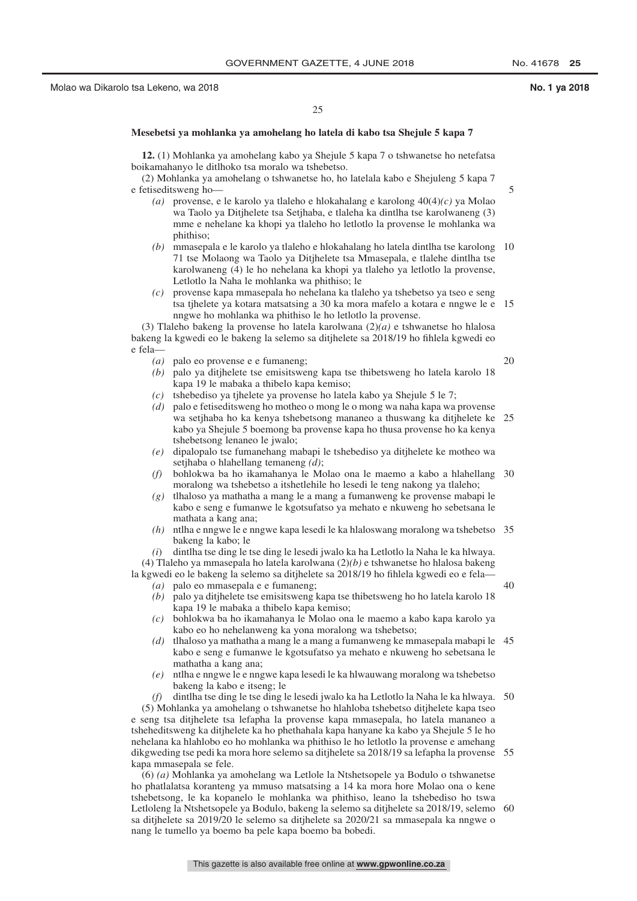25

#### **Mesebetsi ya mohlanka ya amohelang ho latela di kabo tsa Shejule 5 kapa 7**

**12.** (1) Mohlanka ya amohelang kabo ya Shejule 5 kapa 7 o tshwanetse ho netefatsa boikamahanyo le ditlhoko tsa moralo wa tshebetso.

#### (2) Mohlanka ya amohelang o tshwanetse ho, ho latelala kabo e Shejuleng 5 kapa 7 e fetiseditsweng ho—

- *(a)* provense, e le karolo ya tlaleho e hlokahalang e karolong 40(4)*(c)* ya Molao wa Taolo ya Ditjhelete tsa Setjhaba, e tlaleha ka dintlha tse karolwaneng (3) mme e nehelane ka khopi ya tlaleho ho letlotlo la provense le mohlanka wa phithiso;
- *(b)* mmasepala e le karolo ya tlaleho e hlokahalang ho latela dintlha tse karolong 10 71 tse Molaong wa Taolo ya Ditjhelete tsa Mmasepala, e tlalehe dintlha tse karolwaneng (4) le ho nehelana ka khopi ya tlaleho ya letlotlo la provense, Letlotlo la Naha le mohlanka wa phithiso; le
- *(c)* provense kapa mmasepala ho nehelana ka tlaleho ya tshebetso ya tseo e seng tsa tjhelete ya kotara matsatsing a 30 ka mora mafelo a kotara e nngwe le e 15 nngwe ho mohlanka wa phithiso le ho letlotlo la provense.

(3) Tlaleho bakeng la provense ho latela karolwana (2)*(a)* e tshwanetse ho hlalosa bakeng la kgwedi eo le bakeng la selemo sa ditjhelete sa 2018/19 ho fihlela kgwedi eo e fela—

- *(a)* palo eo provense e e fumaneng;
- *(b)* palo ya ditjhelete tse emisitsweng kapa tse thibetsweng ho latela karolo 18 kapa 19 le mabaka a thibelo kapa kemiso;
- *(c)* tshebediso ya tjhelete ya provense ho latela kabo ya Shejule 5 le 7;
- *(d)* palo e fetiseditsweng ho motheo o mong le o mong wa naha kapa wa provense wa setjhaba ho ka kenya tshebetsong mananeo a thuswang ka ditjhelete ke 25 kabo ya Shejule 5 boemong ba provense kapa ho thusa provense ho ka kenya tshebetsong lenaneo le jwalo;
- *(e)* dipalopalo tse fumanehang mabapi le tshebediso ya ditjhelete ke motheo wa setjhaba o hlahellang temaneng *(d)*;
- *(f)* bohlokwa ba ho ikamahanya le Molao ona le maemo a kabo a hlahellang 30 moralong wa tshebetso a itshetlehile ho lesedi le teng nakong ya tlaleho;
- *(g)* tlhaloso ya mathatha a mang le a mang a fumanweng ke provense mabapi le kabo e seng e fumanwe le kgotsufatso ya mehato e nkuweng ho sebetsana le mathata a kang ana;
- *(h)* ntlha e nngwe le e nngwe kapa lesedi le ka hlaloswang moralong wa tshebetso 35 bakeng la kabo; le

*(i*) dintlha tse ding le tse ding le lesedi jwalo ka ha Letlotlo la Naha le ka hlwaya. (4) Tlaleho ya mmasepala ho latela karolwana (2)*(b)* e tshwanetse ho hlalosa bakeng

la kgwedi eo le bakeng la selemo sa ditjhelete sa 2018/19 ho fihlela kgwedi eo e fela— 40

- *(a)* palo eo mmasepala e e fumaneng;
- *(b)* palo ya ditjhelete tse emisitsweng kapa tse thibetsweng ho ho latela karolo 18 kapa 19 le mabaka a thibelo kapa kemiso;
- *(c)* bohlokwa ba ho ikamahanya le Molao ona le maemo a kabo kapa karolo ya kabo eo ho nehelanweng ka yona moralong wa tshebetso;
- *(d)* tlhaloso ya mathatha a mang le a mang a fumanweng ke mmasepala mabapi le 45 kabo e seng e fumanwe le kgotsufatso ya mehato e nkuweng ho sebetsana le mathatha a kang ana;
- *(e)* ntlha e nngwe le e nngwe kapa lesedi le ka hlwauwang moralong wa tshebetso bakeng la kabo e itseng; le

*(f)* dintlha tse ding le tse ding le lesedi jwalo ka ha Letlotlo la Naha le ka hlwaya. 50 (5) Mohlanka ya amohelang o tshwanetse ho hlahloba tshebetso ditjhelete kapa tseo e seng tsa ditjhelete tsa lefapha la provense kapa mmasepala, ho latela mananeo a tsheheditsweng ka ditjhelete ka ho phethahala kapa hanyane ka kabo ya Shejule 5 le ho nehelana ka hlahlobo eo ho mohlanka wa phithiso le ho letlotlo la provense e amehang dikgweding tse pedi ka mora hore selemo sa ditjhelete sa 2018/19 sa lefapha la provense 55 kapa mmasepala se fele.

(6) *(a)* Mohlanka ya amohelang wa Letlole la Ntshetsopele ya Bodulo o tshwanetse ho phatlalatsa koranteng ya mmuso matsatsing a 14 ka mora hore Molao ona o kene tshebetsong, le ka kopanelo le mohlanka wa phithiso, leano la tshebediso ho tswa Letloleng la Ntshetsopele ya Bodulo, bakeng la selemo sa ditjhelete sa 2018/19, selemo 60sa ditjhelete sa 2019/20 le selemo sa ditjhelete sa 2020/21 sa mmasepala ka nngwe o nang le tumello ya boemo ba pele kapa boemo ba bobedi.

20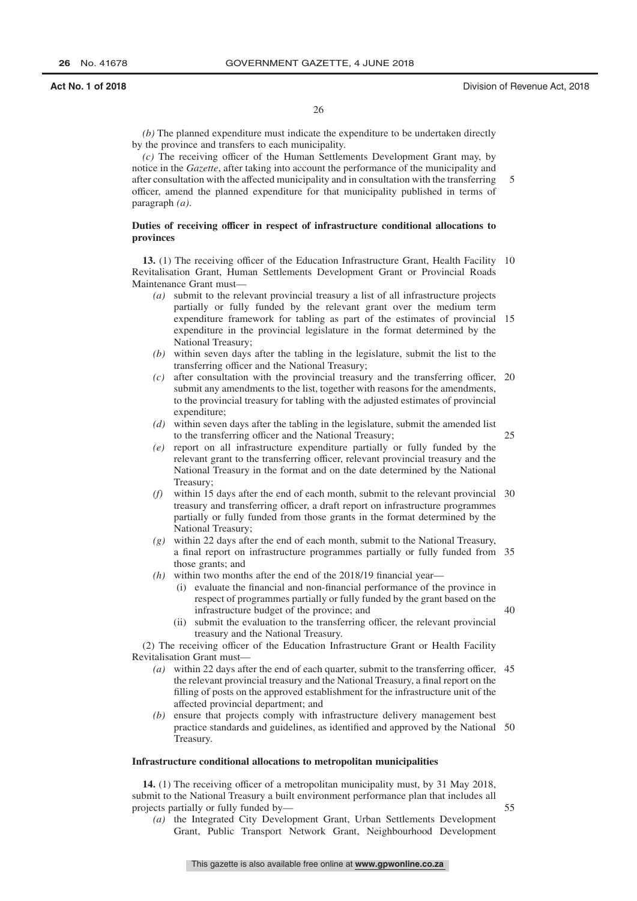40

26

*(b)* The planned expenditure must indicate the expenditure to be undertaken directly by the province and transfers to each municipality.

*(c)* The receiving officer of the Human Settlements Development Grant may, by notice in the *Gazette*, after taking into account the performance of the municipality and after consultation with the affected municipality and in consultation with the transferring officer, amend the planned expenditure for that municipality published in terms of paragraph *(a)*. 5

#### **Duties of receiving officer in respect of infrastructure conditional allocations to provinces**

13. (1) The receiving officer of the Education Infrastructure Grant, Health Facility 10 Revitalisation Grant, Human Settlements Development Grant or Provincial Roads Maintenance Grant must—

- *(a)* submit to the relevant provincial treasury a list of all infrastructure projects partially or fully funded by the relevant grant over the medium term expenditure framework for tabling as part of the estimates of provincial 15 expenditure in the provincial legislature in the format determined by the National Treasury;
- *(b)* within seven days after the tabling in the legislature, submit the list to the transferring officer and the National Treasury;
- *(c)* after consultation with the provincial treasury and the transferring officer, 20 submit any amendments to the list, together with reasons for the amendments, to the provincial treasury for tabling with the adjusted estimates of provincial expenditure;
- *(d)* within seven days after the tabling in the legislature, submit the amended list to the transferring officer and the National Treasury;
- *(e)* report on all infrastructure expenditure partially or fully funded by the relevant grant to the transferring officer, relevant provincial treasury and the National Treasury in the format and on the date determined by the National Treasury;
	- *(f)* within 15 days after the end of each month, submit to the relevant provincial 30 treasury and transferring officer, a draft report on infrastructure programmes partially or fully funded from those grants in the format determined by the National Treasury;
	- *(g)* within 22 days after the end of each month, submit to the National Treasury, a final report on infrastructure programmes partially or fully funded from 35 those grants; and
	- *(h)* within two months after the end of the 2018/19 financial year—
		- (i) evaluate the financial and non-financial performance of the province in respect of programmes partially or fully funded by the grant based on the infrastructure budget of the province; and
		- (ii) submit the evaluation to the transferring officer, the relevant provincial treasury and the National Treasury.

(2) The receiving officer of the Education Infrastructure Grant or Health Facility Revitalisation Grant must—

- *(a)* within 22 days after the end of each quarter, submit to the transferring officer, 45 the relevant provincial treasury and the National Treasury, a final report on the filling of posts on the approved establishment for the infrastructure unit of the affected provincial department; and
- *(b)* ensure that projects comply with infrastructure delivery management best practice standards and guidelines, as identified and approved by the National 50 Treasury.

#### **Infrastructure conditional allocations to metropolitan municipalities**

**14.** (1) The receiving officer of a metropolitan municipality must, by 31 May 2018, submit to the National Treasury a built environment performance plan that includes all projects partially or fully funded by— 55

*(a)* the Integrated City Development Grant, Urban Settlements Development Grant, Public Transport Network Grant, Neighbourhood Development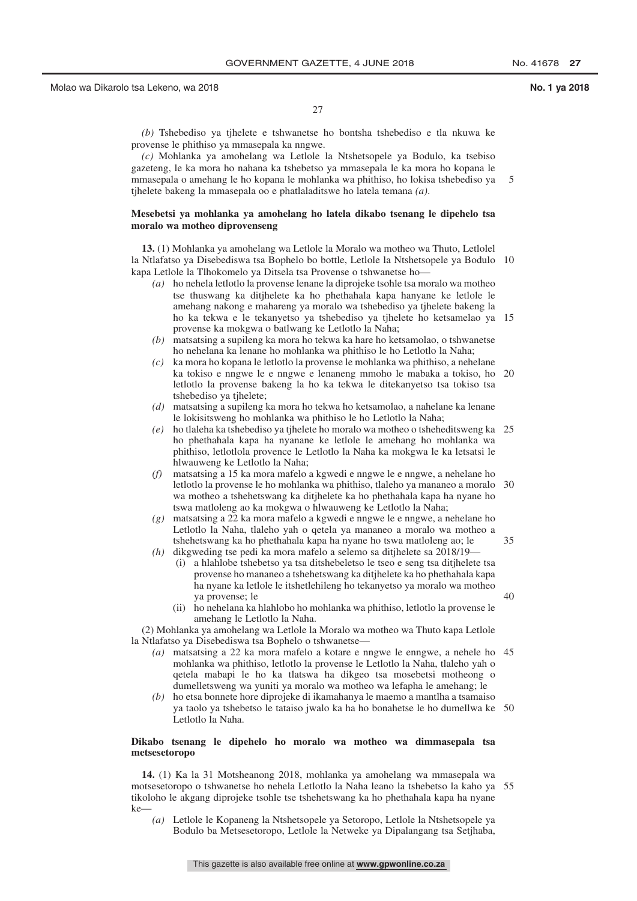$40$ 

27

*(b)* Tshebediso ya tjhelete e tshwanetse ho bontsha tshebediso e tla nkuwa ke provense le phithiso ya mmasepala ka nngwe.

*(c)* Mohlanka ya amohelang wa Letlole la Ntshetsopele ya Bodulo, ka tsebiso gazeteng, le ka mora ho nahana ka tshebetso ya mmasepala le ka mora ho kopana le mmasepala o amehang le ho kopana le mohlanka wa phithiso, ho lokisa tshebediso ya tjhelete bakeng la mmasepala oo e phatlaladitswe ho latela temana *(a)*. 5

#### **Mesebetsi ya mohlanka ya amohelang ho latela dikabo tsenang le dipehelo tsa moralo wa motheo diprovenseng**

**13.** (1) Mohlanka ya amohelang wa Letlole la Moralo wa motheo wa Thuto, Letlolel la Ntlafatso ya Disebediswa tsa Bophelo bo bottle, Letlole la Ntshetsopele ya Bodulo 10 kapa Letlole la Tlhokomelo ya Ditsela tsa Provense o tshwanetse ho—

- *(a)* ho nehela letlotlo la provense lenane la diprojeke tsohle tsa moralo wa motheo tse thuswang ka ditjhelete ka ho phethahala kapa hanyane ke letlole le amehang nakong e mahareng ya moralo wa tshebediso ya tjhelete bakeng la ho ka tekwa e le tekanyetso ya tshebediso ya tjhelete ho ketsamelao ya 15 provense ka mokgwa o batlwang ke Letlotlo la Naha;
- *(b)* matsatsing a supileng ka mora ho tekwa ka hare ho ketsamolao, o tshwanetse ho nehelana ka lenane ho mohlanka wa phithiso le ho Letlotlo la Naha;
- *(c)* ka mora ho kopana le letlotlo la provense le mohlanka wa phithiso, a nehelane ka tokiso e nngwe le e nngwe e lenaneng mmoho le mabaka a tokiso, ho 20 letlotlo la provense bakeng la ho ka tekwa le ditekanyetso tsa tokiso tsa tshebediso ya tjhelete;
- *(d)* matsatsing a supileng ka mora ho tekwa ho ketsamolao, a nahelane ka lenane le lokisitsweng ho mohlanka wa phithiso le ho Letlotlo la Naha;
- *(e)* ho tlaleha ka tshebediso ya tjhelete ho moralo wa motheo o tsheheditsweng ka 25 ho phethahala kapa ha nyanane ke letlole le amehang ho mohlanka wa phithiso, letlotlola provence le Letlotlo la Naha ka mokgwa le ka letsatsi le hlwauweng ke Letlotlo la Naha;
- *(f)* matsatsing a 15 ka mora mafelo a kgwedi e nngwe le e nngwe, a nehelane ho letlotlo la provense le ho mohlanka wa phithiso, tlaleho ya mananeo a moralo 30 wa motheo a tshehetswang ka ditjhelete ka ho phethahala kapa ha nyane ho tswa matloleng ao ka mokgwa o hlwauweng ke Letlotlo la Naha;
- *(g)* matsatsing a 22 ka mora mafelo a kgwedi e nngwe le e nngwe, a nehelane ho Letlotlo la Naha, tlaleho yah o qetela ya mananeo a moralo wa motheo a tshehetswang ka ho phethahala kapa ha nyane ho tswa matloleng ao; le
- *(h)* dikgweding tse pedi ka mora mafelo a selemo sa ditjhelete sa 2018/19—
	- (i) a hlahlobe tshebetso ya tsa ditshebeletso le tseo e seng tsa ditjhelete tsa provense ho mananeo a tshehetswang ka ditjhelete ka ho phethahala kapa ha nyane ka letlole le itshetlehileng ho tekanyetso ya moralo wa motheo ya provense; le
	- (ii) ho nehelana ka hlahlobo ho mohlanka wa phithiso, letlotlo la provense le amehang le Letlotlo la Naha.

(2) Mohlanka ya amohelang wa Letlole la Moralo wa motheo wa Thuto kapa Letlole la Ntlafatso ya Disebediswa tsa Bophelo o tshwanetse—

- *(a)* matsatsing a 22 ka mora mafelo a kotare e nngwe le enngwe, a nehele ho 45 mohlanka wa phithiso, letlotlo la provense le Letlotlo la Naha, tlaleho yah o qetela mabapi le ho ka tlatswa ha dikgeo tsa mosebetsi motheong o dumelletsweng wa yuniti ya moralo wa motheo wa lefapha le amehang; le
- *(b)* ho etsa bonnete hore diprojeke di ikamahanya le maemo a mantlha a tsamaiso ya taolo ya tshebetso le tataiso jwalo ka ha ho bonahetse le ho dumellwa ke 50 Letlotlo la Naha.

#### **Dikabo tsenang le dipehelo ho moralo wa motheo wa dimmasepala tsa metsesetoropo**

**14.** (1) Ka la 31 Motsheanong 2018, mohlanka ya amohelang wa mmasepala wa motsesetoropo o tshwanetse ho nehela Letlotlo la Naha leano la tshebetso la kaho ya 55tikoloho le akgang diprojeke tsohle tse tshehetswang ka ho phethahala kapa ha nyane  $\mathbf{k}$ 

*(a)* Letlole le Kopaneng la Ntshetsopele ya Setoropo, Letlole la Ntshetsopele ya Bodulo ba Metsesetoropo, Letlole la Netweke ya Dipalangang tsa Setjhaba,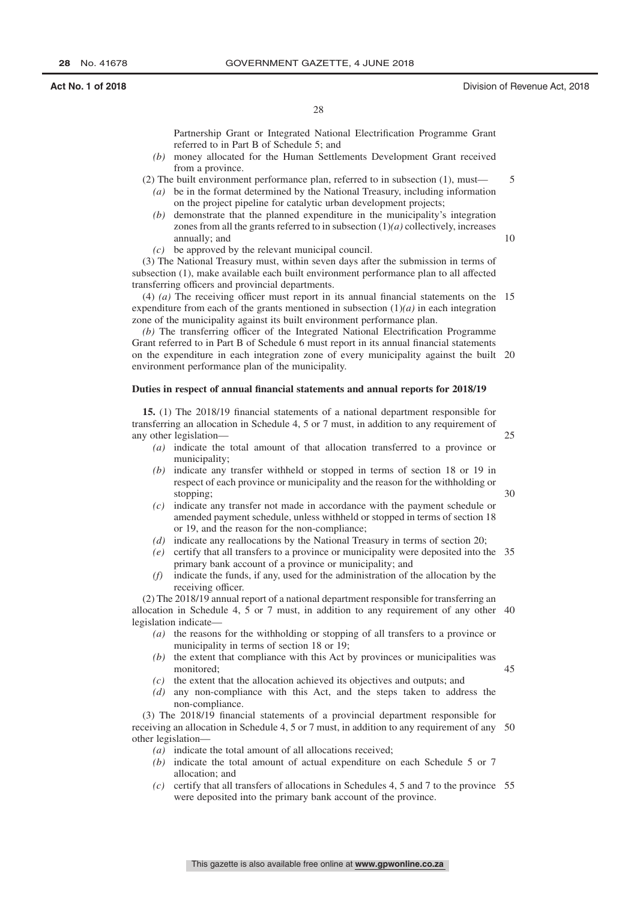10

25

30

45

28

Partnership Grant or Integrated National Electrification Programme Grant referred to in Part B of Schedule 5; and

- *(b)* money allocated for the Human Settlements Development Grant received from a province.
- (2) The built environment performance plan, referred to in subsection (1), must—
	- *(a)* be in the format determined by the National Treasury, including information on the project pipeline for catalytic urban development projects;
	- *(b)* demonstrate that the planned expenditure in the municipality's integration zones from all the grants referred to in subsection  $(1)(a)$  collectively, increases annually; and
	- *(c)* be approved by the relevant municipal council.

(3) The National Treasury must, within seven days after the submission in terms of subsection (1), make available each built environment performance plan to all affected transferring officers and provincial departments.

(4) *(a)* The receiving officer must report in its annual financial statements on the 15 expenditure from each of the grants mentioned in subsection (1)*(a)* in each integration zone of the municipality against its built environment performance plan.

*(b)* The transferring officer of the Integrated National Electrification Programme Grant referred to in Part B of Schedule 6 must report in its annual financial statements on the expenditure in each integration zone of every municipality against the built 20 environment performance plan of the municipality.

#### **Duties in respect of annual financial statements and annual reports for 2018/19**

**15.** (1) The 2018/19 financial statements of a national department responsible for transferring an allocation in Schedule 4, 5 or 7 must, in addition to any requirement of any other legislation—

- *(a)* indicate the total amount of that allocation transferred to a province or municipality;
- *(b)* indicate any transfer withheld or stopped in terms of section 18 or 19 in respect of each province or municipality and the reason for the withholding or stopping;
- *(c)* indicate any transfer not made in accordance with the payment schedule or amended payment schedule, unless withheld or stopped in terms of section 18 or 19, and the reason for the non-compliance;
- *(d)* indicate any reallocations by the National Treasury in terms of section 20;
- *(e)* certify that all transfers to a province or municipality were deposited into the 35 primary bank account of a province or municipality; and
- *(f)* indicate the funds, if any, used for the administration of the allocation by the receiving officer.

(2) The 2018/19 annual report of a national department responsible for transferring an allocation in Schedule 4, 5 or 7 must, in addition to any requirement of any other 40 legislation indicate—

- *(a)* the reasons for the withholding or stopping of all transfers to a province or municipality in terms of section 18 or 19;
- *(b)* the extent that compliance with this Act by provinces or municipalities was monitored;
- *(c)* the extent that the allocation achieved its objectives and outputs; and
- *(d)* any non-compliance with this Act, and the steps taken to address the non-compliance.

(3) The 2018/19 financial statements of a provincial department responsible for receiving an allocation in Schedule 4, 5 or 7 must, in addition to any requirement of any 50 other legislation—

- *(a)* indicate the total amount of all allocations received;
- *(b)* indicate the total amount of actual expenditure on each Schedule 5 or 7 allocation; and
- *(c)* certify that all transfers of allocations in Schedules 4, 5 and 7 to the province 55were deposited into the primary bank account of the province.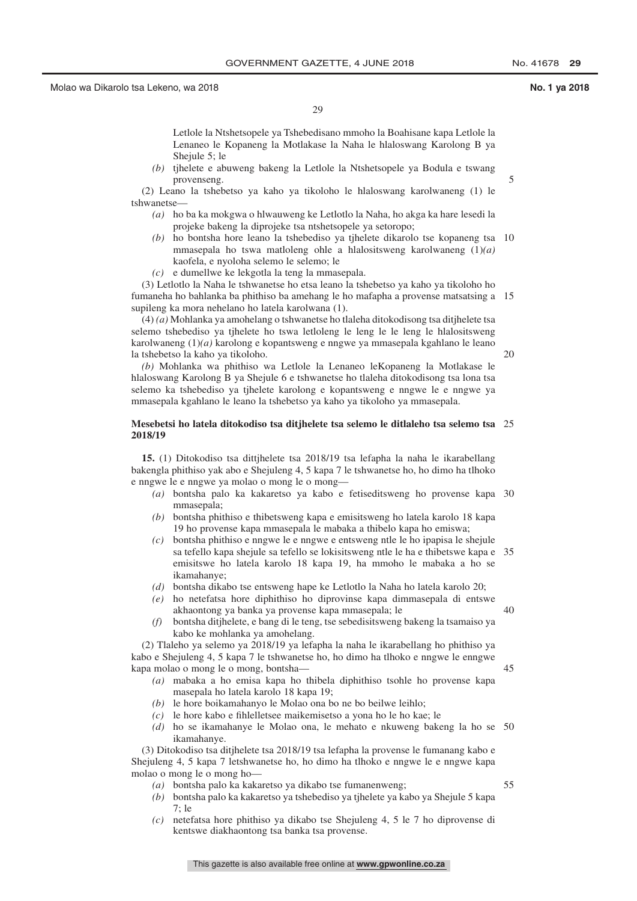29

Letlole la Ntshetsopele ya Tshebedisano mmoho la Boahisane kapa Letlole la Lenaneo le Kopaneng la Motlakase la Naha le hlaloswang Karolong B ya Shejule 5; le

*(b)* tjhelete e abuweng bakeng la Letlole la Ntshetsopele ya Bodula e tswang provenseng.

(2) Leano la tshebetso ya kaho ya tikoloho le hlaloswang karolwaneng (1) le tshwanetse—

- *(a)* ho ba ka mokgwa o hlwauweng ke Letlotlo la Naha, ho akga ka hare lesedi la projeke bakeng la diprojeke tsa ntshetsopele ya setoropo;
- *(b)* ho bontsha hore leano la tshebediso ya tjhelete dikarolo tse kopaneng tsa 10 mmasepala ho tswa matloleng ohle a hlalositsweng karolwaneng (1)*(a)* kaofela, e nyoloha selemo le selemo; le
- *(c)* e dumellwe ke lekgotla la teng la mmasepala.

(3) Letlotlo la Naha le tshwanetse ho etsa leano la tshebetso ya kaho ya tikoloho ho fumaneha ho bahlanka ba phithiso ba amehang le ho mafapha a provense matsatsing a 15 supileng ka mora nehelano ho latela karolwana (1).

(4) *(a)* Mohlanka ya amohelang o tshwanetse ho tlaleha ditokodisong tsa ditjhelete tsa selemo tshebediso ya tjhelete ho tswa letloleng le leng le le leng le hlalositsweng karolwaneng (1)*(a)* karolong e kopantsweng e nngwe ya mmasepala kgahlano le leano la tshebetso la kaho ya tikoloho.

20

5

*(b)* Mohlanka wa phithiso wa Letlole la Lenaneo leKopaneng la Motlakase le hlaloswang Karolong B ya Shejule 6 e tshwanetse ho tlaleha ditokodisong tsa lona tsa selemo ka tshebediso ya tjhelete karolong e kopantsweng e nngwe le e nngwe ya mmasepala kgahlano le leano la tshebetso ya kaho ya tikoloho ya mmasepala.

#### **Mesebetsi ho latela ditokodiso tsa ditjhelete tsa selemo le ditlaleho tsa selemo tsa** 25 **2018/19**

**15.** (1) Ditokodiso tsa dittjhelete tsa 2018/19 tsa lefapha la naha le ikarabellang bakengla phithiso yak abo e Shejuleng 4, 5 kapa 7 le tshwanetse ho, ho dimo ha tlhoko e nngwe le e nngwe ya molao o mong le o mong—

- *(a)* bontsha palo ka kakaretso ya kabo e fetiseditsweng ho provense kapa 30 mmasepala;
- *(b)* bontsha phithiso e thibetsweng kapa e emisitsweng ho latela karolo 18 kapa 19 ho provense kapa mmasepala le mabaka a thibelo kapa ho emiswa;
- *(c)* bontsha phithiso e nngwe le e nngwe e entsweng ntle le ho ipapisa le shejule sa tefello kapa shejule sa tefello se lokisitsweng ntle le ha e thibetswe kapa e 35 emisitswe ho latela karolo 18 kapa 19, ha mmoho le mabaka a ho se ikamahanye;
- *(d)* bontsha dikabo tse entsweng hape ke Letlotlo la Naha ho latela karolo 20;
- *(e)* ho netefatsa hore diphithiso ho diprovinse kapa dimmasepala di entswe akhaontong ya banka ya provense kapa mmasepala; le
- *(f)* bontsha ditjhelete, e bang di le teng, tse sebedisitsweng bakeng la tsamaiso ya kabo ke mohlanka ya amohelang.

(2) Tlaleho ya selemo ya 2018/19 ya lefapha la naha le ikarabellang ho phithiso ya kabo e Shejuleng 4, 5 kapa 7 le tshwanetse ho, ho dimo ha tlhoko e nngwe le enngwe kapa molao o mong le o mong, bontsha—

- *(a)* mabaka a ho emisa kapa ho thibela diphithiso tsohle ho provense kapa masepala ho latela karolo 18 kapa 19;
- *(b)* le hore boikamahanyo le Molao ona bo ne bo beilwe leihlo;
- *(c)* le hore kabo e fihlelletsee maikemisetso a yona ho le ho kae; le
- *(d)* ho se ikamahanye le Molao ona, le mehato e nkuweng bakeng la ho se 50 ikamahanye.

(3) Ditokodiso tsa ditjhelete tsa 2018/19 tsa lefapha la provense le fumanang kabo e Shejuleng 4, 5 kapa 7 letshwanetse ho, ho dimo ha tlhoko e nngwe le e nngwe kapa molao o mong le o mong ho—

- *(a)* bontsha palo ka kakaretso ya dikabo tse fumanenweng;
- *(b)* bontsha palo ka kakaretso ya tshebediso ya tjhelete ya kabo ya Shejule 5 kapa  $7·1e$
- *(c)* netefatsa hore phithiso ya dikabo tse Shejuleng 4, 5 le 7 ho diprovense di kentswe diakhaontong tsa banka tsa provense.

55

40

 $\overline{45}$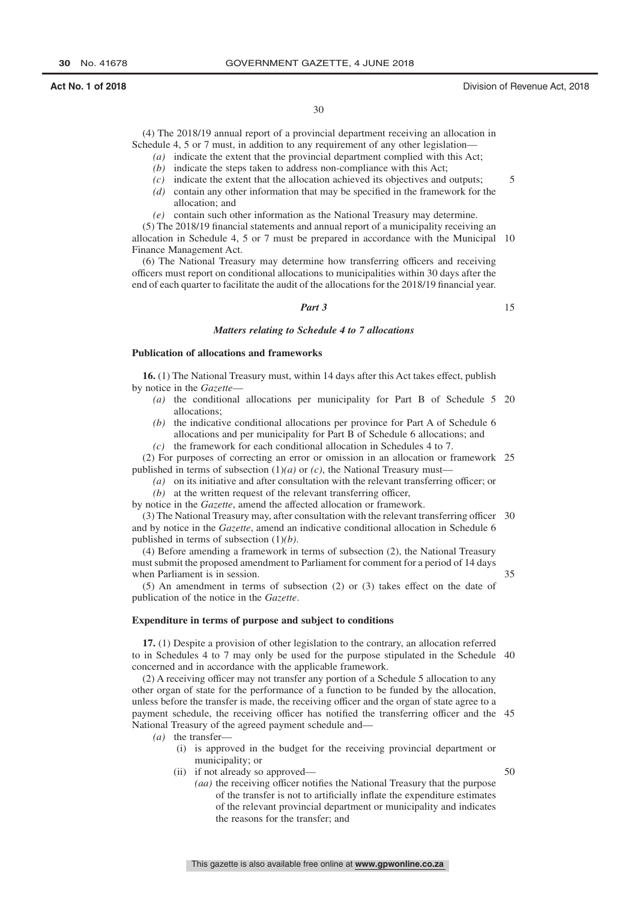30

(4) The 2018/19 annual report of a provincial department receiving an allocation in Schedule 4, 5 or 7 must, in addition to any requirement of any other legislation—

- *(a)* indicate the extent that the provincial department complied with this Act;
- *(b)* indicate the steps taken to address non-compliance with this Act;
- *(c)* indicate the extent that the allocation achieved its objectives and outputs;
- *(d)* contain any other information that may be specified in the framework for the allocation; and
- *(e)* contain such other information as the National Treasury may determine.

(5) The 2018/19 financial statements and annual report of a municipality receiving an allocation in Schedule 4, 5 or 7 must be prepared in accordance with the Municipal 10 Finance Management Act.

(6) The National Treasury may determine how transferring officers and receiving officers must report on conditional allocations to municipalities within 30 days after the end of each quarter to facilitate the audit of the allocations for the 2018/19 financial year.

#### *Part 3*

15

5

#### *Matters relating to Schedule 4 to 7 allocations*

#### **Publication of allocations and frameworks**

**16.** (1) The National Treasury must, within 14 days after this Act takes effect, publish by notice in the *Gazette*—

- *(a)* the conditional allocations per municipality for Part B of Schedule 5 20 allocations;
- *(b)* the indicative conditional allocations per province for Part A of Schedule 6 allocations and per municipality for Part B of Schedule 6 allocations; and
- *(c)* the framework for each conditional allocation in Schedules 4 to 7.

(2) For purposes of correcting an error or omission in an allocation or framework 25 published in terms of subsection (1)*(a)* or *(c)*, the National Treasury must—

- *(a)* on its initiative and after consultation with the relevant transferring officer; or
- *(b)* at the written request of the relevant transferring officer,

by notice in the *Gazette*, amend the affected allocation or framework.

(3) The National Treasury may, after consultation with the relevant transferring officer 30 and by notice in the *Gazette*, amend an indicative conditional allocation in Schedule 6 published in terms of subsection (1)*(b)*.

(4) Before amending a framework in terms of subsection (2), the National Treasury must submit the proposed amendment to Parliament for comment for a period of 14 days when Parliament is in session.

35

50

(5) An amendment in terms of subsection (2) or (3) takes effect on the date of publication of the notice in the *Gazette*.

#### **Expenditure in terms of purpose and subject to conditions**

**17.** (1) Despite a provision of other legislation to the contrary, an allocation referred to in Schedules 4 to 7 may only be used for the purpose stipulated in the Schedule 40 concerned and in accordance with the applicable framework.

(2) A receiving officer may not transfer any portion of a Schedule 5 allocation to any other organ of state for the performance of a function to be funded by the allocation, unless before the transfer is made, the receiving officer and the organ of state agree to a payment schedule, the receiving officer has notified the transferring officer and the 45 National Treasury of the agreed payment schedule and—

- *(a)* the transfer—
	- (i) is approved in the budget for the receiving provincial department or municipality; or
	- (ii) if not already so approved—
		- *(aa)* the receiving officer notifies the National Treasury that the purpose of the transfer is not to artificially inflate the expenditure estimates of the relevant provincial department or municipality and indicates the reasons for the transfer; and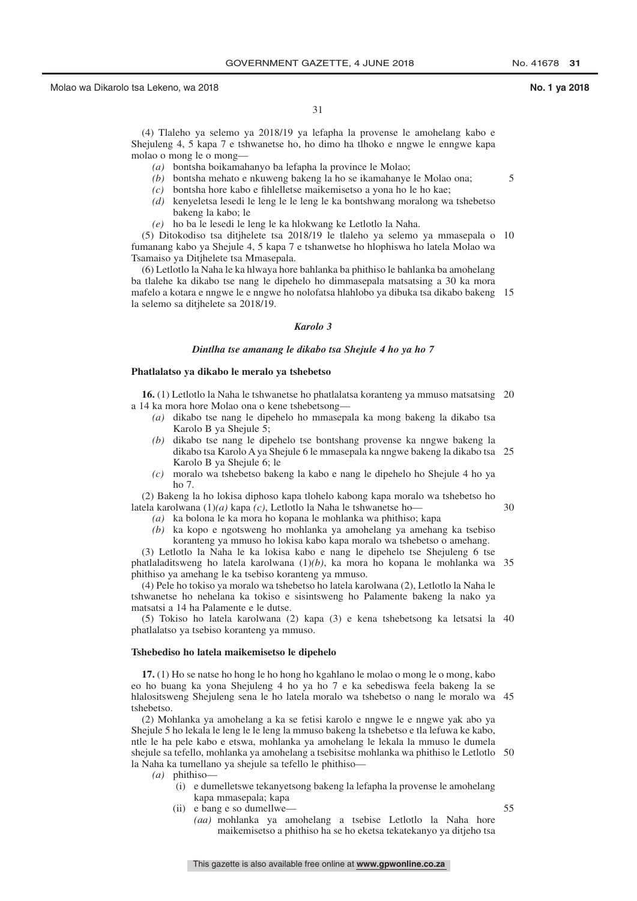5

(4) Tlaleho ya selemo ya 2018/19 ya lefapha la provense le amohelang kabo e Shejuleng 4, 5 kapa 7 e tshwanetse ho, ho dimo ha tlhoko e nngwe le enngwe kapa molao o mong le o mong—

- *(a)* bontsha boikamahanyo ba lefapha la province le Molao;
- *(b)* bontsha mehato e nkuweng bakeng la ho se ikamahanye le Molao ona;
- *(c)* bontsha hore kabo e fihlelletse maikemisetso a yona ho le ho kae;
- *(d)* kenyeletsa lesedi le leng le le leng le ka bontshwang moralong wa tshebetso bakeng la kabo; le
- *(e)* ho ba le lesedi le leng le ka hlokwang ke Letlotlo la Naha.

(5) Ditokodiso tsa ditjhelete tsa 2018/19 le tlaleho ya selemo ya mmasepala o 10 fumanang kabo ya Shejule 4, 5 kapa 7 e tshanwetse ho hlophiswa ho latela Molao wa Tsamaiso ya Ditjhelete tsa Mmasepala.

(6) Letlotlo la Naha le ka hlwaya hore bahlanka ba phithiso le bahlanka ba amohelang ba tlalehe ka dikabo tse nang le dipehelo ho dimmasepala matsatsing a 30 ka mora mafelo a kotara e nngwe le e nngwe ho nolofatsa hlahlobo ya dibuka tsa dikabo bakeng 15 la selemo sa ditjhelete sa 2018/19.

#### *Karolo 3*

#### *Dintlha tse amanang le dikabo tsa Shejule 4 ho ya ho 7*

#### **Phatlalatso ya dikabo le meralo ya tshebetso**

**16.** (1) Letlotlo la Naha le tshwanetse ho phatlalatsa koranteng ya mmuso matsatsing 20 a 14 ka mora hore Molao ona o kene tshebetsong—

- *(a)* dikabo tse nang le dipehelo ho mmasepala ka mong bakeng la dikabo tsa Karolo B ya Shejule 5;
- *(b)* dikabo tse nang le dipehelo tse bontshang provense ka nngwe bakeng la dikabo tsa Karolo A ya Shejule 6 le mmasepala ka nngwe bakeng la dikabo tsa 25 Karolo B ya Shejule 6; le
- *(c)* moralo wa tshebetso bakeng la kabo e nang le dipehelo ho Shejule 4 ho ya ho 7.

(2) Bakeng la ho lokisa diphoso kapa tlohelo kabong kapa moralo wa tshebetso ho latela karolwana (1)*(a)* kapa *(c)*, Letlotlo la Naha le tshwanetse ho— 30

- *(a)* ka bolona le ka mora ho kopana le mohlanka wa phithiso; kapa
	- *(b)* ka kopo e ngotsweng ho mohlanka ya amohelang ya amehang ka tsebiso koranteng ya mmuso ho lokisa kabo kapa moralo wa tshebetso o amehang.

(3) Letlotlo la Naha le ka lokisa kabo e nang le dipehelo tse Shejuleng 6 tse phatlaladitsweng ho latela karolwana (1)*(b)*, ka mora ho kopana le mohlanka wa 35 phithiso ya amehang le ka tsebiso koranteng ya mmuso.

(4) Pele ho tokiso ya moralo wa tshebetso ho latela karolwana (2), Letlotlo la Naha le tshwanetse ho nehelana ka tokiso e sisintsweng ho Palamente bakeng la nako ya matsatsi a 14 ha Palamente e le dutse.

(5) Tokiso ho latela karolwana (2) kapa (3) e kena tshebetsong ka letsatsi la 40 phatlalatso ya tsebiso koranteng ya mmuso.

#### **Tshebediso ho latela maikemisetso le dipehelo**

**17.** (1) Ho se natse ho hong le ho hong ho kgahlano le molao o mong le o mong, kabo eo ho buang ka yona Shejuleng 4 ho ya ho 7 e ka sebediswa feela bakeng la se hlalositsweng Shejuleng sena le ho latela moralo wa tshebetso o nang le moralo wa 45 tshebetso.

(2) Mohlanka ya amohelang a ka se fetisi karolo e nngwe le e nngwe yak abo ya Shejule 5 ho lekala le leng le le leng la mmuso bakeng la tshebetso e tla lefuwa ke kabo, ntle le ha pele kabo e etswa, mohlanka ya amohelang le lekala la mmuso le dumela shejule sa tefello, mohlanka ya amohelang a tsebisitse mohlanka wa phithiso le Letlotlo 50 la Naha ka tumellano ya shejule sa tefello le phithiso—

- *(a)* phithiso—
	- (i) e dumelletswe tekanyetsong bakeng la lefapha la provense le amohelang kapa mmasepala; kapa
	- (ii) e bang e so dumellwe—

55

*(aa)* mohlanka ya amohelang a tsebise Letlotlo la Naha hore maikemisetso a phithiso ha se ho eketsa tekatekanyo ya ditjeho tsa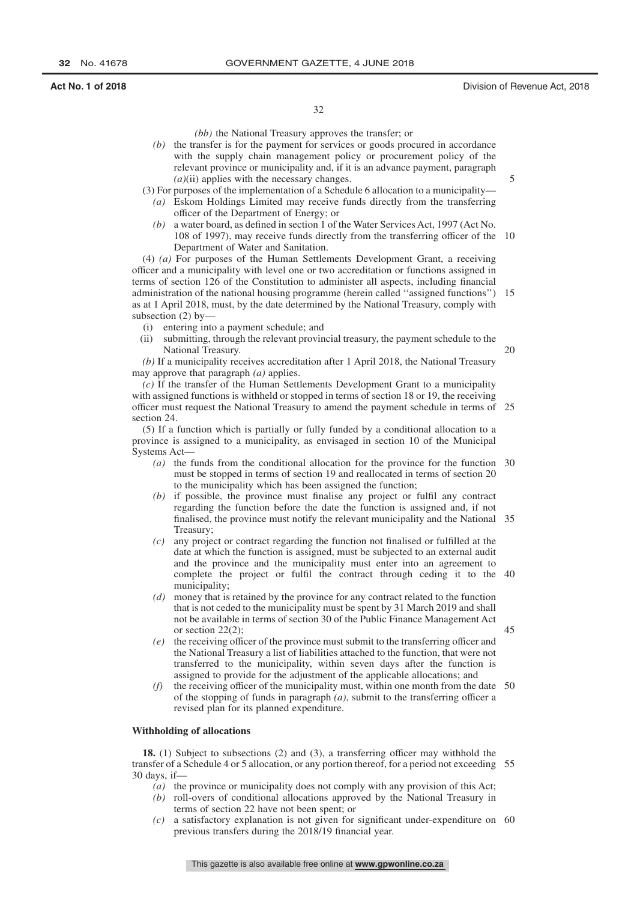$20$ 

45

*(bb)* the National Treasury approves the transfer; or

*(b)* the transfer is for the payment for services or goods procured in accordance with the supply chain management policy or procurement policy of the relevant province or municipality and, if it is an advance payment, paragraph *(a)*(ii) applies with the necessary changes.

(3) For purposes of the implementation of a Schedule 6 allocation to a municipality—

- *(a)* Eskom Holdings Limited may receive funds directly from the transferring officer of the Department of Energy; or
- *(b)* a water board, as defined in section 1 of the Water Services Act, 1997 (Act No. 108 of 1997), may receive funds directly from the transferring officer of the 10 Department of Water and Sanitation.

(4) *(a)* For purposes of the Human Settlements Development Grant, a receiving officer and a municipality with level one or two accreditation or functions assigned in terms of section 126 of the Constitution to administer all aspects, including financial administration of the national housing programme (herein called ''assigned functions'') 15 as at 1 April 2018, must, by the date determined by the National Treasury, comply with subsection (2) by—

- (i) entering into a payment schedule; and
- (ii) submitting, through the relevant provincial treasury, the payment schedule to the National Treasury.

*(b)* If a municipality receives accreditation after 1 April 2018, the National Treasury may approve that paragraph *(a)* applies.

*(c)* If the transfer of the Human Settlements Development Grant to a municipality with assigned functions is withheld or stopped in terms of section 18 or 19, the receiving officer must request the National Treasury to amend the payment schedule in terms of 25 section 24.

(5) If a function which is partially or fully funded by a conditional allocation to a province is assigned to a municipality, as envisaged in section 10 of the Municipal Systems Act—

- *(a)* the funds from the conditional allocation for the province for the function 30 must be stopped in terms of section 19 and reallocated in terms of section 20 to the municipality which has been assigned the function;
- *(b)* if possible, the province must finalise any project or fulfil any contract regarding the function before the date the function is assigned and, if not finalised, the province must notify the relevant municipality and the National 35 Treasury;
- *(c)* any project or contract regarding the function not finalised or fulfilled at the date at which the function is assigned, must be subjected to an external audit and the province and the municipality must enter into an agreement to complete the project or fulfil the contract through ceding it to the 40 municipality;
- *(d)* money that is retained by the province for any contract related to the function that is not ceded to the municipality must be spent by 31 March 2019 and shall not be available in terms of section 30 of the Public Finance Management Act or section 22(2);
- *(e)* the receiving officer of the province must submit to the transferring officer and the National Treasury a list of liabilities attached to the function, that were not transferred to the municipality, within seven days after the function is assigned to provide for the adjustment of the applicable allocations; and
- *(f)* the receiving officer of the municipality must, within one month from the date 50 of the stopping of funds in paragraph *(a)*, submit to the transferring officer a revised plan for its planned expenditure.

#### **Withholding of allocations**

**18.** (1) Subject to subsections (2) and (3), a transferring officer may withhold the transfer of a Schedule 4 or 5 allocation, or any portion thereof, for a period not exceeding 55 30 days, if—

- *(a)* the province or municipality does not comply with any provision of this Act;
- *(b)* roll-overs of conditional allocations approved by the National Treasury in terms of section 22 have not been spent; or
- *(c)* a satisfactory explanation is not given for significant under-expenditure on 60previous transfers during the 2018/19 financial year.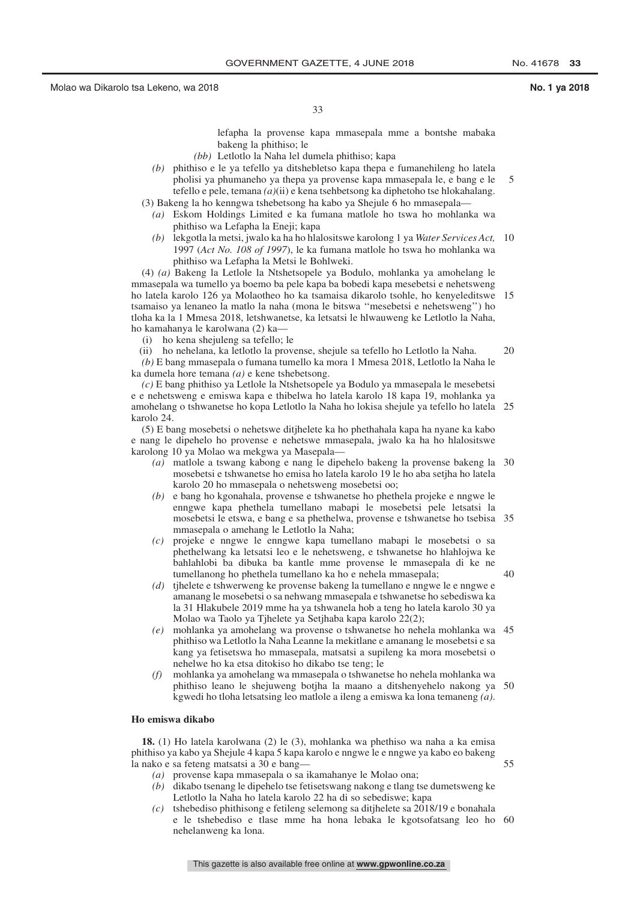33

lefapha la provense kapa mmasepala mme a bontshe mabaka bakeng la phithiso; le

- *(bb)* Letlotlo la Naha lel dumela phithiso; kapa
- *(b)* phithiso e le ya tefello ya ditshebletso kapa thepa e fumanehileng ho latela pholisi ya phumaneho ya thepa ya provense kapa mmasepala le, e bang e le tefello e pele, temana *(a)*(ii) e kena tsehbetsong ka diphetoho tse hlokahalang. 5
- (3) Bakeng la ho kenngwa tshebetsong ha kabo ya Shejule 6 ho mmasepala— *(a)* Eskom Holdings Limited e ka fumana matlole ho tswa ho mohlanka wa
	- phithiso wa Lefapha la Eneji; kapa
	- *(b)* lekgotla la metsi, jwalo ka ha ho hlalositswe karolong 1 ya *Water Services Act,* 10 1997 (*Act No. 108 of 1997*), le ka fumana matlole ho tswa ho mohlanka wa phithiso wa Lefapha la Metsi le Bohlweki.

(4) *(a)* Bakeng la Letlole la Ntshetsopele ya Bodulo, mohlanka ya amohelang le mmasepala wa tumello ya boemo ba pele kapa ba bobedi kapa mesebetsi e nehetsweng ho latela karolo 126 ya Molaotheo ho ka tsamaisa dikarolo tsohle, ho kenyeleditswe 15 tsamaiso ya lenaneo la matlo la naha (mona le bitswa ''mesebetsi e nehetsweng'') ho tloha ka la 1 Mmesa 2018, letshwanetse, ka letsatsi le hlwauweng ke Letlotlo la Naha, ho kamahanya le karolwana (2) ka—

(i) ho kena shejuleng sa tefello; le

(ii) ho nehelana, ka letlotlo la provense, shejule sa tefello ho Letlotlo la Naha. *(b)* E bang mmasepala o fumana tumello ka mora 1 Mmesa 2018, Letlotlo la Naha le ka dumela hore temana *(a)* e kene tshebetsong. 20

*(c)* E bang phithiso ya Letlole la Ntshetsopele ya Bodulo ya mmasepala le mesebetsi e e nehetsweng e emiswa kapa e thibelwa ho latela karolo 18 kapa 19, mohlanka ya amohelang o tshwanetse ho kopa Letlotlo la Naha ho lokisa shejule ya tefello ho latela 25 karolo 24.

(5) E bang mosebetsi o nehetswe ditjhelete ka ho phethahala kapa ha nyane ka kabo e nang le dipehelo ho provense e nehetswe mmasepala, jwalo ka ha ho hlalositswe karolong 10 ya Molao wa mekgwa ya Masepala—

- *(a)* matlole a tswang kabong e nang le dipehelo bakeng la provense bakeng la 30 mosebetsi e tshwanetse ho emisa ho latela karolo 19 le ho aba setjha ho latela karolo 20 ho mmasepala o nehetsweng mosebetsi oo;
- *(b)* e bang ho kgonahala, provense e tshwanetse ho phethela projeke e nngwe le enngwe kapa phethela tumellano mabapi le mosebetsi pele letsatsi la mosebetsi le etswa, e bang e sa phethelwa, provense e tshwanetse ho tsebisa 35 mmasepala o amehang le Letlotlo la Naha;
- *(c)* projeke e nngwe le enngwe kapa tumellano mabapi le mosebetsi o sa phethelwang ka letsatsi leo e le nehetsweng, e tshwanetse ho hlahlojwa ke bahlahlobi ba dibuka ba kantle mme provense le mmasepala di ke ne tumellanong ho phethela tumellano ka ho e nehela mmasepala;
- *(d)* tihelete e tshwerweng ke provense bakeng la tumellano e nngwe le e nngwe e amanang le mosebetsi o sa nehwang mmasepala e tshwanetse ho sebediswa ka la 31 Hlakubele 2019 mme ha ya tshwanela hob a teng ho latela karolo 30 ya Molao wa Taolo ya Tjhelete ya Setjhaba kapa karolo 22(2);
- *(e)* mohlanka ya amohelang wa provense o tshwanetse ho nehela mohlanka wa 45 phithiso wa Letlotlo la Naha Leanne la mekitlane e amanang le mosebetsi e sa kang ya fetisetswa ho mmasepala, matsatsi a supileng ka mora mosebetsi o nehelwe ho ka etsa ditokiso ho dikabo tse teng; le
- *(f)* mohlanka ya amohelang wa mmasepala o tshwanetse ho nehela mohlanka wa phithiso leano le shejuweng botjha la maano a ditshenyehelo nakong ya 50 kgwedi ho tloha letsatsing leo matlole a ileng a emiswa ka lona temaneng *(a)*.

#### **Ho emiswa dikabo**

**18.** (1) Ho latela karolwana (2) le (3), mohlanka wa phethiso wa naha a ka emisa phithiso ya kabo ya Shejule 4 kapa 5 kapa karolo e nngwe le e nngwe ya kabo eo bakeng la nako e sa feteng matsatsi a 30 e bang—

- *(a)* provense kapa mmasepala o sa ikamahanye le Molao ona;
- *(b)* dikabo tsenang le dipehelo tse fetisetswang nakong e tlang tse dumetsweng ke Letlotlo la Naha ho latela karolo 22 ha di so sebediswe; kapa
- *(c)* tshebediso phithisong e fetileng selemong sa ditjhelete sa 2018/19 e bonahala e le tshebediso e tlase mme ha hona lebaka le kgotsofatsang leo ho 60nehelanweng ka lona.

55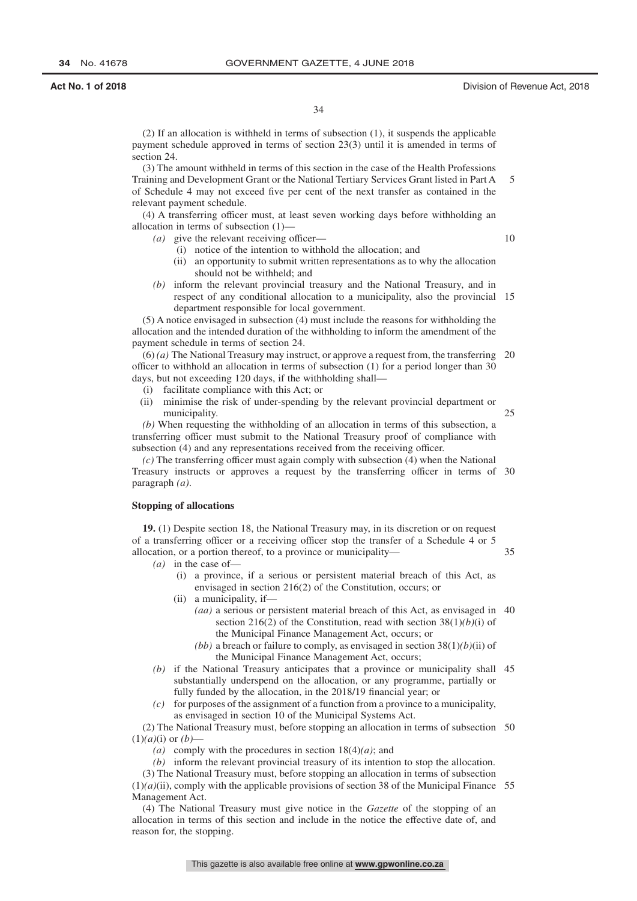34

(2) If an allocation is withheld in terms of subsection (1), it suspends the applicable payment schedule approved in terms of section 23(3) until it is amended in terms of section 24.

(3) The amount withheld in terms of this section in the case of the Health Professions Training and Development Grant or the National Tertiary Services Grant listed in Part A of Schedule 4 may not exceed five per cent of the next transfer as contained in the relevant payment schedule. 5

(4) A transferring officer must, at least seven working days before withholding an allocation in terms of subsection (1)—

*(a)* give the relevant receiving officer—

10

35

(i) notice of the intention to withhold the allocation; and

- (ii) an opportunity to submit written representations as to why the allocation should not be withheld; and
- *(b)* inform the relevant provincial treasury and the National Treasury, and in respect of any conditional allocation to a municipality, also the provincial 15 department responsible for local government.

(5) A notice envisaged in subsection (4) must include the reasons for withholding the allocation and the intended duration of the withholding to inform the amendment of the payment schedule in terms of section 24.

(6) *(a)* The National Treasury may instruct, or approve a request from, the transferring 20 officer to withhold an allocation in terms of subsection (1) for a period longer than 30 days, but not exceeding 120 days, if the withholding shall—

- (i) facilitate compliance with this Act; or
- (ii) minimise the risk of under-spending by the relevant provincial department or municipality. 25

*(b)* When requesting the withholding of an allocation in terms of this subsection, a transferring officer must submit to the National Treasury proof of compliance with subsection (4) and any representations received from the receiving officer.

*(c)* The transferring officer must again comply with subsection (4) when the National Treasury instructs or approves a request by the transferring officer in terms of 30 paragraph *(a)*.

#### **Stopping of allocations**

**19.** (1) Despite section 18, the National Treasury may, in its discretion or on request of a transferring officer or a receiving officer stop the transfer of a Schedule 4 or 5 allocation, or a portion thereof, to a province or municipality—

- *(a)* in the case of—
	- (i) a province, if a serious or persistent material breach of this Act, as envisaged in section 216(2) of the Constitution, occurs; or
	- (ii) a municipality, if—
		- *(aa)* a serious or persistent material breach of this Act, as envisaged in 40 section 216(2) of the Constitution, read with section 38(1)*(b)*(i) of the Municipal Finance Management Act, occurs; or
		- *(bb)* a breach or failure to comply, as envisaged in section 38(1)*(b)*(ii) of the Municipal Finance Management Act, occurs;
- *(b)* if the National Treasury anticipates that a province or municipality shall 45 substantially underspend on the allocation, or any programme, partially or fully funded by the allocation, in the 2018/19 financial year; or
- *(c)* for purposes of the assignment of a function from a province to a municipality, as envisaged in section 10 of the Municipal Systems Act.

(2) The National Treasury must, before stopping an allocation in terms of subsection 50  $(1)(a)(i)$  or  $(b)$ –

- *(a)* comply with the procedures in section 18(4)*(a)*; and
- *(b)* inform the relevant provincial treasury of its intention to stop the allocation.

(3) The National Treasury must, before stopping an allocation in terms of subsection  $(1)(a)(ii)$ , comply with the applicable provisions of section 38 of the Municipal Finance 55 Management Act.

(4) The National Treasury must give notice in the *Gazette* of the stopping of an allocation in terms of this section and include in the notice the effective date of, and reason for, the stopping.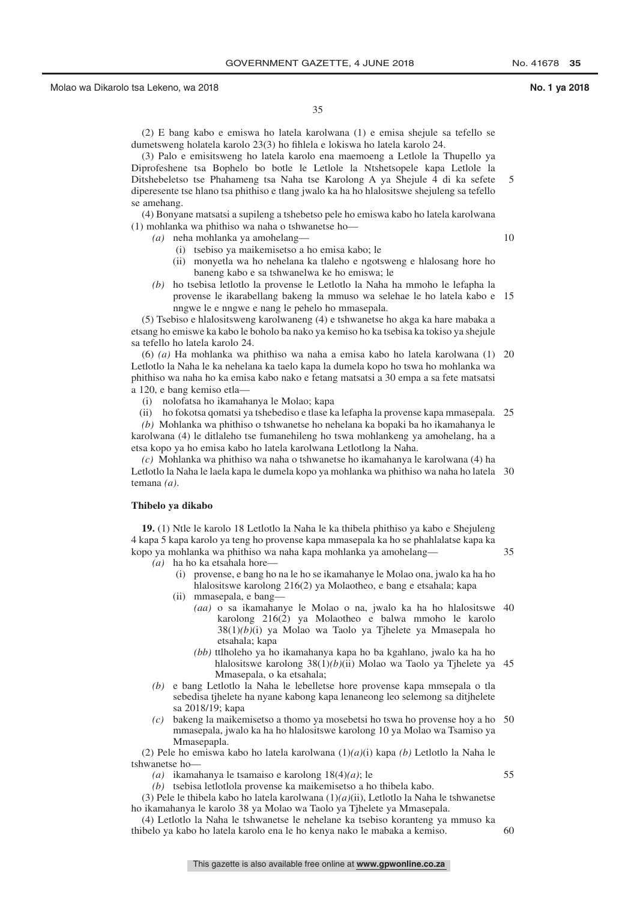35

(2) E bang kabo e emiswa ho latela karolwana (1) e emisa shejule sa tefello se dumetsweng holatela karolo 23(3) ho fihlela e lokiswa ho latela karolo 24.

(3) Palo e emisitsweng ho latela karolo ena maemoeng a Letlole la Thupello ya Diprofeshene tsa Bophelo bo botle le Letlole la Ntshetsopele kapa Letlole la Ditshebeletso tse Phahameng tsa Naha tse Karolong A ya Shejule 4 di ka sefete diperesente tse hlano tsa phithiso e tlang jwalo ka ha ho hlalositswe shejuleng sa tefello se amehang. 5

(4) Bonyane matsatsi a supileng a tshebetso pele ho emiswa kabo ho latela karolwana (1) mohlanka wa phithiso wa naha o tshwanetse ho—

*(a)* neha mohlanka ya amohelang—

10

- (i) tsebiso ya maikemisetso a ho emisa kabo; le
- (ii) monyetla wa ho nehelana ka tlaleho e ngotsweng e hlalosang hore ho baneng kabo e sa tshwanelwa ke ho emiswa; le
- *(b)* ho tsebisa letlotlo la provense le Letlotlo la Naha ha mmoho le lefapha la provense le ikarabellang bakeng la mmuso wa selehae le ho latela kabo e 15 nngwe le e nngwe e nang le pehelo ho mmasepala.

(5) Tsebiso e hlalositsweng karolwaneng (4) e tshwanetse ho akga ka hare mabaka a etsang ho emiswe ka kabo le boholo ba nako ya kemiso ho ka tsebisa ka tokiso ya shejule sa tefello ho latela karolo 24.

(6) *(a)* Ha mohlanka wa phithiso wa naha a emisa kabo ho latela karolwana (1) 20 Letlotlo la Naha le ka nehelana ka taelo kapa la dumela kopo ho tswa ho mohlanka wa phithiso wa naha ho ka emisa kabo nako e fetang matsatsi a 30 empa a sa fete matsatsi a 120, e bang kemiso etla—

(i) nolofatsa ho ikamahanya le Molao; kapa

(ii) ho fokotsa qomatsi ya tshebediso e tlase ka lefapha la provense kapa mmasepala. 25

*(b)* Mohlanka wa phithiso o tshwanetse ho nehelana ka bopaki ba ho ikamahanya le karolwana (4) le ditlaleho tse fumanehileng ho tswa mohlankeng ya amohelang, ha a etsa kopo ya ho emisa kabo ho latela karolwana Letlotlong la Naha.

*(c)* Mohlanka wa phithiso wa naha o tshwanetse ho ikamahanya le karolwana (4) ha Letlotlo la Naha le laela kapa le dumela kopo ya mohlanka wa phithiso wa naha ho latela 30 temana *(a)*.

#### **Thibelo ya dikabo**

**19.** (1) Ntle le karolo 18 Letlotlo la Naha le ka thibela phithiso ya kabo e Shejuleng 4 kapa 5 kapa karolo ya teng ho provense kapa mmasepala ka ho se phahlalatse kapa ka kopo ya mohlanka wa phithiso wa naha kapa mohlanka ya amohelang—

- *(a)* ha ho ka etsahala hore—
	- (i) provense, e bang ho na le ho se ikamahanye le Molao ona, jwalo ka ha ho hlalositswe karolong 216(2) ya Molaotheo, e bang e etsahala; kapa
	- (ii) mmasepala, e bang—
		- *(aa)* o sa ikamahanye le Molao o na, jwalo ka ha ho hlalositswe 40 karolong 216(2) ya Molaotheo e balwa mmoho le karolo 38(1)*(b)*(i) ya Molao wa Taolo ya Tjhelete ya Mmasepala ho etsahala; kapa
		- *(bb)* ttlholeho ya ho ikamahanya kapa ho ba kgahlano, jwalo ka ha ho hlalositswe karolong 38(1)*(b)*(ii) Molao wa Taolo ya Tjhelete ya 45 Mmasepala, o ka etsahala;
- *(b)* e bang Letlotlo la Naha le lebelletse hore provense kapa mmsepala o tla sebedisa tjhelete ha nyane kabong kapa lenaneong leo selemong sa ditjhelete sa 2018/19; kapa
- *(c)* bakeng la maikemisetso a thomo ya mosebetsi ho tswa ho provense hoy a ho 50 mmasepala, jwalo ka ha ho hlalositswe karolong 10 ya Molao wa Tsamiso ya Mmasepapla.

(2) Pele ho emiswa kabo ho latela karolwana (1)*(a)*(i) kapa *(b)* Letlotlo la Naha le tshwanetse ho—

*(a)* ikamahanya le tsamaiso e karolong 18(4)*(a)*; le

*(b)* tsebisa letlotlola provense ka maikemisetso a ho thibela kabo.

(3) Pele le thibela kabo ho latela karolwana (1)*(a)*(ii), Letlotlo la Naha le tshwanetse ho ikamahanya le karolo 38 ya Molao wa Taolo ya Tjhelete ya Mmasepala.

(4) Letlotlo la Naha le tshwanetse le nehelane ka tsebiso koranteng ya mmuso ka thibelo ya kabo ho latela karolo ena le ho kenya nako le mabaka a kemiso. 60

This gazette is also available free online at **www.gpwonline.co.za**

55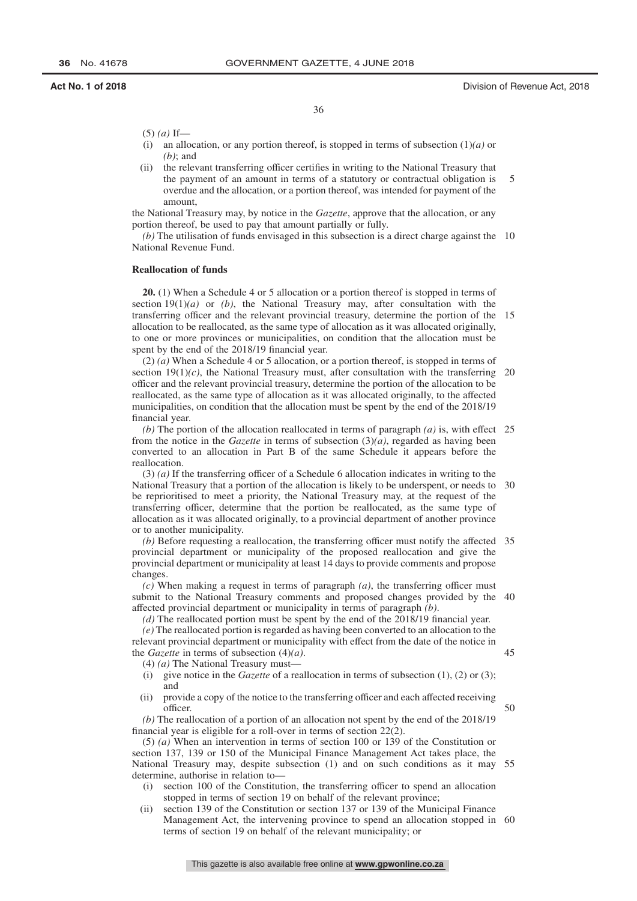36

- (5) *(a)* If—
- (i) an allocation, or any portion thereof, is stopped in terms of subsection (1)*(a)* or *(b)*; and
- (ii) the relevant transferring officer certifies in writing to the National Treasury that the payment of an amount in terms of a statutory or contractual obligation is overdue and the allocation, or a portion thereof, was intended for payment of the amount, 5

the National Treasury may, by notice in the *Gazette*, approve that the allocation, or any portion thereof, be used to pay that amount partially or fully.

(b) The utilisation of funds envisaged in this subsection is a direct charge against the 10 National Revenue Fund.

#### **Reallocation of funds**

**20.** (1) When a Schedule 4 or 5 allocation or a portion thereof is stopped in terms of section 19(1)*(a)* or *(b)*, the National Treasury may, after consultation with the transferring officer and the relevant provincial treasury, determine the portion of the 15 allocation to be reallocated, as the same type of allocation as it was allocated originally, to one or more provinces or municipalities, on condition that the allocation must be spent by the end of the 2018/19 financial year.

(2) *(a)* When a Schedule 4 or 5 allocation, or a portion thereof, is stopped in terms of section  $19(1)(c)$ , the National Treasury must, after consultation with the transferring 20 officer and the relevant provincial treasury, determine the portion of the allocation to be reallocated, as the same type of allocation as it was allocated originally, to the affected municipalities, on condition that the allocation must be spent by the end of the 2018/19 financial year.

(b) The portion of the allocation reallocated in terms of paragraph  $(a)$  is, with effect 25 from the notice in the *Gazette* in terms of subsection (3)*(a)*, regarded as having been converted to an allocation in Part B of the same Schedule it appears before the reallocation.

(3) *(a)* If the transferring officer of a Schedule 6 allocation indicates in writing to the National Treasury that a portion of the allocation is likely to be underspent, or needs to 30 be reprioritised to meet a priority, the National Treasury may, at the request of the transferring officer, determine that the portion be reallocated, as the same type of allocation as it was allocated originally, to a provincial department of another province or to another municipality.

*(b)* Before requesting a reallocation, the transferring officer must notify the affected 35 provincial department or municipality of the proposed reallocation and give the provincial department or municipality at least 14 days to provide comments and propose changes.

*(c)* When making a request in terms of paragraph *(a)*, the transferring officer must submit to the National Treasury comments and proposed changes provided by the 40 affected provincial department or municipality in terms of paragraph *(b)*.

*(d)* The reallocated portion must be spent by the end of the 2018/19 financial year.

*(e)* The reallocated portion is regarded as having been converted to an allocation to the relevant provincial department or municipality with effect from the date of the notice in the *Gazette* in terms of subsection (4)*(a)*. 45

(4) *(a)* The National Treasury must—

- (i) give notice in the *Gazette* of a reallocation in terms of subsection (1), (2) or (3); and
- (ii) provide a copy of the notice to the transferring officer and each affected receiving officer.

*(b)* The reallocation of a portion of an allocation not spent by the end of the 2018/19 financial year is eligible for a roll-over in terms of section 22(2).

(5) *(a)* When an intervention in terms of section 100 or 139 of the Constitution or section 137, 139 or 150 of the Municipal Finance Management Act takes place, the National Treasury may, despite subsection (1) and on such conditions as it may 55 determine, authorise in relation to—

- (i) section 100 of the Constitution, the transferring officer to spend an allocation stopped in terms of section 19 on behalf of the relevant province;
- (ii) section 139 of the Constitution or section 137 or 139 of the Municipal Finance Management Act, the intervening province to spend an allocation stopped in 60terms of section 19 on behalf of the relevant municipality; or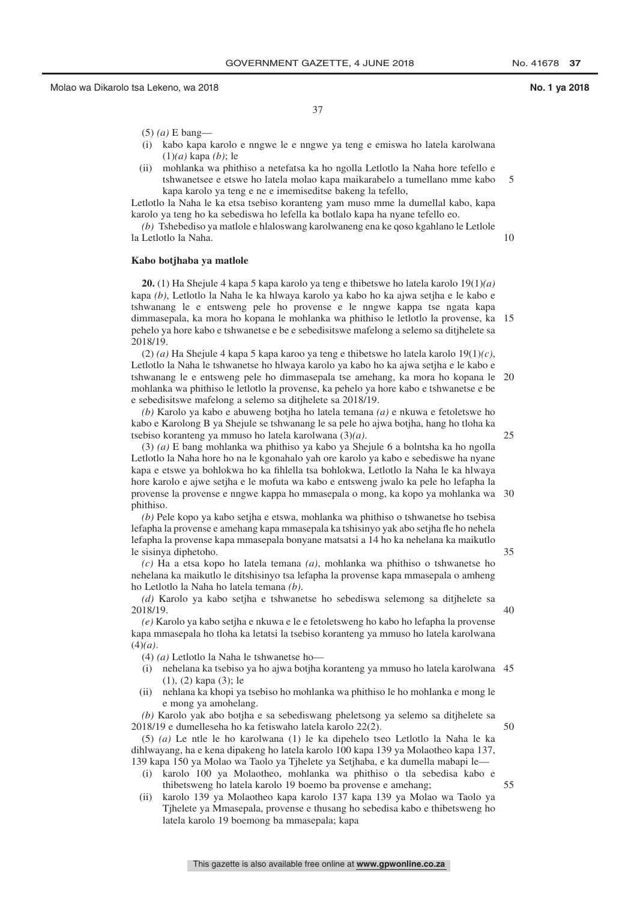25

37

- (5) *(a)* E bang—
- (i) kabo kapa karolo e nngwe le e nngwe ya teng e emiswa ho latela karolwana (1)*(a)* kapa *(b)*; le
- (ii) mohlanka wa phithiso a netefatsa ka ho ngolla Letlotlo la Naha hore tefello e tshwanetsee e etswe ho latela molao kapa maikarabelo a tumellano mme kabo kapa karolo ya teng e ne e imemiseditse bakeng la tefello, 5

Letlotlo la Naha le ka etsa tsebiso koranteng yam muso mme la dumellal kabo, kapa karolo ya teng ho ka sebediswa ho lefella ka botlalo kapa ha nyane tefello eo.

*(b)* Tshebediso ya matlole e hlaloswang karolwaneng ena ke qoso kgahlano le Letlole la Letlotlo la Naha.

## **Kabo botjhaba ya matlole**

**20.** (1) Ha Shejule 4 kapa 5 kapa karolo ya teng e thibetswe ho latela karolo 19(1)*(a)* kapa *(b)*, Letlotlo la Naha le ka hlwaya karolo ya kabo ho ka ajwa setjha e le kabo e tshwanang le e entsweng pele ho provense e le nngwe kappa tse ngata kapa dimmasepala, ka mora ho kopana le mohlanka wa phithiso le letlotlo la provense, ka 15 pehelo ya hore kabo e tshwanetse e be e sebedisitswe mafelong a selemo sa ditjhelete sa 2018/19.

(2) *(a)* Ha Shejule 4 kapa 5 kapa karoo ya teng e thibetswe ho latela karolo 19(1)*(c)*, Letlotlo la Naha le tshwanetse ho hlwaya karolo ya kabo ho ka ajwa setjha e le kabo e tshwanang le e entsweng pele ho dimmasepala tse amehang, ka mora ho kopana le 20 mohlanka wa phithiso le letlotlo la provense, ka pehelo ya hore kabo e tshwanetse e be e sebedisitswe mafelong a selemo sa ditjhelete sa 2018/19.

*(b)* Karolo ya kabo e abuweng botjha ho latela temana *(a)* e nkuwa e fetoletswe ho kabo e Karolong B ya Shejule se tshwanang le sa pele ho ajwa botjha, hang ho tloha ka tsebiso koranteng ya mmuso ho latela karolwana (3)*(a)*.

(3) *(a)* E bang mohlanka wa phithiso ya kabo ya Shejule 6 a bolntsha ka ho ngolla Letlotlo la Naha hore ho na le kgonahalo yah ore karolo ya kabo e sebediswe ha nyane kapa e etswe ya bohlokwa ho ka fihlella tsa bohlokwa, Letlotlo la Naha le ka hlwaya hore karolo e ajwe setjha e le mofuta wa kabo e entsweng jwalo ka pele ho lefapha la provense la provense e nngwe kappa ho mmasepala o mong, ka kopo ya mohlanka wa 30 phithiso.

*(b)* Pele kopo ya kabo setjha e etswa, mohlanka wa phithiso o tshwanetse ho tsebisa lefapha la provense e amehang kapa mmasepala ka tshisinyo yak abo setjha fle ho nehela lefapha la provense kapa mmasepala bonyane matsatsi a 14 ho ka nehelana ka maikutlo le sisinya diphetoho.

*(c)* Ha a etsa kopo ho latela temana *(a)*, mohlanka wa phithiso o tshwanetse ho nehelana ka maikutlo le ditshisinyo tsa lefapha la provense kapa mmasepala o amheng ho Letlotlo la Naha ho latela temana *(b)*.

*(d)* Karolo ya kabo setjha e tshwanetse ho sebediswa selemong sa ditjhelete sa 2018/19.

*(e)* Karolo ya kabo setjha e nkuwa e le e fetoletsweng ho kabo ho lefapha la provense kapa mmasepala ho tloha ka letatsi la tsebiso koranteng ya mmuso ho latela karolwana (4)*(a)*.

(4) *(a)* Letlotlo la Naha le tshwanetse ho—

- (i) nehelana ka tsebiso ya ho ajwa botjha koranteng ya mmuso ho latela karolwana 45 (1), (2) kapa (3); le
- (ii) nehlana ka khopi ya tsebiso ho mohlanka wa phithiso le ho mohlanka e mong le e mong ya amohelang.

*(b)* Karolo yak abo botjha e sa sebediswang pheletsong ya selemo sa ditjhelete sa 2018/19 e dumelleseha ho ka fetiswaho latela karolo 22(2).

(5) *(a)* Le ntle le ho karolwana (1) le ka dipehelo tseo Letlotlo la Naha le ka dihlwayang, ha e kena dipakeng ho latela karolo 100 kapa 139 ya Molaotheo kapa 137, 139 kapa 150 ya Molao wa Taolo ya Tjhelete ya Setjhaba, e ka dumella mabapi le—

- (i) karolo 100 ya Molaotheo, mohlanka wa phithiso o tla sebedisa kabo e thibetsweng ho latela karolo 19 boemo ba provense e amehang; 55
- (ii) karolo 139 ya Molaotheo kapa karolo 137 kapa 139 ya Molao wa Taolo ya Tjhelete ya Mmasepala, provense e thusang ho sebedisa kabo e thibetsweng ho latela karolo 19 boemong ba mmasepala; kapa

This gazette is also available free online at **www.gpwonline.co.za**

40

35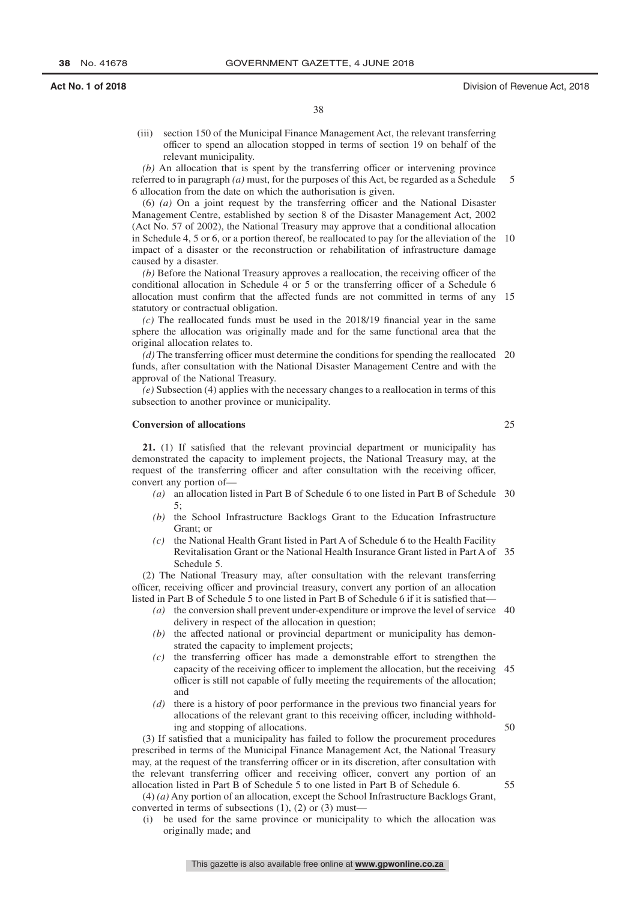(iii) section 150 of the Municipal Finance Management Act, the relevant transferring officer to spend an allocation stopped in terms of section 19 on behalf of the relevant municipality.

*(b)* An allocation that is spent by the transferring officer or intervening province referred to in paragraph *(a)* must, for the purposes of this Act, be regarded as a Schedule 6 allocation from the date on which the authorisation is given. 5

(6) *(a)* On a joint request by the transferring officer and the National Disaster Management Centre, established by section 8 of the Disaster Management Act, 2002 (Act No. 57 of 2002), the National Treasury may approve that a conditional allocation in Schedule 4, 5 or 6, or a portion thereof, be reallocated to pay for the alleviation of the 10 impact of a disaster or the reconstruction or rehabilitation of infrastructure damage caused by a disaster.

*(b)* Before the National Treasury approves a reallocation, the receiving officer of the conditional allocation in Schedule 4 or 5 or the transferring officer of a Schedule 6 allocation must confirm that the affected funds are not committed in terms of any 15 statutory or contractual obligation.

*(c)* The reallocated funds must be used in the 2018/19 financial year in the same sphere the allocation was originally made and for the same functional area that the original allocation relates to.

*(d)* The transferring officer must determine the conditions for spending the reallocated 20 funds, after consultation with the National Disaster Management Centre and with the approval of the National Treasury.

*(e)* Subsection (4) applies with the necessary changes to a reallocation in terms of this subsection to another province or municipality.

### **Conversion of allocations**

**21.** (1) If satisfied that the relevant provincial department or municipality has demonstrated the capacity to implement projects, the National Treasury may, at the request of the transferring officer and after consultation with the receiving officer, convert any portion of—

- *(a)* an allocation listed in Part B of Schedule 6 to one listed in Part B of Schedule 30 5;
- *(b)* the School Infrastructure Backlogs Grant to the Education Infrastructure Grant; or
- *(c)* the National Health Grant listed in Part A of Schedule 6 to the Health Facility Revitalisation Grant or the National Health Insurance Grant listed in Part A of 35 Schedule 5.

(2) The National Treasury may, after consultation with the relevant transferring officer, receiving officer and provincial treasury, convert any portion of an allocation listed in Part B of Schedule 5 to one listed in Part B of Schedule 6 if it is satisfied that—

- *(a)* the conversion shall prevent under-expenditure or improve the level of service 40 delivery in respect of the allocation in question;
- *(b)* the affected national or provincial department or municipality has demonstrated the capacity to implement projects;
- *(c)* the transferring officer has made a demonstrable effort to strengthen the capacity of the receiving officer to implement the allocation, but the receiving 45 officer is still not capable of fully meeting the requirements of the allocation; and
- *(d)* there is a history of poor performance in the previous two financial years for allocations of the relevant grant to this receiving officer, including withholding and stopping of allocations.

(3) If satisfied that a municipality has failed to follow the procurement procedures prescribed in terms of the Municipal Finance Management Act, the National Treasury may, at the request of the transferring officer or in its discretion, after consultation with the relevant transferring officer and receiving officer, convert any portion of an allocation listed in Part B of Schedule 5 to one listed in Part B of Schedule 6.

(4) *(a)* Any portion of an allocation, except the School Infrastructure Backlogs Grant, converted in terms of subsections (1), (2) or (3) must—

(i) be used for the same province or municipality to which the allocation was originally made; and

50

55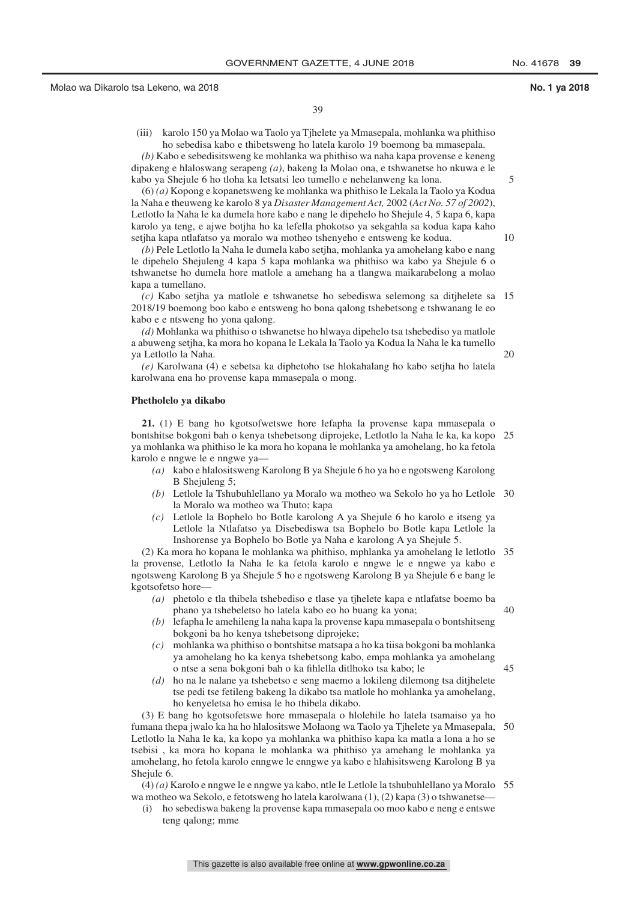(iii) karolo 150 ya Molao wa Taolo ya Tjhelete ya Mmasepala, mohlanka wa phithiso ho sebedisa kabo e thibetsweng ho latela karolo 19 boemong ba mmasepala.

*(b)* Kabo e sebedisitsweng ke mohlanka wa phithiso wa naha kapa provense e keneng dipakeng e hlaloswang serapeng *(a)*, bakeng la Molao ona, e tshwanetse ho nkuwa e le kabo ya Shejule 6 ho tloha ka letsatsi leo tumello e nehelanweng ka lona.

(6) *(a)* Kopong e kopanetsweng ke mohlanka wa phithiso le Lekala la Taolo ya Kodua la Naha e theuweng ke karolo 8 ya *Disaster Management Act,* 2002 (*Act No. 57 of 2002*), Letlotlo la Naha le ka dumela hore kabo e nang le dipehelo ho Shejule 4, 5 kapa 6, kapa karolo ya teng, e ajwe botjha ho ka lefella phokotso ya sekgahla sa kodua kapa kaho setjha kapa ntlafatso ya moralo wa motheo tshenyeho e entsweng ke kodua.

*(b)* Pele Letlotlo la Naha le dumela kabo setjha, mohlanka ya amohelang kabo e nang le dipehelo Shejuleng 4 kapa 5 kapa mohlanka wa phithiso wa kabo ya Shejule 6 o tshwanetse ho dumela hore matlole a amehang ha a tlangwa maikarabelong a molao kapa a tumellano.

*(c)* Kabo setjha ya matlole e tshwanetse ho sebediswa selemong sa ditjhelete sa 15 2018/19 boemong boo kabo e entsweng ho bona qalong tshebetsong e tshwanang le eo kabo e e ntsweng ho yona qalong.

*(d)* Mohlanka wa phithiso o tshwanetse ho hlwaya dipehelo tsa tshebediso ya matlole a abuweng setjha, ka mora ho kopana le Lekala la Taolo ya Kodua la Naha le ka tumello ya Letlotlo la Naha.

*(e)* Karolwana (4) e sebetsa ka diphetoho tse hlokahalang ho kabo setjha ho latela karolwana ena ho provense kapa mmasepala o mong.

### **Phetholelo ya dikabo**

**21.** (1) E bang ho kgotsofwetswe hore lefapha la provense kapa mmasepala o bontshitse bokgoni bah o kenya tshebetsong diprojeke, Letlotlo la Naha le ka, ka kopo 25 ya mohlanka wa phithiso le ka mora ho kopana le mohlanka ya amohelang, ho ka fetola karolo e nngwe le e nngwe ya—

- *(a)* kabo e hlalositsweng Karolong B ya Shejule 6 ho ya ho e ngotsweng Karolong B Shejuleng 5;
- *(b)* Letlole la Tshubuhlellano ya Moralo wa motheo wa Sekolo ho ya ho Letlole 30 la Moralo wa motheo wa Thuto; kapa
- *(c)* Letlole la Bophelo bo Botle karolong A ya Shejule 6 ho karolo e itseng ya Letlole la Ntlafatso ya Disebediswa tsa Bophelo bo Botle kapa Letlole la Inshorense ya Bophelo bo Botle ya Naha e karolong A ya Shejule 5.

(2) Ka mora ho kopana le mohlanka wa phithiso, mphlanka ya amohelang le letlotlo 35 la provense, Letlotlo la Naha le ka fetola karolo e nngwe le e nngwe ya kabo e ngotsweng Karolong B ya Shejule 5 ho e ngotsweng Karolong B ya Shejule 6 e bang le kgotsofetso hore—

- *(a)* phetolo e tla thibela tshebediso e tlase ya tjhelete kapa e ntlafatse boemo ba phano ya tshebeletso ho latela kabo eo ho buang ka yona;
- *(b)* lefapha le amehileng la naha kapa la provense kapa mmasepala o bontshitseng bokgoni ba ho kenya tshebetsong diprojeke;
- *(c)* mohlanka wa phithiso o bontshitse matsapa a ho ka tiisa bokgoni ba mohlanka ya amohelang ho ka kenya tshebetsong kabo, empa mohlanka ya amohelang o ntse a sena bokgoni bah o ka fihlella ditlhoko tsa kabo; le
- *(d)* ho na le nalane ya tshebetso e seng maemo a lokileng dilemong tsa ditjhelete tse pedi tse fetileng bakeng la dikabo tsa matlole ho mohlanka ya amohelang, ho kenyeletsa ho emisa le ho thibela dikabo.

(3) E bang ho kgotsofetswe hore mmasepala o hlolehile ho latela tsamaiso ya ho fumana thepa jwalo ka ha ho hlalositswe Molaong wa Taolo ya Tjhelete ya Mmasepala, 50 Letlotlo la Naha le ka, ka kopo ya mohlanka wa phithiso kapa ka matla a lona a ho se tsebisi , ka mora ho kopana le mohlanka wa phithiso ya amehang le mohlanka ya amohelang, ho fetola karolo enngwe le enngwe ya kabo e hlahisitsweng Karolong B ya Shejule 6.

(4) *(a)* Karolo e nngwe le e nngwe ya kabo, ntle le Letlole la tshubuhlellano ya Moralo 55wa motheo wa Sekolo, e fetotsweng ho latela karolwana (1), (2) kapa (3) o tshwanetse—

(i) ho sebediswa bakeng la provense kapa mmasepala oo moo kabo e neng e entswe teng qalong; mme

10

5

20

40

 $\overline{45}$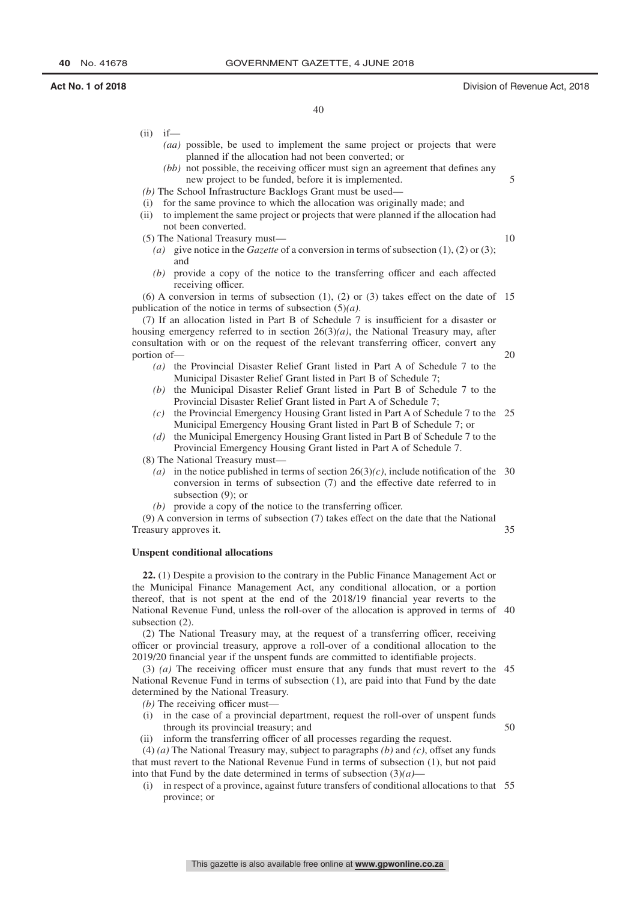## **Act No. 1 of 2018** Division of Revenue Act, 2018

5

10

20

50

40

- *(aa)* possible, be used to implement the same project or projects that were planned if the allocation had not been converted; or
- *(bb)* not possible, the receiving officer must sign an agreement that defines any new project to be funded, before it is implemented.
- *(b)* The School Infrastructure Backlogs Grant must be used—
- (i) for the same province to which the allocation was originally made; and
- (ii) to implement the same project or projects that were planned if the allocation had not been converted.
- (5) The National Treasury must—

 $(ii)$  if—

- *(a)* give notice in the *Gazette* of a conversion in terms of subsection (1), (2) or (3); and
- *(b)* provide a copy of the notice to the transferring officer and each affected receiving officer.

(6) A conversion in terms of subsection (1), (2) or (3) takes effect on the date of 15 publication of the notice in terms of subsection (5)*(a)*.

(7) If an allocation listed in Part B of Schedule 7 is insufficient for a disaster or housing emergency referred to in section  $26(3)(a)$ , the National Treasury may, after consultation with or on the request of the relevant transferring officer, convert any portion of—

- *(a)* the Provincial Disaster Relief Grant listed in Part A of Schedule 7 to the Municipal Disaster Relief Grant listed in Part B of Schedule 7;
- *(b)* the Municipal Disaster Relief Grant listed in Part B of Schedule 7 to the Provincial Disaster Relief Grant listed in Part A of Schedule 7;
- *(c)* the Provincial Emergency Housing Grant listed in Part A of Schedule 7 to the 25 Municipal Emergency Housing Grant listed in Part B of Schedule 7; or
- *(d)* the Municipal Emergency Housing Grant listed in Part B of Schedule 7 to the Provincial Emergency Housing Grant listed in Part A of Schedule 7.
- (8) The National Treasury must—
	- (a) in the notice published in terms of section  $26(3)(c)$ , include notification of the 30 conversion in terms of subsection (7) and the effective date referred to in subsection (9); or
	- *(b)* provide a copy of the notice to the transferring officer.

(9) A conversion in terms of subsection (7) takes effect on the date that the National Treasury approves it. 35

### **Unspent conditional allocations**

**22.** (1) Despite a provision to the contrary in the Public Finance Management Act or the Municipal Finance Management Act, any conditional allocation, or a portion thereof, that is not spent at the end of the 2018/19 financial year reverts to the National Revenue Fund, unless the roll-over of the allocation is approved in terms of 40 subsection  $(2)$ .

(2) The National Treasury may, at the request of a transferring officer, receiving officer or provincial treasury, approve a roll-over of a conditional allocation to the 2019/20 financial year if the unspent funds are committed to identifiable projects.

(3) *(a)* The receiving officer must ensure that any funds that must revert to the 45 National Revenue Fund in terms of subsection (1), are paid into that Fund by the date determined by the National Treasury.

*(b)* The receiving officer must—

- (i) in the case of a provincial department, request the roll-over of unspent funds through its provincial treasury; and
- (ii) inform the transferring officer of all processes regarding the request.

(4) *(a)* The National Treasury may, subject to paragraphs *(b)* and *(c)*, offset any funds that must revert to the National Revenue Fund in terms of subsection (1), but not paid into that Fund by the date determined in terms of subsection  $(3)(a)$ —

(i) in respect of a province, against future transfers of conditional allocations to that 55province; or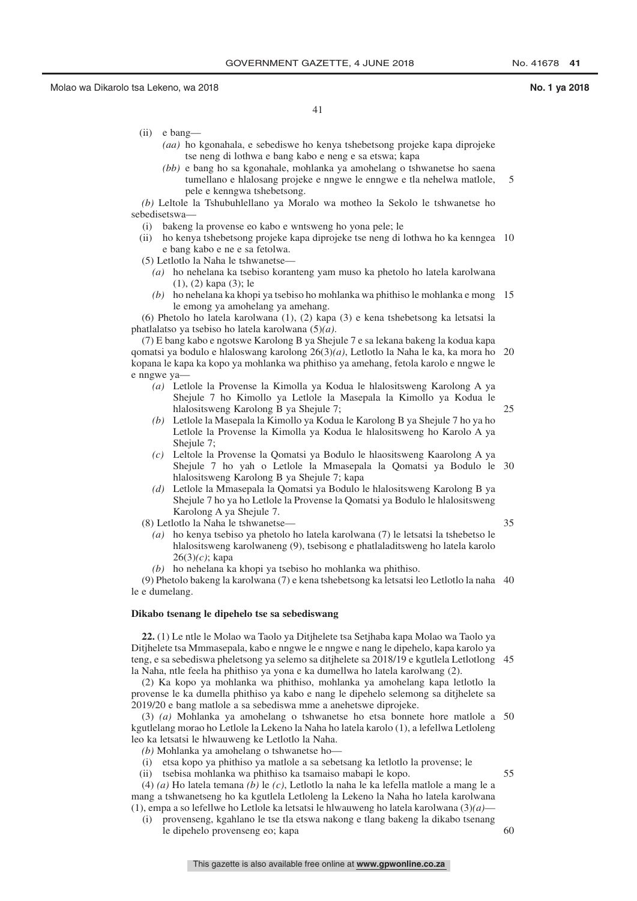41

- (ii) e bang—
	- *(aa)* ho kgonahala, e sebediswe ho kenya tshebetsong projeke kapa diprojeke tse neng di lothwa e bang kabo e neng e sa etswa; kapa
	- *(bb)* e bang ho sa kgonahale, mohlanka ya amohelang o tshwanetse ho saena tumellano e hlalosang projeke e nngwe le enngwe e tla nehelwa matlole, pele e kenngwa tshebetsong. 5

*(b)* Leltole la Tshubuhlellano ya Moralo wa motheo la Sekolo le tshwanetse ho sebedisetswa—

- (i) bakeng la provense eo kabo e wntsweng ho yona pele; le
- (ii) ho kenya tshebetsong projeke kapa diprojeke tse neng di lothwa ho ka kenngea 10 e bang kabo e ne e sa fetolwa.
- (5) Letlotlo la Naha le tshwanetse—
	- *(a)* ho nehelana ka tsebiso koranteng yam muso ka phetolo ho latela karolwana (1), (2) kapa (3); le
	- *(b)* ho nehelana ka khopi ya tsebiso ho mohlanka wa phithiso le mohlanka e mong 15 le emong ya amohelang ya amehang.

(6) Phetolo ho latela karolwana (1), (2) kapa (3) e kena tshebetsong ka letsatsi la phatlalatso ya tsebiso ho latela karolwana (5)*(a)*.

(7) E bang kabo e ngotswe Karolong B ya Shejule 7 e sa lekana bakeng la kodua kapa qomatsi ya bodulo e hlaloswang karolong 26(3)*(a)*, Letlotlo la Naha le ka, ka mora ho 20 kopana le kapa ka kopo ya mohlanka wa phithiso ya amehang, fetola karolo e nngwe le e nngwe ya—

- *(a)* Letlole la Provense la Kimolla ya Kodua le hlalositsweng Karolong A ya Shejule 7 ho Kimollo ya Letlole la Masepala la Kimollo ya Kodua le hlalositsweng Karolong B ya Shejule 7; 25
- *(b)* Letlole la Masepala la Kimollo ya Kodua le Karolong B ya Shejule 7 ho ya ho Letlole la Provense la Kimolla ya Kodua le hlalositsweng ho Karolo A ya Shejule 7;
- *(c)* Leltole la Provense la Qomatsi ya Bodulo le hlaositsweng Kaarolong A ya Shejule 7 ho yah o Letlole la Mmasepala la Qomatsi ya Bodulo le 30 hlalositsweng Karolong B ya Shejule 7; kapa
- *(d)* Letlole la Mmasepala la Qomatsi ya Bodulo le hlalositsweng Karolong B ya Shejule 7 ho ya ho Letlole la Provense la Qomatsi ya Bodulo le hlalositsweng Karolong A ya Shejule 7.
- (8) Letlotlo la Naha le tshwanetse—
	- *(a)* ho kenya tsebiso ya phetolo ho latela karolwana (7) le letsatsi la tshebetso le hlalositsweng karolwaneng (9), tsebisong e phatlaladitsweng ho latela karolo 26(3)*(c)*; kapa
	- *(b)* ho nehelana ka khopi ya tsebiso ho mohlanka wa phithiso.

(9) Phetolo bakeng la karolwana (7) e kena tshebetsong ka letsatsi leo Letlotlo la naha 40 le e dumelang.

## **Dikabo tsenang le dipehelo tse sa sebediswang**

**22.** (1) Le ntle le Molao wa Taolo ya Ditjhelete tsa Setjhaba kapa Molao wa Taolo ya Ditjhelete tsa Mmmasepala, kabo e nngwe le e nngwe e nang le dipehelo, kapa karolo ya teng, e sa sebediswa pheletsong ya selemo sa ditjhelete sa 2018/19 e kgutlela Letlotlong 45 la Naha, ntle feela ha phithiso ya yona e ka dumellwa ho latela karolwang (2).

(2) Ka kopo ya mohlanka wa phithiso, mohlanka ya amohelang kapa letlotlo la provense le ka dumella phithiso ya kabo e nang le dipehelo selemong sa ditjhelete sa 2019/20 e bang matlole a sa sebediswa mme a anehetswe diprojeke.

(3) *(a)* Mohlanka ya amohelang o tshwanetse ho etsa bonnete hore matlole a 50 kgutlelang morao ho Letlole la Lekeno la Naha ho latela karolo (1), a lefellwa Letloleng leo ka letsatsi le hlwauweng ke Letlotlo la Naha.

*(b)* Mohlanka ya amohelang o tshwanetse ho—

- (i) etsa kopo ya phithiso ya matlole a sa sebetsang ka letlotlo la provense; le
- (ii) tsebisa mohlanka wa phithiso ka tsamaiso mabapi le kopo.

(4) *(a)* Ho latela temana *(b)* le *(c)*, Letlotlo la naha le ka lefella matlole a mang le a mang a tshwanetseng ho ka kgutlela Letloleng la Lekeno la Naha ho latela karolwana (1), empa a so lefellwe ho Letlole ka letsatsi le hlwauweng ho latela karolwana (3)*(a)*—

(i) provenseng, kgahlano le tse tla etswa nakong e tlang bakeng la dikabo tsenang le dipehelo provenseng eo; kapa  $60$ 

55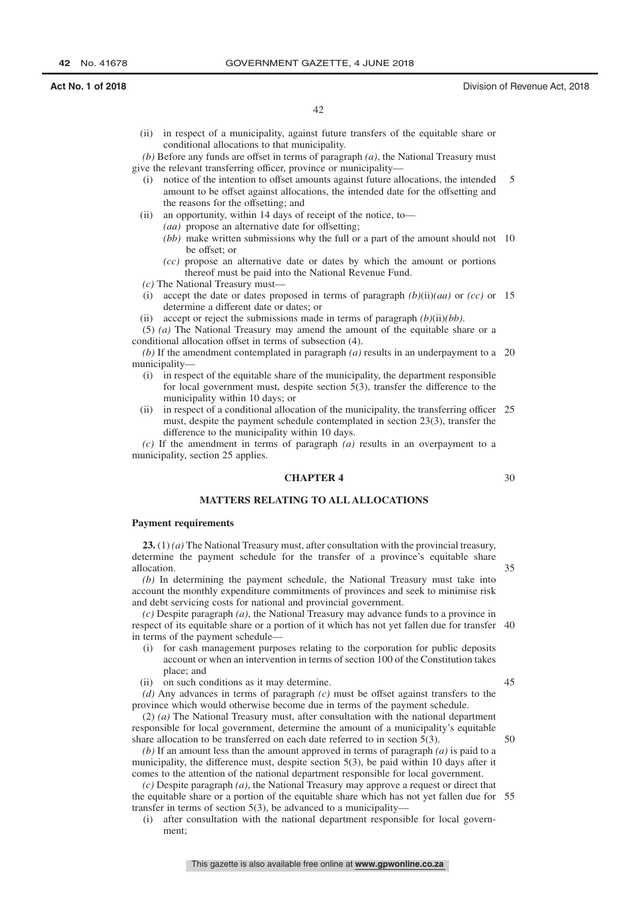(ii) in respect of a municipality, against future transfers of the equitable share or conditional allocations to that municipality.

*(b)* Before any funds are offset in terms of paragraph *(a)*, the National Treasury must give the relevant transferring officer, province or municipality—

- (i) notice of the intention to offset amounts against future allocations, the intended amount to be offset against allocations, the intended date for the offsetting and the reasons for the offsetting; and 5
- (ii) an opportunity, within 14 days of receipt of the notice, to—
	- *(aa)* propose an alternative date for offsetting;
	- *(bb)* make written submissions why the full or a part of the amount should not 10 be offset; or
	- *(cc)* propose an alternative date or dates by which the amount or portions thereof must be paid into the National Revenue Fund.
- *(c)* The National Treasury must—
- (i) accept the date or dates proposed in terms of paragraph *(b)*(ii)*(aa)* or *(cc)* or 15 determine a different date or dates; or
- (ii) accept or reject the submissions made in terms of paragraph  $(b)(ii)(bb)$ .

(5) *(a)* The National Treasury may amend the amount of the equitable share or a conditional allocation offset in terms of subsection (4).

*(b)* If the amendment contemplated in paragraph *(a)* results in an underpayment to a 20 municipality—

- (i) in respect of the equitable share of the municipality, the department responsible for local government must, despite section 5(3), transfer the difference to the municipality within 10 days; or
- (ii) in respect of a conditional allocation of the municipality, the transferring officer 25 must, despite the payment schedule contemplated in section 23(3), transfer the difference to the municipality within 10 days.

*(c)* If the amendment in terms of paragraph *(a)* results in an overpayment to a municipality, section 25 applies.

# **CHAPTER 4**

## **MATTERS RELATING TO ALL ALLOCATIONS**

## **Payment requirements**

**23.** (1) *(a)* The National Treasury must, after consultation with the provincial treasury, determine the payment schedule for the transfer of a province's equitable share allocation.

*(b)* In determining the payment schedule, the National Treasury must take into account the monthly expenditure commitments of provinces and seek to minimise risk and debt servicing costs for national and provincial government.

*(c)* Despite paragraph *(a)*, the National Treasury may advance funds to a province in respect of its equitable share or a portion of it which has not yet fallen due for transfer 40 in terms of the payment schedule—

- (i) for cash management purposes relating to the corporation for public deposits account or when an intervention in terms of section 100 of the Constitution takes place; and
- (ii) on such conditions as it may determine.

*(d)* Any advances in terms of paragraph *(c)* must be offset against transfers to the province which would otherwise become due in terms of the payment schedule.

(2) *(a)* The National Treasury must, after consultation with the national department responsible for local government, determine the amount of a municipality's equitable share allocation to be transferred on each date referred to in section 5(3).

*(b)* If an amount less than the amount approved in terms of paragraph *(a)* is paid to a municipality, the difference must, despite section 5(3), be paid within 10 days after it comes to the attention of the national department responsible for local government.

*(c)* Despite paragraph *(a)*, the National Treasury may approve a request or direct that the equitable share or a portion of the equitable share which has not yet fallen due for 55transfer in terms of section 5(3), be advanced to a municipality—

(i) after consultation with the national department responsible for local government;

35

30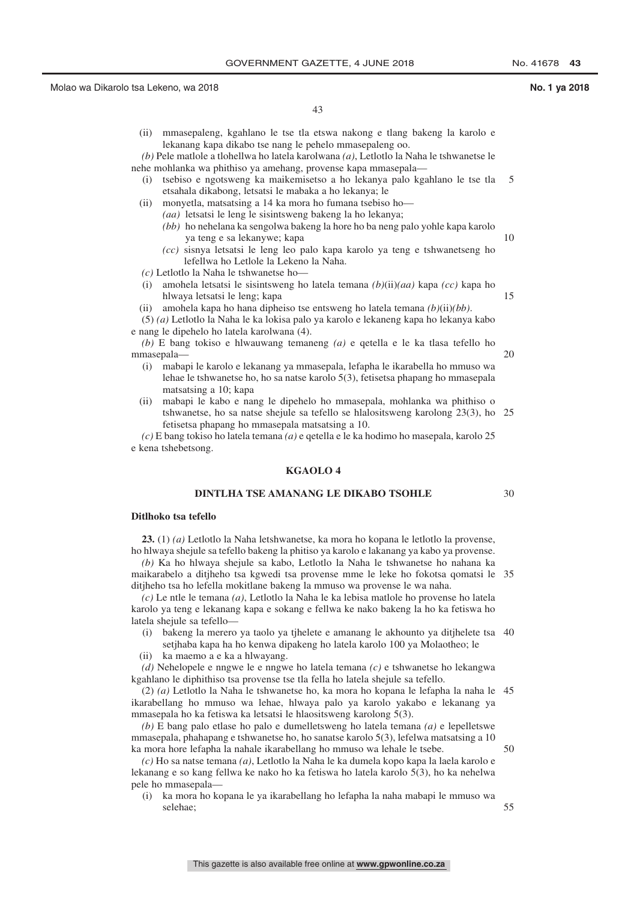(ii) mmasepaleng, kgahlano le tse tla etswa nakong e tlang bakeng la karolo e lekanang kapa dikabo tse nang le pehelo mmasepaleng oo.

*(b)* Pele matlole a tlohellwa ho latela karolwana *(a)*, Letlotlo la Naha le tshwanetse le nehe mohlanka wa phithiso ya amehang, provense kapa mmasepala—

- (i) tsebiso e ngotsweng ka maikemisetso a ho lekanya palo kgahlano le tse tla etsahala dikabong, letsatsi le mabaka a ho lekanya; le 5
- (ii) monyetla, matsatsing a 14 ka mora ho fumana tsebiso ho— *(aa)* letsatsi le leng le sisintsweng bakeng la ho lekanya;
	- *(bb)* ho nehelana ka sengolwa bakeng la hore ho ba neng palo yohle kapa karolo ya teng e sa lekanywe; kapa
	- *(cc)* sisnya letsatsi le leng leo palo kapa karolo ya teng e tshwanetseng ho lefellwa ho Letlole la Lekeno la Naha.
- *(c)* Letlotlo la Naha le tshwanetse ho—
- (i) amohela letsatsi le sisintsweng ho latela temana *(b)*(ii)*(aa)* kapa *(cc)* kapa ho hlwaya letsatsi le leng; kapa
- (ii) amohela kapa ho hana dipheiso tse entsweng ho latela temana *(b)*(ii)*(bb)*.

(5) *(a)* Letlotlo la Naha le ka lokisa palo ya karolo e lekaneng kapa ho lekanya kabo e nang le dipehelo ho latela karolwana (4).

*(b)* E bang tokiso e hlwauwang temaneng *(a)* e qetella e le ka tlasa tefello ho mmasepala— 20

- (i) mabapi le karolo e lekanang ya mmasepala, lefapha le ikarabella ho mmuso wa lehae le tshwanetse ho, ho sa natse karolo 5(3), fetisetsa phapang ho mmasepala matsatsing a 10; kapa
- (ii) mabapi le kabo e nang le dipehelo ho mmasepala, mohlanka wa phithiso o tshwanetse, ho sa natse shejule sa tefello se hlalositsweng karolong 23(3), ho 25 fetisetsa phapang ho mmasepala matsatsing a 10.

*(c)* E bang tokiso ho latela temana *(a)* e qetella e le ka hodimo ho masepala, karolo 25 e kena tshebetsong.

## **KGAOLO 4**

# **DINTLHA TSE AMANANG LE DIKABO TSOHLE**

## **Ditlhoko tsa tefello**

**23.** (1) *(a)* Letlotlo la Naha letshwanetse, ka mora ho kopana le letlotlo la provense, ho hlwaya shejule sa tefello bakeng la phitiso ya karolo e lakanang ya kabo ya provense.

*(b)* Ka ho hlwaya shejule sa kabo, Letlotlo la Naha le tshwanetse ho nahana ka maikarabelo a ditjheho tsa kgwedi tsa provense mme le leke ho fokotsa qomatsi le 35 ditjheho tsa ho lefella mokitlane bakeng la mmuso wa provense le wa naha.

*(c)* Le ntle le temana *(a)*, Letlotlo la Naha le ka lebisa matlole ho provense ho latela karolo ya teng e lekanang kapa e sokang e fellwa ke nako bakeng la ho ka fetiswa ho latela shejule sa tefello—

- (i) bakeng la merero ya taolo ya tjhelete e amanang le akhounto ya ditjhelete tsa 40 setjhaba kapa ha ho kenwa dipakeng ho latela karolo 100 ya Molaotheo; le
- (ii) ka maemo a e ka a hlwayang.

*(d)* Nehelopele e nngwe le e nngwe ho latela temana *(c)* e tshwanetse ho lekangwa kgahlano le diphithiso tsa provense tse tla fella ho latela shejule sa tefello.

(2) *(a)* Letlotlo la Naha le tshwanetse ho, ka mora ho kopana le lefapha la naha le 45 ikarabellang ho mmuso wa lehae, hlwaya palo ya karolo yakabo e lekanang ya mmasepala ho ka fetiswa ka letsatsi le hlaositsweng karolong 5(3).

*(b)* E bang palo etlase ho palo e dumelletsweng ho latela temana *(a)* e lepelletswe mmasepala, phahapang e tshwanetse ho, ho sanatse karolo 5(3), lefelwa matsatsing a 10 ka mora hore lefapha la nahale ikarabellang ho mmuso wa lehale le tsebe.

*(c)* Ho sa natse temana *(a)*, Letlotlo la Naha le ka dumela kopo kapa la laela karolo e lekanang e so kang fellwa ke nako ho ka fetiswa ho latela karolo 5(3), ho ka nehelwa pele ho mmasepala—

(i) ka mora ho kopana le ya ikarabellang ho lefapha la naha mabapi le mmuso wa selehae;

15

10

30

 $50$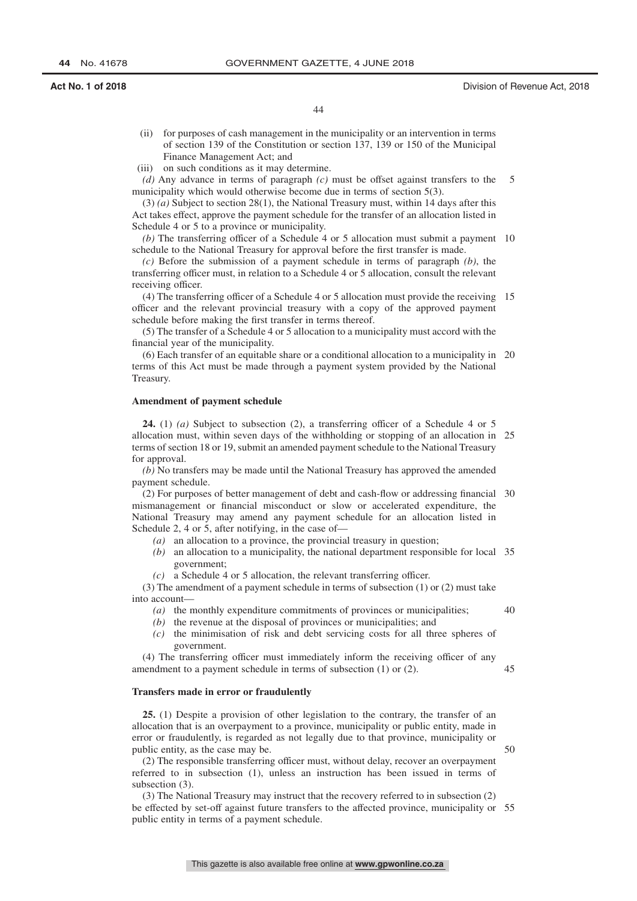### **Act No. 1 of 2018** Division of Revenue Act, 2018

- (ii) for purposes of cash management in the municipality or an intervention in terms of section 139 of the Constitution or section 137, 139 or 150 of the Municipal Finance Management Act; and
- (iii) on such conditions as it may determine.
- *(d)* Any advance in terms of paragraph *(c)* must be offset against transfers to the municipality which would otherwise become due in terms of section 5(3). 5

(3) *(a)* Subject to section 28(1), the National Treasury must, within 14 days after this Act takes effect, approve the payment schedule for the transfer of an allocation listed in Schedule 4 or 5 to a province or municipality.

(b) The transferring officer of a Schedule 4 or 5 allocation must submit a payment 10 schedule to the National Treasury for approval before the first transfer is made.

*(c)* Before the submission of a payment schedule in terms of paragraph *(b)*, the transferring officer must, in relation to a Schedule 4 or 5 allocation, consult the relevant receiving officer.

(4) The transferring officer of a Schedule 4 or 5 allocation must provide the receiving 15 officer and the relevant provincial treasury with a copy of the approved payment schedule before making the first transfer in terms thereof.

(5) The transfer of a Schedule 4 or 5 allocation to a municipality must accord with the financial year of the municipality.

(6) Each transfer of an equitable share or a conditional allocation to a municipality in 20 terms of this Act must be made through a payment system provided by the National Treasury.

### **Amendment of payment schedule**

**24.** (1) *(a)* Subject to subsection (2), a transferring officer of a Schedule 4 or 5 allocation must, within seven days of the withholding or stopping of an allocation in 25 terms of section 18 or 19, submit an amended payment schedule to the National Treasury for approval.

*(b)* No transfers may be made until the National Treasury has approved the amended payment schedule.

(2) For purposes of better management of debt and cash-flow or addressing financial 30 mismanagement or financial misconduct or slow or accelerated expenditure, the National Treasury may amend any payment schedule for an allocation listed in Schedule 2, 4 or 5, after notifying, in the case of—

- *(a)* an allocation to a province, the provincial treasury in question;
- *(b)* an allocation to a municipality, the national department responsible for local 35 government;
- *(c)* a Schedule 4 or 5 allocation, the relevant transferring officer.

(3) The amendment of a payment schedule in terms of subsection (1) or (2) must take into account—

- *(a)* the monthly expenditure commitments of provinces or municipalities;
- *(b)* the revenue at the disposal of provinces or municipalities; and
- *(c)* the minimisation of risk and debt servicing costs for all three spheres of government.

(4) The transferring officer must immediately inform the receiving officer of any amendment to a payment schedule in terms of subsection (1) or (2). 45

### **Transfers made in error or fraudulently**

**25.** (1) Despite a provision of other legislation to the contrary, the transfer of an allocation that is an overpayment to a province, municipality or public entity, made in error or fraudulently, is regarded as not legally due to that province, municipality or public entity, as the case may be.

(2) The responsible transferring officer must, without delay, recover an overpayment referred to in subsection (1), unless an instruction has been issued in terms of subsection (3).

(3) The National Treasury may instruct that the recovery referred to in subsection (2) be effected by set-off against future transfers to the affected province, municipality or 55public entity in terms of a payment schedule.

 $50$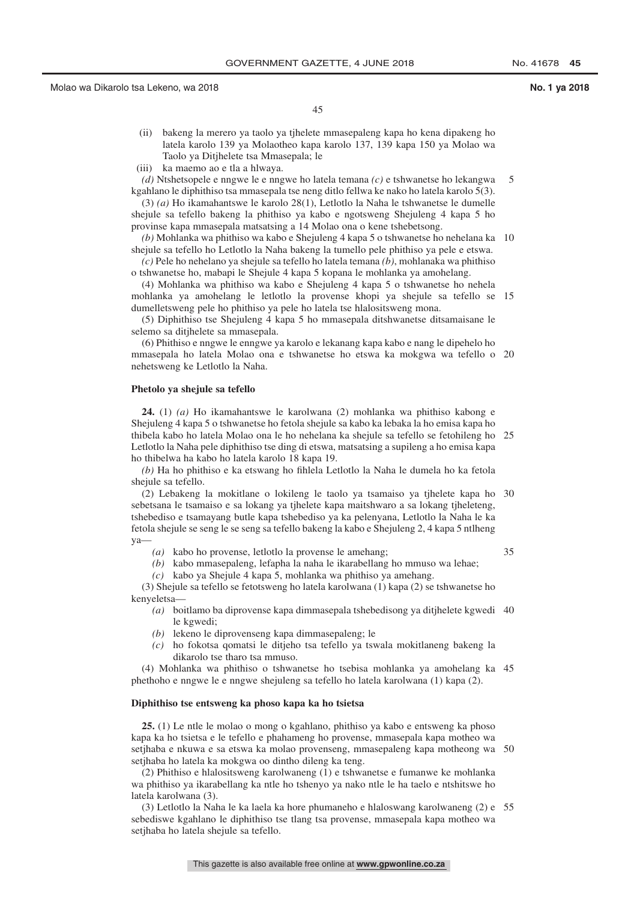45

- (ii) bakeng la merero ya taolo ya tjhelete mmasepaleng kapa ho kena dipakeng ho latela karolo 139 ya Molaotheo kapa karolo 137, 139 kapa 150 ya Molao wa Taolo ya Ditjhelete tsa Mmasepala; le
- (iii) ka maemo ao e tla a hlwaya.
- *(d)* Ntshetsopele e nngwe le e nngwe ho latela temana *(c)* e tshwanetse ho lekangwa kgahlano le diphithiso tsa mmasepala tse neng ditlo fellwa ke nako ho latela karolo 5(3). 5

(3) *(a)* Ho ikamahantswe le karolo 28(1), Letlotlo la Naha le tshwanetse le dumelle shejule sa tefello bakeng la phithiso ya kabo e ngotsweng Shejuleng 4 kapa 5 ho provinse kapa mmasepala matsatsing a 14 Molao ona o kene tshebetsong.

*(b)* Mohlanka wa phithiso wa kabo e Shejuleng 4 kapa 5 o tshwanetse ho nehelana ka 10 shejule sa tefello ho Letlotlo la Naha bakeng la tumello pele phithiso ya pele e etswa.

*(c)* Pele ho nehelano ya shejule sa tefello ho latela temana *(b)*, mohlanaka wa phithiso o tshwanetse ho, mabapi le Shejule 4 kapa 5 kopana le mohlanka ya amohelang.

(4) Mohlanka wa phithiso wa kabo e Shejuleng 4 kapa 5 o tshwanetse ho nehela mohlanka ya amohelang le letlotlo la provense khopi ya shejule sa tefello se 15 dumelletsweng pele ho phithiso ya pele ho latela tse hlalositsweng mona.

(5) Diphithiso tse Shejuleng 4 kapa 5 ho mmasepala ditshwanetse ditsamaisane le selemo sa ditjhelete sa mmasepala.

(6) Phithiso e nngwe le enngwe ya karolo e lekanang kapa kabo e nang le dipehelo ho mmasepala ho latela Molao ona e tshwanetse ho etswa ka mokgwa wa tefello o 20 nehetsweng ke Letlotlo la Naha.

### **Phetolo ya shejule sa tefello**

**24.** (1) *(a)* Ho ikamahantswe le karolwana (2) mohlanka wa phithiso kabong e Shejuleng 4 kapa 5 o tshwanetse ho fetola shejule sa kabo ka lebaka la ho emisa kapa ho thibela kabo ho latela Molao ona le ho nehelana ka shejule sa tefello se fetohileng ho 25 Letlotlo la Naha pele diphithiso tse ding di etswa, matsatsing a supileng a ho emisa kapa ho thibelwa ha kabo ho latela karolo 18 kapa 19.

*(b)* Ha ho phithiso e ka etswang ho fihlela Letlotlo la Naha le dumela ho ka fetola shejule sa tefello.

(2) Lebakeng la mokitlane o lokileng le taolo ya tsamaiso ya tjhelete kapa ho 30 sebetsana le tsamaiso e sa lokang ya tjhelete kapa maitshwaro a sa lokang tjheleteng, tshebediso e tsamayang butle kapa tshebediso ya ka pelenyana, Letlotlo la Naha le ka fetola shejule se seng le se seng sa tefello bakeng la kabo e Shejuleng 2, 4 kapa 5 ntlheng ya—

*(a)* kabo ho provense, letlotlo la provense le amehang;

- 35
- *(b)* kabo mmasepaleng, lefapha la naha le ikarabellang ho mmuso wa lehae;
- *(c)* kabo ya Shejule 4 kapa 5, mohlanka wa phithiso ya amehang.

(3) Shejule sa tefello se fetotsweng ho latela karolwana (1) kapa (2) se tshwanetse ho kenyeletsa—

- *(a)* boitlamo ba diprovense kapa dimmasepala tshebedisong ya ditjhelete kgwedi 40 le kgwedi;
- *(b)* lekeno le diprovenseng kapa dimmasepaleng; le
- *(c)* ho fokotsa qomatsi le ditjeho tsa tefello ya tswala mokitlaneng bakeng la dikarolo tse tharo tsa mmuso.

(4) Mohlanka wa phithiso o tshwanetse ho tsebisa mohlanka ya amohelang ka 45 phethoho e nngwe le e nngwe shejuleng sa tefello ho latela karolwana (1) kapa (2).

### **Diphithiso tse entsweng ka phoso kapa ka ho tsietsa**

**25.** (1) Le ntle le molao o mong o kgahlano, phithiso ya kabo e entsweng ka phoso kapa ka ho tsietsa e le tefello e phahameng ho provense, mmasepala kapa motheo wa setjhaba e nkuwa e sa etswa ka molao provenseng, mmasepaleng kapa motheong wa 50 setjhaba ho latela ka mokgwa oo dintho dileng ka teng.

(2) Phithiso e hlalositsweng karolwaneng (1) e tshwanetse e fumanwe ke mohlanka wa phithiso ya ikarabellang ka ntle ho tshenyo ya nako ntle le ha taelo e ntshitswe ho latela karolwana (3).

(3) Letlotlo la Naha le ka laela ka hore phumaneho e hlaloswang karolwaneng (2) e 55sebediswe kgahlano le diphithiso tse tlang tsa provense, mmasepala kapa motheo wa setjhaba ho latela shejule sa tefello.

This gazette is also available free online at **www.gpwonline.co.za**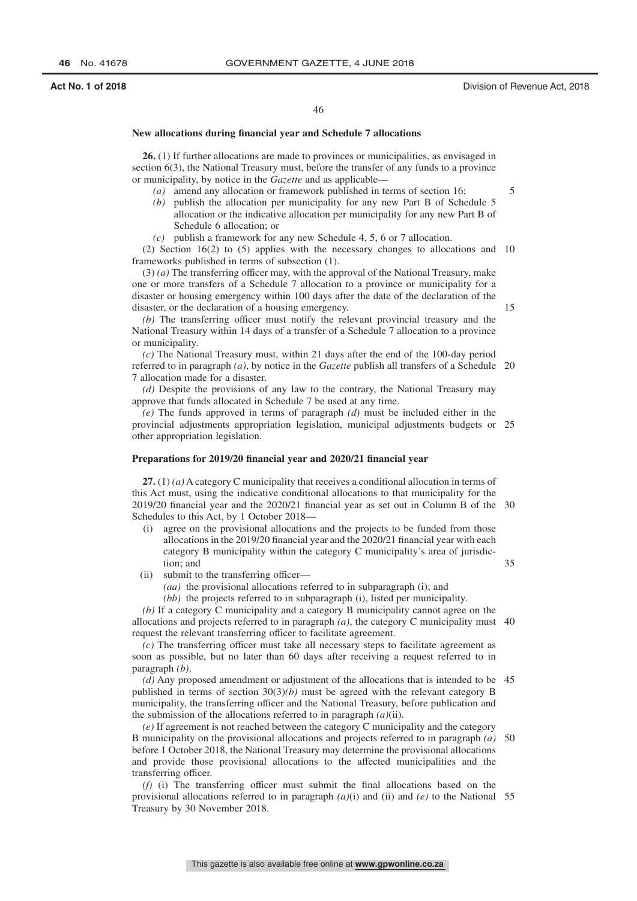### **Act No. 1 of 2018** Division of Revenue Act, 2018

5

15

## **New allocations during financial year and Schedule 7 allocations**

**26.** (1) If further allocations are made to provinces or municipalities, as envisaged in section 6(3), the National Treasury must, before the transfer of any funds to a province or municipality, by notice in the *Gazette* and as applicable—

- *(a)* amend any allocation or framework published in terms of section 16;
- *(b)* publish the allocation per municipality for any new Part B of Schedule 5 allocation or the indicative allocation per municipality for any new Part B of Schedule 6 allocation; or
- *(c)* publish a framework for any new Schedule 4, 5, 6 or 7 allocation.

(2) Section 16(2) to (5) applies with the necessary changes to allocations and 10 frameworks published in terms of subsection (1).

(3) *(a)* The transferring officer may, with the approval of the National Treasury, make one or more transfers of a Schedule 7 allocation to a province or municipality for a disaster or housing emergency within 100 days after the date of the declaration of the disaster, or the declaration of a housing emergency.

*(b)* The transferring officer must notify the relevant provincial treasury and the National Treasury within 14 days of a transfer of a Schedule 7 allocation to a province or municipality.

*(c)* The National Treasury must, within 21 days after the end of the 100-day period referred to in paragraph *(a)*, by notice in the *Gazette* publish all transfers of a Schedule 20 7 allocation made for a disaster.

*(d)* Despite the provisions of any law to the contrary, the National Treasury may approve that funds allocated in Schedule 7 be used at any time.

*(e)* The funds approved in terms of paragraph *(d)* must be included either in the provincial adjustments appropriation legislation, municipal adjustments budgets or 25 other appropriation legislation.

### **Preparations for 2019/20 financial year and 2020/21 financial year**

**27.** (1) *(a)* A category C municipality that receives a conditional allocation in terms of this Act must, using the indicative conditional allocations to that municipality for the 2019/20 financial year and the 2020/21 financial year as set out in Column B of the 30 Schedules to this Act, by 1 October 2018—

- (i) agree on the provisional allocations and the projects to be funded from those allocations in the 2019/20 financial year and the 2020/21 financial year with each category B municipality within the category C municipality's area of jurisdiction; and
- (ii) submit to the transferring officer—
	- *(aa)* the provisional allocations referred to in subparagraph (i); and
	- *(bb)* the projects referred to in subparagraph (i), listed per municipality.

*(b)* If a category C municipality and a category B municipality cannot agree on the allocations and projects referred to in paragraph  $(a)$ , the category C municipality must 40 request the relevant transferring officer to facilitate agreement.

*(c)* The transferring officer must take all necessary steps to facilitate agreement as soon as possible, but no later than 60 days after receiving a request referred to in paragraph *(b)*.

*(d)* Any proposed amendment or adjustment of the allocations that is intended to be 45 published in terms of section 30(3)*(b)* must be agreed with the relevant category B municipality, the transferring officer and the National Treasury, before publication and the submission of the allocations referred to in paragraph *(a)*(ii).

*(e)* If agreement is not reached between the category C municipality and the category B municipality on the provisional allocations and projects referred to in paragraph *(a)* before 1 October 2018, the National Treasury may determine the provisional allocations and provide those provisional allocations to the affected municipalities and the transferring officer. 50

*(f)* (i) The transferring officer must submit the final allocations based on the provisional allocations referred to in paragraph *(a)*(i) and (ii) and *(e)* to the National 55Treasury by 30 November 2018.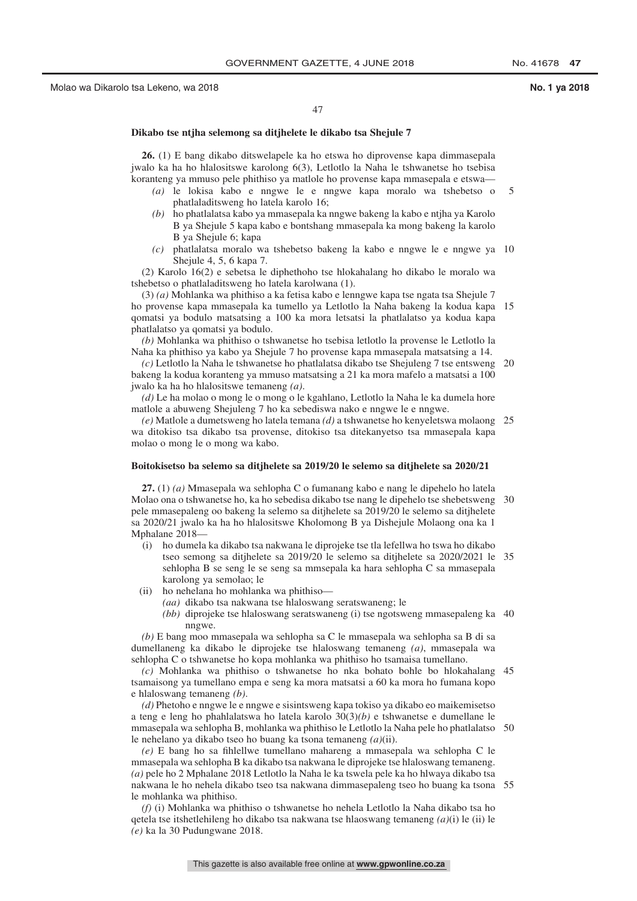## **Dikabo tse ntjha selemong sa ditjhelete le dikabo tsa Shejule 7**

**26.** (1) E bang dikabo ditswelapele ka ho etswa ho diprovense kapa dimmasepala jwalo ka ha ho hlalositswe karolong 6(3), Letlotlo la Naha le tshwanetse ho tsebisa koranteng ya mmuso pele phithiso ya matlole ho provense kapa mmasepala e etswa—

- *(a)* le lokisa kabo e nngwe le e nngwe kapa moralo wa tshebetso o phatlaladitsweng ho latela karolo 16; 5
- *(b)* ho phatlalatsa kabo ya mmasepala ka nngwe bakeng la kabo e ntjha ya Karolo B ya Shejule 5 kapa kabo e bontshang mmasepala ka mong bakeng la karolo B ya Shejule 6; kapa
- *(c)* phatlalatsa moralo wa tshebetso bakeng la kabo e nngwe le e nngwe ya 10 Shejule 4, 5, 6 kapa 7.

(2) Karolo 16(2) e sebetsa le diphethoho tse hlokahalang ho dikabo le moralo wa tshebetso o phatlaladitsweng ho latela karolwana (1).

(3) *(a)* Mohlanka wa phithiso a ka fetisa kabo e lenngwe kapa tse ngata tsa Shejule 7 ho provense kapa mmasepala ka tumello ya Letlotlo la Naha bakeng la kodua kapa 15 qomatsi ya bodulo matsatsing a 100 ka mora letsatsi la phatlalatso ya kodua kapa phatlalatso ya qomatsi ya bodulo.

*(b)* Mohlanka wa phithiso o tshwanetse ho tsebisa letlotlo la provense le Letlotlo la Naha ka phithiso ya kabo ya Shejule 7 ho provense kapa mmasepala matsatsing a 14.

*(c)* Letlotlo la Naha le tshwanetse ho phatlalatsa dikabo tse Shejuleng 7 tse entsweng 20 bakeng la kodua koranteng ya mmuso matsatsing a 21 ka mora mafelo a matsatsi a 100 jwalo ka ha ho hlalositswe temaneng *(a)*.

*(d)* Le ha molao o mong le o mong o le kgahlano, Letlotlo la Naha le ka dumela hore matlole a abuweng Shejuleng 7 ho ka sebediswa nako e nngwe le e nngwe.

*(e)* Matlole a dumetsweng ho latela temana *(d)* a tshwanetse ho kenyeletswa molaong 25 wa ditokiso tsa dikabo tsa provense, ditokiso tsa ditekanyetso tsa mmasepala kapa molao o mong le o mong wa kabo.

## **Boitokisetso ba selemo sa ditjhelete sa 2019/20 le selemo sa ditjhelete sa 2020/21**

**27.** (1) *(a)* Mmasepala wa sehlopha C o fumanang kabo e nang le dipehelo ho latela Molao ona o tshwanetse ho, ka ho sebedisa dikabo tse nang le dipehelo tse shebetsweng 30 pele mmasepaleng oo bakeng la selemo sa ditjhelete sa 2019/20 le selemo sa ditjhelete sa 2020/21 jwalo ka ha ho hlalositswe Kholomong B ya Dishejule Molaong ona ka 1 Mphalane 2018—

- (i) ho dumela ka dikabo tsa nakwana le diprojeke tse tla lefellwa ho tswa ho dikabo tseo semong sa ditjhelete sa 2019/20 le selemo sa ditjhelete sa 2020/2021 le 35 sehlopha B se seng le se seng sa mmsepala ka hara sehlopha C sa mmasepala karolong ya semolao; le
- (ii) ho nehelana ho mohlanka wa phithiso—
	- *(aa)* dikabo tsa nakwana tse hlaloswang seratswaneng; le
	- *(bb)* diprojeke tse hlaloswang seratswaneng (i) tse ngotsweng mmasepaleng ka 40 nngwe.

*(b)* E bang moo mmasepala wa sehlopha sa C le mmasepala wa sehlopha sa B di sa dumellaneng ka dikabo le diprojeke tse hlaloswang temaneng *(a)*, mmasepala wa sehlopha C o tshwanetse ho kopa mohlanka wa phithiso ho tsamaisa tumellano.

*(c)* Mohlanka wa phithiso o tshwanetse ho nka bohato bohle bo hlokahalang 45 tsamaisong ya tumellano empa e seng ka mora matsatsi a 60 ka mora ho fumana kopo e hlaloswang temaneng *(b)*.

*(d)* Phetoho e nngwe le e nngwe e sisintsweng kapa tokiso ya dikabo eo maikemisetso a teng e leng ho phahlalatswa ho latela karolo 30(3)*(b)* e tshwanetse e dumellane le mmasepala wa sehlopha B, mohlanka wa phithiso le Letlotlo la Naha pele ho phatlalatso 50 le nehelano ya dikabo tseo ho buang ka tsona temaneng *(a)*(ii).

*(e)* E bang ho sa fihlellwe tumellano mahareng a mmasepala wa sehlopha C le mmasepala wa sehlopha B ka dikabo tsa nakwana le diprojeke tse hlaloswang temaneng. *(a)* pele ho 2 Mphalane 2018 Letlotlo la Naha le ka tswela pele ka ho hlwaya dikabo tsa nakwana le ho nehela dikabo tseo tsa nakwana dimmasepaleng tseo ho buang ka tsona 55le mohlanka wa phithiso.

*(f)* (i) Mohlanka wa phithiso o tshwanetse ho nehela Letlotlo la Naha dikabo tsa ho qetela tse itshetlehileng ho dikabo tsa nakwana tse hlaoswang temaneng *(a)*(i) le (ii) le *(e)* ka la 30 Pudungwane 2018.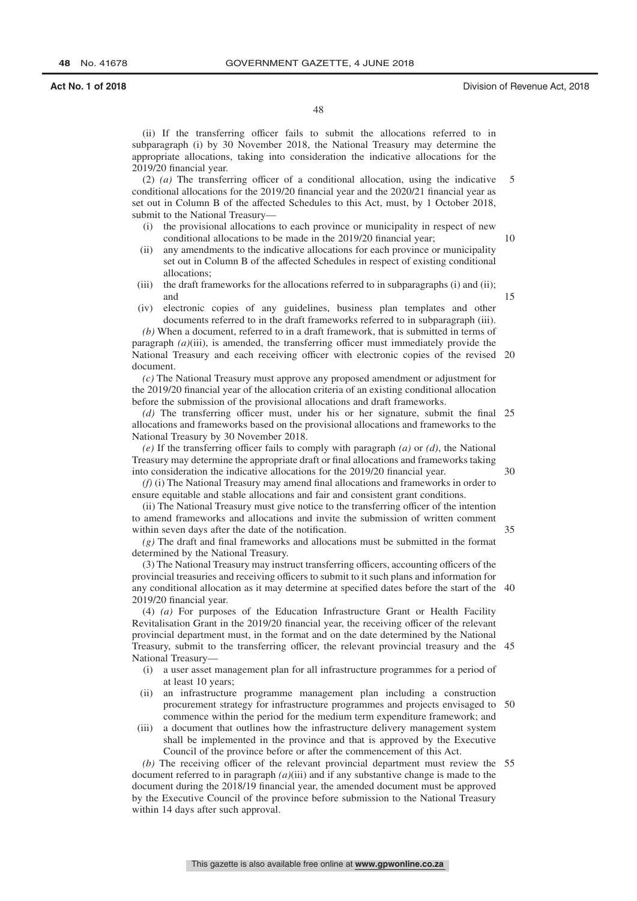(ii) If the transferring officer fails to submit the allocations referred to in subparagraph (i) by 30 November 2018, the National Treasury may determine the appropriate allocations, taking into consideration the indicative allocations for the 2019/20 financial year.

(2) *(a)* The transferring officer of a conditional allocation, using the indicative conditional allocations for the 2019/20 financial year and the 2020/21 financial year as set out in Column B of the affected Schedules to this Act, must, by 1 October 2018, submit to the National Treasury— 5

- (i) the provisional allocations to each province or municipality in respect of new conditional allocations to be made in the 2019/20 financial year; 10
- (ii) any amendments to the indicative allocations for each province or municipality set out in Column B of the affected Schedules in respect of existing conditional allocations;
- (iii) the draft frameworks for the allocations referred to in subparagraphs (i) and (ii); and
- (iv) electronic copies of any guidelines, business plan templates and other documents referred to in the draft frameworks referred to in subparagraph (iii).

*(b)* When a document, referred to in a draft framework, that is submitted in terms of paragraph *(a)*(iii), is amended, the transferring officer must immediately provide the National Treasury and each receiving officer with electronic copies of the revised 20 document.

*(c)* The National Treasury must approve any proposed amendment or adjustment for the 2019/20 financial year of the allocation criteria of an existing conditional allocation before the submission of the provisional allocations and draft frameworks.

*(d)* The transferring officer must, under his or her signature, submit the final 25 allocations and frameworks based on the provisional allocations and frameworks to the National Treasury by 30 November 2018.

*(e)* If the transferring officer fails to comply with paragraph *(a)* or *(d)*, the National Treasury may determine the appropriate draft or final allocations and frameworks taking into consideration the indicative allocations for the 2019/20 financial year.

*(f)* (i) The National Treasury may amend final allocations and frameworks in order to ensure equitable and stable allocations and fair and consistent grant conditions.

(ii) The National Treasury must give notice to the transferring officer of the intention to amend frameworks and allocations and invite the submission of written comment within seven days after the date of the notification.

*(g)* The draft and final frameworks and allocations must be submitted in the format determined by the National Treasury.

(3) The National Treasury may instruct transferring officers, accounting officers of the provincial treasuries and receiving officers to submit to it such plans and information for any conditional allocation as it may determine at specified dates before the start of the 40 2019/20 financial year.

(4) *(a)* For purposes of the Education Infrastructure Grant or Health Facility Revitalisation Grant in the 2019/20 financial year, the receiving officer of the relevant provincial department must, in the format and on the date determined by the National Treasury, submit to the transferring officer, the relevant provincial treasury and the 45 National Treasury—

- (i) a user asset management plan for all infrastructure programmes for a period of at least 10 years;
- (ii) an infrastructure programme management plan including a construction procurement strategy for infrastructure programmes and projects envisaged to 50 commence within the period for the medium term expenditure framework; and
- (iii) a document that outlines how the infrastructure delivery management system shall be implemented in the province and that is approved by the Executive Council of the province before or after the commencement of this Act.

*(b)* The receiving officer of the relevant provincial department must review the 55document referred to in paragraph *(a)*(iii) and if any substantive change is made to the document during the 2018/19 financial year, the amended document must be approved by the Executive Council of the province before submission to the National Treasury within 14 days after such approval.

30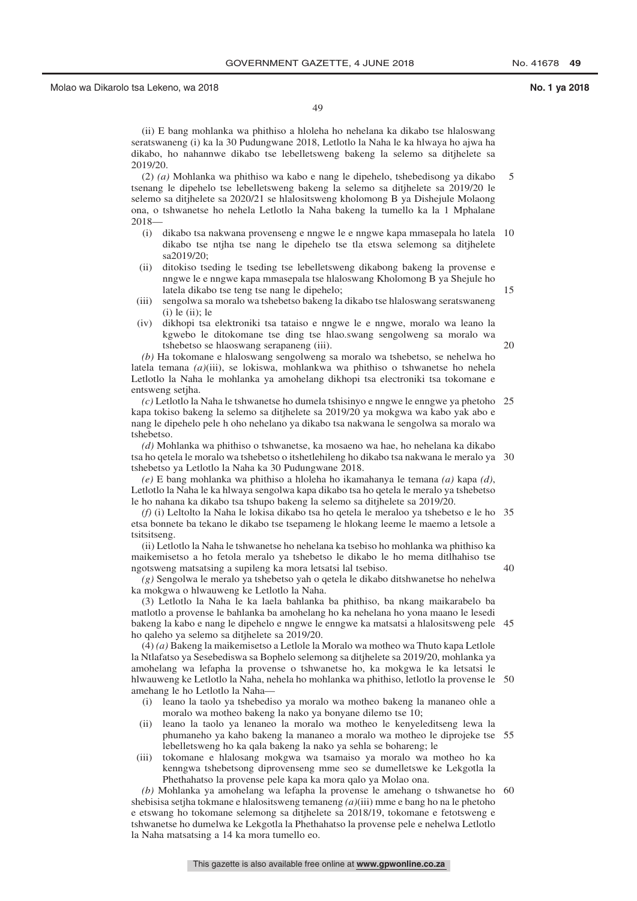49

(ii) E bang mohlanka wa phithiso a hloleha ho nehelana ka dikabo tse hlaloswang seratswaneng (i) ka la 30 Pudungwane 2018, Letlotlo la Naha le ka hlwaya ho ajwa ha dikabo, ho nahannwe dikabo tse lebelletsweng bakeng la selemo sa ditjhelete sa 2019/20.

(2) *(a)* Mohlanka wa phithiso wa kabo e nang le dipehelo, tshebedisong ya dikabo tsenang le dipehelo tse lebelletsweng bakeng la selemo sa ditjhelete sa 2019/20 le selemo sa ditjhelete sa 2020/21 se hlalositsweng kholomong B ya Dishejule Molaong ona, o tshwanetse ho nehela Letlotlo la Naha bakeng la tumello ka la 1 Mphalane 2018— 5

- (i) dikabo tsa nakwana provenseng e nngwe le e nngwe kapa mmasepala ho latela 10 dikabo tse ntjha tse nang le dipehelo tse tla etswa selemong sa ditjhelete  $sa2019/20$ ;
- (ii) ditokiso tseding le tseding tse lebelletsweng dikabong bakeng la provense e nngwe le e nngwe kapa mmasepala tse hlaloswang Kholomong B ya Shejule ho latela dikabo tse teng tse nang le dipehelo;
- (iii) sengolwa sa moralo wa tshebetso bakeng la dikabo tse hlaloswang seratswaneng  $(i)$  le  $(ii)$ ; le
- (iv) dikhopi tsa elektroniki tsa tataiso e nngwe le e nngwe, moralo wa leano la kgwebo le ditokomane tse ding tse hlao.swang sengolweng sa moralo wa tshebetso se hlaoswang serapaneng (iii).

20

15

*(b)* Ha tokomane e hlaloswang sengolweng sa moralo wa tshebetso, se nehelwa ho latela temana *(a)*(iii), se lokiswa, mohlankwa wa phithiso o tshwanetse ho nehela Letlotlo la Naha le mohlanka ya amohelang dikhopi tsa electroniki tsa tokomane e entsweng setjha.

*(c)* Letlotlo la Naha le tshwanetse ho dumela tshisinyo e nngwe le enngwe ya phetoho 25 kapa tokiso bakeng la selemo sa ditjhelete sa 2019/20 ya mokgwa wa kabo yak abo e nang le dipehelo pele h oho nehelano ya dikabo tsa nakwana le sengolwa sa moralo wa tshebetso.

*(d)* Mohlanka wa phithiso o tshwanetse, ka mosaeno wa hae, ho nehelana ka dikabo tsa ho qetela le moralo wa tshebetso o itshetlehileng ho dikabo tsa nakwana le meralo ya 30 tshebetso ya Letlotlo la Naha ka 30 Pudungwane 2018.

*(e)* E bang mohlanka wa phithiso a hloleha ho ikamahanya le temana *(a)* kapa *(d)*, Letlotlo la Naha le ka hlwaya sengolwa kapa dikabo tsa ho qetela le meralo ya tshebetso le ho nahana ka dikabo tsa tshupo bakeng la selemo sa ditjhelete sa 2019/20.

*(f)* (i) Leltolto la Naha le lokisa dikabo tsa ho qetela le meraloo ya tshebetso e le ho 35 etsa bonnete ba tekano le dikabo tse tsepameng le hlokang leeme le maemo a letsole a tsitsitseng.

(ii) Letlotlo la Naha le tshwanetse ho nehelana ka tsebiso ho mohlanka wa phithiso ka maikemisetso a ho fetola meralo ya tshebetso le dikabo le ho mema ditlhahiso tse ngotsweng matsatsing a supileng ka mora letsatsi lal tsebiso.

40

*(g)* Sengolwa le meralo ya tshebetso yah o qetela le dikabo ditshwanetse ho nehelwa ka mokgwa o hlwauweng ke Letlotlo la Naha.

(3) Letlotlo la Naha le ka laela bahlanka ba phithiso, ba nkang maikarabelo ba matlotlo a provense le bahlanka ba amohelang ho ka nehelana ho yona maano le lesedi bakeng la kabo e nang le dipehelo e nngwe le enngwe ka matsatsi a hlalositsweng pele 45 ho qaleho ya selemo sa ditjhelete sa 2019/20.

(4) *(a)* Bakeng la maikemisetso a Letlole la Moralo wa motheo wa Thuto kapa Letlole la Ntlafatso ya Sesebediswa sa Bophelo selemong sa ditjhelete sa 2019/20, mohlanka ya amohelang wa lefapha la provense o tshwanetse ho, ka mokgwa le ka letsatsi le hlwauweng ke Letlotlo la Naha, nehela ho mohlanka wa phithiso, letlotlo la provense le 50 amehang le ho Letlotlo la Naha—

- (i) leano la taolo ya tshebediso ya moralo wa motheo bakeng la mananeo ohle a moralo wa motheo bakeng la nako ya bonyane dilemo tse 10;
- (ii) leano la taolo ya lenaneo la moralo wa motheo le kenyeleditseng lewa la phumaneho ya kaho bakeng la mananeo a moralo wa motheo le diprojeke tse 55 lebelletsweng ho ka qala bakeng la nako ya sehla se bohareng; le
- (iii) tokomane e hlalosang mokgwa wa tsamaiso ya moralo wa motheo ho ka kenngwa tshebetsong diprovenseng mme seo se dumelletswe ke Lekgotla la Phethahatso la provense pele kapa ka mora qalo ya Molao ona.

*(b)* Mohlanka ya amohelang wa lefapha la provense le amehang o tshwanetse ho 60shebisisa setjha tokmane e hlalositsweng temaneng *(a)*(iii) mme e bang ho na le phetoho e etswang ho tokomane selemong sa ditjhelete sa 2018/19, tokomane e fetotsweng e tshwanetse ho dumelwa ke Lekgotla la Phethahatso la provense pele e nehelwa Letlotlo la Naha matsatsing a 14 ka mora tumello eo.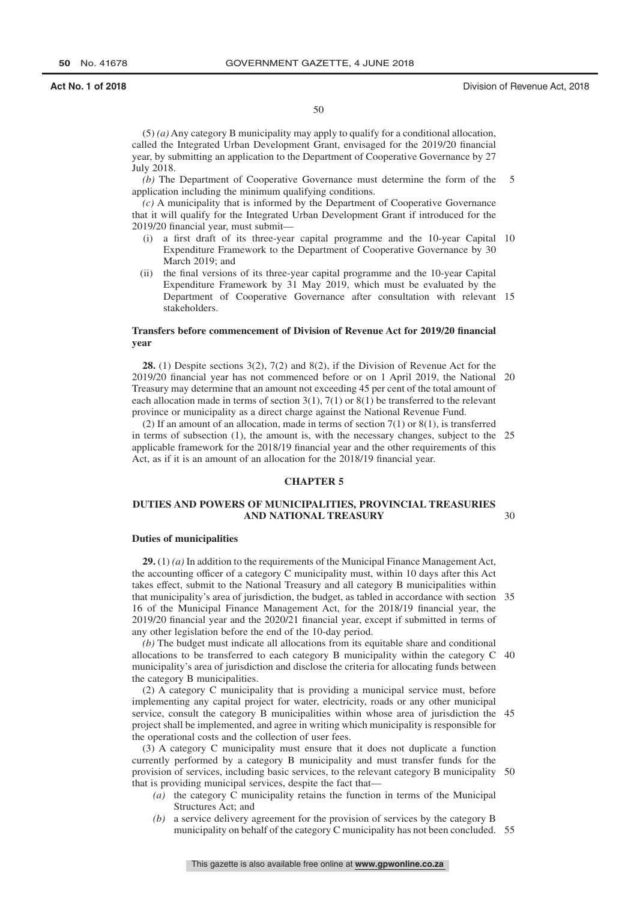## **Act No. 1 of 2018** Division of Revenue Act, 2018

30

50

(5) *(a)* Any category B municipality may apply to qualify for a conditional allocation, called the Integrated Urban Development Grant, envisaged for the 2019/20 financial year, by submitting an application to the Department of Cooperative Governance by 27 July 2018.

*(b)* The Department of Cooperative Governance must determine the form of the application including the minimum qualifying conditions. 5

*(c)* A municipality that is informed by the Department of Cooperative Governance that it will qualify for the Integrated Urban Development Grant if introduced for the 2019/20 financial year, must submit—

- (i) a first draft of its three-year capital programme and the 10-year Capital 10 Expenditure Framework to the Department of Cooperative Governance by 30 March 2019; and
- (ii) the final versions of its three-year capital programme and the 10-year Capital Expenditure Framework by 31 May 2019, which must be evaluated by the Department of Cooperative Governance after consultation with relevant 15 stakeholders.

## **Transfers before commencement of Division of Revenue Act for 2019/20 financial year**

**28.** (1) Despite sections 3(2), 7(2) and 8(2), if the Division of Revenue Act for the 2019/20 financial year has not commenced before or on 1 April 2019, the National 20 Treasury may determine that an amount not exceeding 45 per cent of the total amount of each allocation made in terms of section  $3(1)$ ,  $7(1)$  or  $8(1)$  be transferred to the relevant province or municipality as a direct charge against the National Revenue Fund.

(2) If an amount of an allocation, made in terms of section  $7(1)$  or  $8(1)$ , is transferred in terms of subsection (1), the amount is, with the necessary changes, subject to the 25 applicable framework for the 2018/19 financial year and the other requirements of this Act, as if it is an amount of an allocation for the 2018/19 financial year.

### **CHAPTER 5**

## **DUTIES AND POWERS OF MUNICIPALITIES, PROVINCIAL TREASURIES AND NATIONAL TREASURY**

### **Duties of municipalities**

**29.** (1) *(a)* In addition to the requirements of the Municipal Finance Management Act, the accounting officer of a category C municipality must, within 10 days after this Act takes effect, submit to the National Treasury and all category B municipalities within that municipality's area of jurisdiction, the budget, as tabled in accordance with section 35 16 of the Municipal Finance Management Act, for the 2018/19 financial year, the 2019/20 financial year and the 2020/21 financial year, except if submitted in terms of any other legislation before the end of the 10-day period.

*(b)* The budget must indicate all allocations from its equitable share and conditional allocations to be transferred to each category B municipality within the category C 40 municipality's area of jurisdiction and disclose the criteria for allocating funds between the category B municipalities.

(2) A category C municipality that is providing a municipal service must, before implementing any capital project for water, electricity, roads or any other municipal service, consult the category B municipalities within whose area of jurisdiction the 45 project shall be implemented, and agree in writing which municipality is responsible for the operational costs and the collection of user fees.

(3) A category C municipality must ensure that it does not duplicate a function currently performed by a category B municipality and must transfer funds for the provision of services, including basic services, to the relevant category B municipality 50 that is providing municipal services, despite the fact that—

- *(a)* the category C municipality retains the function in terms of the Municipal Structures Act; and
- *(b)* a service delivery agreement for the provision of services by the category B municipality on behalf of the category C municipality has not been concluded. 55

This gazette is also available free online at **www.gpwonline.co.za**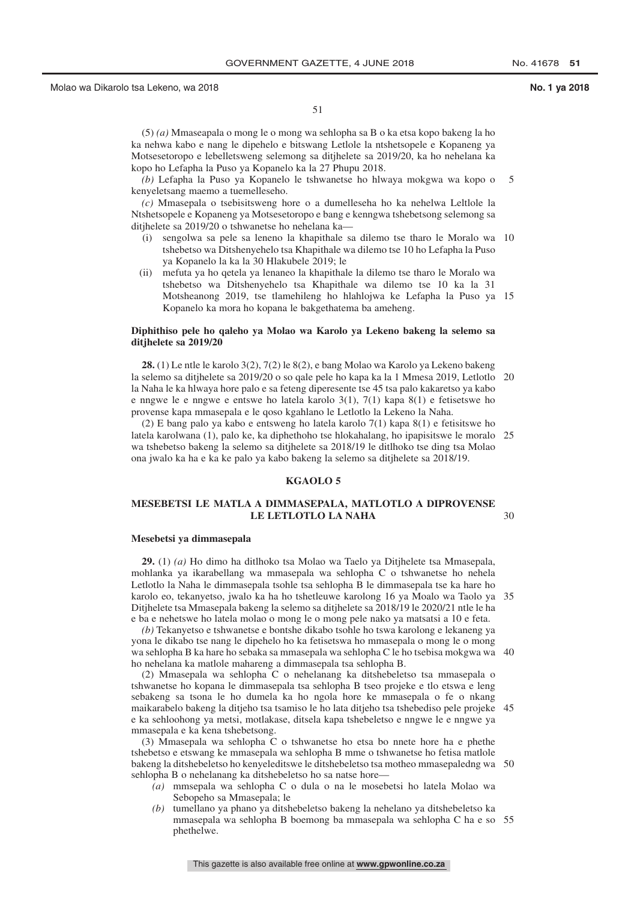(5) *(a)* Mmaseapala o mong le o mong wa sehlopha sa B o ka etsa kopo bakeng la ho ka nehwa kabo e nang le dipehelo e bitswang Letlole la ntshetsopele e Kopaneng ya Motsesetoropo e lebelletsweng selemong sa ditjhelete sa 2019/20, ka ho nehelana ka kopo ho Lefapha la Puso ya Kopanelo ka la 27 Phupu 2018.

*(b)* Lefapha la Puso ya Kopanelo le tshwanetse ho hlwaya mokgwa wa kopo o kenyeletsang maemo a tuemelleseho. 5

*(c)* Mmasepala o tsebisitsweng hore o a dumelleseha ho ka nehelwa Leltlole la Ntshetsopele e Kopaneng ya Motsesetoropo e bang e kenngwa tshebetsong selemong sa ditjhelete sa 2019/20 o tshwanetse ho nehelana ka—

- (i) sengolwa sa pele sa leneno la khapithale sa dilemo tse tharo le Moralo wa 10 tshebetso wa Ditshenyehelo tsa Khapithale wa dilemo tse 10 ho Lefapha la Puso ya Kopanelo la ka la 30 Hlakubele 2019; le
- (ii) mefuta ya ho qetela ya lenaneo la khapithale la dilemo tse tharo le Moralo wa tshebetso wa Ditshenyehelo tsa Khapithale wa dilemo tse 10 ka la 31 Motsheanong 2019, tse tlamehileng ho hlahlojwa ke Lefapha la Puso ya 15 Kopanelo ka mora ho kopana le bakgethatema ba ameheng.

## **Diphithiso pele ho qaleho ya Molao wa Karolo ya Lekeno bakeng la selemo sa ditjhelete sa 2019/20**

**28.** (1) Le ntle le karolo 3(2), 7(2) le 8(2), e bang Molao wa Karolo ya Lekeno bakeng la selemo sa ditjhelete sa 2019/20 o so qale pele ho kapa ka la 1 Mmesa 2019, Letlotlo 20 la Naha le ka hlwaya hore palo e sa feteng diperesente tse 45 tsa palo kakaretso ya kabo e nngwe le e nngwe e entswe ho latela karolo 3(1), 7(1) kapa 8(1) e fetisetswe ho provense kapa mmasepala e le qoso kgahlano le Letlotlo la Lekeno la Naha.

(2) E bang palo ya kabo e entsweng ho latela karolo 7(1) kapa 8(1) e fetisitswe ho latela karolwana (1), palo ke, ka diphethoho tse hlokahalang, ho ipapisitswe le moralo 25 wa tshebetso bakeng la selemo sa ditjhelete sa 2018/19 le ditlhoko tse ding tsa Molao ona jwalo ka ha e ka ke palo ya kabo bakeng la selemo sa ditjhelete sa 2018/19.

## **KGAOLO 5**

### **MESEBETSI LE MATLA A DIMMASEPALA, MATLOTLO A DIPROVENSE LE LETLOTLO LA NAHA** 30

### **Mesebetsi ya dimmasepala**

**29.** (1) *(a)* Ho dimo ha ditlhoko tsa Molao wa Taelo ya Ditjhelete tsa Mmasepala, mohlanka ya ikarabellang wa mmasepala wa sehlopha C o tshwanetse ho nehela Letlotlo la Naha le dimmasepala tsohle tsa sehlopha B le dimmasepala tse ka hare ho karolo eo, tekanyetso, jwalo ka ha ho tshetleuwe karolong 16 ya Moalo wa Taolo ya 35 Ditjhelete tsa Mmasepala bakeng la selemo sa ditjhelete sa 2018/19 le 2020/21 ntle le ha e ba e nehetswe ho latela molao o mong le o mong pele nako ya matsatsi a 10 e feta.

*(b)* Tekanyetso e tshwanetse e bontshe dikabo tsohle ho tswa karolong e lekaneng ya yona le dikabo tse nang le dipehelo ho ka fetisetswa ho mmasepala o mong le o mong wa sehlopha B ka hare ho sebaka sa mmasepala wa sehlopha C le ho tsebisa mokgwa wa 40 ho nehelana ka matlole mahareng a dimmasepala tsa sehlopha B.

(2) Mmasepala wa sehlopha C o nehelanang ka ditshebeletso tsa mmasepala o tshwanetse ho kopana le dimmasepala tsa sehlopha B tseo projeke e tlo etswa e leng sebakeng sa tsona le ho dumela ka ho ngola hore ke mmasepala o fe o nkang maikarabelo bakeng la ditjeho tsa tsamiso le ho lata ditjeho tsa tshebediso pele projeke 45 e ka sehloohong ya metsi, motlakase, ditsela kapa tshebeletso e nngwe le e nngwe ya mmasepala e ka kena tshebetsong.

(3) Mmasepala wa sehlopha C o tshwanetse ho etsa bo nnete hore ha e phethe tshebetso e etswang ke mmasepala wa sehlopha B mme o tshwanetse ho fetisa matlole bakeng la ditshebeletso ho kenyeleditswe le ditshebeletso tsa motheo mmasepaledng wa 50 sehlopha B o nehelanang ka ditshebeletso ho sa natse hore—

- *(a)* mmsepala wa sehlopha C o dula o na le mosebetsi ho latela Molao wa Sebopeho sa Mmasepala; le
- *(b)* tumellano ya phano ya ditshebeletso bakeng la nehelano ya ditshebeletso ka mmasepala wa sehlopha B boemong ba mmasepala wa sehlopha C ha e so 55phethelwe.

This gazette is also available free online at **www.gpwonline.co.za**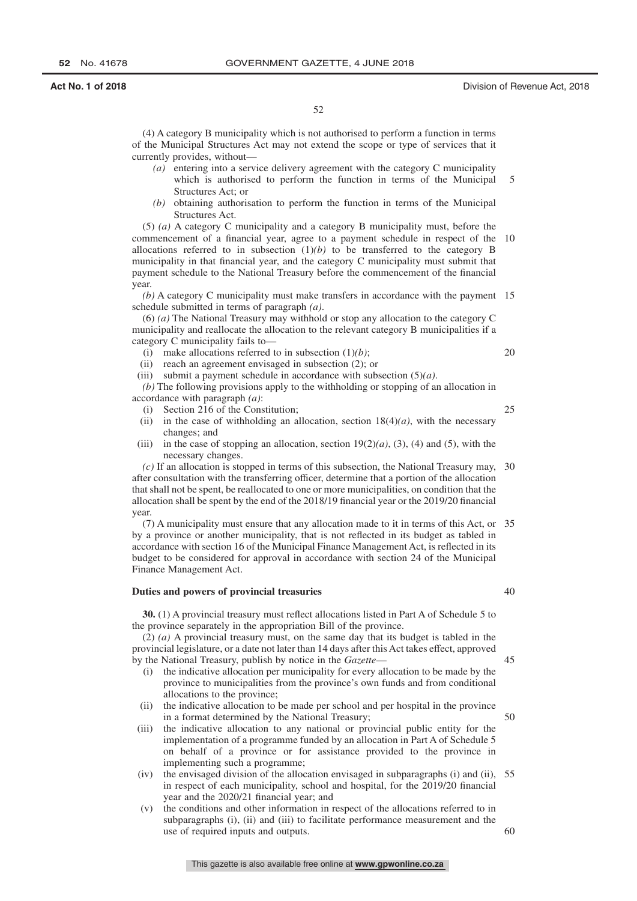(4) A category B municipality which is not authorised to perform a function in terms of the Municipal Structures Act may not extend the scope or type of services that it currently provides, without—

- *(a)* entering into a service delivery agreement with the category C municipality which is authorised to perform the function in terms of the Municipal Structures Act; or 5
- *(b)* obtaining authorisation to perform the function in terms of the Municipal Structures Act.

(5) *(a)* A category C municipality and a category B municipality must, before the commencement of a financial year, agree to a payment schedule in respect of the 10 allocations referred to in subsection  $(1)(b)$  to be transferred to the category B municipality in that financial year, and the category C municipality must submit that payment schedule to the National Treasury before the commencement of the financial year.

*(b)* A category C municipality must make transfers in accordance with the payment 15 schedule submitted in terms of paragraph *(a)*.

(6) *(a)* The National Treasury may withhold or stop any allocation to the category C municipality and reallocate the allocation to the relevant category B municipalities if a category C municipality fails to—

(i) make allocations referred to in subsection (1)*(b)*;

(ii) reach an agreement envisaged in subsection (2); or

(iii) submit a payment schedule in accordance with subsection (5)*(a)*.

*(b)* The following provisions apply to the withholding or stopping of an allocation in accordance with paragraph *(a)*:

- (i) Section 216 of the Constitution;
- (ii) in the case of withholding an allocation, section  $18(4)(a)$ , with the necessary changes; and
- (iii) in the case of stopping an allocation, section  $19(2)(a)$ , (3), (4) and (5), with the necessary changes.

*(c)* If an allocation is stopped in terms of this subsection, the National Treasury may, after consultation with the transferring officer, determine that a portion of the allocation that shall not be spent, be reallocated to one or more municipalities, on condition that the allocation shall be spent by the end of the 2018/19 financial year or the 2019/20 financial year. 30

(7) A municipality must ensure that any allocation made to it in terms of this Act, or 35 by a province or another municipality, that is not reflected in its budget as tabled in accordance with section 16 of the Municipal Finance Management Act, is reflected in its budget to be considered for approval in accordance with section 24 of the Municipal Finance Management Act.

## **Duties and powers of provincial treasuries**

**30.** (1) A provincial treasury must reflect allocations listed in Part A of Schedule 5 to the province separately in the appropriation Bill of the province.

(2) *(a)* A provincial treasury must, on the same day that its budget is tabled in the provincial legislature, or a date not later than 14 days after this Act takes effect, approved by the National Treasury, publish by notice in the *Gazette*— 45

- (i) the indicative allocation per municipality for every allocation to be made by the province to municipalities from the province's own funds and from conditional allocations to the province;
- (ii) the indicative allocation to be made per school and per hospital in the province in a format determined by the National Treasury;
- (iii) the indicative allocation to any national or provincial public entity for the implementation of a programme funded by an allocation in Part A of Schedule 5 on behalf of a province or for assistance provided to the province in implementing such a programme;
- (iv) the envisaged division of the allocation envisaged in subparagraphs (i) and (ii), in respect of each municipality, school and hospital, for the 2019/20 financial year and the 2020/21 financial year; and 55
- (v) the conditions and other information in respect of the allocations referred to in subparagraphs (i), (ii) and (iii) to facilitate performance measurement and the use of required inputs and outputs. 60

40

50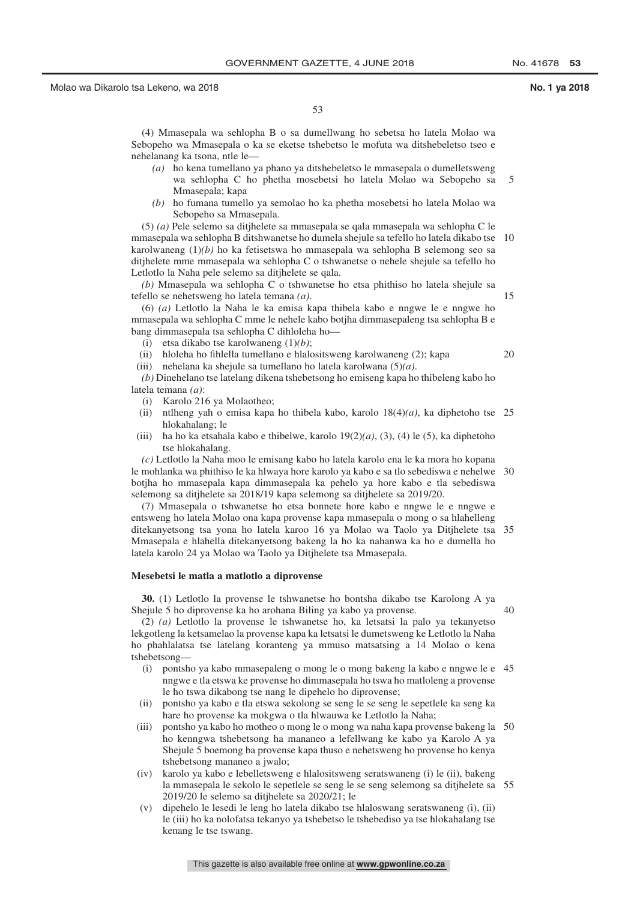53

(4) Mmasepala wa sehlopha B o sa dumellwang ho sebetsa ho latela Molao wa Sebopeho wa Mmasepala o ka se eketse tshebetso le mofuta wa ditshebeletso tseo e nehelanang ka tsona, ntle le—

- *(a)* ho kena tumellano ya phano ya ditshebeletso le mmasepala o dumelletsweng wa sehlopha C ho phetha mosebetsi ho latela Molao wa Sebopeho sa Mmasepala; kapa 5
- *(b)* ho fumana tumello ya semolao ho ka phetha mosebetsi ho latela Molao wa Sebopeho sa Mmasepala.

(5) *(a)* Pele selemo sa ditjhelete sa mmasepala se qala mmasepala wa sehlopha C le mmasepala wa sehlopha B ditshwanetse ho dumela shejule sa tefello ho latela dikabo tse 10 karolwaneng (1)*(b)* ho ka fetisetswa ho mmasepala wa sehlopha B selemong seo sa ditjhelete mme mmasepala wa sehlopha C o tshwanetse o nehele shejule sa tefello ho Letlotlo la Naha pele selemo sa ditjhelete se qala.

*(b)* Mmasepala wa sehlopha C o tshwanetse ho etsa phithiso ho latela shejule sa tefello se nehetsweng ho latela temana *(a)*.

(6) *(a)* Letlotlo la Naha le ka emisa kapa thibela kabo e nngwe le e nngwe ho mmasepala wa sehlopha C mme le nehele kabo botjha dimmasepaleng tsa sehlopha B e bang dimmasepala tsa sehlopha C dihloleha ho—

(i) etsa dikabo tse karolwaneng (1)*(b)*;

(ii) hloleha ho fihlella tumellano e hlalositsweng karolwaneng (2); kapa

(iii) nehelana ka shejule sa tumellano ho latela karolwana (5)*(a)*.

*(b)* Dinehelano tse latelang dikena tshebetsong ho emiseng kapa ho thibeleng kabo ho latela temana *(a)*:

- (i) Karolo 216 ya Molaotheo;
- (ii) ntlheng yah o emisa kapa ho thibela kabo, karolo 18(4)*(a)*, ka diphetoho tse 25 hlokahalang; le
- (iii) ha ho ka etsahala kabo e thibelwe, karolo 19(2)*(a)*, (3), (4) le (5), ka diphetoho tse hlokahalang.

*(c)* Letlotlo la Naha moo le emisang kabo ho latela karolo ena le ka mora ho kopana le mohlanka wa phithiso le ka hlwaya hore karolo ya kabo e sa tlo sebediswa e nehelwe 30 botjha ho mmasepala kapa dimmasepala ka pehelo ya hore kabo e tla sebediswa selemong sa ditjhelete sa 2018/19 kapa selemong sa ditjhelete sa 2019/20.

(7) Mmasepala o tshwanetse ho etsa bonnete hore kabo e nngwe le e nngwe e entsweng ho latela Molao ona kapa provense kapa mmasepala o mong o sa hlahelleng ditekanyetsong tsa yona ho latela karoo 16 ya Molao wa Taolo ya Ditjhelete tsa 35 Mmasepala e hlahella ditekanyetsong bakeng la ho ka nahanwa ka ho e dumella ho latela karolo 24 ya Molao wa Taolo ya Ditjhelete tsa Mmasepala.

### **Mesebetsi le matla a matlotlo a diprovense**

**30.** (1) Letlotlo la provense le tshwanetse ho bontsha dikabo tse Karolong A ya Shejule 5 ho diprovense ka ho arohana Biling ya kabo ya provense.

40

15

20

(2) *(a)* Letlotlo la provense le tshwanetse ho, ka letsatsi la palo ya tekanyetso lekgotleng la ketsamelao la provense kapa ka letsatsi le dumetsweng ke Letlotlo la Naha ho phahlalatsa tse latelang koranteng ya mmuso matsatsing a 14 Molao o kena tshebetsong—

- (i) pontsho ya kabo mmasepaleng o mong le o mong bakeng la kabo e nngwe le e 45 nngwe e tla etswa ke provense ho dimmasepala ho tswa ho matloleng a provense le ho tswa dikabong tse nang le dipehelo ho diprovense;
- (ii) pontsho ya kabo e tla etswa sekolong se seng le se seng le sepetlele ka seng ka hare ho provense ka mokgwa o tla hlwauwa ke Letlotlo la Naha;
- (iii) pontsho ya kabo ho motheo o mong le o mong wa naha kapa provense bakeng la 50 ho kenngwa tshebetsong ha mananeo a lefellwang ke kabo ya Karolo A ya Shejule 5 boemong ba provense kapa thuso e nehetsweng ho provense ho kenya tshebetsong mananeo a jwalo;
- (iv) karolo ya kabo e lebelletsweng e hlalositsweng seratswaneng (i) le (ii), bakeng la mmasepala le sekolo le sepetlele se seng le se seng selemong sa ditjhelete sa 552019/20 le selemo sa ditjhelete sa 2020/21; le
- (v) dipehelo le lesedi le leng ho latela dikabo tse hlaloswang seratswaneng (i), (ii) le (iii) ho ka nolofatsa tekanyo ya tshebetso le tshebediso ya tse hlokahalang tse kenang le tse tswang.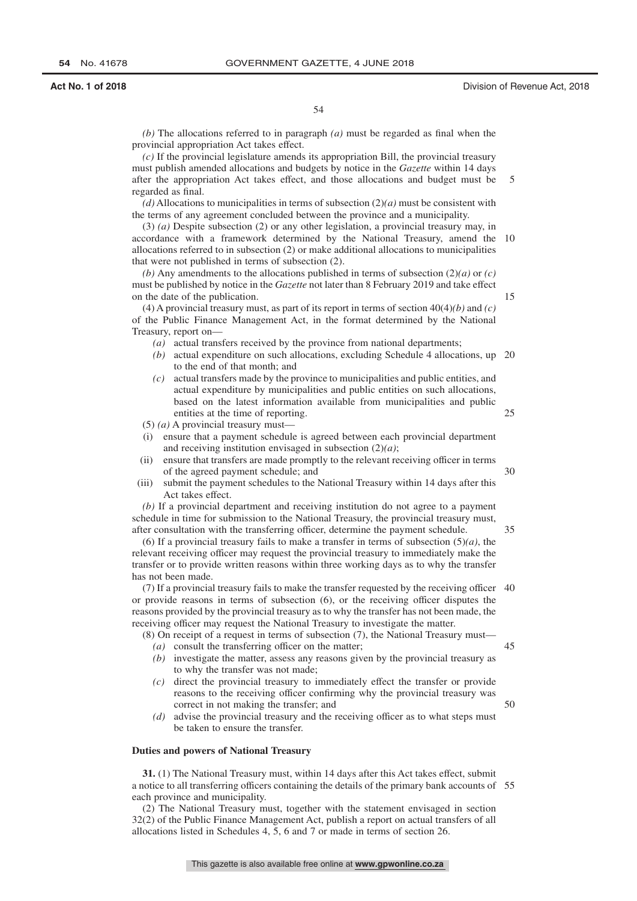35

45

50

54

*(b)* The allocations referred to in paragraph *(a)* must be regarded as final when the provincial appropriation Act takes effect.

*(c)* If the provincial legislature amends its appropriation Bill, the provincial treasury must publish amended allocations and budgets by notice in the *Gazette* within 14 days after the appropriation Act takes effect, and those allocations and budget must be regarded as final. 5

*(d)* Allocations to municipalities in terms of subsection (2)*(a)* must be consistent with the terms of any agreement concluded between the province and a municipality.

(3) *(a)* Despite subsection (2) or any other legislation, a provincial treasury may, in accordance with a framework determined by the National Treasury, amend the 10 allocations referred to in subsection (2) or make additional allocations to municipalities that were not published in terms of subsection (2).

*(b)* Any amendments to the allocations published in terms of subsection (2)*(a)* or *(c)* must be published by notice in the *Gazette* not later than 8 February 2019 and take effect on the date of the publication.

(4) A provincial treasury must, as part of its report in terms of section 40(4)*(b)* and *(c)* of the Public Finance Management Act, in the format determined by the National Treasury, report on—

- *(a)* actual transfers received by the province from national departments;
- *(b)* actual expenditure on such allocations, excluding Schedule 4 allocations, up 20 to the end of that month; and
- *(c)* actual transfers made by the province to municipalities and public entities, and actual expenditure by municipalities and public entities on such allocations, based on the latest information available from municipalities and public entities at the time of reporting. 25

(5) *(a)* A provincial treasury must—

- (i) ensure that a payment schedule is agreed between each provincial department and receiving institution envisaged in subsection (2)*(a)*;
- (ii) ensure that transfers are made promptly to the relevant receiving officer in terms of the agreed payment schedule; and 30
- (iii) submit the payment schedules to the National Treasury within 14 days after this Act takes effect.

*(b)* If a provincial department and receiving institution do not agree to a payment schedule in time for submission to the National Treasury, the provincial treasury must, after consultation with the transferring officer, determine the payment schedule.

(6) If a provincial treasury fails to make a transfer in terms of subsection  $(5)(a)$ , the relevant receiving officer may request the provincial treasury to immediately make the transfer or to provide written reasons within three working days as to why the transfer has not been made.

(7) If a provincial treasury fails to make the transfer requested by the receiving officer 40 or provide reasons in terms of subsection (6), or the receiving officer disputes the reasons provided by the provincial treasury as to why the transfer has not been made, the receiving officer may request the National Treasury to investigate the matter.

- (8) On receipt of a request in terms of subsection (7), the National Treasury must—
	- *(a)* consult the transferring officer on the matter;
	- *(b)* investigate the matter, assess any reasons given by the provincial treasury as to why the transfer was not made;
	- *(c)* direct the provincial treasury to immediately effect the transfer or provide reasons to the receiving officer confirming why the provincial treasury was correct in not making the transfer; and
	- *(d)* advise the provincial treasury and the receiving officer as to what steps must be taken to ensure the transfer.

### **Duties and powers of National Treasury**

**31.** (1) The National Treasury must, within 14 days after this Act takes effect, submit a notice to all transferring officers containing the details of the primary bank accounts of 55each province and municipality.

(2) The National Treasury must, together with the statement envisaged in section 32(2) of the Public Finance Management Act, publish a report on actual transfers of all allocations listed in Schedules 4, 5, 6 and 7 or made in terms of section 26.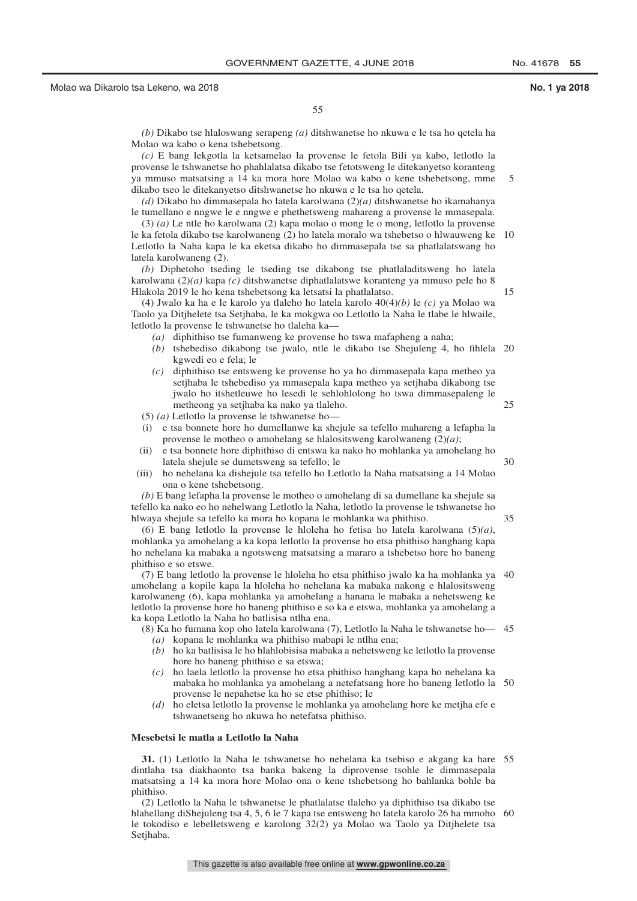15

25

30

35

55

*(b)* Dikabo tse hlaloswang serapeng *(a)* ditshwanetse ho nkuwa e le tsa ho qetela ha Molao wa kabo o kena tshebetsong.

*(c)* E bang lekgotla la ketsamelao la provense le fetola Bili ya kabo, letlotlo la provense le tshwanetse ho phahlalatsa dikabo tse fetotsweng le ditekanyetso koranteng ya mmuso matsatsing a 14 ka mora hore Molao wa kabo o kene tshebetsong, mme dikabo tseo le ditekanyetso ditshwanetse ho nkuwa e le tsa ho qetela. 5

*(d)* Dikabo ho dimmasepala ho latela karolwana (2)*(a)* ditshwanetse ho ikamahanya le tumellano e nngwe le e nngwe e phethetsweng mahareng a provense le mmasepala.

(3) *(a)* Le ntle ho karolwana (2) kapa molao o mong le o mong, letlotlo la provense le ka fetola dikabo tse karolwaneng (2) ho latela moralo wa tshebetso o hlwauweng ke 10 Letlotlo la Naha kapa le ka eketsa dikabo ho dimmasepala tse sa phatlalatswang ho latela karolwaneng (2).

*(b)* Diphetoho tseding le tseding tse dikabong tse phatlaladitsweng ho latela karolwana (2)*(a)* kapa *(c)* ditshwanetse diphatlalatswe koranteng ya mmuso pele ho 8 Hlakola 2019 le ho kena tshebetsong ka letsatsi la phatlalatso.

(4) Jwalo ka ha e le karolo ya tlaleho ho latela karolo 40(4)*(b)* le *(c)* ya Molao wa Taolo ya Ditjhelete tsa Setjhaba, le ka mokgwa oo Letlotlo la Naha le tlabe le hlwaile, letlotlo la provense le tshwanetse ho tlaleha ka—

- *(a)* diphithiso tse fumanweng ke provense ho tswa mafapheng a naha;
- *(b)* tshebediso dikabong tse jwalo, ntle le dikabo tse Shejuleng 4, ho fihlela 20 kgwedi eo e fela; le
- *(c)* diphithiso tse entsweng ke provense ho ya ho dimmasepala kapa metheo ya setjhaba le tshebediso ya mmasepala kapa metheo ya setjhaba dikabong tse jwalo ho itshetleuwe ho lesedi le sehlohlolong ho tswa dimmasepaleng le metheong ya setjhaba ka nako ya tlaleho.

(5) *(a)* Letlotlo la provense le tshwanetse ho—

- (i) e tsa bonnete hore ho dumellanwe ka shejule sa tefello mahareng a lefapha la provense le motheo o amohelang se hlalositsweng karolwaneng (2)*(a)*;
- (ii) e tsa bonnete hore diphithiso di entswa ka nako ho mohlanka ya amohelang ho latela shejule se dumetsweng sa tefello; le
- (iii) ho nehelana ka dishejule tsa tefello ho Letlotlo la Naha matsatsing a 14 Molao ona o kene tshebetsong.

*(b)* E bang lefapha la provense le motheo o amohelang di sa dumellane ka shejule sa tefello ka nako eo ho nehelwang Letlotlo la Naha, letlotlo la provense le tshwanetse ho hlwaya shejule sa tefello ka mora ho kopana le mohlanka wa phithiso.

(6) E bang letlotlo la provense le hloleha ho fetisa ho latela karolwana (5)*(a)*, mohlanka ya amohelang a ka kopa letlotlo la provense ho etsa phithiso hanghang kapa ho nehelana ka mabaka a ngotsweng matsatsing a mararo a tshebetso hore ho baneng phithiso e so etswe.

(7) E bang letlotlo la provense le hloleha ho etsa phithiso jwalo ka ha mohlanka ya 40 amohelang a kopile kapa la hloleha ho nehelana ka mabaka nakong e hlalositsweng karolwaneng (6), kapa mohlanka ya amohelang a hanana le mabaka a nehetsweng ke letlotlo la provense hore ho baneng phithiso e so ka e etswa, mohlanka ya amohelang a ka kopa Letlotlo la Naha ho batlisisa ntlha ena.

- (8) Ka ho fumana kop oho latela karolwana (7), Letlotlo la Naha le tshwanetse ho— 45
	- *(a)* kopana le mohlanka wa phithiso mabapi le ntlha ena;
	- *(b)* ho ka batlisisa le ho hlahlobisisa mabaka a nehetsweng ke letlotlo la provense hore ho baneng phithiso e sa etswa;
	- *(c)* ho laela letlotlo la provense ho etsa phithiso hanghang kapa ho nehelana ka mabaka ho mohlanka ya amohelang a netefatsang hore ho baneng letlotlo la 50 provense le nepahetse ka ho se etse phithiso; le
	- *(d)* ho eletsa letlotlo la provense le mohlanka ya amohelang hore ke metjha efe e tshwanetseng ho nkuwa ho netefatsa phithiso.

### **Mesebetsi le matla a Letlotlo la Naha**

**31.** (1) Letlotlo la Naha le tshwanetse ho nehelana ka tsebiso e akgang ka hare 55 dintlaha tsa diakhaonto tsa banka bakeng la diprovense tsohle le dimmasepala matsatsing a 14 ka mora hore Molao ona o kene tshebetsong ho bahlanka bohle ba phithiso.

(2) Letlotlo la Naha le tshwanetse le phatlalatse tlaleho ya diphithiso tsa dikabo tse hlahellang diShejuleng tsa 4, 5, 6 le 7 kapa tse entsweng ho latela karolo 26 ha mmoho 60le tokodiso e lebelletsweng e karolong 32(2) ya Molao wa Taolo ya Ditjhelete tsa Setjhaba.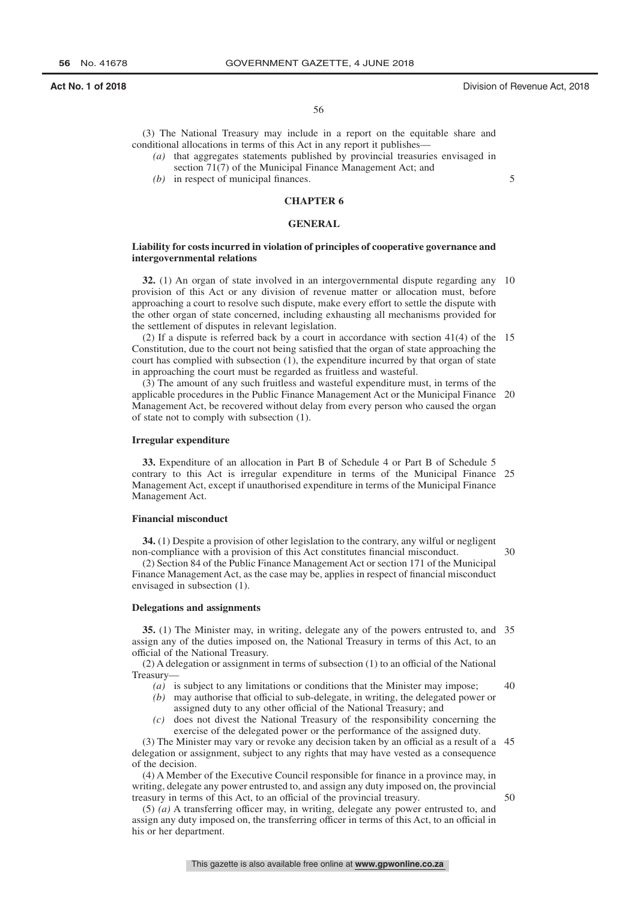56

(3) The National Treasury may include in a report on the equitable share and conditional allocations in terms of this Act in any report it publishes—

- *(a)* that aggregates statements published by provincial treasuries envisaged in section 71(7) of the Municipal Finance Management Act; and
- *(b)* in respect of municipal finances.

## **CHAPTER 6**

## **GENERAL**

## **Liability for costs incurred in violation of principles of cooperative governance and intergovernmental relations**

**32.** (1) An organ of state involved in an intergovernmental dispute regarding any 10 provision of this Act or any division of revenue matter or allocation must, before approaching a court to resolve such dispute, make every effort to settle the dispute with the other organ of state concerned, including exhausting all mechanisms provided for the settlement of disputes in relevant legislation.

(2) If a dispute is referred back by a court in accordance with section 41(4) of the 15 Constitution, due to the court not being satisfied that the organ of state approaching the court has complied with subsection (1), the expenditure incurred by that organ of state in approaching the court must be regarded as fruitless and wasteful.

(3) The amount of any such fruitless and wasteful expenditure must, in terms of the applicable procedures in the Public Finance Management Act or the Municipal Finance 20 Management Act, be recovered without delay from every person who caused the organ of state not to comply with subsection (1).

## **Irregular expenditure**

**33.** Expenditure of an allocation in Part B of Schedule 4 or Part B of Schedule 5 contrary to this Act is irregular expenditure in terms of the Municipal Finance 25 Management Act, except if unauthorised expenditure in terms of the Municipal Finance Management Act.

## **Financial misconduct**

**34.** (1) Despite a provision of other legislation to the contrary, any wilful or negligent non-compliance with a provision of this Act constitutes financial misconduct.

30

 $50$ 

(2) Section 84 of the Public Finance Management Act or section 171 of the Municipal Finance Management Act, as the case may be, applies in respect of financial misconduct envisaged in subsection (1).

### **Delegations and assignments**

**35.** (1) The Minister may, in writing, delegate any of the powers entrusted to, and 35 assign any of the duties imposed on, the National Treasury in terms of this Act, to an official of the National Treasury.

(2) A delegation or assignment in terms of subsection (1) to an official of the National Treasury—

- *(a)* is subject to any limitations or conditions that the Minister may impose; 40
- *(b)* may authorise that official to sub-delegate, in writing, the delegated power or assigned duty to any other official of the National Treasury; and
- *(c)* does not divest the National Treasury of the responsibility concerning the exercise of the delegated power or the performance of the assigned duty.

(3) The Minister may vary or revoke any decision taken by an official as a result of a 45 delegation or assignment, subject to any rights that may have vested as a consequence of the decision.

(4) A Member of the Executive Council responsible for finance in a province may, in writing, delegate any power entrusted to, and assign any duty imposed on, the provincial treasury in terms of this Act, to an official of the provincial treasury.

(5) *(a)* A transferring officer may, in writing, delegate any power entrusted to, and assign any duty imposed on, the transferring officer in terms of this Act, to an official in his or her department.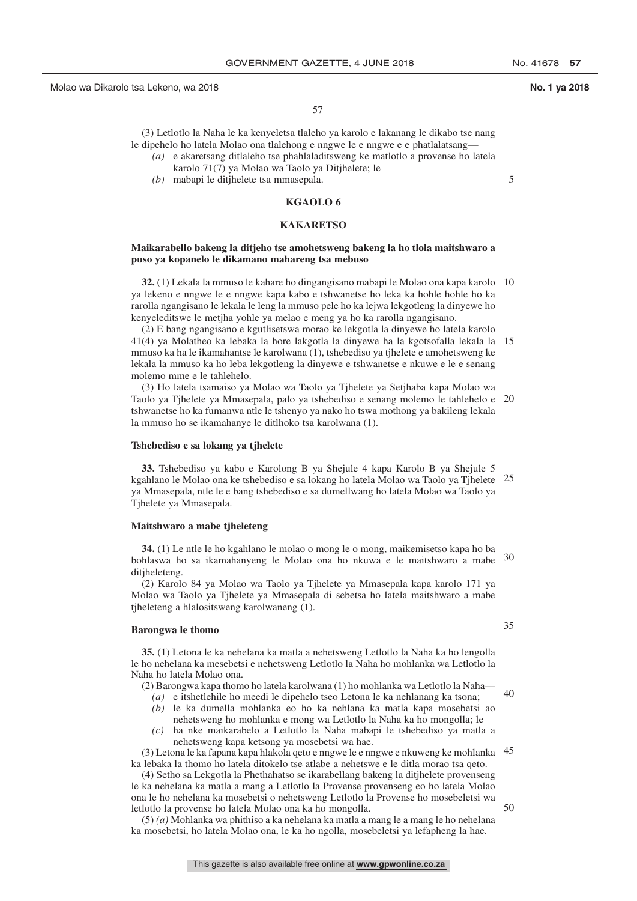5

57

(3) Letlotlo la Naha le ka kenyeletsa tlaleho ya karolo e lakanang le dikabo tse nang le dipehelo ho latela Molao ona tlalehong e nngwe le e nngwe e e phatlalatsang—

- *(a)* e akaretsang ditlaleho tse phahlaladitsweng ke matlotlo a provense ho latela karolo 71(7) ya Molao wa Taolo ya Ditjhelete; le
- *(b)* mabapi le ditjhelete tsa mmasepala.

## **KGAOLO 6**

## **KAKARETSO**

## **Maikarabello bakeng la ditjeho tse amohetsweng bakeng la ho tlola maitshwaro a puso ya kopanelo le dikamano mahareng tsa mebuso**

**32.** (1) Lekala la mmuso le kahare ho dingangisano mabapi le Molao ona kapa karolo 10 ya lekeno e nngwe le e nngwe kapa kabo e tshwanetse ho leka ka hohle hohle ho ka rarolla ngangisano le lekala le leng la mmuso pele ho ka lejwa lekgotleng la dinyewe ho kenyeleditswe le metjha yohle ya melao e meng ya ho ka rarolla ngangisano.

(2) E bang ngangisano e kgutlisetswa morao ke lekgotla la dinyewe ho latela karolo 41(4) ya Molatheo ka lebaka la hore lakgotla la dinyewe ha la kgotsofalla lekala la 15 mmuso ka ha le ikamahantse le karolwana (1), tshebediso ya tjhelete e amohetsweng ke lekala la mmuso ka ho leba lekgotleng la dinyewe e tshwanetse e nkuwe e le e senang molemo mme e le tahlehelo.

(3) Ho latela tsamaiso ya Molao wa Taolo ya Tjhelete ya Setjhaba kapa Molao wa Taolo ya Tjhelete ya Mmasepala, palo ya tshebediso e senang molemo le tahlehelo e 20 tshwanetse ho ka fumanwa ntle le tshenyo ya nako ho tswa mothong ya bakileng lekala la mmuso ho se ikamahanye le ditlhoko tsa karolwana (1).

### **Tshebediso e sa lokang ya tjhelete**

**33.** Tshebediso ya kabo e Karolong B ya Shejule 4 kapa Karolo B ya Shejule 5 kgahlano le Molao ona ke tshebediso e sa lokang ho latela Molao wa Taolo ya Tjhelete 25 ya Mmasepala, ntle le e bang tshebediso e sa dumellwang ho latela Molao wa Taolo ya Tjhelete ya Mmasepala.

## **Maitshwaro a mabe tjheleteng**

**34.** (1) Le ntle le ho kgahlano le molao o mong le o mong, maikemisetso kapa ho ba bohlaswa ho sa ikamahanyeng le Molao ona ho nkuwa e le maitshwaro a mabe 30 ditiheleteng.

(2) Karolo 84 ya Molao wa Taolo ya Tjhelete ya Mmasepala kapa karolo 171 ya Molao wa Taolo ya Tjhelete ya Mmasepala di sebetsa ho latela maitshwaro a mabe tjheleteng a hlalositsweng karolwaneng (1).

### **Barongwa le thomo**

**35.** (1) Letona le ka nehelana ka matla a nehetsweng Letlotlo la Naha ka ho lengolla le ho nehelana ka mesebetsi e nehetsweng Letlotlo la Naha ho mohlanka wa Letlotlo la Naha ho latela Molao ona.

- (2) Barongwa kapa thomo ho latela karolwana (1) ho mohlanka wa Letlotlo la Naha—
- *(a)* e itshetlehile ho meedi le dipehelo tseo Letona le ka nehlanang ka tsona; 40
- *(b)* le ka dumella mohlanka eo ho ka nehlana ka matla kapa mosebetsi ao nehetsweng ho mohlanka e mong wa Letlotlo la Naha ka ho mongolla; le
- *(c)* ha nke maikarabelo a Letlotlo la Naha mabapi le tshebediso ya matla a nehetsweng kapa ketsong ya mosebetsi wa hae.

(3) Letona le ka fapana kapa hlakola qeto e nngwe le e nngwe e nkuweng ke mohlanka 45 ka lebaka la thomo ho latela ditokelo tse atlabe a nehetswe e le ditla morao tsa qeto.

(4) Setho sa Lekgotla la Phethahatso se ikarabellang bakeng la ditjhelete provenseng le ka nehelana ka matla a mang a Letlotlo la Provense provenseng eo ho latela Molao ona le ho nehelana ka mosebetsi o nehetsweng Letlotlo la Provense ho mosebeletsi wa letlotlo la provense ho latela Molao ona ka ho mongolla.

(5) *(a)* Mohlanka wa phithiso a ka nehelana ka matla a mang le a mang le ho nehelana ka mosebetsi, ho latela Molao ona, le ka ho ngolla, mosebeletsi ya lefapheng la hae.

35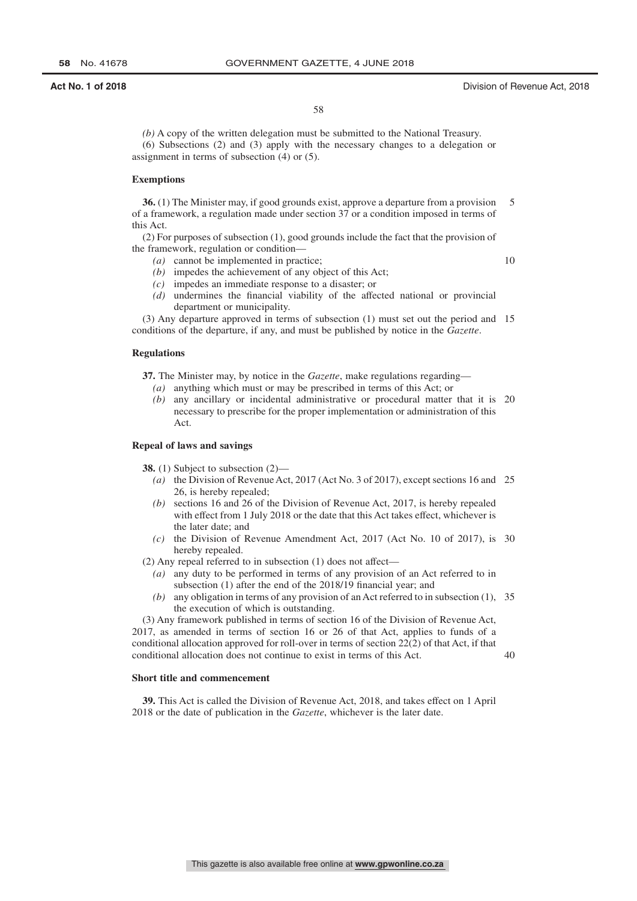## **Act No. 1 of 2018** Division of Revenue Act, 2018

10

58

*(b)* A copy of the written delegation must be submitted to the National Treasury. (6) Subsections (2) and (3) apply with the necessary changes to a delegation or assignment in terms of subsection (4) or (5).

## **Exemptions**

**36.** (1) The Minister may, if good grounds exist, approve a departure from a provision of a framework, a regulation made under section 37 or a condition imposed in terms of this Act. 5

(2) For purposes of subsection (1), good grounds include the fact that the provision of the framework, regulation or condition—

- *(a)* cannot be implemented in practice;
- *(b)* impedes the achievement of any object of this Act;
- *(c)* impedes an immediate response to a disaster; or
- *(d)* undermines the financial viability of the affected national or provincial department or municipality.

(3) Any departure approved in terms of subsection (1) must set out the period and 15 conditions of the departure, if any, and must be published by notice in the *Gazette*.

### **Regulations**

**37.** The Minister may, by notice in the *Gazette*, make regulations regarding— *(a)* anything which must or may be prescribed in terms of this Act; or

- 
- *(b)* any ancillary or incidental administrative or procedural matter that it is 20 necessary to prescribe for the proper implementation or administration of this Act.

### **Repeal of laws and savings**

**38.** (1) Subject to subsection (2)—

- *(a)* the Division of Revenue Act, 2017 (Act No. 3 of 2017), except sections 16 and 25 26, is hereby repealed;
- *(b)* sections 16 and 26 of the Division of Revenue Act, 2017, is hereby repealed with effect from 1 July 2018 or the date that this Act takes effect, whichever is the later date; and
- *(c)* the Division of Revenue Amendment Act, 2017 (Act No. 10 of 2017), is 30 hereby repealed.

(2) Any repeal referred to in subsection (1) does not affect—

- *(a)* any duty to be performed in terms of any provision of an Act referred to in subsection (1) after the end of the 2018/19 financial year; and
- *(b)* any obligation in terms of any provision of an Act referred to in subsection (1), 35 the execution of which is outstanding.

(3) Any framework published in terms of section 16 of the Division of Revenue Act, 2017, as amended in terms of section 16 or 26 of that Act, applies to funds of a conditional allocation approved for roll-over in terms of section 22(2) of that Act, if that conditional allocation does not continue to exist in terms of this Act. 40

## **Short title and commencement**

**39.** This Act is called the Division of Revenue Act, 2018, and takes effect on 1 April 2018 or the date of publication in the *Gazette*, whichever is the later date.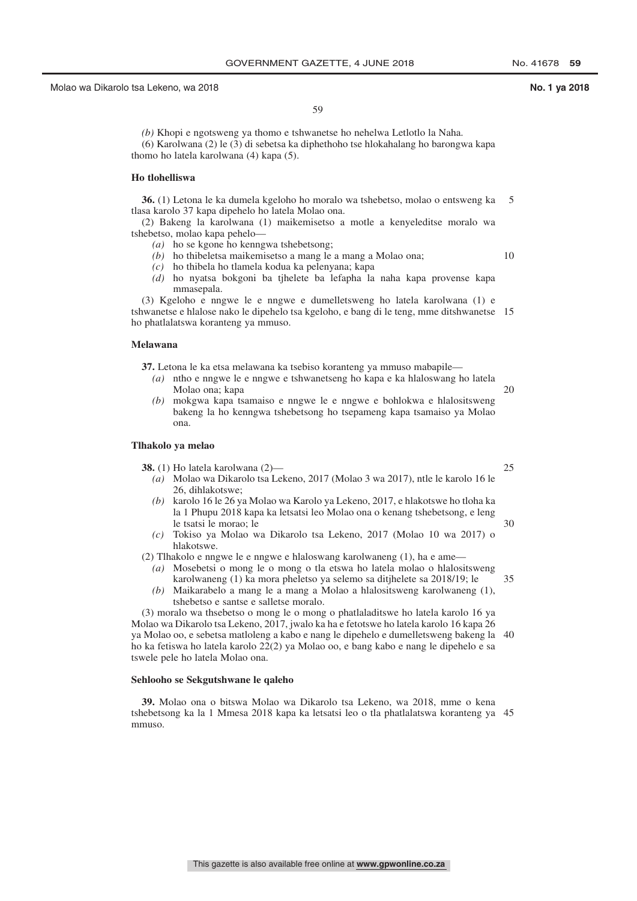59

*(b)* Khopi e ngotsweng ya thomo e tshwanetse ho nehelwa Letlotlo la Naha. (6) Karolwana (2) le (3) di sebetsa ka diphethoho tse hlokahalang ho barongwa kapa thomo ho latela karolwana (4) kapa (5).

## **Ho tlohelliswa**

**36.** (1) Letona le ka dumela kgeloho ho moralo wa tshebetso, molao o entsweng ka tlasa karolo 37 kapa dipehelo ho latela Molao ona. 5

(2) Bakeng la karolwana (1) maikemisetso a motle a kenyeleditse moralo wa tshebetso, molao kapa pehelo—

- *(a)* ho se kgone ho kenngwa tshebetsong; *(b)* ho thibeletsa maikemisetso a mang le a mang a Molao ona;
- 10

- *(c)* ho thibela ho tlamela kodua ka pelenyana; kapa
- *(d)* ho nyatsa bokgoni ba tjhelete ba lefapha la naha kapa provense kapa mmasepala.

(3) Kgeloho e nngwe le e nngwe e dumelletsweng ho latela karolwana (1) e

tshwanetse e hlalose nako le dipehelo tsa kgeloho, e bang di le teng, mme ditshwanetse 15 ho phatlalatswa koranteng ya mmuso.

## **Melawana**

**37.** Letona le ka etsa melawana ka tsebiso koranteng ya mmuso mabapile—

- *(a)* ntho e nngwe le e nngwe e tshwanetseng ho kapa e ka hlaloswang ho latela Molao ona; kapa
- *(b)* mokgwa kapa tsamaiso e nngwe le e nngwe e bohlokwa e hlalositsweng bakeng la ho kenngwa tshebetsong ho tsepameng kapa tsamaiso ya Molao ona.

## **Tlhakolo ya melao**

**38.** (1) Ho latela karolwana (2)—

- *(a)* Molao wa Dikarolo tsa Lekeno, 2017 (Molao 3 wa 2017), ntle le karolo 16 le 26, dihlakotswe;
- *(b)* karolo 16 le 26 ya Molao wa Karolo ya Lekeno, 2017, e hlakotswe ho tloha ka la 1 Phupu 2018 kapa ka letsatsi leo Molao ona o kenang tshebetsong, e leng le tsatsi le morao; le 30
- *(c)* Tokiso ya Molao wa Dikarolo tsa Lekeno, 2017 (Molao 10 wa 2017) o hlakotswe.
- (2) Tlhakolo e nngwe le e nngwe e hlaloswang karolwaneng (1), ha e ame—
	- *(a)* Mosebetsi o mong le o mong o tla etswa ho latela molao o hlalositsweng karolwaneng (1) ka mora pheletso ya selemo sa ditjhelete sa 2018/19; le 35
	- *(b)* Maikarabelo a mang le a mang a Molao a hlalositsweng karolwaneng (1), tshebetso e santse e salletse moralo.

(3) moralo wa thsebetso o mong le o mong o phatlaladitswe ho latela karolo 16 ya Molao wa Dikarolo tsa Lekeno, 2017, jwalo ka ha e fetotswe ho latela karolo 16 kapa 26 ya Molao oo, e sebetsa matloleng a kabo e nang le dipehelo e dumelletsweng bakeng la 40 ho ka fetiswa ho latela karolo 22(2) ya Molao oo, e bang kabo e nang le dipehelo e sa tswele pele ho latela Molao ona.

# **Sehlooho se Sekgutshwane le qaleho**

**39.** Molao ona o bitswa Molao wa Dikarolo tsa Lekeno, wa 2018, mme o kena tshebetsong ka la 1 Mmesa 2018 kapa ka letsatsi leo o tla phatlalatswa koranteng ya 45mmuso.

25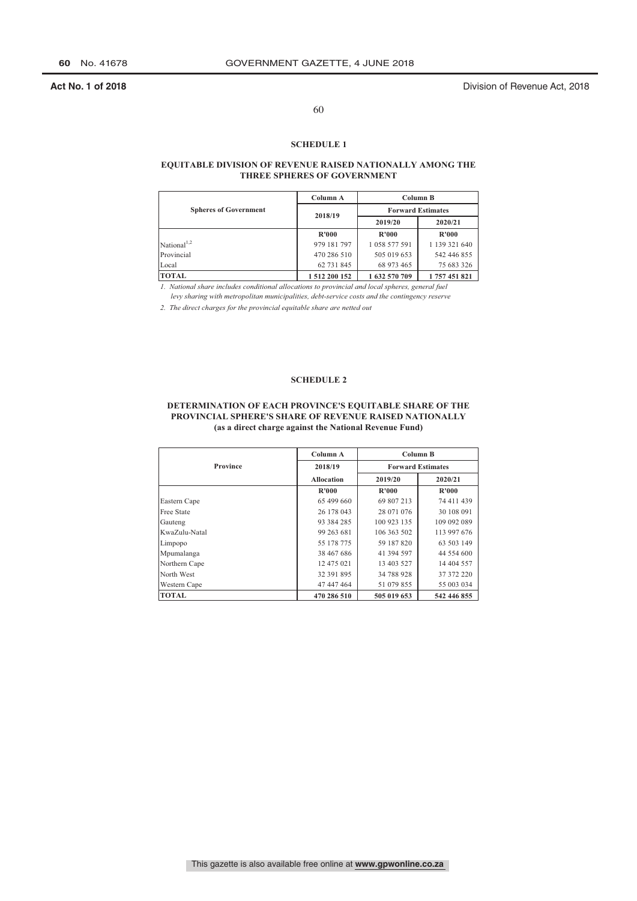**Act No. 1 of 2018** Division of Revenue Act, 2018

# 60

### **SCHEDULE 1**

## **EQUITABLE DIVISION OF REVENUE RAISED NATIONALLY AMONG THE THREE SPHERES OF GOVERNMENT**

|                              | Column A      | Column B                 |               |  |
|------------------------------|---------------|--------------------------|---------------|--|
| <b>Spheres of Government</b> | 2018/19       | <b>Forward Estimates</b> |               |  |
|                              |               | 2019/20                  | 2020/21       |  |
|                              | R'000         | <b>R'000</b>             | R'000         |  |
| National <sup>1,2</sup>      | 979 181 797   | 1 058 577 591            | 1 139 321 640 |  |
| Provincial                   | 470 286 510   | 505 019 653              | 542 446 855   |  |
| Local                        | 62 731 845    | 68 973 465               | 75 683 326    |  |
| <b>TOTAL</b>                 | 1 512 200 152 | 1632 570 709             | 1757451821    |  |

*1. National share includes conditional allocations to provincial and local spheres, general fuel 1. levy sharing with metropolitan municipalities, debt-service costs and the contingency reserve*

*2. The direct charges for the provincial equitable share are netted out*

## **SCHEDULE 2**

## **DETERMINATION OF EACH PROVINCE'S EQUITABLE SHARE OF THE PROVINCIAL SPHERE'S SHARE OF REVENUE RAISED NATIONALLY (as a direct charge against the National Revenue Fund)**

|                   | Column A          | Column B    |                          |  |
|-------------------|-------------------|-------------|--------------------------|--|
| Province          | 2018/19           |             | <b>Forward Estimates</b> |  |
|                   | <b>Allocation</b> | 2019/20     | 2020/21                  |  |
|                   | R'000             | R'000       | R'000                    |  |
| Eastern Cape      | 65 499 660        | 69 807 213  | 74 411 439               |  |
| <b>Free State</b> | 26 178 043        | 28 071 076  | 30 108 091               |  |
| Gauteng           | 93 384 285        | 100 923 135 | 109 092 089              |  |
| KwaZulu-Natal     | 99 263 681        | 106 363 502 | 113 997 676              |  |
| Limpopo           | 55 178 775        | 59 187 820  | 63 503 149               |  |
| Mpumalanga        | 38 467 686        | 41 394 597  | 44 554 600               |  |
| Northern Cape     | 12 475 021        | 13 403 527  | 14 404 557               |  |
| North West        | 32 391 895        | 34 788 928  | 37 372 220               |  |
| Western Cape      | 47 447 464        | 51 079 855  | 55 003 034               |  |
| <b>TOTAL</b>      | 470 286 510       | 505 019 653 | 542 446 855              |  |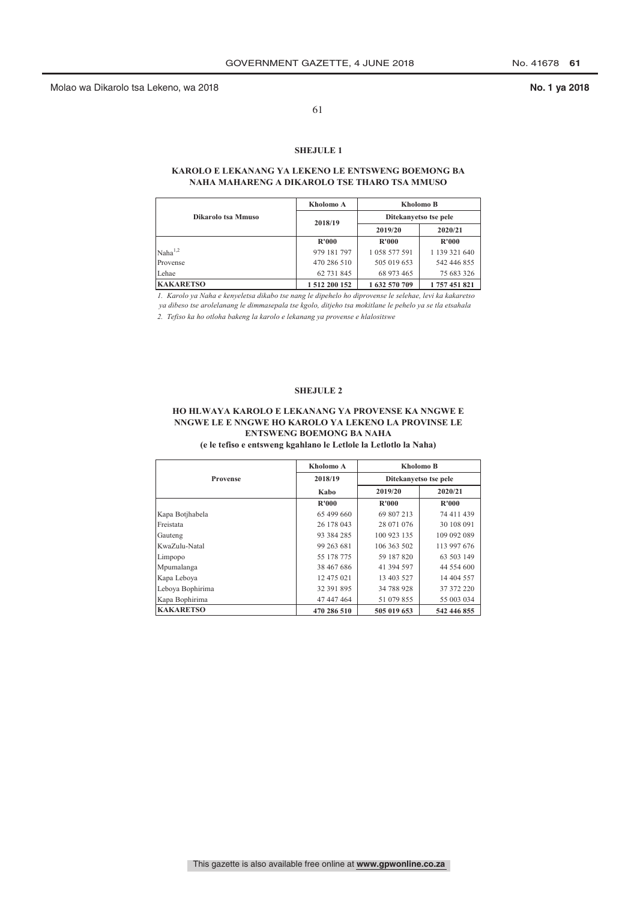61

# **SHEJULE 1**

## **KAROLO E LEKANANG YA LEKENO LE ENTSWENG BOEMONG BA NAHA MAHARENG A DIKAROLO TSE THARO TSA MMUSO**

|                    | Kholomo A     | Kholomo B             |               |  |
|--------------------|---------------|-----------------------|---------------|--|
| Dikarolo tsa Mmuso | 2018/19       | Ditekanyetso tse pele |               |  |
|                    |               | 2019/20               | 2020/21       |  |
|                    | R'000         | <b>R'000</b>          | R'000         |  |
| $Naha^{1,2}$       | 979 181 797   | 1 058 577 591         | 1 139 321 640 |  |
| Provense           | 470 286 510   | 505 019 653           | 542 446 855   |  |
| Lehae              | 62 731 845    | 68 973 465            | 75 683 326    |  |
| <b>KAKARETSO</b>   | 1 512 200 152 | 1 632 570 709         | 1 757 451 821 |  |

*1. Karolo ya Naha e kenyeletsa dikabo tse nang le dipehelo ho diprovense le selehae, levi ka kakaretso*

 *ya dibeso tse arolelanang le dimmasepala tse kgolo, ditjeho tsa mokitlane le pehelo ya se tla etsahala*

*2. Tefiso ka ho otloha bakeng la karolo e lekanang ya provense e hlalositswe*

## **SHEJULE 2**

# **HO HLWAYA KAROLO E LEKANANG YA PROVENSE KA NNGWE E NNGWE LE E NNGWE HO KAROLO YA LEKENO LA PROVINSE LE ENTSWENG BOEMONG BA NAHA**

**(e le tefiso e entsweng kgahlano le Letlole la Letlotlo la Naha)**

|                  | Kholomo A   | Kholomo B                  |             |  |
|------------------|-------------|----------------------------|-------------|--|
| Provense         | 2018/19     | Ditekanyetso tse pele      |             |  |
|                  | Kabo        | 2019/20                    | 2020/21     |  |
|                  | R'000       | <b>R'000</b>               | R'000       |  |
| Kapa Botjhabela  | 65 499 660  | 69 807 213                 | 74 411 439  |  |
| Freistata        | 26 178 043  | 28 071 076                 | 30 108 091  |  |
| Gauteng          | 93 384 285  | 100 923 135                | 109 092 089 |  |
| KwaZulu-Natal    | 99 263 681  | 106 363 502                | 113 997 676 |  |
| Limpopo          | 55 178 775  | 59 187 820                 | 63 503 149  |  |
| Mpumalanga       | 38 467 686  | 41 394 597                 | 44 554 600  |  |
| Kapa Leboya      | 12 475 021  | 13 403 527                 | 14 404 557  |  |
| Lebova Bophirima | 32 391 895  | 34 788 928                 | 37 372 220  |  |
| Kapa Bophirima   | 47 447 464  | 51 079 855                 | 55 003 034  |  |
| <b>KAKARETSO</b> | 470 286 510 | 505 019 653<br>542 446 855 |             |  |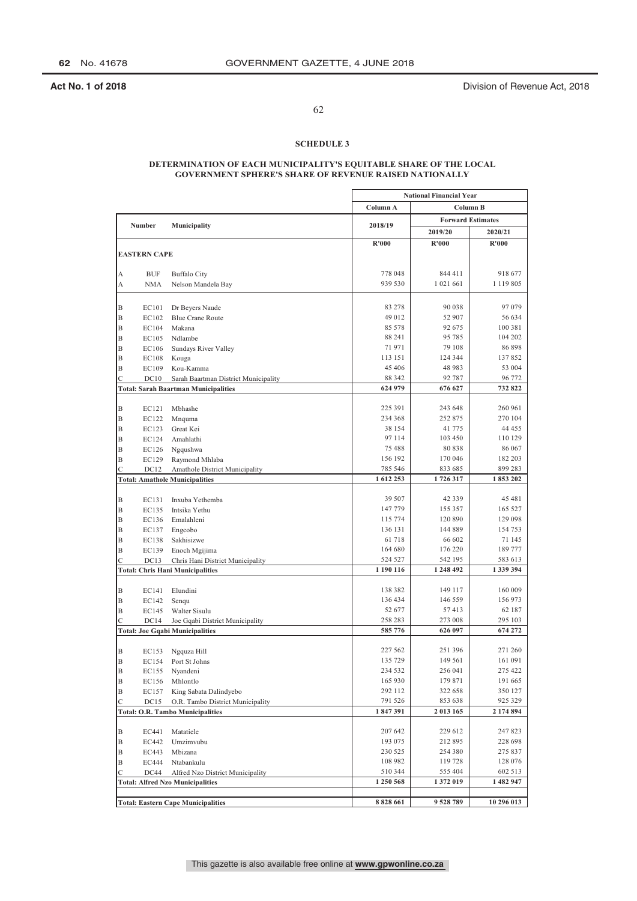**Act No. 1 of 2018 Act No. 1 of 2018 Division of Revenue Act, 2018** 

# 62

## **SCHEDULE 3**

## **DETERMINATION OF EACH MUNICIPALITY'S EQUITABLE SHARE OF THE LOCAL GOVERNMENT SPHERE'S SHARE OF REVENUE RAISED NATIONALLY**

|               |                     |                                                                           | <b>National Financial Year</b> |           |                          |  |
|---------------|---------------------|---------------------------------------------------------------------------|--------------------------------|-----------|--------------------------|--|
|               |                     |                                                                           | Column A                       |           | Column B                 |  |
|               |                     |                                                                           |                                |           | <b>Forward Estimates</b> |  |
|               | Number              | Municipality                                                              | 2018/19                        | 2019/20   | 2020/21                  |  |
|               |                     |                                                                           | R'000                          | R'000     | R'000                    |  |
|               | <b>EASTERN CAPE</b> |                                                                           |                                |           |                          |  |
|               |                     |                                                                           |                                |           |                          |  |
| А             | <b>BUF</b>          | <b>Buffalo City</b>                                                       | 778 048                        | 844 411   | 918 677                  |  |
| А             | <b>NMA</b>          | Nelson Mandela Bay                                                        | 939 530                        | 1 021 661 | 1 1 1 9 8 0 5            |  |
|               |                     |                                                                           |                                |           |                          |  |
|               | EC101               |                                                                           | 83 278                         | 90 038    | 97079                    |  |
| B<br>B        | EC102               | Dr Beyers Naude<br><b>Blue Crane Route</b>                                | 49 012                         | 52 907    | 56 634                   |  |
| B             | EC104               | Makana                                                                    | 85 578                         | 92 675    | 100 381                  |  |
| B             | EC105               | Ndlambe                                                                   | 88 241                         | 95 785    | 104 202                  |  |
| B             | EC106               | Sundays River Valley                                                      | 71971                          | 79 108    | 86898                    |  |
| B             | EC108               | Kouga                                                                     | 113 151                        | 124 344   | 137852                   |  |
| B             | EC109               | Kou-Kamma                                                                 | 45 40 6                        | 48 9 83   | 53 004                   |  |
| С             | DC10                | Sarah Baartman District Municipality                                      | 88 342                         | 92 787    | 96 772                   |  |
|               |                     | <b>Total: Sarah Baartman Municipalities</b>                               | 624 979                        | 676 627   | 732822                   |  |
|               |                     |                                                                           |                                |           |                          |  |
| B             | EC121               | Mbhashe                                                                   | 225 391                        | 243 648   | 260 961                  |  |
| B             | EC122               | Mnquma                                                                    | 234 368                        | 252 875   | 270 104                  |  |
| B             | EC123               | Great Kei                                                                 | 38 154                         | 41 775    | 44 4 5 5                 |  |
| B             | EC124               | Amahlathi                                                                 | 97 114                         | 103 450   | 110 129                  |  |
| B             | EC126               | Ngqushwa                                                                  | 75 488                         | 80838     | 86 067                   |  |
| B             | EC129               | Raymond Mhlaba                                                            | 156 192                        | 170 046   | 182 203                  |  |
| С             | DC <sub>12</sub>    | Amathole District Municipality                                            | 785 546                        | 833 685   | 899 283                  |  |
|               |                     | <b>Total: Amathole Municipalities</b>                                     | 1612253                        | 1726317   | 1853202                  |  |
|               |                     |                                                                           |                                |           |                          |  |
| B             | EC131               | Inxuba Yethemba                                                           | 39 507                         | 42 3 3 9  | 45 481                   |  |
| B             | EC135               | Intsika Yethu                                                             | 147 779                        | 155 357   | 165 527                  |  |
| B             | EC136               | Emalahleni                                                                | 115 774                        | 120 890   | 129 098                  |  |
| B             | EC137               | Engcobo                                                                   | 136 131                        | 144 889   | 154 753                  |  |
| B             | EC138               | Sakhisizwe                                                                | 61 718                         | 66 602    | 71 145                   |  |
| B             | EC139               | Enoch Mgijima                                                             | 164 680                        | 176 220   | 189 777                  |  |
| $\mathcal{C}$ | DC13                | Chris Hani District Municipality                                          | 524 527                        | 542 195   | 583 613                  |  |
|               |                     | <b>Total: Chris Hani Municipalities</b>                                   | 1 190 116                      | 1 248 492 | 1 339 394                |  |
|               |                     |                                                                           | 138 382                        | 149 117   | 160 009                  |  |
| B             | EC141               | Elundini                                                                  | 136 434                        | 146 559   | 156 973                  |  |
| B<br>B        | EC142               | Senqu                                                                     | 52 677                         | 57413     | 62 187                   |  |
| C             | EC145<br>DC14       | Walter Sisulu                                                             | 258 283                        | 273 008   | 295 103                  |  |
|               |                     | Joe Gqabi District Municipality<br><b>Total: Joe Gqabi Municipalities</b> | 585 776                        | 626 097   | 674 272                  |  |
|               |                     |                                                                           |                                |           |                          |  |
| B             | EC153               | Ngquza Hill                                                               | 227 562                        | 251 396   | 271 260                  |  |
| B             | EC154               | Port St Johns                                                             | 135 729                        | 149 561   | 161 091                  |  |
| B             | EC155               | Nyandeni                                                                  | 234 532                        | 256 041   | 275 422                  |  |
| B             | EC156               | Mhlontlo                                                                  | 165 930                        | 179 871   | 191 665                  |  |
| Β             | EC157               | King Sabata Dalindyebo                                                    | 292 112                        | 322 658   | 350 127                  |  |
| С             | DC15                | O.R. Tambo District Municipality                                          | 791 526                        | 853 638   | 925 329                  |  |
|               |                     | <b>Total: O.R. Tambo Municipalities</b>                                   | 1847391                        | 2 013 165 | 2 174 894                |  |
|               |                     |                                                                           |                                |           |                          |  |
| В             | EC441               | Matatiele                                                                 | 207 642                        | 229 612   | 247 823                  |  |
| B             | EC442               | Umzimvubu                                                                 | 193 075                        | 212 895   | 228 698                  |  |
| B             | EC443               | Mbizana                                                                   | 230 525                        | 254 380   | 275 837                  |  |
| Β             | EC444               | Ntabankulu                                                                | 108 982                        | 119728    | 128 076                  |  |
| C             | DC44                | Alfred Nzo District Municipality                                          | 510 344                        | 555 404   | 602 513                  |  |
|               |                     | <b>Total: Alfred Nzo Municipalities</b>                                   | 1 250 568                      | 1 372 019 | 1 482 947                |  |
|               |                     |                                                                           |                                |           |                          |  |
|               |                     | <b>Total: Eastern Cape Municipalities</b>                                 | 8828661                        | 9528789   | 10 296 013               |  |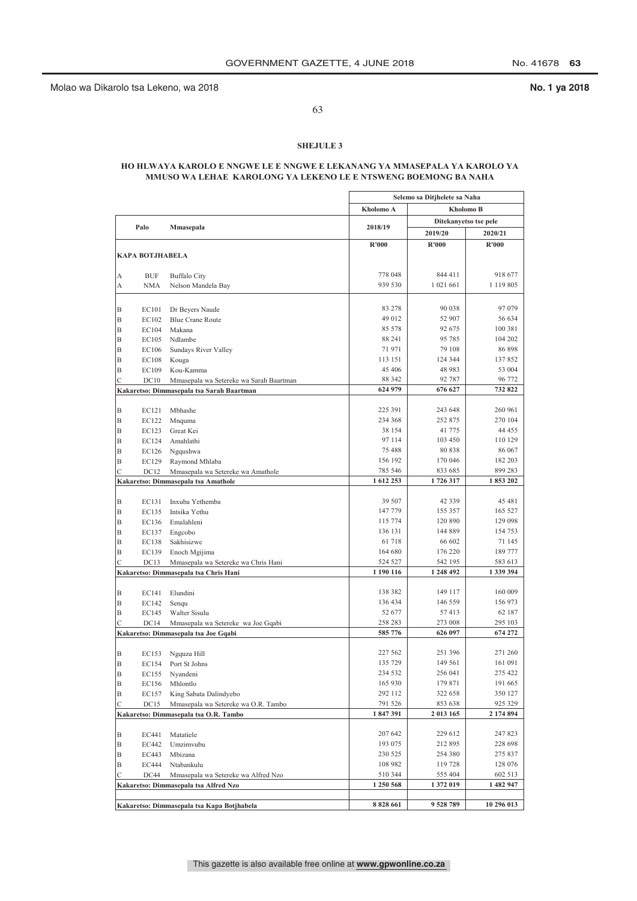63

## **SHEJULE 3**

## **HO HLWAYA KAROLO E NNGWE LE E NNGWE E LEKANANG YA MMASEPALA YA KAROLO YA MMUSO WA LEHAE KAROLONG YA LEKENO LE E NTSWENG BOEMONG BA NAHA**

|        |                           |                                                                          | Selemo sa Ditjhelete sa Naha |                    |                       |
|--------|---------------------------|--------------------------------------------------------------------------|------------------------------|--------------------|-----------------------|
|        |                           |                                                                          | Kholomo A<br>Kholomo B       |                    |                       |
|        |                           |                                                                          |                              |                    | Ditekanyetso tse pele |
|        | Palo                      | Mmasepala                                                                | 2018/19                      | 2019/20            | 2020/21               |
|        |                           |                                                                          | R'000                        | R'000              | <b>R'000</b>          |
|        | <b>KAPA BOTJHABELA</b>    |                                                                          |                              |                    |                       |
|        |                           |                                                                          |                              |                    |                       |
| А      | <b>BUF</b>                | <b>Buffalo City</b>                                                      | 778 048                      | 844 411            | 918 677               |
| А      | <b>NMA</b>                | Nelson Mandela Bay                                                       | 939 530                      | 1 021 661          | 1 1 1 9 8 0 5         |
|        |                           |                                                                          |                              |                    |                       |
| B      | EC101                     | Dr Beyers Naude                                                          | 83 278                       | 90 038             | 97 079                |
| B      | EC102                     | <b>Blue Crane Route</b>                                                  | 49 012                       | 52 907             | 56 634<br>100 381     |
| B<br>B | EC104                     | Makana<br>Ndlambe                                                        | 85 578<br>88 241             | 92 675<br>95 785   | 104 202               |
| B      | EC105<br>EC106            | Sundays River Valley                                                     | 71971                        | 79 108             | 86 898                |
| B      | <b>EC108</b>              | Kouga                                                                    | 113 151                      | 124 344            | 137 852               |
| B      | EC109                     | Kou-Kamma                                                                | 45 406                       | 48 983             | 53 004                |
| C      | DC10                      | Mmasepala wa Setereke wa Sarah Baartman                                  | 88 342                       | 92 787             | 96 772                |
|        |                           | Kakaretso: Dimmasepala tsa Sarah Baartman                                | 624 979                      | 676 627            | 732 822               |
|        |                           |                                                                          |                              |                    |                       |
| B      | EC121                     | Mbhashe                                                                  | 225 391                      | 243 648            | 260 961               |
| B      | EC122                     | Mnquma                                                                   | 234 368                      | 252 875            | 270 104               |
| B      | EC123                     | Great Kei                                                                | 38 154                       | 41 775             | 44 455                |
| B      | EC124                     | Amahlathi                                                                | 97 114                       | 103 450            | 110 129               |
| B      | EC126                     | Ngqushwa                                                                 | 75 488<br>156 192            | 80 838<br>170 046  | 86 067<br>182 203     |
| B<br>Ċ | EC129<br>DC <sub>12</sub> | Raymond Mhlaba                                                           | 785 546                      | 833 685            | 899 283               |
|        |                           | Mmasepala wa Setereke wa Amathole<br>Kakaretso: Dimmasepala tsa Amathole | 1612253                      | 1726317            | 1853202               |
|        |                           |                                                                          |                              |                    |                       |
| B      | EC131                     | Inxuba Yethemba                                                          | 39 507                       | 42 3 3 9           | 45 481                |
| B      | EC135                     | Intsika Yethu                                                            | 147 779                      | 155 357            | 165 527               |
| B      | EC136                     | Emalahleni                                                               | 115 774                      | 120 890            | 129 098               |
| B      | EC137                     | Engcobo                                                                  | 136 131                      | 144 889            | 154 753               |
| B      | EC138                     | Sakhisizwe                                                               | 61718                        | 66 602             | 71 145                |
| B      | EC139                     | Enoch Mgijima                                                            | 164 680                      | 176 220            | 189 777               |
| C      | DC13                      | Mmasepala wa Setereke wa Chris Hani                                      | 524 527                      | 542 195            | 583 613               |
|        |                           | Kakaretso: Dimmasepala tsa Chris Hani                                    | 1 190 116                    | 1 248 492          | 1 339 394             |
| B      | EC141                     | Elundini                                                                 | 138 382                      | 149 117            | 160 009               |
| B      | EC142                     | Senqu                                                                    | 136 434                      | 146 559            | 156 973               |
| B      | EC145                     | Walter Sisulu                                                            | 52 677                       | 57413              | 62 187                |
| C      | DC14                      | Mmasepala wa Setereke wa Joe Gqabi                                       | 258 283                      | 273 008            | 295 103               |
|        |                           | Kakaretso: Dimmasepala tsa Joe Gqabi                                     | 585 776                      | 626 097            | 674 272               |
|        |                           |                                                                          |                              |                    |                       |
| B      | EC153                     | Ngquza Hill                                                              | 227 562                      | 251 396            | 271 260               |
| B      | EC154                     | Port St Johns                                                            | 135 729                      | 149 561            | 161 091               |
| B      | EC155                     | Nyandeni                                                                 | 234 532                      | 256 041            | 275 422               |
| B      | EC156                     | Mhlontlo                                                                 | 165 930                      | 179 871            | 191 665               |
| B<br>С | EC157<br>DC15             | King Sabata Dalindyebo<br>Mmasepala wa Setereke wa O.R. Tambo            | 292 112<br>791 526           | 322 658<br>853 638 | 350 127<br>925 329    |
|        |                           | Kakaretso: Dimmasepala tsa O.R. Tambo                                    | 1847391                      | 2 013 165          | 2 174 894             |
|        |                           |                                                                          |                              |                    |                       |
| B      | EC441                     | Matatiele                                                                | 207 642                      | 229 612            | 247 823               |
| B      | EC442                     | Umzimvubu                                                                | 193 075                      | 212 895            | 228 698               |
| Β      | EC443                     | Mbizana                                                                  | 230 525                      | 254 380            | 275 837               |
| Β      | <b>EC444</b>              | Ntabankulu                                                               | 108 982                      | 119 728            | 128 076               |
| С      | DC44                      | Mmasepala wa Setereke wa Alfred Nzo                                      | 510 344                      | 555 404            | 602 513               |
|        |                           | Kakaretso: Dimmasepala tsa Alfred Nzo                                    | 1 250 568                    | 1 372 019          | 1 482 947             |
|        |                           |                                                                          |                              |                    |                       |
|        |                           | Kakaretso: Dimmasepala tsa Kapa Botjhabela                               | 8828661                      | 9 528 789          | 10 296 013            |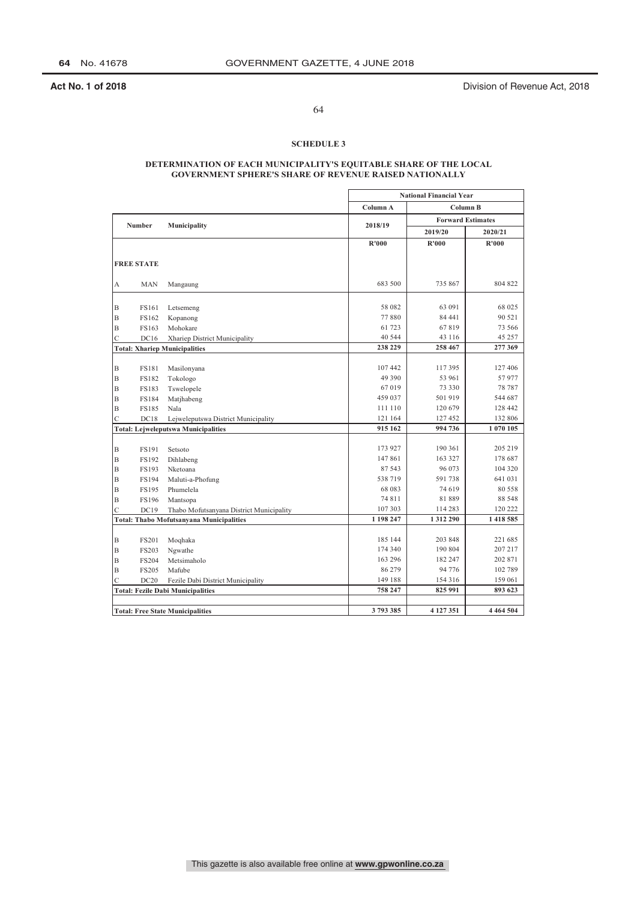**Act No. 1 of 2018 Act No. 1 of 2018 Division of Revenue Act, 2018** 

# 64

## **SCHEDULE 3**

## **DETERMINATION OF EACH MUNICIPALITY'S EQUITABLE SHARE OF THE LOCAL GOVERNMENT SPHERE'S SHARE OF REVENUE RAISED NATIONALLY**

|             |                   |                                                 | <b>National Financial Year</b> |                          |               |
|-------------|-------------------|-------------------------------------------------|--------------------------------|--------------------------|---------------|
|             |                   |                                                 | Column A                       | Column B                 |               |
|             |                   |                                                 |                                | <b>Forward Estimates</b> |               |
|             | Number            | Municipality                                    | 2018/19                        | 2019/20                  | 2020/21       |
|             |                   |                                                 | R'000                          | R'000                    | R'000         |
|             |                   |                                                 |                                |                          |               |
|             | <b>FREE STATE</b> |                                                 |                                |                          |               |
|             | <b>MAN</b>        |                                                 | 683 500                        | 735 867                  | 804 822       |
| А           |                   | Mangaung                                        |                                |                          |               |
| B           | FS161             | Letsemeng                                       | 58 082                         | 63 091                   | 68 025        |
| $\mathbf B$ | FS162             | Kopanong                                        | 77880                          | 84 441                   | 90 521        |
| B           | FS163             | Mohokare                                        | 61 723                         | 67819                    | 73 566        |
| Ċ           | DC16              | Xhariep District Municipality                   | 40 5 44                        | 43 116                   | 45 257        |
|             |                   | <b>Total: Xhariep Municipalities</b>            | 238 229                        | 258 467                  | 277 369       |
|             |                   |                                                 |                                |                          |               |
| B           | <b>FS181</b>      | Masilonyana                                     | 107442                         | 117395                   | 127 406       |
| B           | <b>FS182</b>      | Tokologo                                        | 49 390                         | 53 961                   | 57977         |
| B           | <b>FS183</b>      | Tswelopele                                      | 67019                          | 73 330                   | 78 787        |
| B           | <b>FS184</b>      | Matjhabeng                                      | 459 037                        | 501 919                  | 544 687       |
| B           | <b>FS185</b>      | Nala                                            | 111 110                        | 120 679                  | 128 442       |
| C           | DC18              | Lejweleputswa District Municipality             | 121 164                        | 127452                   | 132 806       |
|             |                   | <b>Total: Lejweleputswa Municipalities</b>      | 915 162                        | 994 736                  | 1 070 105     |
|             |                   |                                                 |                                |                          |               |
| B           | <b>FS191</b>      | Setsoto                                         | 173 927                        | 190 361                  | 205 219       |
| B           | <b>FS192</b>      | Dihlabeng                                       | 147861                         | 163 327                  | 178 687       |
| $\mathbf B$ | FS193             | Nketoana                                        | 87 543                         | 96 073                   | 104 320       |
| B           | <b>FS194</b>      | Maluti-a-Phofung                                | 538719                         | 591738                   | 641 031       |
| B           | <b>FS195</b>      | Phumelela                                       | 68 083                         | 74 619                   | 80 558        |
| $\mathbf B$ | <b>FS196</b>      | Mantsopa                                        | 74 811                         | 81889                    | 88 548        |
| Ċ           | DC19              | Thabo Mofutsanyana District Municipality        | 107 303                        | 114 283                  | 120 222       |
|             |                   | <b>Total: Thabo Mofutsanyana Municipalities</b> | 1 198 247                      | 1312290                  | 1 418 585     |
|             |                   |                                                 |                                |                          |               |
| B           | <b>FS201</b>      | Moqhaka                                         | 185 144                        | 203 848                  | 221 685       |
| B           | <b>FS203</b>      | Ngwathe                                         | 174 340                        | 190 804                  | 207 217       |
| B           | <b>FS204</b>      | Metsimaholo                                     | 163 296                        | 182 247                  | 202 871       |
| B           | <b>FS205</b>      | Mafube                                          | 86 279                         | 94 776                   | 102 789       |
| Ċ           | DC20              | Fezile Dabi District Municipality               | 149 188                        | 154 316                  | 159 061       |
|             |                   | <b>Total: Fezile Dabi Municipalities</b>        | 758 247                        | 825 991                  | 893 623       |
|             |                   |                                                 |                                |                          |               |
|             |                   | <b>Total: Free State Municipalities</b>         | 3793385                        | 4 127 351                | 4 4 6 4 5 0 4 |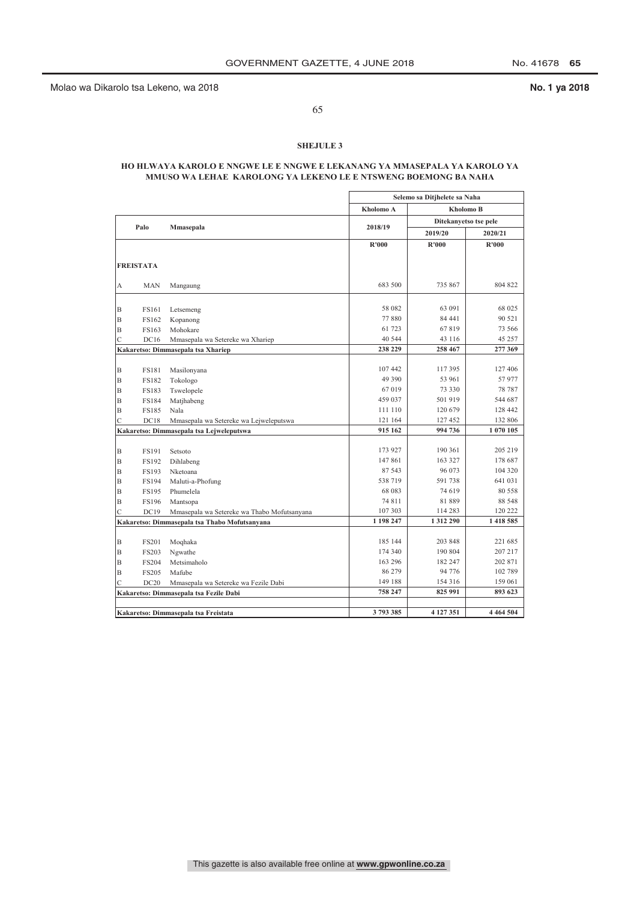65

## **SHEJULE 3**

## **HO HLWAYA KAROLO E NNGWE LE E NNGWE E LEKANANG YA MMASEPALA YA KAROLO YA MMUSO WA LEHAE KAROLONG YA LEKENO LE E NTSWENG BOEMONG BA NAHA**

|   |                  |                                               | Selemo sa Ditjhelete sa Naha |                       |               |
|---|------------------|-----------------------------------------------|------------------------------|-----------------------|---------------|
|   |                  |                                               | Kholomo A                    | <b>Kholomo B</b>      |               |
|   |                  |                                               |                              | Ditekanyetso tse pele |               |
|   | Palo             | Mmasepala                                     | 2018/19                      | 2019/20               | 2020/21       |
|   |                  |                                               | R'000                        | <b>R'000</b>          | R'000         |
|   |                  |                                               |                              |                       |               |
|   | <b>FREISTATA</b> |                                               |                              |                       |               |
|   |                  |                                               |                              |                       |               |
| А | <b>MAN</b>       | Mangaung                                      | 683 500                      | 735 867               | 804 822       |
|   |                  |                                               |                              |                       |               |
| B | FS161            | Letsemeng                                     | 58 082                       | 63 091                | 68 025        |
| B | FS162            | Kopanong                                      | 77880                        | 84 441                | 90 521        |
| B | FS163            | Mohokare                                      | 61 723                       | 67819                 | 73 566        |
| C | DC16             | Mmasepala wa Setereke wa Xhariep              | 40 544                       | 43 116                | 45 257        |
|   |                  | Kakaretso: Dimmasepala tsa Xhariep            | 238 229                      | 258 467               | 277 369       |
|   |                  |                                               |                              |                       |               |
| B | <b>FS181</b>     | Masilonyana                                   | 107 442                      | 117 395               | 127 406       |
| B | <b>FS182</b>     | Tokologo                                      | 49 390                       | 53 961                | 57 977        |
| B | <b>FS183</b>     | Tswelopele                                    | 67019                        | 73 330                | 78 787        |
| B | <b>FS184</b>     | Matjhabeng                                    | 459 037                      | 501 919               | 544 687       |
| B | <b>FS185</b>     | Nala                                          | 111 110                      | 120 679               | 128 442       |
| C | DC18             | Mmasepala wa Setereke wa Lejweleputswa        | 121 164                      | 127 452               | 132 806       |
|   |                  | Kakaretso: Dimmasepala tsa Lejweleputswa      | 915 162                      | 994 736               | 1 070 105     |
|   |                  |                                               |                              |                       |               |
| B | <b>FS191</b>     | Setsoto                                       | 173 927                      | 190 361               | 205 219       |
| B | <b>FS192</b>     | Dihlabeng                                     | 147861                       | 163 327               | 178 687       |
| B | <b>FS193</b>     | Nketoana                                      | 87 543                       | 96 073                | 104 320       |
| B | <b>FS194</b>     | Maluti-a-Phofung                              | 538 719                      | 591 738               | 641 031       |
| B | <b>FS195</b>     | Phumelela                                     | 68 083                       | 74 619                | 80 558        |
| B | <b>FS196</b>     | Mantsopa                                      | 74 811                       | 81 889                | 88 548        |
| C | DC19             | Mmasepala wa Setereke wa Thabo Mofutsanyana   | 107 303                      | 114 283               | 120 222       |
|   |                  | Kakaretso: Dimmasepala tsa Thabo Mofutsanyana | 1 198 247                    | 1 3 1 2 2 9 0         | 1418 585      |
|   |                  |                                               |                              |                       |               |
| B | <b>FS201</b>     | Moqhaka                                       | 185 144                      | 203 848               | 221 685       |
| B | <b>FS203</b>     | Ngwathe                                       | 174 340                      | 190 804               | 207 217       |
| B | <b>FS204</b>     | Metsimaholo                                   | 163 296                      | 182 247               | 202 871       |
| B | <b>FS205</b>     | Mafube                                        | 86 279                       | 94 776                | 102 789       |
| Ċ | DC20             | Mmasepala wa Setereke wa Fezile Dabi          | 149 188                      | 154 316               | 159 061       |
|   |                  | Kakaretso: Dimmasepala tsa Fezile Dabi        | 758 247                      | 825 991               | 893 623       |
|   |                  |                                               |                              |                       |               |
|   |                  | Kakaretso: Dimmasepala tsa Freistata          | 3793385                      | 4 127 351             | 4 4 6 4 5 0 4 |
|   |                  |                                               |                              |                       |               |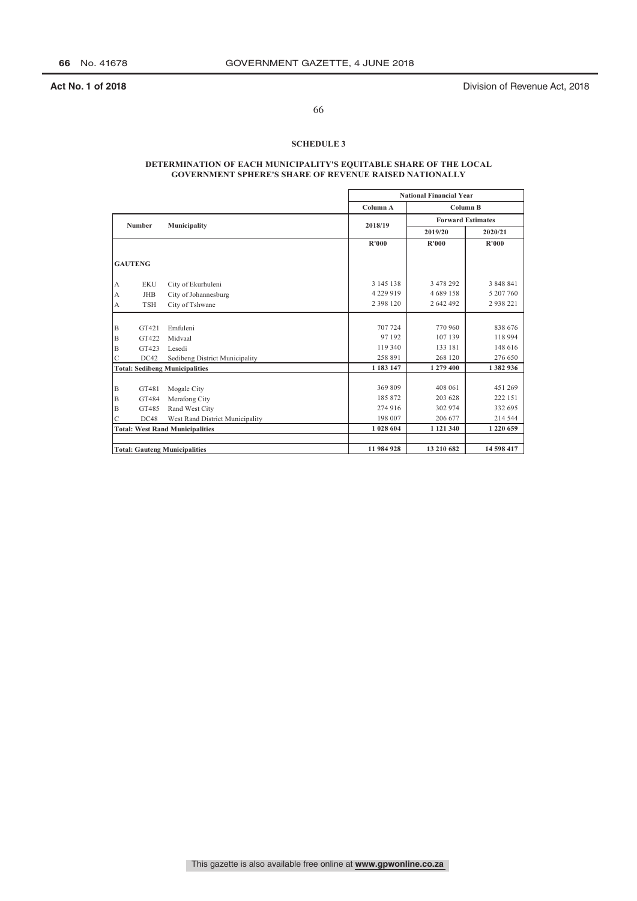**Act No. 1 of 2018 Act No. 1 of 2018 Division of Revenue Act, 2018** 

# 66

## **SCHEDULE 3**

## **DETERMINATION OF EACH MUNICIPALITY'S EQUITABLE SHARE OF THE LOCAL GOVERNMENT SPHERE'S SHARE OF REVENUE RAISED NATIONALLY**

|             |                |                                        |               | <b>National Financial Year</b> |                          |  |  |
|-------------|----------------|----------------------------------------|---------------|--------------------------------|--------------------------|--|--|
|             |                |                                        | Column A      |                                | Column B                 |  |  |
|             | <b>Number</b>  |                                        | 2018/19       |                                | <b>Forward Estimates</b> |  |  |
|             |                | Municipality                           |               | 2019/20                        | 2020/21                  |  |  |
|             |                |                                        | <b>R'000</b>  | R'000                          | R'000                    |  |  |
|             | <b>GAUTENG</b> |                                        |               |                                |                          |  |  |
| А           | <b>EKU</b>     | City of Ekurhuleni                     | 3 145 138     | 3 478 292                      | 3 848 841                |  |  |
| A           | <b>JHB</b>     | City of Johannesburg                   | 4 229 919     | 4 689 158                      | 5 207 760                |  |  |
| A           | <b>TSH</b>     | City of Tshwane                        | 2 3 9 8 1 2 0 | 2 642 492                      | 2938221                  |  |  |
|             |                |                                        |               |                                |                          |  |  |
| B           | GT421          | Emfuleni                               | 707 724       | 770 960                        | 838 676                  |  |  |
| B           | GT422          | Midvaal                                | 97 192        | 107 139                        | 118 994                  |  |  |
| $\mathbf B$ | GT423          | Lesedi                                 | 119 340       | 133 181                        | 148 616                  |  |  |
| C           | DC42           | Sedibeng District Municipality         | 258 891       | 268 120                        | 276 650                  |  |  |
|             |                | <b>Total: Sedibeng Municipalities</b>  | 1 183 147     | 1 279 400                      | 1 382 936                |  |  |
| B           | GT481          | Mogale City                            | 369 809       | 408 061                        | 451 269                  |  |  |
| B           | GT484          | Merafong City                          | 185872        | 203 628                        | 222 151                  |  |  |
| B           | GT485          | Rand West City                         | 274 916       | 302 974                        | 332 695                  |  |  |
| $\mathbf C$ | DC48           | West Rand District Municipality        | 198 007       | 206 677                        | 214 544                  |  |  |
|             |                | <b>Total: West Rand Municipalities</b> | 1 028 604     | 1 121 340                      | 1 220 659                |  |  |
|             |                |                                        |               |                                |                          |  |  |
|             |                | <b>Total: Gauteng Municipalities</b>   | 11 984 928    | 13 210 682                     | 14 598 417               |  |  |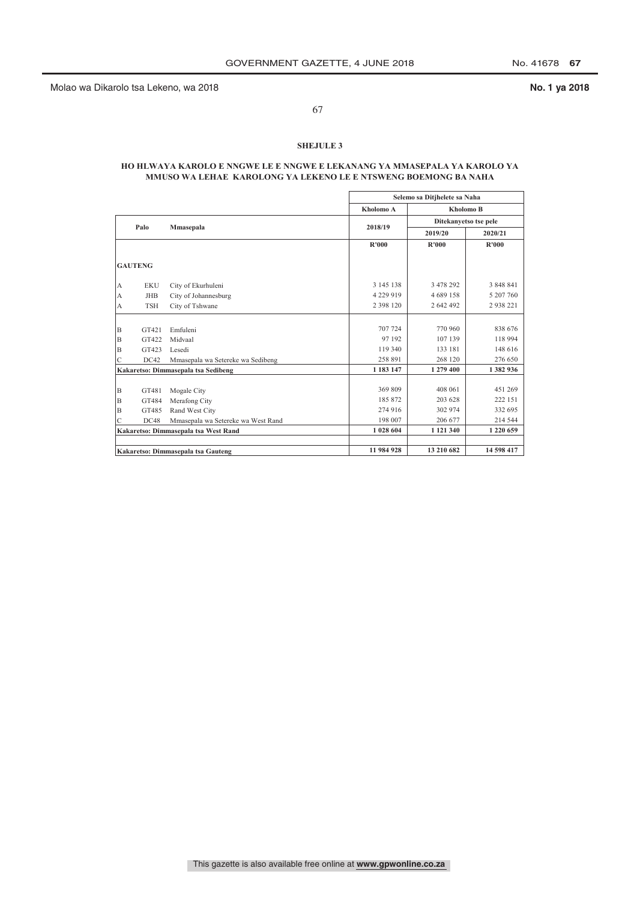67

## **SHEJULE 3**

## **HO HLWAYA KAROLO E NNGWE LE E NNGWE E LEKANANG YA MMASEPALA YA KAROLO YA MMUSO WA LEHAE KAROLONG YA LEKENO LE E NTSWENG BOEMONG BA NAHA**

|   |                |                                      |               | Selemo sa Ditjhelete sa Naha |               |  |
|---|----------------|--------------------------------------|---------------|------------------------------|---------------|--|
|   |                |                                      | Kholomo A     | <b>Kholomo B</b>             |               |  |
|   | Palo           |                                      | 2018/19       | Ditekanyetso tse pele        |               |  |
|   |                | Mmasepala                            |               | 2019/20                      | 2020/21       |  |
|   |                |                                      | R'000         | <b>R'000</b>                 | R'000         |  |
|   | <b>GAUTENG</b> |                                      |               |                              |               |  |
| А | <b>EKU</b>     | City of Ekurhuleni                   | 3 145 138     | 3 478 292                    | 3 848 841     |  |
| A | <b>JHB</b>     | City of Johannesburg                 | 4 2 2 9 9 1 9 | 4 689 158                    | 5 207 760     |  |
| А | <b>TSH</b>     | City of Tshwane                      | 2 3 9 8 1 2 0 | 2 642 492                    | 2938221       |  |
|   |                |                                      |               |                              |               |  |
| B | GT421          | Emfuleni                             | 707 724       | 770 960                      | 838 676       |  |
| B | GT422          | Midvaal                              | 97 192        | 107 139                      | 118 994       |  |
| B | GT423          | Lesedi                               | 119 340       | 133 181                      | 148 616       |  |
| Ċ | DC42           | Mmasepala wa Setereke wa Sedibeng    | 258 891       | 268 120                      | 276 650       |  |
|   |                | Kakaretso: Dimmasepala tsa Sedibeng  | 1 183 147     | 1 279 400                    | 1 382 936     |  |
| B | GT481          | Mogale City                          | 369 809       | 408 061                      | 451 269       |  |
| B | GT484          | Merafong City                        | 185 872       | 203 628                      | 222 151       |  |
| B | GT485          | Rand West City                       | 274 916       | 302 974                      | 332 695       |  |
| C | DC48           | Mmasepala wa Setereke wa West Rand   | 198 007       | 206 677                      | 214 544       |  |
|   |                | Kakaretso: Dimmasepala tsa West Rand | 1 028 604     | 1 121 340                    | 1 2 2 0 6 5 9 |  |
|   |                |                                      |               |                              |               |  |
|   |                | Kakaretso: Dimmasepala tsa Gauteng   | 11 984 928    | 13 210 682                   | 14 598 417    |  |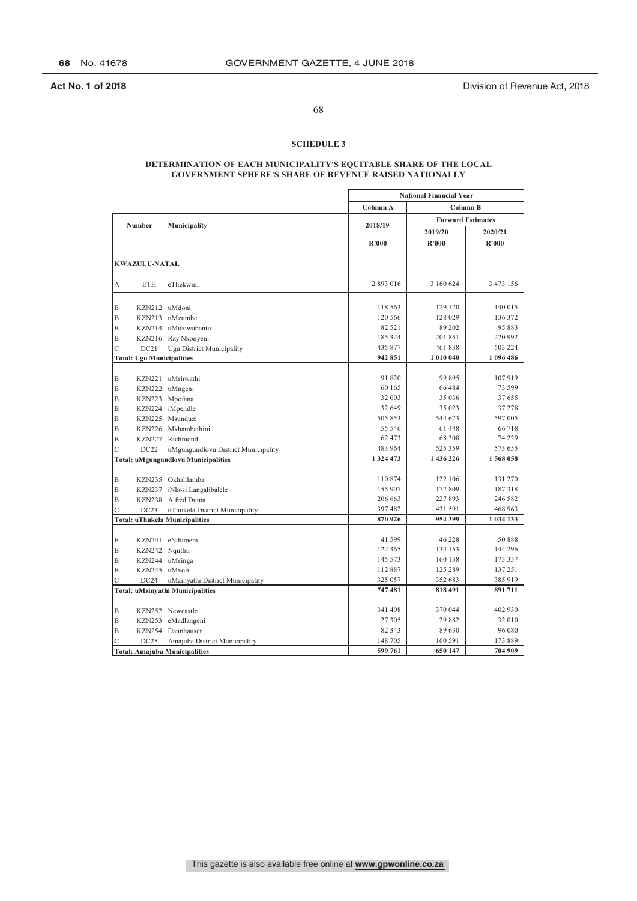**Act No. 1 of 2018 Act No. 1 of 2018 Division of Revenue Act, 2018** 

68

## **SCHEDULE 3**

## **DETERMINATION OF EACH MUNICIPALITY'S EQUITABLE SHARE OF THE LOCAL GOVERNMENT SPHERE'S SHARE OF REVENUE RAISED NATIONALLY**

|                |                                  |                                            | <b>National Financial Year</b> |           |                          |
|----------------|----------------------------------|--------------------------------------------|--------------------------------|-----------|--------------------------|
|                |                                  |                                            | Column A                       | Column B  |                          |
|                | <b>Number</b>                    |                                            | 2018/19                        |           | <b>Forward Estimates</b> |
|                |                                  | Municipality                               |                                | 2019/20   | 2020/21                  |
|                |                                  |                                            | R'000                          | R'000     | R'000                    |
|                |                                  |                                            |                                |           |                          |
|                | <b>KWAZULU-NATAL</b>             |                                            |                                |           |                          |
| А              | <b>ETH</b>                       | eThekwini                                  | 2 893 016                      | 3 160 624 | 3 473 156                |
|                |                                  |                                            |                                |           |                          |
| B              | KZN212 uMdoni                    |                                            | 118 563                        | 129 120   | 140 015                  |
| $\mathbf B$    |                                  | KZN213 uMzumbe                             | 120 566                        | 128 029   | 136 372                  |
| $\mathbf B$    |                                  | KZN214 uMuziwabantu                        | 82 5 21                        | 89 202    | 95 883                   |
| B              |                                  | KZN216 Ray Nkonyeni                        | 185 324                        | 201851    | 220 992                  |
| $\mathsf{C}$   | DC21                             | Ugu District Municipality                  | 435 877                        | 461838    | 503 224                  |
|                | <b>Total: Ugu Municipalities</b> |                                            | 942 851                        | 1 010 040 | 1 096 486                |
|                |                                  |                                            |                                |           |                          |
| B              |                                  | KZN221 uMshwathi                           | 91 820                         | 99895     | 107919                   |
| B              |                                  | KZN222 uMngeni                             | 60 165                         | 66 484    | 73 599                   |
| $\mathbf B$    |                                  | KZN223 Mpofana                             | 32 003                         | 35 036    | 37 655                   |
| $\mathbf B$    |                                  | KZN224 iMpendle                            | 32 649                         | 35 023    | 37 278                   |
| B              |                                  | KZN225 Msunduzi                            | 505853                         | 544 673   | 597 005                  |
| $\mathbf B$    |                                  | KZN226 Mkhambathini                        | 55 546                         | 61448     | 66718                    |
| $\overline{B}$ |                                  | KZN227 Richmond                            | 62 473                         | 68 308    | 74 229                   |
| C              | DC22                             | uMgungundlovu District Municipality        | 483 964                        | 525 359   | 573 655                  |
|                |                                  | <b>Total: uMgungundlovu Municipalities</b> | 1 324 473                      | 1 436 226 | 1568058                  |
|                |                                  |                                            |                                |           |                          |
| B              |                                  | KZN235 Okhahlamba                          | 110874                         | 122 106   | 131 270                  |
| $\mathbf B$    |                                  | KZN237 iNkosi Langalibalele                | 155 907                        | 172 809   | 187318                   |
| B              |                                  | KZN238 Alfred Duma                         | 206 663                        | 227893    | 246 582                  |
| Ċ              | DC23                             | uThukela District Municipality             | 397 482                        | 431 591   | 468 963                  |
|                |                                  | <b>Total: uThukela Municipalities</b>      | 870926                         | 954 399   | 1 034 133                |
|                |                                  |                                            |                                |           |                          |
| B              |                                  | KZN241 eNdumeni                            | 41 599                         | 46 228    | 50888                    |
| $\mathbf B$    | KZN242 Nquthu                    |                                            | 122 365                        | 134 153   | 144 296                  |
| B              |                                  | KZN244 uMsinga                             | 145 573                        | 160 138   | 173 357                  |
| B              | KZN245 uMvoti                    |                                            | 112887                         | 125 289   | 137 251                  |
| $\mathsf{C}$   | DC24                             | uMzinyathi District Municipality           | 325 057                        | 352 683   | 385 919                  |
|                |                                  | <b>Total: uMzinyathi Municipalities</b>    | 747481                         | 818 491   | 891711                   |
|                |                                  |                                            |                                |           |                          |
| B              |                                  | KZN252 Newcastle                           | 341 408                        | 370 044   | 402 930                  |
| B              |                                  | KZN253 eMadlangeni                         | 27 305                         | 29882     | 32 010                   |
| $\mathbf B$    |                                  | KZN254 Dannhauser                          | 82 343                         | 89 630    | 96 080                   |
| C              | DC25                             | Amajuba District Municipality              | 148 705                        | 160 591   | 173 889                  |
|                |                                  | <b>Total: Amajuba Municipalities</b>       | 599 761                        | 650 147   | 704 909                  |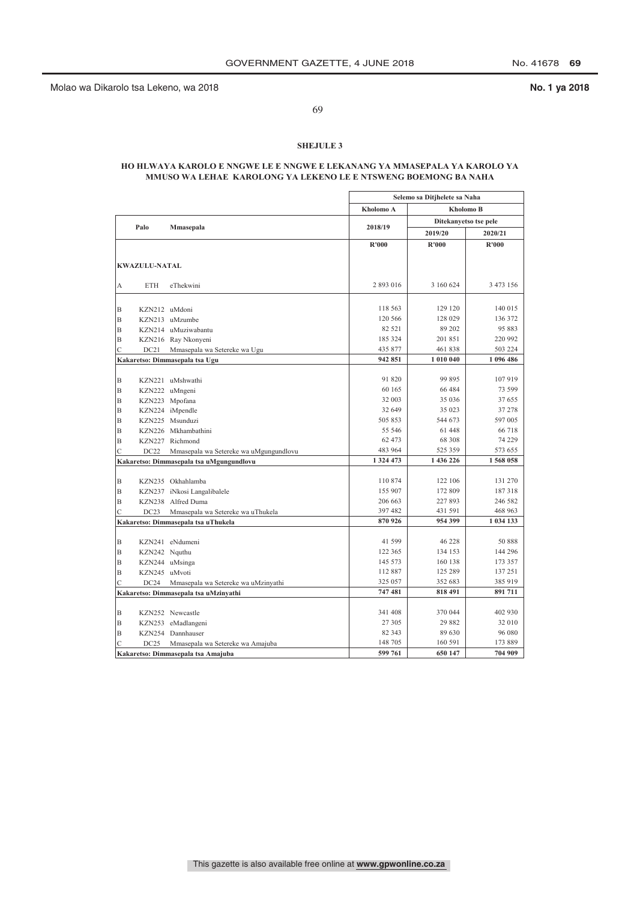69

## **SHEJULE 3**

## **HO HLWAYA KAROLO E NNGWE LE E NNGWE E LEKANANG YA MMASEPALA YA KAROLO YA MMUSO WA LEHAE KAROLONG YA LEKENO LE E NTSWENG BOEMONG BA NAHA**

|                |                      |                                          | Selemo sa Ditjhelete sa Naha |           |                       |
|----------------|----------------------|------------------------------------------|------------------------------|-----------|-----------------------|
|                |                      |                                          | Kholomo A                    |           | <b>Kholomo B</b>      |
|                |                      |                                          |                              |           | Ditekanyetso tse pele |
|                | Palo                 | Mmasepala                                | 2018/19                      | 2019/20   | 2020/21               |
|                |                      |                                          | R'000                        | R'000     | R'000                 |
|                |                      |                                          |                              |           |                       |
|                | <b>KWAZULU-NATAL</b> |                                          |                              |           |                       |
| А              | <b>ETH</b>           | eThekwini                                | 2893016                      | 3 160 624 | 3 473 156             |
|                |                      |                                          |                              |           |                       |
| B              | KZN212 uMdoni        |                                          | 118 563                      | 129 120   | 140 015               |
| B              |                      | KZN213 uMzumbe                           | 120 566                      | 128 029   | 136 372               |
| B              |                      | KZN214 uMuziwabantu                      | 82 521                       | 89 202    | 95 883                |
| B              |                      | KZN216 Ray Nkonyeni                      | 185 324                      | 201851    | 220 992               |
| $\overline{C}$ | DC21                 | Mmasepala wa Setereke wa Ugu             | 435 877                      | 461 838   | 503 224               |
|                |                      | Kakaretso: Dimmasepala tsa Ugu           | 942 851                      | 1 010 040 | 1 096 486             |
|                |                      |                                          |                              |           |                       |
| B              |                      | KZN221 uMshwathi                         | 91 820                       | 99 895    | 107 919               |
| B              |                      | KZN222 uMngeni                           | 60 165                       | 66 4 84   | 73 599                |
| B              |                      | KZN223 Mpofana                           | 32 003                       | 35 036    | 37 655                |
| B              |                      | KZN224 iMpendle                          | 32 649                       | 35 023    | 37 278                |
| B              |                      | KZN225 Msunduzi                          | 505 853                      | 544 673   | 597 005               |
| B              |                      | KZN226 Mkhambathini                      | 55 546                       | 61 448    | 66 718                |
| B              |                      | KZN227 Richmond                          | 62 473                       | 68 308    | 74 229                |
|                |                      |                                          | 483 964                      | 525 359   | 573 655               |
| C              | DC22                 | Mmasepala wa Setereke wa uMgungundlovu   | 1 3 2 4 4 7 3                | 1 436 226 | 1568 058              |
|                |                      | Kakaretso: Dimmasepala tsa uMgungundlovu |                              |           |                       |
| B              |                      | KZN235 Okhahlamba                        | 110874                       | 122 106   | 131 270               |
|                |                      |                                          | 155 907                      | 172 809   | 187318                |
| B<br>B         |                      | KZN237 iNkosi Langalibalele              | 206 663                      | 227 893   | 246 582               |
| C              |                      | KZN238 Alfred Duma                       | 397 482                      | 431 591   | 468 963               |
|                | DC23                 | Mmasepala wa Setereke wa uThukela        | 870 926                      | 954 399   | 1 034 133             |
|                |                      | Kakaretso: Dimmasepala tsa uThukela      |                              |           |                       |
| B              |                      | KZN241 eNdumeni                          | 41 599                       | 46 228    | 50 888                |
| B              | KZN242 Nquthu        |                                          | 122 365                      | 134 153   | 144 296               |
| B              |                      | KZN244 uMsinga                           | 145 573                      | 160 138   | 173 357               |
| B              | KZN245 uMvoti        |                                          | 112 887                      | 125 289   | 137 251               |
| $\mathcal{C}$  | DC24                 | Mmasepala wa Setereke wa uMzinyathi      | 325 057                      | 352 683   | 385 919               |
|                |                      | Kakaretso: Dimmasepala tsa uMzinyathi    | 747481                       | 818 491   | 891 711               |
|                |                      |                                          |                              |           |                       |
| B              |                      | KZN252 Newcastle                         | 341 408                      | 370 044   | 402 930               |
| B              |                      | KZN253 eMadlangeni                       | 27 305                       | 29 882    | 32 010                |
| B              |                      | KZN254 Dannhauser                        | 82 343                       | 89 630    | 96 080                |
| C              | DC25                 | Mmasepala wa Setereke wa Amajuba         | 148 705                      | 160 591   | 173 889               |
|                |                      |                                          | 599 761                      | 650 147   | 704 909               |
|                |                      | Kakaretso: Dimmasepala tsa Amajuba       |                              |           |                       |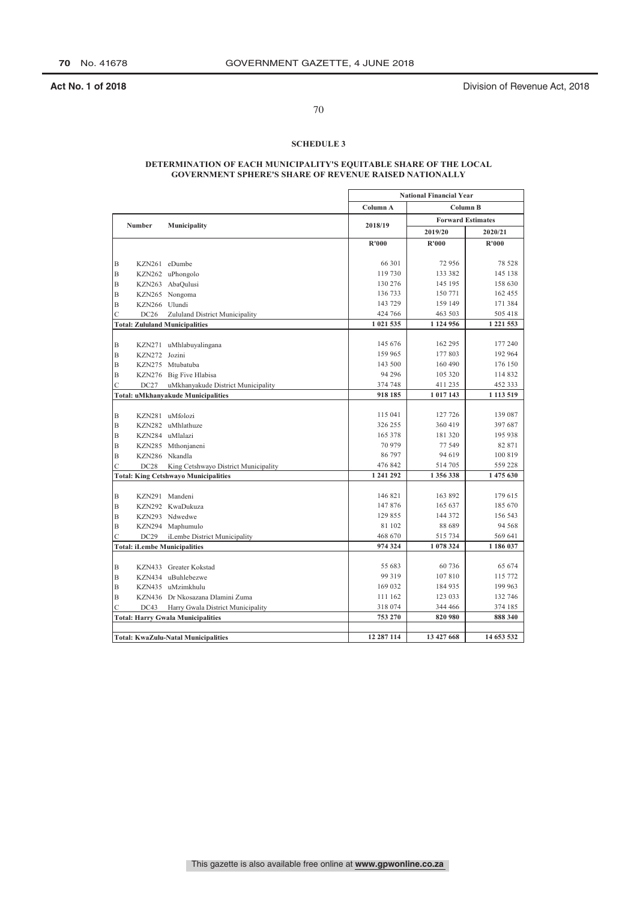**Act No. 1 of 2018 Act No. 1 of 2018 Division of Revenue Act, 2018** 

# 70

## **SCHEDULE 3**

## **DETERMINATION OF EACH MUNICIPALITY'S EQUITABLE SHARE OF THE LOCAL GOVERNMENT SPHERE'S SHARE OF REVENUE RAISED NATIONALLY**

|                                          |                                     |                                             | <b>National Financial Year</b> |                          |                    |
|------------------------------------------|-------------------------------------|---------------------------------------------|--------------------------------|--------------------------|--------------------|
|                                          |                                     |                                             | Column A                       | Column B                 |                    |
| <b>Number</b>                            |                                     |                                             | 2018/19                        | <b>Forward Estimates</b> |                    |
|                                          |                                     | Municipality                                |                                | 2019/20                  | 2020/21            |
|                                          |                                     |                                             | R'000                          | R'000                    | R'000              |
|                                          |                                     |                                             |                                |                          |                    |
| B                                        |                                     | KZN261 eDumbe                               | 66 301                         | 72956                    | 78 528             |
| $\mathbf B$                              |                                     | KZN262 uPhongolo                            | 119 730                        | 133 382                  | 145 138            |
| B                                        |                                     | KZN263 AbaQulusi                            | 130 276                        | 145 195                  | 158 630            |
| B                                        |                                     | KZN265 Nongoma                              | 136 733                        | 150 771                  | 162 455            |
| B                                        | KZN266 Ulundi                       |                                             | 143 729                        | 159 149                  | 171 384            |
| $\overline{C}$                           | DC26                                | Zululand District Municipality              | 424 766                        | 463 503                  | 505 418            |
|                                          |                                     | <b>Total: Zululand Municipalities</b>       | 1 021 535                      | 1 124 956                | 1 221 553          |
|                                          |                                     |                                             |                                |                          |                    |
| B                                        |                                     | KZN271 uMhlabuyalingana                     | 145 676<br>159 965             | 162 295<br>177803        | 177 240<br>192 964 |
| $\mathbf B$                              | KZN272 Jozini                       |                                             | 143 500                        | 160 490                  | 176 150            |
| B                                        |                                     | KZN275 Mtubatuba                            | 94 2 96                        | 105 320                  | 114 832            |
| B                                        |                                     | KZN276 Big Five Hlabisa                     | 374 748                        | 411235                   | 452 333            |
| $\mathcal{C}$                            | DC27                                | uMkhanyakude District Municipality          | 918 185                        | 1 017 143                | 1 1 1 3 5 1 9      |
|                                          |                                     | <b>Total: uMkhanyakude Municipalities</b>   |                                |                          |                    |
| B                                        |                                     | KZN281 uMfolozi                             | 115 041                        | 127 726                  | 139 087            |
| $\mathbf B$                              |                                     | KZN282 uMhlathuze                           | 326 255                        | 360 419                  | 397 687            |
| B                                        |                                     | KZN284 uMlalazi                             | 165 378                        | 181320                   | 195 938            |
| B                                        |                                     | KZN285 Mthonjaneni                          | 70979                          | 77 549                   | 82 871             |
| $\mathbf B$                              |                                     | KZN286 Nkandla                              | 86797                          | 94 619                   | 100 819            |
| $\overline{C}$                           | DC28                                | King Cetshwayo District Municipality        | 476 842                        | 514 705                  | 559 228            |
|                                          |                                     | <b>Total: King Cetshwayo Municipalities</b> | 1 241 292                      | 1 356 338                | 1 475 630          |
|                                          |                                     |                                             |                                |                          |                    |
| $\mathbf B$                              |                                     | KZN291 Mandeni                              | 146 821                        | 163 892                  | 179 615            |
| B                                        |                                     | KZN292 KwaDukuza                            | 147876                         | 165 637                  | 185 670            |
| B                                        |                                     | KZN293 Ndwedwe                              | 129 855                        | 144 372                  | 156 543            |
| $\mathbf B$                              |                                     | KZN294 Maphumulo                            | 81 102                         | 88 689                   | 94 5 68            |
| $\mathcal{C}$                            | DC29                                | iLembe District Municipality                | 468 670                        | 515 734                  | 569 641            |
|                                          | <b>Total: iLembe Municipalities</b> |                                             | 974 324                        | 1 078 324                | 1 186 037          |
|                                          |                                     |                                             |                                |                          |                    |
| B                                        |                                     | KZN433 Greater Kokstad                      | 55 683                         | 60736                    | 65 674             |
| $\mathbf B$                              |                                     | KZN434 uBuhlebezwe                          | 99 319                         | 107810                   | 115 772            |
| B                                        |                                     | KZN435 uMzimkhulu                           | 169 032                        | 184 935                  | 199 963            |
| $\mathbf B$                              |                                     | KZN436 Dr Nkosazana Dlamini Zuma            | 111 162                        | 123 033                  | 132 746            |
| $\overline{C}$                           | DC43                                | Harry Gwala District Municipality           | 318 074                        | 344 466                  | 374 185            |
| <b>Total: Harry Gwala Municipalities</b> |                                     | 753 270                                     | 820 980                        | 888 340                  |                    |
|                                          |                                     |                                             |                                |                          |                    |
|                                          |                                     | <b>Total: KwaZulu-Natal Municipalities</b>  | 12 287 114                     | 13 427 668               | 14 653 532         |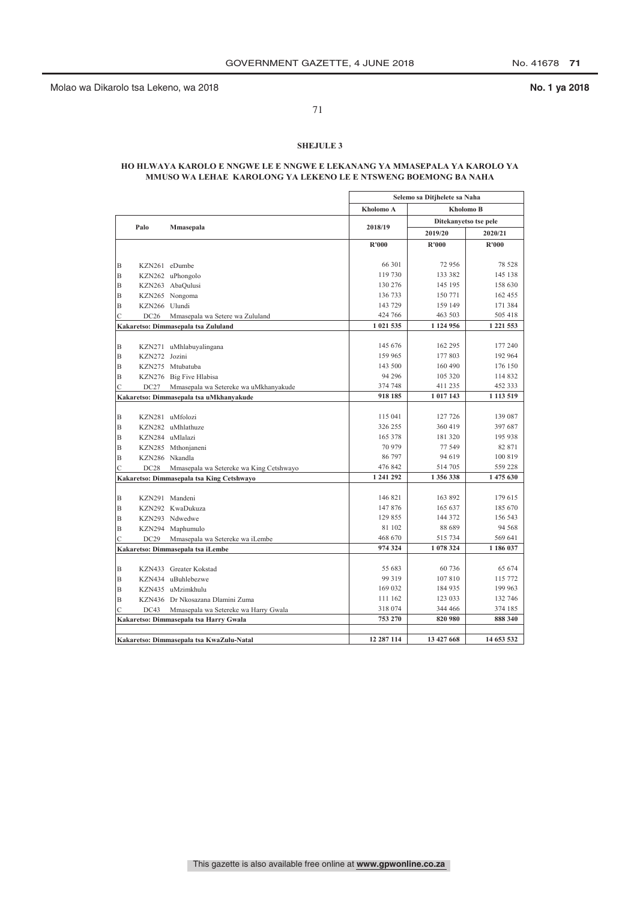71

## **SHEJULE 3**

## **HO HLWAYA KAROLO E NNGWE LE E NNGWE E LEKANANG YA MMASEPALA YA KAROLO YA MMUSO WA LEHAE KAROLONG YA LEKENO LE E NTSWENG BOEMONG BA NAHA**

|                                           |                |                                          |              | Selemo sa Ditjhelete sa Naha<br>Kholomo A<br><b>Kholomo B</b> |               |  |
|-------------------------------------------|----------------|------------------------------------------|--------------|---------------------------------------------------------------|---------------|--|
|                                           |                |                                          |              |                                                               |               |  |
|                                           |                |                                          |              | Ditekanyetso tse pele                                         |               |  |
|                                           | Palo           | Mmasepala                                | 2018/19      | 2019/20                                                       | 2020/21       |  |
|                                           |                |                                          | <b>R'000</b> | R'000                                                         | <b>R'000</b>  |  |
|                                           |                |                                          |              |                                                               |               |  |
| B                                         | KZN261 eDumbe  |                                          | 66 301       | 72 956                                                        | 78 528        |  |
| В                                         |                | KZN262 uPhongolo                         | 119 730      | 133 382                                                       | 145 138       |  |
| B                                         |                | KZN263 AbaQulusi                         | 130 276      | 145 195                                                       | 158 630       |  |
| B                                         |                | KZN265 Nongoma                           | 136 733      | 150 771                                                       | 162 455       |  |
| B                                         | KZN266 Ulundi  |                                          | 143 729      | 159 149                                                       | 171 384       |  |
| $\mathcal{C}$                             | DC26           | Mmasepala wa Setere wa Zululand          | 424 766      | 463 503                                                       | 505 418       |  |
|                                           |                | Kakaretso: Dimmasepala tsa Zululand      | 1 021 535    | 1 1 24 9 56                                                   | 1 2 2 1 5 5 3 |  |
|                                           |                |                                          |              |                                                               |               |  |
| B                                         |                | KZN271 uMhlabuyalingana                  | 145 676      | 162 295                                                       | 177 240       |  |
| B                                         | KZN272 Jozini  |                                          | 159 965      | 177 803                                                       | 192 964       |  |
| В                                         |                | KZN275 Mtubatuba                         | 143 500      | 160 490                                                       | 176 150       |  |
| B                                         |                | KZN276 Big Five Hlabisa                  | 94 29 6      | 105 320                                                       | 114 832       |  |
| C                                         | DC27           | Mmasepala wa Setereke wa uMkhanyakude    | 374 748      | 411 235                                                       | 452 333       |  |
|                                           |                | Kakaretso: Dimmasepala tsa uMkhanyakude  | 918 185      | 1 017 143                                                     | 1 1 1 3 5 1 9 |  |
|                                           |                |                                          |              |                                                               |               |  |
| B                                         |                | KZN281 uMfolozi                          | 115 041      | 127 726                                                       | 139 087       |  |
| B                                         |                | KZN282 uMhlathuze                        | 326 255      | 360 419                                                       | 397 687       |  |
| B                                         |                | KZN284 uMlalazi                          | 165 378      | 181 320                                                       | 195 938       |  |
| B                                         |                | KZN285 Mthonjaneni                       | 70 979       | 77 549                                                        | 82 871        |  |
| B                                         | KZN286 Nkandla |                                          | 86 797       | 94 619                                                        | 100 819       |  |
| $\mathcal{C}$                             | DC28           | Mmasepala wa Setereke wa King Cetshwayo  | 476 842      | 514 705                                                       | 559 228       |  |
| Kakaretso: Dimmasepala tsa King Cetshwayo |                | 1 241 292                                | 1 356 338    | 1 475 630                                                     |               |  |
|                                           |                |                                          |              |                                                               |               |  |
| B                                         |                | KZN291 Mandeni                           | 146 821      | 163 892                                                       | 179 615       |  |
| B                                         |                | KZN292 KwaDukuza                         | 147876       | 165 637                                                       | 185 670       |  |
| B                                         |                | KZN293 Ndwedwe                           | 129 855      | 144 372                                                       | 156 543       |  |
| B                                         |                | KZN294 Maphumulo                         | 81 102       | 88 689                                                        | 94 5 68       |  |
| C                                         | DC29           | Mmasepala wa Setereke wa iLembe          | 468 670      | 515 734                                                       | 569 641       |  |
|                                           |                | Kakaretso: Dimmasepala tsa iLembe        | 974 324      | 1 078 324                                                     | 1 186 037     |  |
|                                           |                |                                          |              |                                                               |               |  |
| B                                         |                | KZN433 Greater Kokstad                   | 55 683       | 60 736                                                        | 65 674        |  |
| B                                         |                | KZN434 uBuhlebezwe                       | 99 319       | 107 810                                                       | 115 772       |  |
| B                                         |                | KZN435 uMzimkhulu                        | 169 032      | 184 935                                                       | 199 963       |  |
| B                                         |                | KZN436 Dr Nkosazana Dlamini Zuma         | 111 162      | 123 033                                                       | 132 746       |  |
| C                                         | DC43           | Mmasepala wa Setereke wa Harry Gwala     | 318 074      | 344 466                                                       | 374 185       |  |
|                                           |                | Kakaretso: Dimmasepala tsa Harry Gwala   | 753 270      | 820 980                                                       | 888 340       |  |
|                                           |                |                                          |              |                                                               |               |  |
|                                           |                | Kakaretso: Dimmasepala tsa KwaZulu-Natal | 12 287 114   | 13 427 668                                                    | 14 653 532    |  |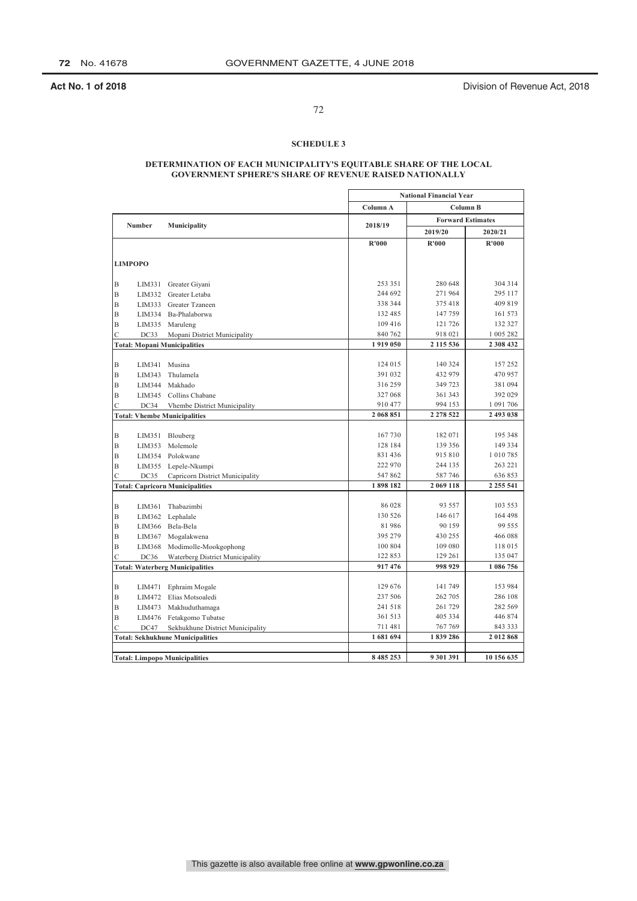**Act No. 1 of 2018 Act No. 1 of 2018 Division of Revenue Act, 2018** 

# 72

## **SCHEDULE 3**

## **DETERMINATION OF EACH MUNICIPALITY'S EQUITABLE SHARE OF THE LOCAL GOVERNMENT SPHERE'S SHARE OF REVENUE RAISED NATIONALLY**

|                                        |                                         |                    | <b>National Financial Year</b> |                    |
|----------------------------------------|-----------------------------------------|--------------------|--------------------------------|--------------------|
|                                        |                                         | Column A           | Column B                       |                    |
| Number                                 | Municipality                            | 2018/19            | <b>Forward Estimates</b>       |                    |
|                                        |                                         |                    | 2019/20                        | 2020/21            |
|                                        |                                         | R'000              | R'000                          | R'000              |
|                                        |                                         |                    |                                |                    |
| <b>LIMPOPO</b>                         |                                         |                    |                                |                    |
| Β<br>LIM331                            | Greater Giyani                          | 253 351            | 280 648                        | 304 314            |
| B<br>LIM332                            | Greater Letaba                          | 244 692            | 271964                         | 295 117            |
| B<br>LIM333                            | Greater Tzaneen                         | 338 344            | 375 418                        | 409 819            |
| B<br>LIM334                            | Ba-Phalaborwa                           | 132 485            | 147759                         | 161 573            |
| Β<br>LIM335                            | Maruleng                                | 109 416            | 121 726                        | 132 327            |
| Ċ<br>DC33                              | Mopani District Municipality            | 840 762            | 918 021                        | 1 005 282          |
|                                        | <b>Total: Mopani Municipalities</b>     | 1919050            | 2 115 536                      | 2 308 432          |
|                                        |                                         |                    |                                |                    |
| B<br>LIM341                            | Musina                                  | 124 015            | 140 324                        | 157 252            |
| B<br>LIM343                            | Thulamela                               | 391 032            | 432 979                        | 470 957            |
| B<br>LIM344                            | Makhado                                 | 316259             | 349 723                        | 381 094            |
| B<br>LIM345                            | Collins Chabane                         | 327 068            | 361 343                        | 392 029            |
| Ċ<br>DC34                              | Vhembe District Municipality            | 910 477            | 994 153                        | 1 091 706          |
|                                        | <b>Total: Vhembe Municipalities</b>     |                    | 2 278 522                      | 2 493 038          |
|                                        |                                         |                    |                                |                    |
| B<br>LIM351                            | Blouberg                                | 167730             | 182 071                        | 195 348            |
| B<br>LIM353                            | Molemole                                | 128 184            | 139 356                        | 149 334            |
| B<br>LIM354                            | Polokwane                               | 831 436            | 915 810                        | 1 010 785          |
| B<br>LIM355                            | Lepele-Nkumpi                           | 222 970            | 244 135                        | 263 221            |
| C<br>DC35                              | Capricorn District Municipality         | 547862             | 587746                         | 636 853            |
|                                        | <b>Total: Capricorn Municipalities</b>  | 1898182            | 2 069 118                      | 2 2 5 5 5 4 1      |
|                                        |                                         |                    |                                |                    |
| Β<br><b>LIM361</b>                     | Thabazimbi                              | 86 028             | 93 557                         | 103 553            |
| Β<br>LIM362                            | Lephalale                               | 130 526            | 146 617                        | 164 498            |
| B<br>LIM366                            | Bela-Bela                               | 81986              | 90 159                         | 99 555             |
| B<br>LIM367                            | Mogalakwena                             | 395 279            | 430 255                        | 466 088            |
| B<br>LIM368                            | Modimolle-Mookgophong                   | 100 804            | 109 080                        | 118 015            |
| C<br>DC36                              | Waterberg District Municipality         | 122 853            | 129 261                        | 135 047            |
| <b>Total: Waterberg Municipalities</b> |                                         | 917476             | 998 929                        | 1 086 756          |
|                                        |                                         | 129 676            |                                | 153 984            |
| B<br>LIM471                            | Ephraim Mogale                          |                    | 141 749                        |                    |
| B<br>LIM472                            | Elias Motsoaledi                        | 237 506<br>241 518 | 262 705<br>261 729             | 286 108<br>282 569 |
| Β<br>LIM473                            | Makhuduthamaga                          | 361 513            | 405 334                        |                    |
| B<br>LIM476                            | Fetakgomo Tubatse                       |                    | 767 769                        | 446 874            |
| Ċ<br>DC47                              | Sekhukhune District Municipality        | 711481<br>1681694  | 1839286                        | 843 333<br>2012868 |
|                                        | <b>Total: Sekhukhune Municipalities</b> |                    |                                |                    |
|                                        |                                         | 8 4 8 5 2 5 3      | 9 301 391                      | 10 156 635         |
|                                        | <b>Total: Limpopo Municipalities</b>    |                    |                                |                    |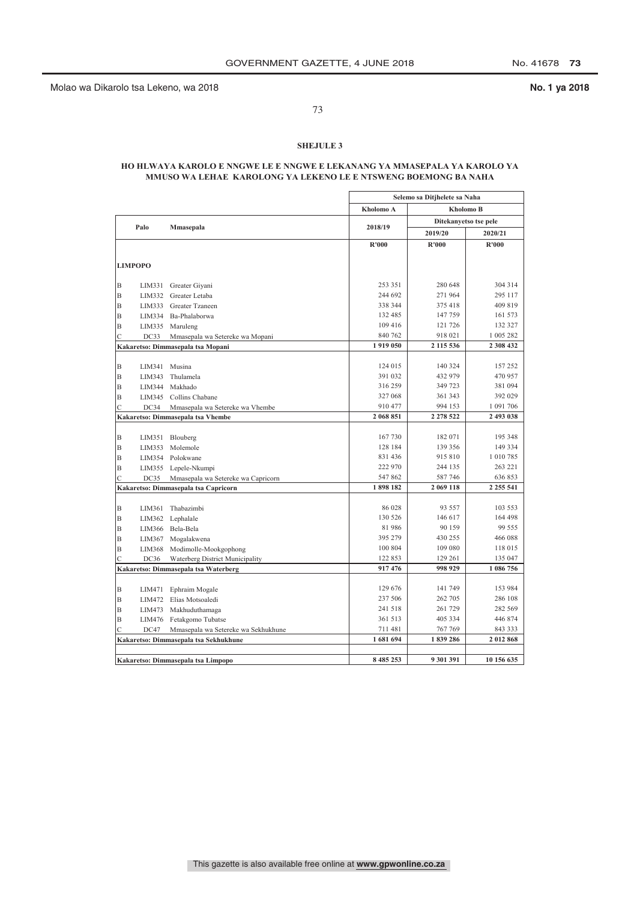Molao wa Dikarolo tsa Lekeno, wa 2018 **No. 1 ya 2018**

73

### **SHEJULE 3**

### **HO HLWAYA KAROLO E NNGWE LE E NNGWE E LEKANANG YA MMASEPALA YA KAROLO YA MMUSO WA LEHAE KAROLONG YA LEKENO LE E NTSWENG BOEMONG BA NAHA**

|               |                |                                       |               | Selemo sa Ditjhelete sa Naha |                       |
|---------------|----------------|---------------------------------------|---------------|------------------------------|-----------------------|
|               |                |                                       | Kholomo A     |                              | Kholomo B             |
|               |                |                                       |               |                              | Ditekanyetso tse pele |
|               | Palo           | Mmasepala                             | 2018/19       | 2019/20                      | 2020/21               |
|               |                |                                       | R'000         | R'000                        | R'000                 |
|               |                |                                       |               |                              |                       |
|               | <b>LIMPOPO</b> |                                       |               |                              |                       |
| B             |                | LIM331 Greater Giyani                 | 253 351       | 280 648                      | 304 314               |
| B             | LIM332         | Greater Letaba                        | 244 692       | 271 964                      | 295 117               |
| B             | LIM333         | Greater Tzaneen                       | 338 344       | 375 418                      | 409 819               |
| B             | LIM334         | Ba-Phalaborwa                         | 132 485       | 147 759                      | 161 573               |
| B             | LIM335         | Maruleng                              | 109 416       | 121 726                      | 132 327               |
| $\mathcal{C}$ | DC33           | Mmasepala wa Setereke wa Mopani       | 840 762       | 918 021                      | 1 005 282             |
|               |                | Kakaretso: Dimmasepala tsa Mopani     | 1919 050      | 2 115 536                    | 2 308 432             |
|               |                |                                       |               |                              |                       |
| B             | LIM341         | Musina                                | 124 015       | 140 324                      | 157 252               |
| B             | LIM343         | Thulamela                             | 391 032       | 432 979                      | 470 957               |
| B             | LIM344         | Makhado                               | 316 259       | 349 723                      | 381 094               |
| B             | LIM345         | Collins Chabane                       | 327 068       | 361 343                      | 392 029               |
| C             | DC34           | Mmasepala wa Setereke wa Vhembe       | 910 477       | 994 153                      | 1 091 706             |
|               |                | Kakaretso: Dimmasepala tsa Vhembe     | 2 068 851     | 2 2 7 8 5 2 2                | 2 493 038             |
|               |                |                                       |               |                              |                       |
| B             | LIM351         | Blouberg                              | 167 730       | 182 071                      | 195 348               |
| B             | LIM353         | Molemole                              | 128 184       | 139 356                      | 149 334               |
| B             |                | LIM354 Polokwane                      | 831 436       | 915 810                      | 1 010 785             |
| B             | LIM355         | Lepele-Nkumpi                         | 222 970       | 244 135                      | 263 221               |
| $\mathcal{C}$ | DC35           | Mmasepala wa Setereke wa Capricorn    | 547862        | 587 746                      | 636 853               |
|               |                | Kakaretso: Dimmasepala tsa Capricorn  | 1898182       | 2 069 118                    | 2 2 5 5 5 4 1         |
|               |                |                                       |               |                              |                       |
| В             | LIM361         | Thabazimbi                            | 86 028        | 93 557                       | 103 553               |
| B             | LIM362         | Lephalale                             | 130 526       | 146 617                      | 164 498               |
| B             | LIM366         | Bela-Bela                             | 81 986        | 90 159                       | 99 555                |
| B             | LIM367         | Mogalakwena                           | 395 279       | 430 255                      | 466 088               |
| B             | LIM368         | Modimolle-Mookgophong                 | 100 804       | 109 080                      | 118 015               |
| Ċ             | DC36           | Waterberg District Municipality       | 122 853       | 129 261                      | 135 047               |
|               |                | Kakaretso: Dimmasepala tsa Waterberg  | 917 476       | 998 929                      | 1 086 756             |
|               |                |                                       |               |                              |                       |
| B             | LIM471         | Ephraim Mogale                        | 129 676       | 141 749                      | 153 984               |
| B             | LIM472         | Elias Motsoaledi                      | 237 506       | 262 705                      | 286 108               |
| B             |                | LIM473 Makhuduthamaga                 | 241 518       | 261 729                      | 282 569               |
| B             |                | LIM476 Fetakgomo Tubatse              | 361 513       | 405 334                      | 446 874               |
| С             | DC47           | Mmasepala wa Setereke wa Sekhukhune   | 711481        | 767 769                      | 843 333               |
|               |                | Kakaretso: Dimmasepala tsa Sekhukhune | 1681694       | 1839286                      | 2012868               |
|               |                |                                       |               |                              |                       |
|               |                | Kakaretso: Dimmasepala tsa Limpopo    | 8 4 8 5 2 5 3 | 9 301 391                    | 10 156 635            |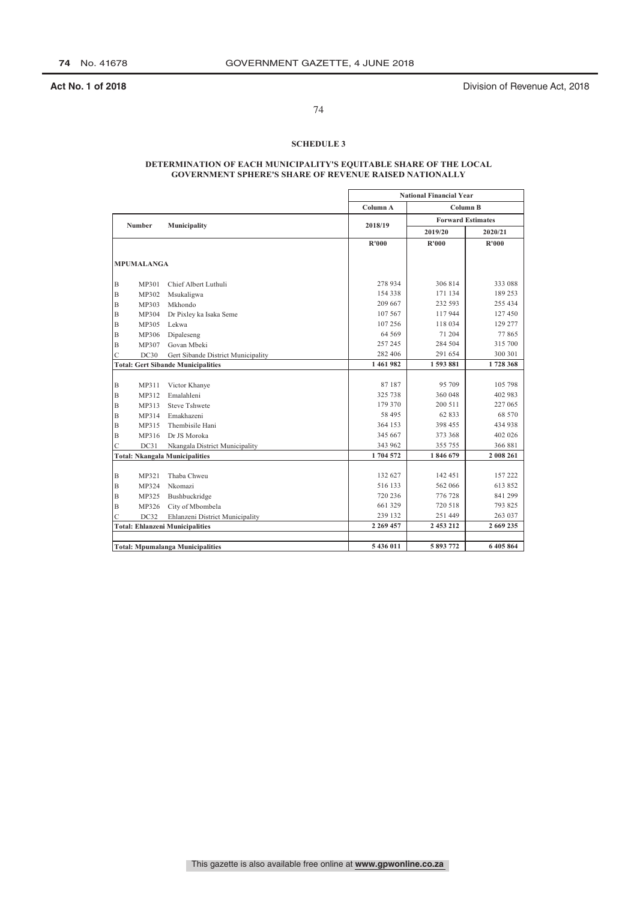**Act No. 1 of 2018 Act No. 1 of 2018 Division of Revenue Act, 2018** 

### 74

### **SCHEDULE 3**

### **DETERMINATION OF EACH MUNICIPALITY'S EQUITABLE SHARE OF THE LOCAL GOVERNMENT SPHERE'S SHARE OF REVENUE RAISED NATIONALLY**

|   |                   |                                           |               | <b>National Financial Year</b> |           |
|---|-------------------|-------------------------------------------|---------------|--------------------------------|-----------|
|   |                   |                                           | Column A      | Column B                       |           |
|   | <b>Number</b>     |                                           | 2018/19       | <b>Forward Estimates</b>       |           |
|   |                   | Municipality                              |               | 2019/20                        | 2020/21   |
|   |                   |                                           | R'000         | R'000                          | R'000     |
|   |                   |                                           |               |                                |           |
|   | <b>MPUMALANGA</b> |                                           |               |                                |           |
| B | MP301             | Chief Albert Luthuli                      | 278 934       | 306814                         | 333 088   |
| B | MP302             | Msukaligwa                                | 154 338       | 171 134                        | 189 253   |
| B | MP303             | Mkhondo                                   | 209 667       | 232 593                        | 255 434   |
| B | MP304             | Dr Pixley ka Isaka Seme                   | 107 567       | 117944                         | 127 450   |
| B | MP305             | Lekwa                                     | 107 256       | 118 034                        | 129 277   |
| B | MP306             | Dipaleseng                                | 64 5 69       | 71 204                         | 77865     |
| B | MP307             | Govan Mbeki                               | 257 245       | 284 504                        | 315 700   |
| Ċ | DC30              | Gert Sibande District Municipality        | 282 406       | 291 654                        | 300 301   |
|   |                   | <b>Total: Gert Sibande Municipalities</b> | 1461982       | 1593881                        | 1728368   |
|   |                   |                                           |               |                                |           |
| B | MP311             | Victor Khanye                             | 87187         | 95 709                         | 105 798   |
| B | MP312             | Emalahleni                                | 325 738       | 360 048                        | 402 983   |
| B | MP313             | <b>Steve Tshwete</b>                      | 179 370       | 200 511                        | 227 065   |
| B | MP314             | Emakhazeni                                | 58 495        | 62833                          | 68 570    |
| Β | MP315             | Thembisile Hani                           | 364 153       | 398 455                        | 434 938   |
| B | MP316             | Dr JS Moroka                              | 345 667       | 373 368                        | 402 026   |
| Ċ | DC31              | Nkangala District Municipality            | 343 962       | 355 755                        | 366 881   |
|   |                   | <b>Total: Nkangala Municipalities</b>     | 1704572       | 1846 679                       | 2 008 261 |
|   |                   |                                           |               |                                |           |
| Β | MP321             | Thaba Chweu                               | 132 627       | 142 451                        | 157 222   |
| Β | MP324             | Nkomazi                                   | 516 133       | 562 066                        | 613 852   |
| B | MP325             | Bushbuckridge                             | 720 236       | 776 728                        | 841 299   |
| B | MP326             | City of Mbombela                          | 661 329       | 720 518                        | 793 825   |
| C | DC32              | Ehlanzeni District Municipality           | 239 132       | 251 449                        | 263 037   |
|   |                   | <b>Total: Ehlanzeni Municipalities</b>    | 2 2 6 9 4 5 7 | 2 453 212                      | 2 669 235 |
|   |                   |                                           |               |                                |           |
|   |                   | <b>Total: Mpumalanga Municipalities</b>   | 5 436 011     | 5893772                        | 6405864   |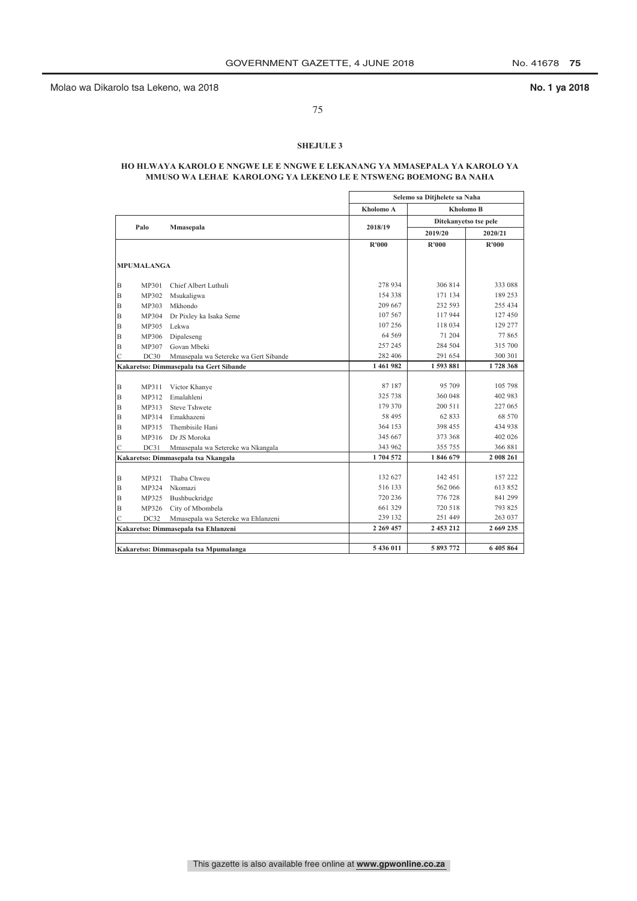Molao wa Dikarolo tsa Lekeno, wa 2018 **No. 1 ya 2018**

75

### **SHEJULE 3**

### **HO HLWAYA KAROLO E NNGWE LE E NNGWE E LEKANANG YA MMASEPALA YA KAROLO YA MMUSO WA LEHAE KAROLONG YA LEKENO LE E NTSWENG BOEMONG BA NAHA**

|                |                   |                                         |               | Selemo sa Ditjhelete sa Naha |                       |
|----------------|-------------------|-----------------------------------------|---------------|------------------------------|-----------------------|
|                |                   |                                         | Kholomo A     | <b>Kholomo B</b>             |                       |
|                | Palo              | Mmasepala                               | 2018/19       |                              | Ditekanyetso tse pele |
|                |                   |                                         |               | 2019/20                      | 2020/21               |
|                |                   |                                         | R'000         | <b>R'000</b>                 | R'000                 |
|                | <b>MPUMALANGA</b> |                                         |               |                              |                       |
|                |                   |                                         |               |                              |                       |
| B              | MP301             | Chief Albert Luthuli                    | 278 934       | 306 814                      | 333 088               |
| B              | MP302             | Msukaligwa                              | 154 338       | 171 134                      | 189 253               |
| B              | MP303             | Mkhondo                                 | 209 667       | 232 593                      | 255 434               |
| B              | MP304             | Dr Pixley ka Isaka Seme                 | 107 567       | 117 944                      | 127 450               |
| B              | MP305             | Lekwa                                   | 107 256       | 118 034                      | 129 277               |
| B              | MP306             | Dipaleseng                              | 64 569        | 71 204                       | 77865                 |
| B              | MP307             | Govan Mbeki                             | 257 245       | 284 504                      | 315 700               |
| C              | DC30              | Mmasepala wa Setereke wa Gert Sibande   | 282 406       | 291 654                      | 300 301               |
|                |                   | Kakaretso: Dimmasepala tsa Gert Sibande | 1461982       | 1593881                      | 1728 368              |
|                |                   |                                         |               |                              |                       |
| B              | MP311             | Victor Khanye                           | 87187         | 95 709                       | 105 798               |
| B              | MP312             | Emalahleni                              | 325 738       | 360 048                      | 402 983               |
| B              | MP313             | <b>Steve Tshwete</b>                    | 179 370       | 200 511                      | 227 065               |
| B              | MP314             | Emakhazeni                              | 58 495        | 62 833                       | 68 570                |
| B              | MP315             | Thembisile Hani                         | 364 153       | 398 455                      | 434 938               |
| B              | MP316             | Dr JS Moroka                            | 345 667       | 373 368                      | 402 026               |
| $\overline{C}$ | DC31              | Mmasepala wa Setereke wa Nkangala       | 343 962       | 355 755                      | 366 881               |
|                |                   | Kakaretso: Dimmasepala tsa Nkangala     | 1704572       | 1846 679                     | 2 008 261             |
|                |                   |                                         |               |                              |                       |
| B              | MP321             | Thaba Chweu                             | 132 627       | 142 451                      | 157 222               |
| B              | MP324             | Nkomazi                                 | 516 133       | 562 066                      | 613 852               |
| B              | MP325             | Bushbuckridge                           | 720 236       | 776 728                      | 841 299               |
| B              | MP326             | City of Mbombela                        | 661 329       | 720 518                      | 793 825               |
| C              | DC32              | Mmasepala wa Setereke wa Ehlanzeni      | 239 132       | 251 449                      | 263 037               |
|                |                   | Kakaretso: Dimmasepala tsa Ehlanzeni    | 2 2 6 9 4 5 7 | 2 453 212                    | 2 669 235             |
|                |                   |                                         |               |                              |                       |
|                |                   | Kakaretso: Dimmasepala tsa Mpumalanga   | 5 436 011     | 5 893 772                    | 6 405 864             |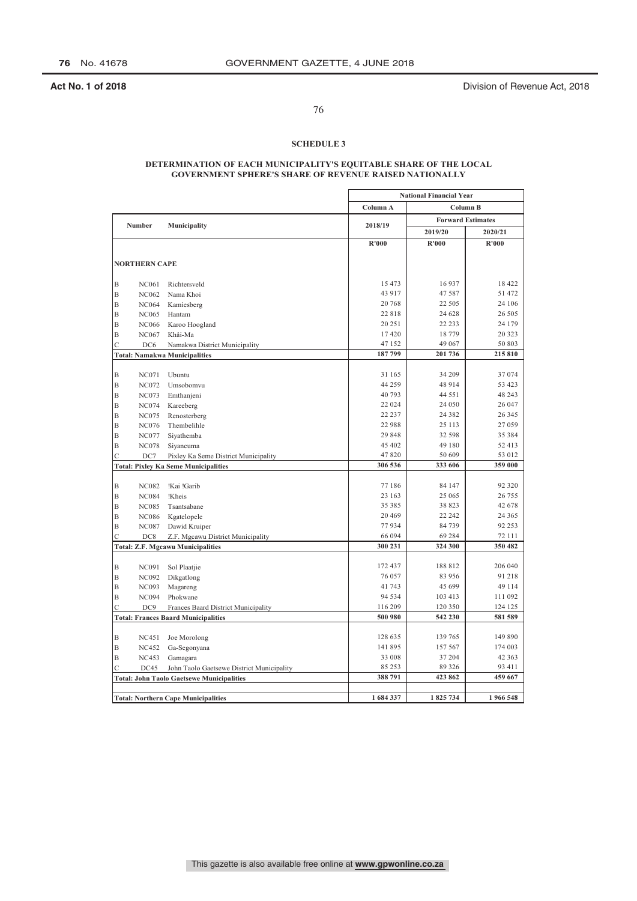**Act No. 1 of 2018 Act No. 1 of 2018 Division of Revenue Act, 2018** 

### 76

### **SCHEDULE 3**

### **DETERMINATION OF EACH MUNICIPALITY'S EQUITABLE SHARE OF THE LOCAL GOVERNMENT SPHERE'S SHARE OF REVENUE RAISED NATIONALLY**

|   |                      |                                                  |          | <b>National Financial Year</b> |          |
|---|----------------------|--------------------------------------------------|----------|--------------------------------|----------|
|   |                      |                                                  | Column A | <b>Column B</b>                |          |
|   | <b>Number</b>        | Municipality                                     | 2018/19  | <b>Forward Estimates</b>       |          |
|   |                      |                                                  |          | 2019/20                        | 2020/21  |
|   |                      |                                                  | R'000    | R'000                          | R'000    |
|   |                      |                                                  |          |                                |          |
|   | <b>NORTHERN CAPE</b> |                                                  |          |                                |          |
| Β | <b>NC061</b>         | Richtersveld                                     | 15 4 73  | 16937                          | 18 4 22  |
| B | <b>NC062</b>         | Nama Khoi                                        | 43 917   | 47587                          | 51 472   |
| B | <b>NC064</b>         | Kamiesberg                                       | 20 768   | 22 5 0 5                       | 24 10 6  |
|   |                      |                                                  | 22818    | 24 628                         | 26 50 5  |
| B | <b>NC065</b>         | Hantam                                           | 20 25 1  | 22 233                         | 24 179   |
| B | <b>NC066</b>         | Karoo Hoogland                                   |          |                                |          |
| B | <b>NC067</b>         | Khâi-Ma                                          | 17420    | 18779                          | 20 3 23  |
| Ċ | DC6                  | Namakwa District Municipality                    | 47 152   | 49 067                         | 50 803   |
|   |                      | <b>Total: Namakwa Municipalities</b>             | 187799   | 201736                         | 215 810  |
| B | <b>NC071</b>         | Ubuntu                                           | 31 165   | 34 209                         | 37074    |
| B | <b>NC072</b>         | Umsobomvu                                        | 44 259   | 48 9 14                        | 53 423   |
| B |                      |                                                  | 40793    | 44 5 5 1                       | 48 243   |
| B | <b>NC073</b>         | Emthanjeni                                       | 22 0 24  | 24 050                         | 26 047   |
|   | <b>NC074</b>         | Kareeberg                                        | 22 237   | 24 3 8 2                       | 26 3 45  |
| B | <b>NC075</b>         | Renosterberg                                     | 22 988   | 25 113                         | 27059    |
| B | <b>NC076</b>         | Thembelihle                                      |          |                                |          |
| B | <b>NC077</b>         | Siyathemba                                       | 29 848   | 32 598                         | 35 384   |
| Β | <b>NC078</b>         | Siyancuma                                        | 45 402   | 49 180                         | 52 413   |
| Ċ | DC7                  | Pixley Ka Seme District Municipality             | 47820    | 50 609                         | 53 012   |
|   |                      | <b>Total: Pixley Ka Seme Municipalities</b>      | 306 536  | 333 606                        | 359 000  |
|   |                      |                                                  | 77 186   | 84 147                         | 92 3 2 0 |
| Β | <b>NC082</b>         | !Kai !Garib                                      |          |                                |          |
| Β | <b>NC084</b>         | !Kheis                                           | 23 163   | 25 065                         | 26 755   |
| B | <b>NC085</b>         | Tsantsabane                                      | 35 385   | 38 823                         | 42 678   |
| B | <b>NC086</b>         | Kgatelopele                                      | 20 4 69  | 22 24 2                        | 24 3 65  |
| B | <b>NC087</b>         | Dawid Kruiper                                    | 77934    | 84739                          | 92 253   |
| Ċ | DC8                  | Z.F. Mgcawu District Municipality                | 66 094   | 69 284                         | 72 111   |
|   |                      | <b>Total: Z.F. Mgcawu Municipalities</b>         | 300 231  | 324 300                        | 350 482  |
|   |                      |                                                  | 172 437  | 188 812                        | 206 040  |
| Β | <b>NC091</b>         | Sol Plaatjie                                     | 76 057   | 83 956                         | 91218    |
| B | <b>NC092</b>         | Dikgatlong                                       | 41 743   | 45 699                         | 49 114   |
| B | <b>NC093</b>         | Magareng                                         |          |                                |          |
| Β | <b>NC094</b>         | Phokwane                                         | 94 5 34  | 103 413                        | 111 092  |
| Ċ | DC <sub>9</sub>      | Frances Baard District Municipality              | 116 209  | 120 350                        | 124 125  |
|   |                      | <b>Total: Frances Baard Municipalities</b>       | 500 980  | 542 230                        | 581 589  |
| B | <b>NC451</b>         | Joe Morolong                                     | 128 635  | 139 765                        | 149 890  |
| Β | <b>NC452</b>         |                                                  | 141 895  | 157 567                        | 174 003  |
| B | <b>NC453</b>         | Ga-Segonyana                                     | 33 008   | 37 204                         | 42 3 63  |
|   |                      | Gamagara                                         | 85 253   | 89 3 26                        | 93 411   |
| Ċ | DC45                 | John Taolo Gaetsewe District Municipality        | 388 791  | 423 862                        | 459 667  |
|   |                      | <b>Total: John Taolo Gaetsewe Municipalities</b> |          |                                |          |
|   |                      |                                                  | 1684337  | 1825 734                       | 1966548  |
|   |                      | <b>Total: Northern Cape Municipalities</b>       |          |                                |          |

This gazette is also available free online at **www.gpwonline.co.za**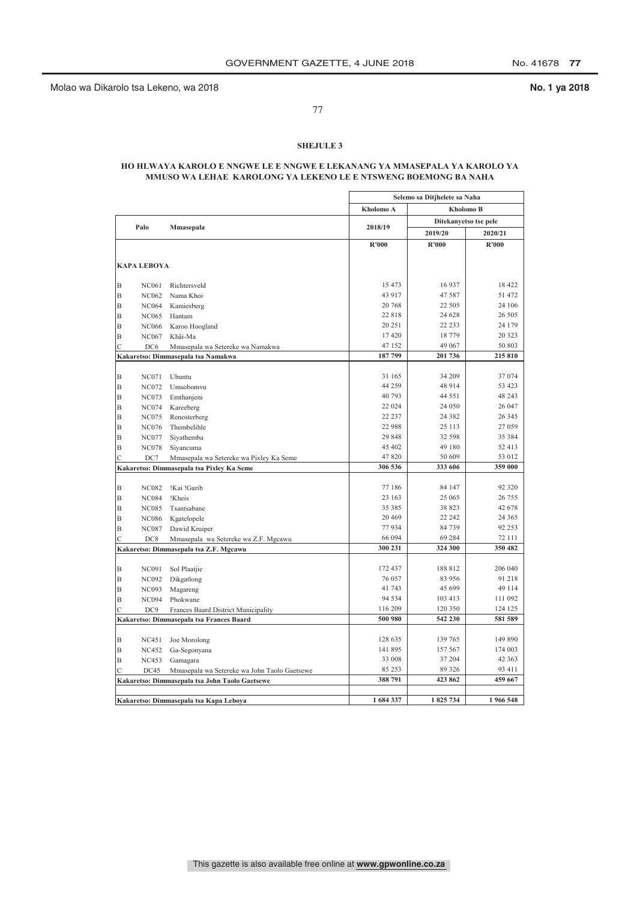Molao wa Dikarolo tsa Lekeno, wa 2018 **No. 1 ya 2018**

77

### **SHEJULE 3**

### **HO HLWAYA KAROLO E NNGWE LE E NNGWE E LEKANANG YA MMASEPALA YA KAROLO YA MMUSO WA LEHAE KAROLONG YA LEKENO LE E NTSWENG BOEMONG BA NAHA**

|                |                    |                                                |                 | Selemo sa Ditjhelete sa Naha |                  |
|----------------|--------------------|------------------------------------------------|-----------------|------------------------------|------------------|
|                |                    |                                                | Kholomo A       | <b>Kholomo B</b>             |                  |
|                |                    |                                                |                 | Ditekanyetso tse pele        |                  |
|                | Palo               | Mmasepala                                      | 2018/19         | 2019/20                      | 2020/21          |
|                |                    |                                                | R'000           | R'000                        | R'000            |
|                |                    |                                                |                 |                              |                  |
|                | <b>KAPA LEBOYA</b> |                                                |                 |                              |                  |
| B              | <b>NC061</b>       | Richtersveld                                   | 15 473          | 16 9 37                      | 18 422           |
| B              | <b>NC062</b>       | Nama Khoi                                      | 43 917          | 47 587                       | 51 472           |
| B              |                    |                                                | 20 768          | 22 505                       | 24 106           |
|                | <b>NC064</b>       | Kamiesberg                                     | 22818           | 24 628                       | 26 505           |
| B              | <b>NC065</b>       | Hantam                                         | 20 25 1         | 22 233                       | 24 179           |
| B              | <b>NC066</b>       | Karoo Hoogland                                 |                 |                              |                  |
| B              | <b>NC067</b>       | Khâi-Ma                                        | 17420           | 18 779                       | 20 323           |
| $\mathcal{C}$  | DC <sub>6</sub>    | Mmasepala wa Setereke wa Namakwa               | 47 152          | 49 067                       | 50 803           |
|                |                    | Kakaretso: Dimmasepala tsa Namakwa             | 187799          | 201 736                      | 215 810          |
| B              | <b>NC071</b>       | <b>Uhuntu</b>                                  | 31 165          | 34 209                       | 37 074           |
| B              | <b>NC072</b>       | Umsobomvu                                      | 44 259          | 48 914                       | 53 423           |
| B              | <b>NC073</b>       | Emthanjeni                                     | 40 793          | 44 5 5 1                     | 48 243           |
| B              | <b>NC074</b>       |                                                | 22 024          | 24 050                       | 26 047           |
|                |                    | Kareeberg                                      | 22 237          | 24 3 8 2                     | 26 345           |
| B              | <b>NC075</b>       | Renosterberg                                   | 22 988          | 25 113                       | 27 059           |
| B              | <b>NC076</b>       | Thembelihle                                    | 29 848          | 32 598                       | 35 384           |
| B              | <b>NC077</b>       | Siyathemba                                     | 45 402          | 49 180                       | 52 413           |
| B              | <b>NC078</b>       | Siyancuma                                      | 47820           | 50 609                       | 53 012           |
| $\mathcal{C}$  | DC7                | Mmasepala wa Setereke wa Pixley Ka Seme        |                 |                              |                  |
|                |                    | Kakaretso: Dimmasepala tsa Pixley Ka Seme      | 306 536         | 333 606                      | 359 000          |
| B              | <b>NC082</b>       | !Kai !Garib                                    | 77 186          | 84 147                       | 92 3 20          |
| B              | <b>NC084</b>       | !Kheis                                         | 23 163          | 25 065                       | 26 755           |
|                |                    |                                                | 35 385          | 38 823                       | 42 678           |
| B              | <b>NC085</b>       | Tsantsabane                                    | 20 4 69         | 22 24 2                      | 24 3 65          |
| B              | <b>NC086</b>       | Kgatelopele                                    |                 |                              |                  |
| B              | <b>NC087</b>       | Dawid Kruiper                                  | 77934<br>66 094 | 84 739<br>69 284             | 92 253<br>72 111 |
| $\overline{C}$ | DC8                | Mmasepala wa Setereke wa Z.F. Mgcawu           | 300 231         | 324 300                      | 350 482          |
|                |                    | Kakaretso: Dimmasepala tsa Z.F. Mgcawu         |                 |                              |                  |
| B              | <b>NC091</b>       | Sol Plaatjie                                   | 172 437         | 188 812                      | 206 040          |
| B              | <b>NC092</b>       | Dikgatlong                                     | 76 057          | 83 956                       | 91 218           |
| B              | <b>NC093</b>       |                                                | 41 743          | 45 699                       | 49 114           |
| B              | <b>NC094</b>       | Magareng<br>Phokwane                           | 94 5 34         | 103 413                      | 111 092          |
| $\overline{C}$ | DC <sub>9</sub>    | Frances Baard District Municipality            | 116 209         | 120 350                      | 124 125          |
|                |                    | Kakaretso: Dimmasepala tsa Frances Baard       | 500 980         | 542 230                      | 581 589          |
|                |                    |                                                |                 |                              |                  |
| B              | <b>NC451</b>       | Joe Morolong                                   | 128 635         | 139 765                      | 149 890          |
| B              | <b>NC452</b>       | Ga-Segonyana                                   | 141 895         | 157 567                      | 174 003          |
| B              | <b>NC453</b>       | Gamagara                                       | 33 008          | 37 204                       | 42 3 63          |
| $\overline{C}$ | DC45               | Mmasepala wa Setereke wa John Taolo Gaetsewe   | 85 253          | 89 3 26                      | 93 411           |
|                |                    | Kakaretso: Dimmasepala tsa John Taolo Gaetsewe | 388 791         | 423 862                      | 459 667          |
|                |                    |                                                |                 |                              |                  |
|                |                    | Kakaretso: Dimmasepala tsa Kapa Leboya         | 1684337         | 1825 734                     | 1966 548         |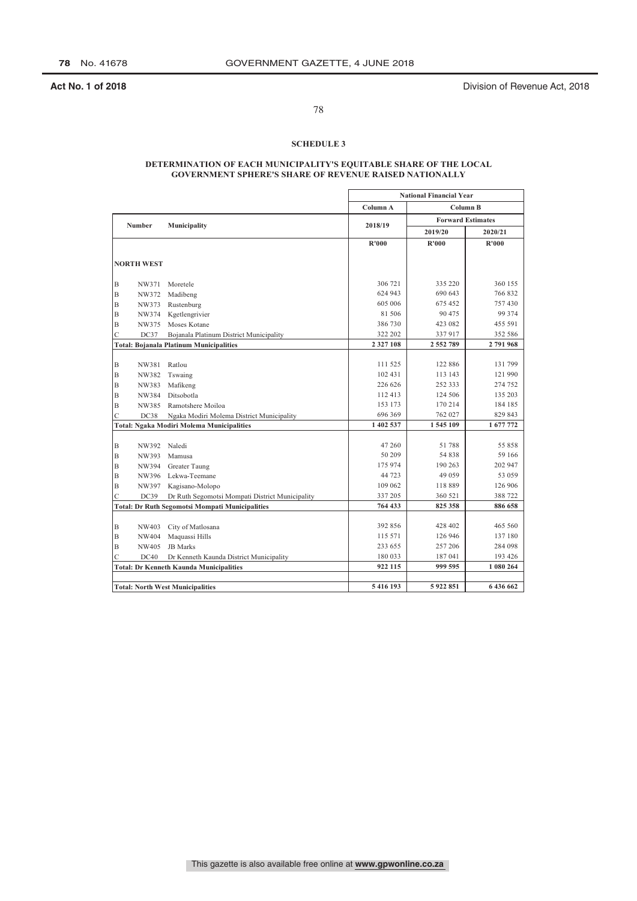**Act No. 1 of 2018 Act No. 1 of 2018 Division of Revenue Act, 2018** 

### 78

### **SCHEDULE 3**

### **DETERMINATION OF EACH MUNICIPALITY'S EQUITABLE SHARE OF THE LOCAL GOVERNMENT SPHERE'S SHARE OF REVENUE RAISED NATIONALLY**

|                     |                   |                                                        |                          | <b>National Financial Year</b> |                      |
|---------------------|-------------------|--------------------------------------------------------|--------------------------|--------------------------------|----------------------|
|                     |                   |                                                        | Column A                 | Column B                       |                      |
|                     | <b>Number</b>     | Municipality                                           | 2018/19                  | <b>Forward Estimates</b>       |                      |
|                     |                   |                                                        |                          | 2019/20                        | 2020/21              |
|                     |                   |                                                        | R'000                    | R'000                          | R'000                |
|                     |                   |                                                        |                          |                                |                      |
|                     | <b>NORTH WEST</b> |                                                        |                          |                                |                      |
|                     | NW371             | Moretele                                               | 306 721                  | 335 220                        | 360 155              |
| B<br>$\overline{B}$ | NW372             |                                                        | 624 943                  | 690 643                        | 766832               |
|                     |                   | Madibeng<br>Rustenburg                                 | 605 006                  | 675 452                        | 757430               |
| B                   | NW373             |                                                        | 81 50 6                  | 90 475                         | 99 3 7 4             |
| $\overline{B}$      | NW374             | Kgetlengrivier                                         |                          | 423 082                        | 455 591              |
| B                   | NW375             | Moses Kotane                                           | 386 730                  |                                |                      |
| $\mathsf{C}$        | DC37              | Bojanala Platinum District Municipality                | 322 202<br>2 3 2 7 1 0 8 | 337917<br>2 552 789            | 352 586<br>2 791 968 |
|                     |                   | <b>Total: Bojanala Platinum Municipalities</b>         |                          |                                |                      |
| B                   | NW381             | Ratlou                                                 | 111 525                  | 122 886                        | 131 799              |
| B                   | NW382             | Tswaing                                                | 102 431                  | 113 143                        | 121 990              |
| B                   | NW383             | Mafikeng                                               | 226 626                  | 252 333                        | 274 752              |
| $\mathbf B$         | NW384             | Ditsobotla                                             | 112 413                  | 124 506                        | 135 203              |
| B                   | NW385             | Ramotshere Moiloa                                      | 153 173                  | 170 214                        | 184 185              |
| $\mathcal{C}$       | DC38              | Ngaka Modiri Molema District Municipality              | 696 369                  | 762 027                        | 829 843              |
|                     |                   | <b>Total: Ngaka Modiri Molema Municipalities</b>       | 1 402 537                | 1545109                        | 1 677 772            |
|                     |                   |                                                        |                          |                                |                      |
| $\mathbf B$         | NW392             | Naledi                                                 | 47 260                   | 51788                          | 55858                |
| $\mathbf B$         | NW393             | Mamusa                                                 | 50 209                   | 54838                          | 59 166               |
| B                   | NW394             | Greater Taung                                          | 175 974                  | 190 263                        | 202 947              |
| B                   | NW396             | Lekwa-Teemane                                          | 44 723                   | 49 059                         | 53 059               |
| B                   | NW397             | Kagisano-Molopo                                        | 109 062                  | 118889                         | 126 906              |
| C                   | DC39              | Dr Ruth Segomotsi Mompati District Municipality        | 337 205                  | 360 521                        | 388 722              |
|                     |                   | <b>Total: Dr Ruth Segomotsi Mompati Municipalities</b> | 764 433                  | 825 358                        | 886 658              |
|                     |                   |                                                        |                          |                                |                      |
| B                   | NW403             | City of Matlosana                                      | 392 856                  | 428 402                        | 465 560              |
| B                   | NW404             | Maquassi Hills                                         | 115 571                  | 126 946                        | 137 180              |
| B                   | NW405             | <b>JB</b> Marks                                        | 233 655                  | 257 206                        | 284 098              |
| C                   | DC40              | Dr Kenneth Kaunda District Municipality                | 180 033                  | 187041                         | 193 426              |
|                     |                   | <b>Total: Dr Kenneth Kaunda Municipalities</b>         | 922 115                  | 999 595                        | 1 080 264            |
|                     |                   |                                                        |                          |                                |                      |
|                     |                   | <b>Total: North West Municipalities</b>                | 5416193                  | 5922851                        | 6436662              |

This gazette is also available free online at **www.gpwonline.co.za**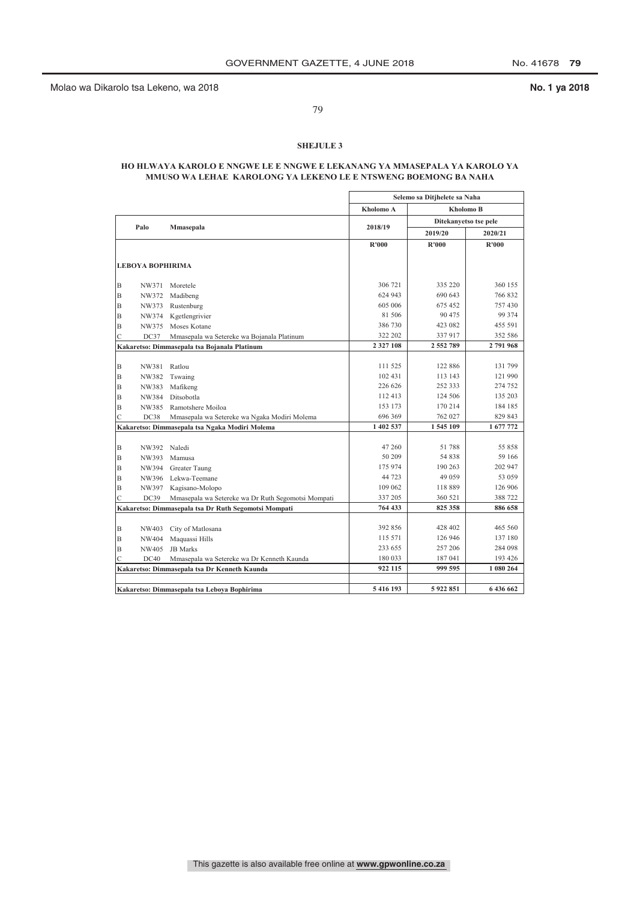Molao wa Dikarolo tsa Lekeno, wa 2018 **No. 1 ya 2018**

79

### **SHEJULE 3**

### **HO HLWAYA KAROLO E NNGWE LE E NNGWE E LEKANANG YA MMASEPALA YA KAROLO YA MMUSO WA LEHAE KAROLONG YA LEKENO LE E NTSWENG BOEMONG BA NAHA**

|   |                         |                                                      |               | Selemo sa Ditjhelete sa Naha |           |
|---|-------------------------|------------------------------------------------------|---------------|------------------------------|-----------|
|   |                         |                                                      | Kholomo A     | <b>Kholomo B</b>             |           |
|   | Palo                    | Mmasepala                                            | 2018/19       | Ditekanyetso tse pele        |           |
|   |                         |                                                      |               | 2019/20                      | 2020/21   |
|   |                         |                                                      | R'000         | R'000                        | R'000     |
|   |                         |                                                      |               |                              |           |
|   | <b>LEBOYA BOPHIRIMA</b> |                                                      |               |                              |           |
| B | NW371                   | Moretele                                             | 306 721       | 335 220                      | 360 155   |
| B | NW372                   | Madibeng                                             | 624 943       | 690 643                      | 766 832   |
| B | NW373                   | Rustenburg                                           | 605 006       | 675 452                      | 757 430   |
| B | NW374                   | Kgetlengrivier                                       | 81 50 6       | 90 475                       | 99 374    |
| B | NW375                   | Moses Kotane                                         | 386 730       | 423 082                      | 455 591   |
| Ċ | DC37                    | Mmasepala wa Setereke wa Bojanala Platinum           | 322 202       | 337 917                      | 352 586   |
|   |                         | Kakaretso: Dimmasepala tsa Bojanala Platinum         | 2 3 2 7 1 0 8 | 2 552 789                    | 2791968   |
|   |                         |                                                      |               |                              |           |
| B | NW381                   | Ratlou                                               | 111 525       | 122 886                      | 131 799   |
| B | NW382                   | Tswaing                                              | 102 431       | 113 143                      | 121 990   |
| B | NW383                   | Mafikeng                                             | 226 626       | 252 333                      | 274 752   |
| B | NW384                   | Ditsobotla                                           | 112 413       | 124 506                      | 135 203   |
| B | NW385                   | Ramotshere Moiloa                                    | 153 173       | 170 214                      | 184 185   |
| Ċ | DC38                    | Mmasepala wa Setereke wa Ngaka Modiri Molema         | 696 369       | 762 027                      | 829 843   |
|   |                         | Kakaretso: Dimmasepala tsa Ngaka Modiri Molema       | 1 402 537     | 1545 109                     | 1 677 772 |
|   |                         |                                                      |               |                              |           |
| B | NW392 Naledi            |                                                      | 47 260        | 51 788                       | 55 858    |
| B | NW393                   | Mamusa                                               | 50 209        | 54 838                       | 59 166    |
| B | NW394                   | Greater Taung                                        | 175 974       | 190 263                      | 202 947   |
| B |                         | NW396 Lekwa-Teemane                                  | 44 723        | 49 059                       | 53 059    |
| B | NW397                   | Kagisano-Molopo                                      | 109 062       | 118 889                      | 126 906   |
| Ċ | DC39                    | Mmasepala wa Setereke wa Dr Ruth Segomotsi Mompati   | 337 205       | 360 521                      | 388 722   |
|   |                         | Kakaretso: Dimmasepala tsa Dr Ruth Segomotsi Mompati | 764 433       | 825 358                      | 886 658   |
|   |                         |                                                      |               |                              |           |
| B | NW403                   | City of Matlosana                                    | 392 856       | 428 402                      | 465 560   |
| B | NW404                   | Maquassi Hills                                       | 115 571       | 126 946                      | 137 180   |
| B | NW405                   | <b>JB</b> Marks                                      | 233 655       | 257 206                      | 284 098   |
| Ċ | DC40                    | Mmasepala wa Setereke wa Dr Kenneth Kaunda           | 180 033       | 187 041                      | 193 426   |
|   |                         | Kakaretso: Dimmasepala tsa Dr Kenneth Kaunda         | 922 115       | 999 595                      | 1 080 264 |
|   |                         |                                                      |               |                              |           |
|   |                         | Kakaretso: Dimmasepala tsa Leboya Bophirima          | 5416193       | 5922851                      | 6436662   |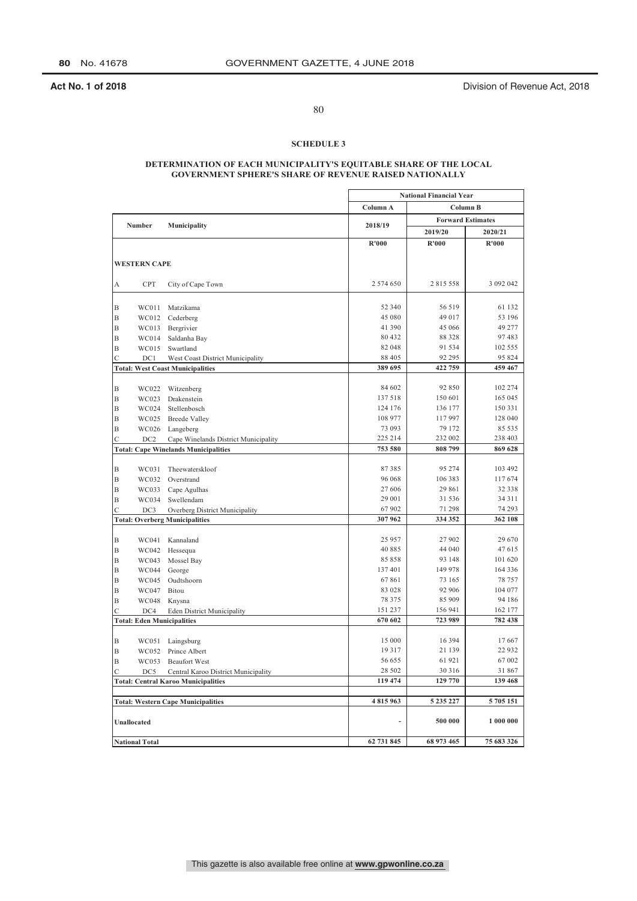**Act No. 1 of 2018 Act No. 1 of 2018 Division of Revenue Act, 2018** 

80

### **SCHEDULE 3**

### **DETERMINATION OF EACH MUNICIPALITY'S EQUITABLE SHARE OF THE LOCAL GOVERNMENT SPHERE'S SHARE OF REVENUE RAISED NATIONALLY**

|                                  |            |                                             |            | <b>National Financial Year</b> |                          |
|----------------------------------|------------|---------------------------------------------|------------|--------------------------------|--------------------------|
|                                  |            |                                             | Column A   |                                | Column B                 |
|                                  |            |                                             |            |                                | <b>Forward Estimates</b> |
| <b>Number</b>                    |            | Municipality                                | 2018/19    | 2019/20                        | 2020/21                  |
|                                  |            |                                             | R'000      | R'000                          | R'000                    |
|                                  |            |                                             |            |                                |                          |
| <b>WESTERN CAPE</b>              |            |                                             |            |                                |                          |
|                                  |            |                                             |            |                                |                          |
| А                                | <b>CPT</b> | City of Cape Town                           | 2 574 650  | 2815558                        | 3 092 042                |
|                                  |            |                                             |            |                                |                          |
| $\, {\bf B}$                     | WC011      | Matzikama                                   | 52 340     | 56 519                         | 61 132                   |
| $\overline{B}$                   | WC012      | Cederberg                                   | 45 080     | 49 017                         | 53 196                   |
| $\mathbf B$                      | WC013      | Bergrivier                                  | 41 390     | 45 066                         | 49 277                   |
| B                                | WC014      | Saldanha Bay                                | 80 432     | 88 3 28                        | 97483                    |
| B                                | WC015      | Swartland                                   | 82 048     | 91 534                         | 102 555                  |
| $\overline{C}$                   | DC1        | West Coast District Municipality            | 88 405     | 92 295                         | 95 824                   |
|                                  |            | <b>Total: West Coast Municipalities</b>     | 389 695    | 422 759                        | 459 467                  |
|                                  |            |                                             | 84 602     | 92 850                         |                          |
| $\overline{B}$<br>$\overline{B}$ | WC022      | Witzenberg                                  | 137518     | 150 601                        | 102 274<br>165 045       |
|                                  | WC023      | Drakenstein                                 | 124 176    | 136 177                        | 150 331                  |
| $\mathbf B$                      | WC024      | Stellenbosch                                | 108 977    |                                |                          |
| B                                | WC025      | <b>Breede Valley</b>                        | 73 093     | 117 997<br>79 172              | 128 040<br>85 535        |
| $\overline{B}$                   | WC026      | Langeberg                                   | 225 214    | 232 002                        | 238 403                  |
| $\mathsf{C}$                     | DC2        | Cape Winelands District Municipality        | 753 580    | 808 799                        | 869 628                  |
|                                  |            | <b>Total: Cape Winelands Municipalities</b> |            |                                |                          |
| $\, {\bf B}$                     | WC031      | Theewaterskloof                             | 87385      | 95 274                         | 103 492                  |
| B                                | WC032      | Overstrand                                  | 96 068     | 106 383                        | 117 674                  |
| B                                | WC033      | Cape Agulhas                                | 27 606     | 29 861                         | 32 338                   |
| $\mathbf B$                      | WC034      | Swellendam                                  | 29 001     | 31 536                         | 34 3 1 1                 |
| $\overline{C}$                   | DC3        | Overberg District Municipality              | 67 902     | 71 298                         | 74 293                   |
|                                  |            | <b>Total: Overberg Municipalities</b>       | 307962     | 334 352                        | 362 108                  |
|                                  |            |                                             |            |                                |                          |
| $\, {\bf B}$                     | WC041      | Kannaland                                   | 25 9 57    | 27902                          | 29 670                   |
| $\mathbf B$                      | WC042      | Hessequa                                    | 40 8 8 5   | 44 040                         | 47615                    |
| B                                | WC043      | Mossel Bay                                  | 85858      | 93 148                         | 101 620                  |
| $\mathbf B$                      | WC044      | George                                      | 137401     | 149 978                        | 164 336                  |
| B                                | WC045      | Oudtshoorn                                  | 67861      | 73 165                         | 78 757                   |
| B                                | WC047      | Bitou                                       | 83 028     | 92 906                         | 104 077                  |
| $\mathbf B$                      | WC048      | Knysna                                      | 78 3 7 5   | 85 909                         | 94 186                   |
| $\overline{C}$                   | DC4        | <b>Eden District Municipality</b>           | 151 237    | 156 941                        | 162 177                  |
|                                  |            | <b>Total: Eden Municipalities</b>           | 670 602    | 723 989                        | 782 438                  |
|                                  |            |                                             |            |                                |                          |
| $\mathbf B$                      | WC051      | Laingsburg                                  | 15 000     | 16 3 9 4                       | 17667                    |
| B                                | WC052      | Prince Albert                               | 19317      | 21 139                         | 22 9 32                  |
| $\, {\bf B}$                     | WC053      | <b>Beaufort West</b>                        | 56 655     | 61921                          | 67002                    |
| Ċ                                | DC5        | Central Karoo District Municipality         | 28 502     | 30 316                         | 31867                    |
|                                  |            | <b>Total: Central Karoo Municipalities</b>  | 119 474    | 129 770                        | 139 468                  |
|                                  |            |                                             |            |                                |                          |
|                                  |            | <b>Total: Western Cape Municipalities</b>   | 4815963    | 5 235 227                      | 5 705 151                |
| <b>Unallocated</b>               |            |                                             | ÷,         | 500 000                        | 1 000 000                |
|                                  |            |                                             |            |                                |                          |
| <b>National Total</b>            |            |                                             | 62 731 845 | 68 973 465                     | 75 683 326               |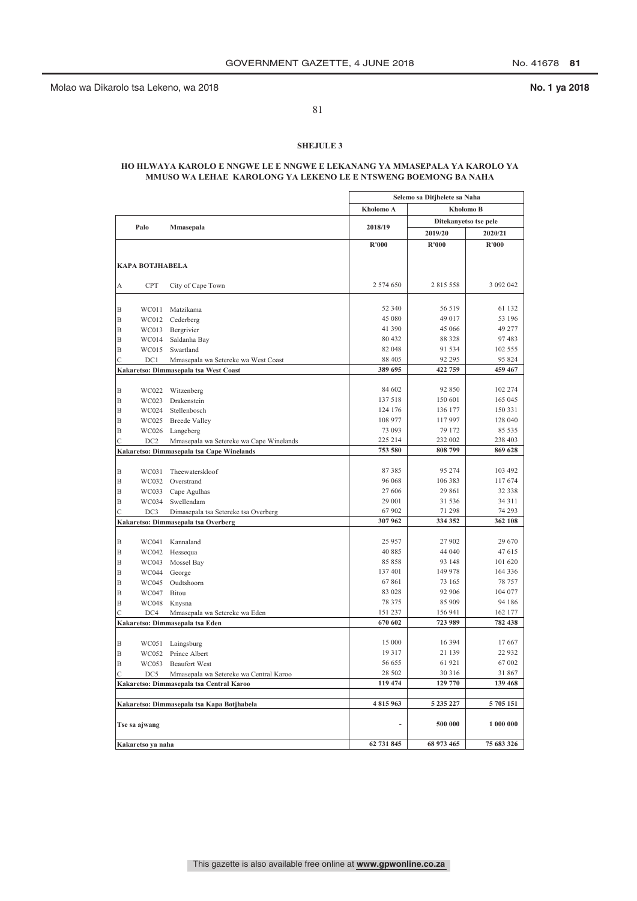Molao wa Dikarolo tsa Lekeno, wa 2018 **No. 1 ya 2018**

81

### **SHEJULE 3**

### **HO HLWAYA KAROLO E NNGWE LE E NNGWE E LEKANANG YA MMASEPALA YA KAROLO YA MMUSO WA LEHAE KAROLONG YA LEKENO LE E NTSWENG BOEMONG BA NAHA**

|                          |                                     |                                            |                  | Selemo sa Ditjhelete sa Naha |                       |
|--------------------------|-------------------------------------|--------------------------------------------|------------------|------------------------------|-----------------------|
|                          |                                     |                                            | Kholomo A        |                              | <b>Kholomo B</b>      |
| Palo                     |                                     |                                            | 2018/19          |                              | Ditekanyetso tse pele |
|                          | Mmasepala                           |                                            |                  | 2019/20                      | 2020/21               |
|                          |                                     |                                            | R'000            | R'000                        | R'000                 |
|                          |                                     |                                            |                  |                              |                       |
| <b>KAPA BOTJHABELA</b>   |                                     |                                            |                  |                              |                       |
|                          |                                     |                                            |                  |                              |                       |
| <b>CPT</b><br>A          |                                     | City of Cape Town                          | 2 574 650        | 2 815 558                    | 3 092 042             |
|                          |                                     |                                            |                  |                              |                       |
| B                        | WC011<br>Matzikama                  |                                            | 52 340           | 56 519                       | 61 132                |
| B<br>WC012               | Cederberg                           |                                            | 45 080           | 49 017                       | 53 196                |
| B<br>WC013               | Bergrivier                          |                                            | 41 390           | 45 066                       | 49 277                |
| B<br>WC014               | Saldanha Bay                        |                                            | 80 432<br>82 048 | 88 328<br>91 534             | 97 483<br>102 555     |
| B<br>WC015               | Swartland                           |                                            | 88 405           | 92 295                       | 95 824                |
| $\overline{C}$<br>DC1    |                                     | Mmasepala wa Setereke wa West Coast        | 389 695          | 422 759                      | 459 467               |
|                          |                                     | Kakaretso: Dimmasepala tsa West Coast      |                  |                              |                       |
| B<br>WC022               | Witzenberg                          |                                            | 84 602           | 92 850                       | 102 274               |
| B<br>WC023               | Drakenstein                         |                                            | 137 518          | 150 601                      | 165 045               |
| B<br>WC024               | Stellenbosch                        |                                            | 124 176          | 136 177                      | 150 331               |
| B                        | WC025<br><b>Breede Valley</b>       |                                            | 108 977          | 117 997                      | 128 040               |
| B<br>WC026               | Langeberg                           |                                            | 73 093           | 79 172                       | 85 535                |
| Ċ<br>DC <sub>2</sub>     |                                     | Mmasepala wa Setereke wa Cape Winelands    | 225 214          | 232 002                      | 238 403               |
|                          |                                     | Kakaretso: Dimmasepala tsa Cape Winelands  | 753 580          | 808 799                      | 869 628               |
|                          |                                     |                                            |                  |                              |                       |
| B<br>WC031               | Theewaterskloof                     |                                            | 87385            | 95 274                       | 103 492               |
| B<br>WC032               | Overstrand                          |                                            | 96 068           | 106 383                      | 117 674               |
| B<br>WC033               | Cape Agulhas                        |                                            | 27 606           | 29 861                       | 32 338                |
| B<br>WC034               | Swellendam                          |                                            | 29 001           | 31 536                       | 34 311                |
| Ċ<br>DC3                 |                                     | Dimasepala tsa Setereke tsa Overberg       | 67 902           | 71 298                       | 74 293                |
|                          | Kakaretso: Dimmasepala tsa Overberg |                                            | 307962           | 334 352                      | 362 108               |
|                          |                                     |                                            |                  |                              |                       |
| B<br>WC041               | Kannaland                           |                                            | 25 957           | 27 902                       | 29 670                |
| B<br>WC042               | Hessequa                            |                                            | 40885            | 44 040                       | 47 615                |
| B                        | WC043<br>Mossel Bay                 |                                            | 85 858           | 93 148                       | 101 620               |
| B<br>WC044               | George                              |                                            | 137401           | 149 978                      | 164 336               |
| B<br>WC045               | Oudtshoorn                          |                                            | 67861            | 73 165                       | 78 757                |
| B<br>WC047               | Bitou                               |                                            | 83 028           | 92 906                       | 104 077               |
| B<br>WC048               | Knysna                              |                                            | 78 375           | 85 909                       | 94 186                |
| C<br>DC4                 |                                     | Mmasepala wa Setereke wa Eden              | 151 237          | 156 941<br>723 989           | 162 177               |
|                          | Kakaretso: Dimmasepala tsa Eden     |                                            | 670 602          |                              | 782 438               |
|                          |                                     |                                            | 15 000           | 16 3 9 4                     | 17667                 |
| B<br>WC051<br>B<br>WC052 | Laingsburg<br>Prince Albert         |                                            | 19 3 17          | 21 139                       | 22 9 32               |
| B<br>WC053               | <b>Beaufort West</b>                |                                            | 56 655           | 61 921                       | 67 002                |
| C<br>DC5                 |                                     | Mmasepala wa Setereke wa Central Karoo     | 28 502           | 30 316                       | 31 867                |
|                          |                                     | Kakaretso: Dimmasepala tsa Central Karoo   | 119 474          | 129 770                      | 139 468               |
|                          |                                     |                                            |                  |                              |                       |
|                          |                                     | Kakaretso: Dimmasepala tsa Kapa Botjhabela | 4815963          | 5 235 227                    | 5 705 151             |
|                          |                                     |                                            |                  |                              |                       |
| Tse sa ajwang            |                                     |                                            | ÷.               | 500 000                      | 1 000 000             |
| Kakaretso ya naha        |                                     |                                            | 62 731 845       | 68 973 465                   | 75 683 326            |
|                          |                                     |                                            |                  |                              |                       |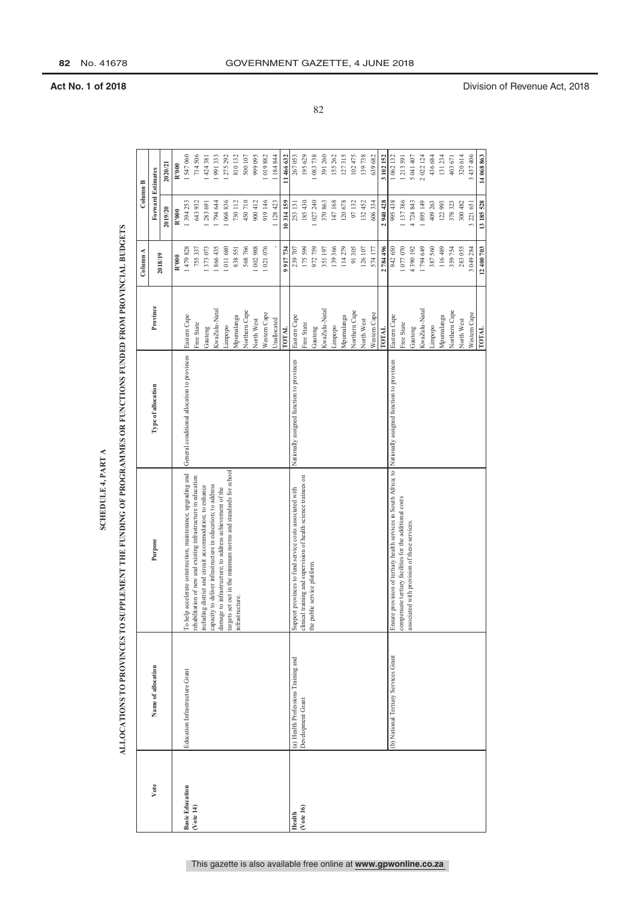|                        |                                      |                                                                                                                          |                                             |               | Column A   | Column B                 |            |
|------------------------|--------------------------------------|--------------------------------------------------------------------------------------------------------------------------|---------------------------------------------|---------------|------------|--------------------------|------------|
| Vote                   | Name of allocation                   | Purpose                                                                                                                  | Type of allocation                          | Province      | 2018/19    | <b>Forward Estimates</b> |            |
|                        |                                      |                                                                                                                          |                                             |               |            | 2019/20                  | 2020/21    |
|                        |                                      |                                                                                                                          |                                             |               | R'000      | R'000                    | R'000      |
| <b>Basic Education</b> | Education Infrastructure Grant       | To help accelerate construction, maintenance, upgrading and                                                              | General conditional allocation to provinces | Eastern Cape  | 479828     | 1 394 253                | 547060     |
| (Vote 14)              |                                      | rehabilitation of new and existing infrastructure in education                                                           |                                             | Free State    | 755 337    | 643932                   | 714506     |
|                        |                                      | including district and circuit accommodation; to enhance                                                                 |                                             | Gauteng       | 1373073    | 283 691                  | 424 38 1   |
|                        |                                      | capacity to deliver infrastructure in education; to address                                                              |                                             | KwaZulu-Natal | 866435     | 1794 644                 | 991333     |
|                        |                                      | targets set out in the minimum norms and standards for school<br>damage to infrastructure; to address achievement of the |                                             | Limpopo       | 1011680    | 1 068 836                | 275 292    |
|                        |                                      | infrastructure.                                                                                                          |                                             | Mpumalanga    | 838551     | 730 112                  | 810132     |
|                        |                                      |                                                                                                                          |                                             | Northern Cape | 568 766    | 450710                   | 500 107    |
|                        |                                      |                                                                                                                          |                                             | North West    | 1 002 988  | 900 412                  | 999 095    |
|                        |                                      |                                                                                                                          |                                             | Western Cape  | 1021076    | 919146                   | 1019882    |
|                        |                                      |                                                                                                                          |                                             | Unallocated   |            | 1 128 423                | 1 184 844  |
|                        |                                      |                                                                                                                          |                                             | <b>LOTAL</b>  | 9 9 17 734 | 10314159                 | 11 466 632 |
| Health                 | (a) Health Professions Training and  | Support provinces to fund service costs associated with                                                                  | Nationally assigned function to provinces   | Eastern Cape  | 239 707    | 253 131                  | 267053     |
| (Vote 16)              | Development Grant                    | clinical training and supervision of health science trainees on                                                          |                                             | Free State    | 175 599    | 185 430                  | 195 629    |
|                        |                                      | the public service platform.                                                                                             |                                             | Gauteng       | 972759     | 027 240                  | 1 083 738  |
|                        |                                      |                                                                                                                          |                                             | KwaZulu-Natal | 351197     | 370863                   | 391260     |
|                        |                                      |                                                                                                                          |                                             | Limpopo       | 139366     | 147168                   | 155 262    |
|                        |                                      |                                                                                                                          |                                             | Mpumalanga    | 114279     | 120678                   | 127315     |
|                        |                                      |                                                                                                                          |                                             | Northern Cape | 91305      | 97132                    | 102475     |
|                        |                                      |                                                                                                                          |                                             | North West    | 126 107    | 132452                   | 139738     |
|                        |                                      |                                                                                                                          |                                             | Western Cape  | 574 177    | 606334                   | 639682     |
|                        |                                      |                                                                                                                          |                                             | TOTAL         | 2 784 496  | 2940 428                 | 3 102 152  |
|                        | (b) National Tertiary Services Grant | Ensure provision of tertiary health services in South Africa; to Nationally assigned function to provinces               |                                             | Eastern Cape  | 942 650    | 995 438                  | 1 062 132  |
|                        |                                      | compensate tertiary facilities for the additional costs                                                                  |                                             | Free State    | 1077070    | 1137386                  | 1213591    |
|                        |                                      | associated with provision of these services                                                                              |                                             | Gauteng       | 4 390 192  | 4724843                  | 5 041 407  |
|                        |                                      |                                                                                                                          |                                             | KwaZulu-Natal | 1794 649   | 1895149                  | 2 022 124  |
|                        |                                      |                                                                                                                          |                                             | Limpopo       | 387560     | 409 263                  | 436 684    |
|                        |                                      |                                                                                                                          |                                             | Mpumalanga    | 116489     | 122993                   | 131234     |
|                        |                                      |                                                                                                                          |                                             | Northern Cape | 359754     | 378 323                  | 403671     |
|                        |                                      |                                                                                                                          |                                             | North West    | 283055     | 300 482                  | 320614     |
|                        |                                      |                                                                                                                          |                                             | Western Cape  | 3 049 284  | 3 221 651                | 3 437 406  |
|                        |                                      |                                                                                                                          |                                             | TOTAL         | 12 400 703 | 13 185 528               | 14 068 863 |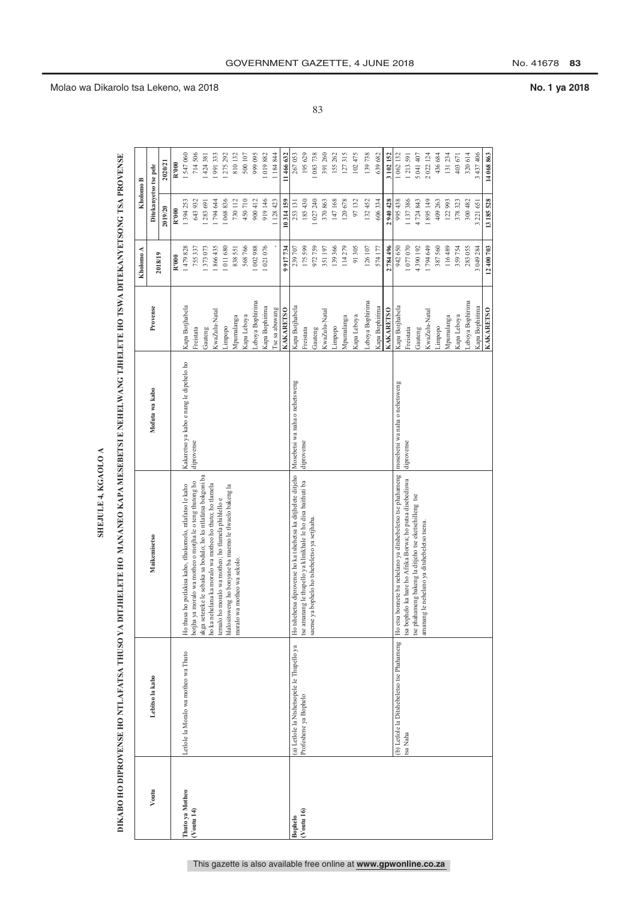|                  |                                            |                                                                                                               |                                         |                  | Kholomo A  | Kholomo B             |            |
|------------------|--------------------------------------------|---------------------------------------------------------------------------------------------------------------|-----------------------------------------|------------------|------------|-----------------------|------------|
| Voutu            | Lebitso la kabo                            | <b>Maikemisetso</b>                                                                                           | Mofuta wa kabo                          | Provense         |            | Ditekanyetso tse pele |            |
|                  |                                            |                                                                                                               |                                         |                  | 2018/19    | 2019/20               | 2020/21    |
|                  |                                            |                                                                                                               |                                         |                  | R'000      | R'000                 | R'000      |
| Thuto ya Motheo  | Letlole la Moralo wa motheo wa Thuto       | Ho thusa ho potlakisa kaho, tlhokomelo, ntlafatso le kaho                                                     | Kakaretso ya kabo e nang le dipehelo ho | Kapa Botjhabela  | 1479828    | 1394253               | 1547060    |
| $($ Voutu 14 $)$ |                                            | moralo wa motheo o motiha le o teng thutong ho<br>botjha ya                                                   | diprovense                              | Freistata        | 755337     | 643932                | 714 506    |
|                  |                                            | akga setereke le sebaka sa bodulo; ho ks ntlafatsa bokgoni ba                                                 |                                         | Gauteng          | 373073     | 283 691               | 424 381    |
|                  |                                            | no ka nehelana ka moralo wa motheo ho thuto; ho tlamela<br>temalo ho moralo wa motheo; ho tlamela phihlello e |                                         | KwaZulu-Natal    | 866435     | 794 644               | 991333     |
|                  |                                            | hlalositsweng ho bonyane ba maemo le tlwaelo bakeng la                                                        |                                         | Limpopo          | 011680     | 1 068 836             | 275 292    |
|                  |                                            | moralo wa motheo wa sekolo.                                                                                   |                                         | Mpumalanga       | 838551     | 730112                | 810132     |
|                  |                                            |                                                                                                               |                                         | Kapa Leboya      | 568766     | 450710                | 500 107    |
|                  |                                            |                                                                                                               |                                         | Leboya Bophirima | 002988     | 900 412               | 999 095    |
|                  |                                            |                                                                                                               |                                         | Kapa Bophirima   | 1021076    | 919146                | 1019882    |
|                  |                                            |                                                                                                               |                                         | Tse sa abuwang   |            | 128423                | 184844     |
|                  |                                            |                                                                                                               |                                         | <b>KAKARETSO</b> | 9 917 734  | 10314159              | 11 466 632 |
| <b>Bophelo</b>   | (a) Letlole la Ntshetsopele le Thupello ya | Ho tshehetsa diprovense ho ka tshehetsa ka ditjhelete ditjeho                                                 | Mosebetsi wa naha o nehetsweng          | Kapa Botjhabela  | 239 707    | 253 131               | 267053     |
| $($ Voutu 16 $)$ | Profeshene ya Bophelo                      | tse amanang le thupello ya klinikhale le ho disa baithuti ba                                                  | diprovense                              | Freistata        | 175599     | 185430                | 195 629    |
|                  |                                            | saense ya bophelo ho tshebeletso ya setjhaba.                                                                 |                                         | Gauteng          | 972759     | 027240                | 1 083 738  |
|                  |                                            |                                                                                                               |                                         | KwaZulu-Natal    | 351197     | 370863                | 391 260    |
|                  |                                            |                                                                                                               |                                         | Limpopo          | 139366     | 147168                | 155 262    |
|                  |                                            |                                                                                                               |                                         | Mpumalanga       | 114279     | 120678                | 127315     |
|                  |                                            |                                                                                                               |                                         | Kapa Leboya      | 91305      | 97132                 | 102 475    |
|                  |                                            |                                                                                                               |                                         | Leboya Bophirima | 126 107    | 132452                | 139738     |
|                  |                                            |                                                                                                               |                                         | Kapa Bophirima   | 574177     | 606334                | 639 682    |
|                  |                                            |                                                                                                               |                                         | <b>KAKARETSO</b> | 2784496    | 2940 428              | 3 102 152  |
|                  | (b) Letlole la Ditshebeletso tse Phahameng | Ho etsa bonnete ba nehelano ya ditshebeletso tse phahameng                                                    | mosebetsi wa naha o nehetsweng          | Kapa Botjhabela  | 942650     | 995 438               | 1 062 132  |
|                  | tsa Naha                                   | tsa bophelo ka hare ho Afrika Borwa; ho putsa disebediswa                                                     | diprovense                              | Freistata        | 1077070    | 1137386               | 1213591    |
|                  |                                            | tse phahameng bakeng la ditjeho tse eketsehilleng tse                                                         |                                         | Gauteng          | 4390192    | 4724843               | 5041407    |
|                  |                                            | le nehelano ya ditshebeletso tsena.<br>amanang                                                                |                                         | KwaZulu-Natal    | 1794649    | 1895149               | 2 022 124  |
|                  |                                            |                                                                                                               |                                         | Limpopo          | 387560     | 409263                | 436 684    |
|                  |                                            |                                                                                                               |                                         | Mpumalanga       | 116489     | 122993                | 131 234    |
|                  |                                            |                                                                                                               |                                         | Kapa Leboya      | 359754     | 378323                | 403671     |
|                  |                                            |                                                                                                               |                                         | Leboya Bophirima | 283055     | 300 482               | 320 614    |
|                  |                                            |                                                                                                               |                                         | Kapa Bophirima   | 3 049 284  | 3 221 651             | 3 437 406  |
|                  |                                            |                                                                                                               |                                         | <b>KAKARETSO</b> | 12.400.703 | 13.185.528            | 14 068 863 |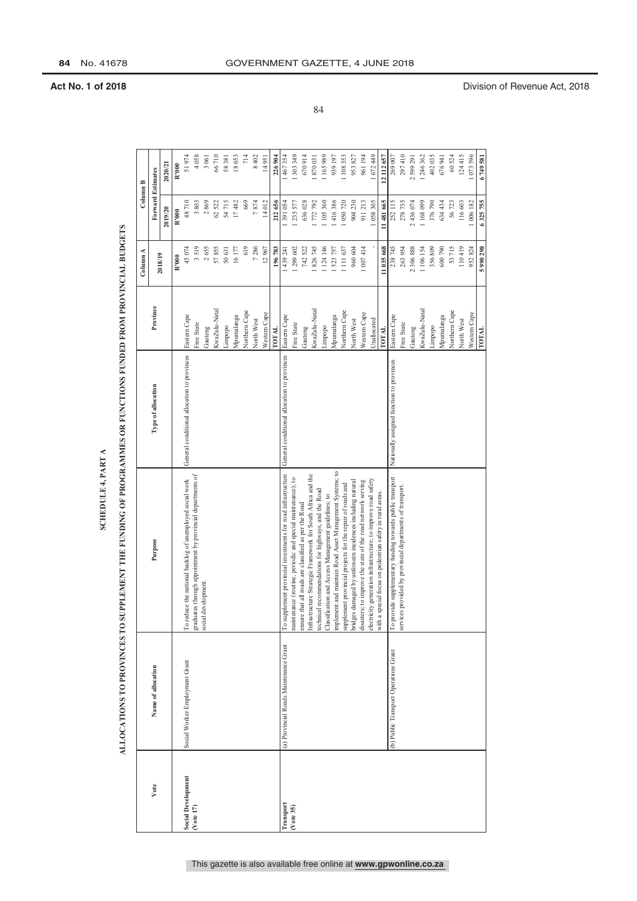|                           |                                        |                                                                                                                     |                                             |               | Column A   | Column B                 |            |
|---------------------------|----------------------------------------|---------------------------------------------------------------------------------------------------------------------|---------------------------------------------|---------------|------------|--------------------------|------------|
| Vote                      | Name of allocation                     | Purpose                                                                                                             | Type of allocation                          | Province      | 2018/19    | <b>Forward Estimates</b> |            |
|                           |                                        |                                                                                                                     |                                             |               |            | 2019/20                  | 2020/21    |
|                           |                                        |                                                                                                                     |                                             |               | R'000      | R'000                    | R'000      |
| <b>Social Development</b> | Social Worker Employment Grant         | To reduce the national backlog of unemployed social work                                                            | General conditional allocation to provinces | Eastern Cape  | 45074      | 48710                    | 51974      |
| ( Note 17)                |                                        | graduates through appointment by provincial departments of                                                          |                                             | Free State    | 3519       | 3803                     | 4058       |
|                           |                                        | social development.                                                                                                 |                                             | Gauteng       | 2655       | 2869                     | 3061       |
|                           |                                        |                                                                                                                     |                                             | KwaZulu-Natal | 57855      | 62522                    | 66710      |
|                           |                                        |                                                                                                                     |                                             | Limpopo       | 50631      | 54715                    | 58381      |
|                           |                                        |                                                                                                                     |                                             | Mpumalanga    | 16177      | 17482                    | 18653      |
|                           |                                        |                                                                                                                     |                                             | Northern Cape | 619        | 669                      | 714        |
|                           |                                        |                                                                                                                     |                                             | North West    | 7286       | 7874                     | 8402       |
|                           |                                        |                                                                                                                     |                                             | Western Cape  | 12967      | 14012                    | 14951      |
|                           |                                        |                                                                                                                     |                                             | <b>TOTAL</b>  | 196783     | 212656                   | 226904     |
| Transport                 | (a) Provincial Roads Maintenance Grant | To supplement provincial investments for road infrastructure                                                        | General conditional allocation to provinces | Eastern Cape  | 1439241    | 1391054                  | 1467354    |
| (Vote 35)                 |                                        | maintenance (routine, periodic and special maintenance); to                                                         |                                             | Free State    | .299 602   | 235 577                  | 1 303 349  |
|                           |                                        | ensure that all roads are classified as per the Road                                                                |                                             | Gauteng       | 742 522    | 636028                   | 670914     |
|                           |                                        | Infrastructure Strategic Framework for South Africa and the<br>technical recommendations for highways, and the Road |                                             | KwaZulu-Natal | 826745     | 772 792                  | 870031     |
|                           |                                        | Classification and Access Management guidelines; to                                                                 |                                             | Limpopo       | 124 146    | 105360                   | 1165989    |
|                           |                                        | implement and maintain Road Asset Management Systems; to                                                            |                                             | Mpumalanga    | 523 757    | 416386                   | 939 197    |
|                           |                                        | supplement provincial projects for the repair of roads and                                                          |                                             | Northern Cape | 1 111 637  | 050720                   | 1 108 353  |
|                           |                                        | bridges damaged by unforseen incidences including natural                                                           |                                             | North West    | 960 604    | 904 230                  | 953827     |
|                           |                                        | disasters; to improve the state of the road network serving                                                         |                                             | Western Cape  | 1 007 414  | 911213                   | 961 194    |
|                           |                                        | electricity generation infrastructure; to improve road safety                                                       |                                             | Unallocated   |            | 1 058 305                | 1672449    |
|                           |                                        | with a special focus on pedestrian safety in rural areas.                                                           |                                             | TOTAL         | 11 035 668 | 11 481 665               | 12 112 657 |
|                           | (b) Public Transport Operations Grant  | To provide supplementary funding towards public transport                                                           | Nationally assigned function to provinces   | Eastern Cape  | 238 745    | 252115                   | 269 007    |
|                           |                                        | services provided by provincial departments of transport.                                                           |                                             | Free State    | 263 954    | 278735                   | 297410     |
|                           |                                        |                                                                                                                     |                                             | Gauteng       | 2 306 888  | 2 436 074                | 2 599 291  |
|                           |                                        |                                                                                                                     |                                             | KwaZulu-Natal | 1 106 154  | 1168099                  | 1 246 362  |
|                           |                                        |                                                                                                                     |                                             | Limpopo       | 356809     | 376790                   | 402035     |
|                           |                                        |                                                                                                                     |                                             | Mpumalanga    | 600790     | 634 434                  | 676941     |
|                           |                                        |                                                                                                                     |                                             | Northern Cape | 53715      | 56723                    | 60524      |
|                           |                                        |                                                                                                                     |                                             | North West    | 110419     | 116603                   | 124415     |
|                           |                                        |                                                                                                                     |                                             | Western Cape  | 952824     | 006182                   | 1073596    |
|                           |                                        |                                                                                                                     |                                             | TOTAL         | 5 990 298  | 6325755                  | 6749581    |

84

**84** No. 41678 GOVERNMENT GAZETTE, 4 JUNE 2018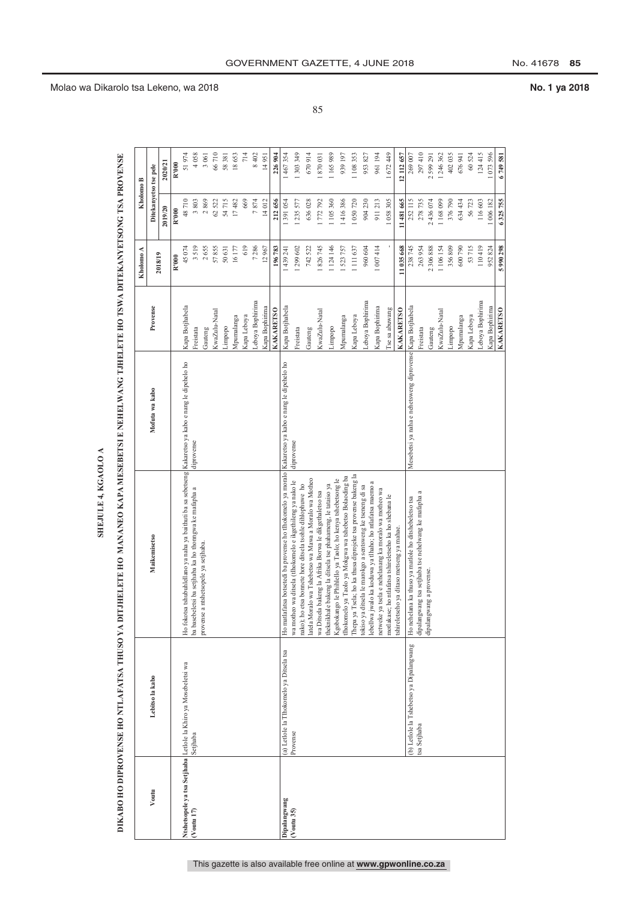|               |                                                                 |                                                                                                                      |                                                           |                  | Kholomo A  | Kholomo B             |            |
|---------------|-----------------------------------------------------------------|----------------------------------------------------------------------------------------------------------------------|-----------------------------------------------------------|------------------|------------|-----------------------|------------|
| Voutu         | Lebitso la kabo                                                 | <b>Maikemisetso</b>                                                                                                  | Mofuta wa kabo                                            | Provense         |            | Ditekanyetso tse pele |            |
|               |                                                                 |                                                                                                                      |                                                           |                  | 2018/19    | 2019/20               | 2020/21    |
|               |                                                                 |                                                                                                                      |                                                           |                  | R'000      | R'000                 | R'000      |
|               | Ntshetsopele ya tsa Setjhaba Letlole la Khiro ya Mosebeletsi wa | Ho fokotsa tshubuhlellano ya naha ya baithuti ba sa sebetseng Kakaretso ya kabo e nang le dipehelo ho                |                                                           | Kapa Botjhabela  | 45074      | 48710                 | 51974      |
| $($ Voutu 17) | Setjhaba                                                        | ba basebeletsi ba setjhaba ka ho thomgwa ke mafapha a                                                                | diprovense                                                | Freistata        | 3519       | 3803                  | 4 058      |
|               |                                                                 | provense a ntshetsopele ya setjhaba                                                                                  |                                                           | Gauteng          | 2655       | 2869                  | 3 061      |
|               |                                                                 |                                                                                                                      |                                                           | KwaZulu-Natal    | 57855      | 62522                 | 66710      |
|               |                                                                 |                                                                                                                      |                                                           | Limpopo          | 50631      | 54715                 | 58 381     |
|               |                                                                 |                                                                                                                      |                                                           | Mpumalanga       | 16177      | 17482                 | 18653      |
|               |                                                                 |                                                                                                                      |                                                           | Kapa Leboya      | 619        | 669                   | 714        |
|               |                                                                 |                                                                                                                      |                                                           | Leboya Bophirima | 7286       | 7874                  | 8 402      |
|               |                                                                 |                                                                                                                      |                                                           | Kapa Bophirima   | 12967      | 14012                 | 14951      |
|               |                                                                 |                                                                                                                      |                                                           | <b>KAKARETSO</b> | 196783     | 212656                | 226 904    |
| Dipalangwang  | (a) Letlole la Tlhokomelo ya Ditsela tsa                        | Ho matlafatsa botsetedi ba provense ho tlhokomelo ya moralo Kakaretso ya kabo e nang le dipehelo ho                  |                                                           | Kapa Botjhabela  | 439 241    | 391054                | 467 354    |
| Voutu 35)     | Provense                                                        | wa motheo wa ditsela (tlhokomelo e ikgethileng ya nako le                                                            | diprovense                                                | Freistata        | 299 602    | 235577                | 1 303 349  |
|               |                                                                 | latela Moralo wa Tshebetso wa Mawa a Moralo wa Motheo<br>nako); ho etsa bonnete hore ditsela tsohle dihlophuwe ho    |                                                           | Gauteng          | 742 522    | 636028                | 670914     |
|               |                                                                 | wa Ditsela bakeng la Afrika Borwa le dikgethaletso tsa                                                               |                                                           | KwaZulu-Natal    | 826745     | 1772792               | 870 031    |
|               |                                                                 | theknikhale bakeng la ditsela tse phahameng, le tataiso ya                                                           |                                                           | Limpopo          | 1 124 146  | 1105360               | 1165989    |
|               |                                                                 | tlhokomelo ya Taolo ya Mokgwa wa tshebetso Bolaoding ba<br>Kgobokango le Phihlello ya Taolo; ho kenya tshebetsong le |                                                           | Mpumalanga       | 523 757    | 416386                | 939 197    |
|               |                                                                 | Thepa ya Tsela; ho ka thusa diprojeke tsa provense bakeng la                                                         |                                                           | Kapa Leboya      | 1111637    | 1050720               | 108353     |
|               |                                                                 | tokiso ya ditsela le marokgo a sentsweng ke tseneng di sa                                                            |                                                           | Leboya Bophirima | 960 604    | 904230                | 953 827    |
|               |                                                                 | lebellwa jwalo ka koduwa ya tlhaho; ho ntlafatsa maemo a<br>netweke ya tsela e nehelanang ka moralo wa motheo wa     |                                                           | Kapa Bophirima   | 1 007 4 14 | 911213                | 961 194    |
|               |                                                                 | ho ntlafatsa tshireletseho ka ho shebana le<br>motlakase;                                                            |                                                           | I'se sa abuwang  |            | .058305               | 1672449    |
|               |                                                                 | tshireletseho ya ditaso metseng ya mahae.                                                                            |                                                           | <b>KAKARETSO</b> | 11 035 668 | 11 481 665            | 12 112 657 |
|               | (b) Letlole la Tshebetso ya Dipalangwang                        | Ho nehelana ka thuso ya matlole ho ditshebeletso tsa                                                                 | Mesebetsi ya naha e nehetsweng diprovense Kapa Botjhabela |                  | 238 745    | 252115                | 269 007    |
|               | tsa Setjhaba                                                    | dipalangwang tsa setjhaba tse nehelwang ke mafapha a                                                                 |                                                           | reistata         | 263954     | 278735                | 297 410    |
|               |                                                                 | dipalangwang a provense.                                                                                             |                                                           | Gauteng          | 2 306 888  | 2436074               | 2 599 291  |
|               |                                                                 |                                                                                                                      |                                                           | KwaZulu-Natal    | 1 106 154  | 1168099               | 1 246 362  |
|               |                                                                 |                                                                                                                      |                                                           | Limpopo          | 356809     | 376790                | 402 035    |
|               |                                                                 |                                                                                                                      |                                                           | Mpumalanga       | 600790     | 634434                | 676941     |
|               |                                                                 |                                                                                                                      |                                                           | Kapa Leboya      | 53715      | 56723                 | 60 524     |
|               |                                                                 |                                                                                                                      |                                                           | Leboya Bophirima | 110419     | 116603                | 124415     |
|               |                                                                 |                                                                                                                      |                                                           | Kapa Bophirima   | 952824     | 1006182               | 1073596    |
|               |                                                                 |                                                                                                                      |                                                           | <b>KAKARETSO</b> | 5 990 298  | 6325755               | 6749581    |

85

### Molao wa Dikarolo tsa Lekeno, wa 2018 **No. 1 ya 2018**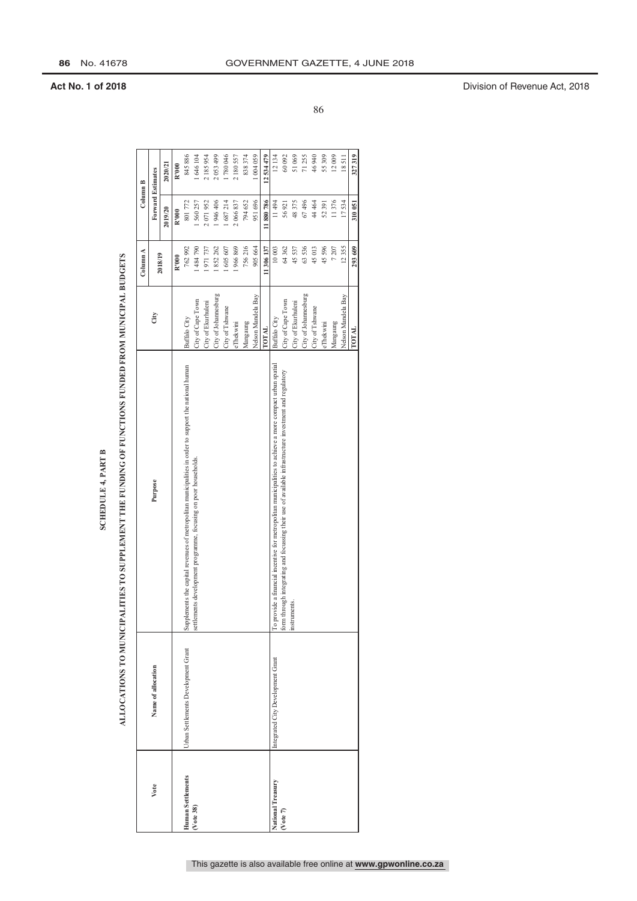### **SCHEDULE 4, PART B**

# ALLOCATIONS TO MUNICIPALITIES TO SUPPLEMENT THE FUNDING OF FUNCTIONS FUNDED FROM MUNICIPAL BUDGETS

|                          |                                     |                                                                                                          |                      | Column A   | Column B                 |            |
|--------------------------|-------------------------------------|----------------------------------------------------------------------------------------------------------|----------------------|------------|--------------------------|------------|
| Vote                     | Name of allocation                  | Purpose                                                                                                  | City                 | 2018/19    | <b>Forward Estimates</b> |            |
|                          |                                     |                                                                                                          |                      |            | 2019/20                  | 2020/21    |
|                          |                                     |                                                                                                          |                      | R'000      | R'000                    | R'000      |
| <b>Human Settlements</b> | Urban Settlements Development Grant | Supplements the capital revenues of metropolitan municipalities in order to support the national human   | Buffalo City         | 762992     | 801772                   | 845886     |
| (Vote 38)                |                                     | settlements development programme, focusing on poor households.                                          | City of Cape Town    | 1484790    | 560 257                  | 1 646 104  |
|                          |                                     |                                                                                                          | City of Ekurhuleni   | 1971737    | 2071952                  | 2 185 954  |
|                          |                                     |                                                                                                          | City of Johannesburg | 852 262    | 946 406                  | 2 053 499  |
|                          |                                     |                                                                                                          | City of Tshwane      | 605 607    | 687214                   | 1780046    |
|                          |                                     |                                                                                                          | eThekwini            | 1966869    | 2 066 837                | 2 180 557  |
|                          |                                     |                                                                                                          | Mangaung             | 756216     | 794 652                  | 838 374    |
|                          |                                     |                                                                                                          | Nelson Mandela Bay   | 905664     | 951696                   | 1 004 059  |
|                          |                                     |                                                                                                          | <b>TOTAL</b>         | 11 306 137 | 11880786                 | 12 534 479 |
| National Treasury        | Integrated City Development Grant   | To provide a financial incentive for metropolitan municipalities to achieve a more compact urban spatial | Buffalo City         | 10003      | 11494                    | 12134      |
| (Vote 7)                 |                                     | form through integrating and focussing their use of available infrastructure investment and regulatory   | City of Cape Town    | 64362      | 56921                    | 60092      |
|                          |                                     | instruments.                                                                                             | City of Ekurhuleni   | 45537      | 48375                    | 51069      |
|                          |                                     |                                                                                                          | City of Johannesburg | 63536      | 67496                    | 71255      |
|                          |                                     |                                                                                                          | City of Tshwane      | 45013      | 44 464                   | 46940      |
|                          |                                     |                                                                                                          | eThekwini            | 45596      | 52391                    | 55 309     |
|                          |                                     |                                                                                                          | Mangaung             | 7207       | 11376                    | 12009      |
|                          |                                     |                                                                                                          | Nelson Mandela Bay   | 12355      | 17534                    | 18511      |
|                          |                                     |                                                                                                          | TOTAL                | 293 609    | 310051                   | 327319     |

86

**Act No. 1 of 2018** Division of Revenue Act, 2018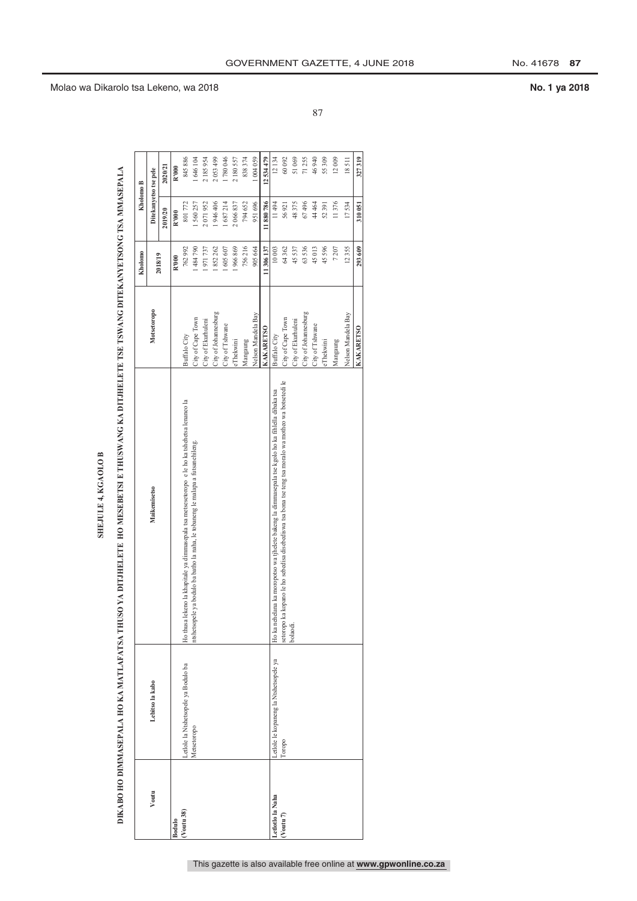DIKABO HO DIMMASEPALA HO KA MATLAFATSA THUSO YA DITJHELETE HO MESEBETSI E THUSWANG KA DITJHELETE TSE TSWANG DITEKANYETSONG TSA MMASEPALA SHEJULE 4, KGAOLO B

|                       | DIKABO HO DIMMASEPALA HO KA MATLAFATSA THUSO YA DITJHELETE HO MESEBETSI E THUSWANG KA DITJHELETE TSE TSWANG DITEKANYETSONG TSA MMASEPALA |                                                                                                      |                      | Kholomo  | Kholomo B             |           |
|-----------------------|------------------------------------------------------------------------------------------------------------------------------------------|------------------------------------------------------------------------------------------------------|----------------------|----------|-----------------------|-----------|
| Voutu                 | Lebitso la kabo                                                                                                                          | Maikemisetso                                                                                         | <b>Motsetoropo</b>   | 2018/19  | Ditekanyetso tse pele |           |
|                       |                                                                                                                                          |                                                                                                      |                      |          | 2019/20               | 2020/21   |
| Bodulo                |                                                                                                                                          |                                                                                                      |                      | R'000    | R'000                 | R'000     |
| (Voutu 38)            | Letlole la Ntshetsopele ya Bodulo ba                                                                                                     | Ho thusa lekeno la khapitale ya dimmasepala tsa metsesetoropo e le ho ka tshehetsa lenaneo la        | Buffalo City         | 762992   | 801772                | 845886    |
|                       | Metsetoropo                                                                                                                              | ntshetsopele ya bodulo ba batho la naha, le tobaneng le malapa a futsanehileng                       | City of Cape Town    | 1484790  | 1560257               | 1646104   |
|                       |                                                                                                                                          |                                                                                                      | City of Ekurhuleni   | 1971737  | 2071952               | 2185954   |
|                       |                                                                                                                                          |                                                                                                      | City of Johannesburg | 852 262  | 946 406               | 2053499   |
|                       |                                                                                                                                          |                                                                                                      | City of Tshwane      | 1605607  | 687214                | 1780046   |
|                       |                                                                                                                                          |                                                                                                      | eThekwini            | 1966869  | 2 066 837             | 2180557   |
|                       |                                                                                                                                          |                                                                                                      | Mangaung             | 756216   | 794 652               | 838 374   |
|                       |                                                                                                                                          |                                                                                                      | Nelson Mandela Bay   | 905 664  | 951696                | 1 004 059 |
|                       |                                                                                                                                          |                                                                                                      | <b>KAKARETSO</b>     | 11306137 | 11880786              | 12534479  |
| Letlotlo la Naha      | Letlole le kopaneng la Ntshetsopele ya                                                                                                   | Ho ka nehelana ka moropotso wa tjhelete bakeng la dimmasepala tse kgolo ho ka fihlella dibaka tsa    | Buffalo City         | 10003    | 11494                 | 12134     |
| (Voutu <sub>7</sub> ) | Toropo                                                                                                                                   | setoropo ka kopano le ho sebedisa disebediswa tsa bona tse teng tsa moralo wa motheo wa botsetedi le | City of Cape Town    | 64 362   | 56921                 | 60092     |
|                       |                                                                                                                                          | bolaodi.                                                                                             | City of Ekurhuleni   | 45537    | 48375                 | 51069     |
|                       |                                                                                                                                          |                                                                                                      | City of Johannesburg | 63536    | 67496                 | 71 255    |
|                       |                                                                                                                                          |                                                                                                      | City of Tshwane      | 45013    | 44 464                | 46940     |
|                       |                                                                                                                                          |                                                                                                      | eThekwini            | 45596    | 52 391                | 55 309    |
|                       |                                                                                                                                          |                                                                                                      | Mangaung             | 7207     | 11376                 | 12009     |
|                       |                                                                                                                                          |                                                                                                      | Nelson Mandela Bay   | 12355    | 17534                 | 18511     |
|                       |                                                                                                                                          |                                                                                                      | <b>KAKARETSO</b>     | 293 609  | 310051                | 327319    |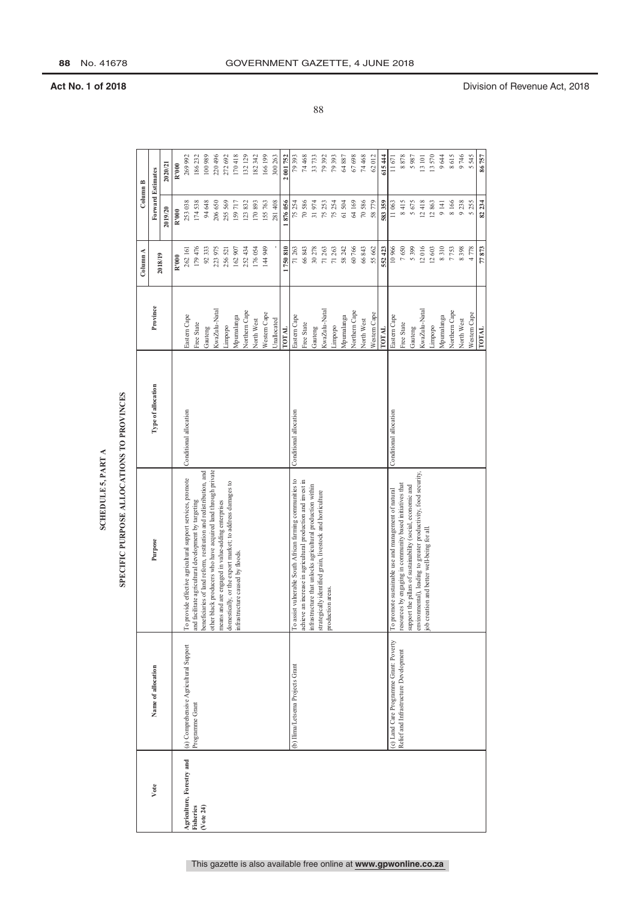|                           |                                        | SPECIFIC PURPOSE ALLOCATIONS TO PROVINCES<br>SCHEDULE 5, PART A                                                   |                        |               |          |                          |                              |
|---------------------------|----------------------------------------|-------------------------------------------------------------------------------------------------------------------|------------------------|---------------|----------|--------------------------|------------------------------|
|                           |                                        |                                                                                                                   |                        |               | Column A | Column B                 |                              |
| Vote                      | Name of allocation                     | Purpose                                                                                                           | Type of allocation     | Province      | 2018/19  | <b>Forward Estimates</b> |                              |
|                           |                                        |                                                                                                                   |                        |               |          | 2019/20                  | 2020/21                      |
|                           |                                        |                                                                                                                   |                        |               | R'000    | R'000                    | R'000                        |
| Agriculture, Forestry and | (a) Comprehensive Agricultural Support | To provide effective agricultural support services, promote                                                       | Conditional allocation | Eastern Cape  | 262 161  | 253038                   | 269 992                      |
| Fisheries                 | Programme Grant                        | and facilitate agricultural development by targeting                                                              |                        | Free State    | 179476   | 174538                   | 186232                       |
| $($ Vote 24 $)$           |                                        | beneficiaries of land reform, restitution and redistribution, and                                                 |                        | Gauteng       | 92333    | 94 648                   | 100989                       |
|                           |                                        | other black producers who have acquired land through private<br>means and are engaged in value-adding enterprises |                        | KwaZulu-Natal | 223 975  | 206 650                  | 220496                       |
|                           |                                        | domestically, or the export market; to address damages to                                                         |                        | Limpopo       | 256521   | 255 569                  | 272692                       |
|                           |                                        | infrastructure caused by floods.                                                                                  |                        | Mpumalanga    | 162907   | 159717                   | 170418                       |
|                           |                                        |                                                                                                                   |                        | Northern Cape | 252434   | 123832                   | 132129                       |
|                           |                                        |                                                                                                                   |                        | North West    | 176054   | 170893                   | 182342                       |
|                           |                                        |                                                                                                                   |                        | Western Cape  | 144 949  | 155763                   | 166199                       |
|                           |                                        |                                                                                                                   |                        | Unallocated   |          | 281408                   | 300 263                      |
|                           |                                        |                                                                                                                   |                        | <b>IOTAL</b>  | 750810   | 1876056                  | 001752<br>$\mathbf{\hat{z}}$ |
|                           | (b) Ilima/Letsema Projects Grant       | To assist vulnerable South African farming communities to                                                         | Conditional allocation | Eastern Cape  | 71263    | 75254                    | 79393                        |
|                           |                                        | achieve an increase in agricultural production and invest in                                                      |                        | Free State    | 66843    | 70586                    | 74 468                       |
|                           |                                        | infrastructure that unlocks agricultural production within                                                        |                        | Gauteng       | 30278    | 31974                    | 33733                        |
|                           |                                        | strategically identified grain, livestock and horticulture<br>production areas.                                   |                        | KwaZulu-Natal | 71263    | 75253                    | 79392                        |
|                           |                                        |                                                                                                                   |                        | Limpopo       | 71 263   | 75254                    | 79393                        |
|                           |                                        |                                                                                                                   |                        | Mpumalanga    | 58 242   | 61504                    | $64\,887$                    |
|                           |                                        |                                                                                                                   |                        | Northern Cape | 60766    | 64169                    | 67698                        |
|                           |                                        |                                                                                                                   |                        | North West    | 66843    | 70586                    | 74468                        |
|                           |                                        |                                                                                                                   |                        | Western Cape  | 55 662   | 58779                    | 62012                        |
|                           |                                        |                                                                                                                   |                        | <b>TOTAL</b>  | 552 423  | 583 359                  | 615444                       |
|                           | (c) Land Care Programme Grant: Poverty | To promote sustainable use and management of natural                                                              | Conditional allocation | Eastern Cape  | 10966    | 11063                    | $11\,671$                    |
|                           | Relief and Infrastructure Development  | resources by engaging in community based initiatives that                                                         |                        | Free State    | 7650     | 8415                     | 8878                         |
|                           |                                        | support the pillars of sustainability (social, economic and                                                       |                        | Gauteng       | 5399     | 5675                     | 5987                         |
|                           |                                        | environmental), leading to greater productivity, food security,<br>job creation and better well-being for all.    |                        | KwaZulu-Natal | 12016    | 12418                    | 13 101                       |
|                           |                                        |                                                                                                                   |                        | Limpopo       | 12603    | 12863                    | 13570                        |
|                           |                                        |                                                                                                                   |                        | Mpumalanga    | 8310     | 9 14 1                   | 9644                         |
|                           |                                        |                                                                                                                   |                        | Northern Cape | 7753     | 8166                     | 8615                         |
|                           |                                        |                                                                                                                   |                        | North West    | 8398     | 9238                     | 9746                         |
|                           |                                        |                                                                                                                   |                        | Western Cape  | 4778     | 5255                     | 5545                         |
|                           |                                        |                                                                                                                   |                        | TOTAL         | 77873    | 82 234                   | 86757                        |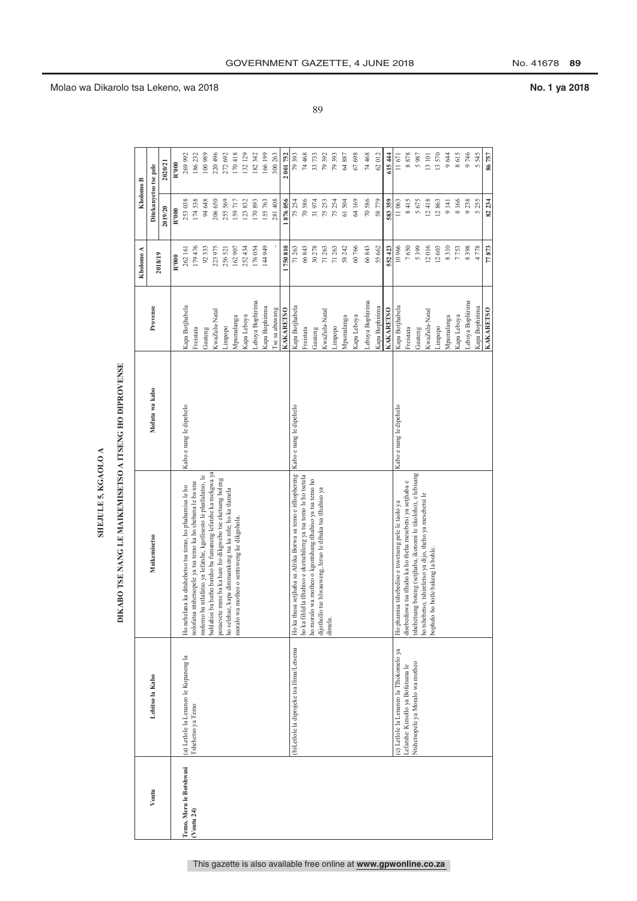| I |
|---|
|   |
|   |
|   |
| ı |
|   |
|   |
|   |
|   |
| c |
|   |
|   |
|   |
|   |
|   |
|   |
|   |
|   |
|   |
|   |
|   |

|                         |                                           | KABO TSE NANG LE MAIKEMISETSO A ITSENG HO DIPROVENSE<br>E                                                           |                         |                  | Kholomo A | Kholomo B             |                                                                     |
|-------------------------|-------------------------------------------|---------------------------------------------------------------------------------------------------------------------|-------------------------|------------------|-----------|-----------------------|---------------------------------------------------------------------|
| Voutu                   | Lebitso la Kabo                           | <b>Maikemisetso</b>                                                                                                 | Mofuta wa kabo          | Provense         | 2018/19   | Ditekanyetso tse pele |                                                                     |
|                         |                                           |                                                                                                                     |                         |                  |           | 2019/20               | 2020/21                                                             |
|                         |                                           |                                                                                                                     |                         |                  | R'000     | R'000                 | R'000                                                               |
| Temo, Meru le Botshwasi | (a) Letlole la Lenaneo le Kopaneng la     | Ho nehelana ka ditshehetso tsa temo, ho phahamisa le ho                                                             | Kabo e nang le dipehelo | Kapa Botjhabela  | 262 161   | 253038                | 269 992                                                             |
| $($ Voutu 24 $)$        | Tshehetso ya Temo                         | nolofatsa ntshetsopele ya tsa temo ka ho shebana le ba una                                                          |                         | Freistata        | 179476    | 174538                | 186 232                                                             |
|                         |                                           | molemo ba ntlafatso ya lefatshe, kgotlisesto le phatlalatso, le                                                     |                         | Gauteng          | 92333     | 94 648                | 100989                                                              |
|                         |                                           | bahlahisi ba batho batsho ba fumaneng lefatshe ka mekgwa ya                                                         |                         | KwaZulu-Natal    | 223 975   | 206 650               | 220 496                                                             |
|                         |                                           | poraevete mme ba ka hare ho dikgwebo tse eketsang boleng<br>ho selehae, kapa dimmarakeng tsa ka ntle; ho ka tlamela |                         | Limpopo          | 256521    | 255569                | 272 692                                                             |
|                         |                                           | moralo wa motheo o sentsweng ke dikgohola.                                                                          |                         | Mpumalanga       | 162907    | 159717                | 170418                                                              |
|                         |                                           |                                                                                                                     |                         | Kapa Leboya      | 252434    | 123832                | 132 129                                                             |
|                         |                                           |                                                                                                                     |                         | Leboya Bophirima | 176054    | 170893                | 182 342                                                             |
|                         |                                           |                                                                                                                     |                         | Kapa Bophirima   | 144 949   | 155763                | 166 199                                                             |
|                         |                                           |                                                                                                                     |                         | I'se sa abuwang  |           | 281408                | 300 263                                                             |
|                         |                                           |                                                                                                                     |                         | <b>KAKARETSO</b> | 750810    | 876056                | 001752                                                              |
|                         | (b)Letlole la diprojeke tsa llima/Letsema | Ho ka thusa setjhaba sa Afrika Borwa sa temo e itlhophereng                                                         | Kabo e nang le dipehelo | Kapa Botjhabela  | 71263     | 75254                 | 79 393                                                              |
|                         |                                           | ho ka fihlella tlhahiso e eketsehileng ya tsa temo le ho tsetela                                                    |                         | Freistata        | 66843     | 70586                 |                                                                     |
|                         |                                           | ho moralo wa motheo o kgontshang tlhahiso ya tsa temo ho                                                            |                         | Gauteng          | 30278     | 31974                 | $\begin{array}{c} 74\ 468 \\ 33\ 733 \\ 79\ 392 \\ 993 \end{array}$ |
|                         |                                           | dijothollo tse hlwauweng, leruo le dibaka tsa tlhahiso ya<br>dimela.                                                |                         | KwaZulu-Natal    | 71263     | 75253                 |                                                                     |
|                         |                                           |                                                                                                                     |                         | Limpopo          | 71263     | 75254                 |                                                                     |
|                         |                                           |                                                                                                                     |                         | Mpumalanga       | 58 242    | 61504                 | 64 887                                                              |
|                         |                                           |                                                                                                                     |                         | Kapa Leboya      | 60766     | 64169                 | 67 698                                                              |
|                         |                                           |                                                                                                                     |                         | Leboya Bophirima | 66843     | 70586                 | 74 468                                                              |
|                         |                                           |                                                                                                                     |                         | Kapa Bophirima   | 55 662    | 58779                 | 62012                                                               |
|                         |                                           |                                                                                                                     |                         | <b>KAKARETSO</b> | 552423    | 583359                | 615 444                                                             |
|                         | (c) Letlole la Lenaneo la Tlhokomelo ya   | Ho phamisa tshebediso e tswetseng pele le taolo ya                                                                  | Kabo e nang le dipehelo | Kapa Botjhabela  | 10966     | 11063                 | 11671                                                               |
|                         | Lefatshe: Kimollo ya Bofutsana le         | disebediswa tsa tlhaho ka ho theha mesebetsi ya setjhaba e                                                          |                         | Freistata        | 7650      | 8415                  | 8878                                                                |
|                         | Ntshetsopele ya Moralo wa motheo          | tshehetsang boteng (setjhaba, ikonomi le tikoloho), e lebisang                                                      |                         | Gauteng          | 5399      | 5675                  | 5987                                                                |
|                         |                                           | ho tshebetso, tshireletso ya dijo, theho ya mesebetsi le<br>bo botle bakeng la bohle.<br>bophelo l                  |                         | KwaZulu-Natal    | 12016     | 12418                 | 13 101                                                              |
|                         |                                           |                                                                                                                     |                         | Limpopo          | 12603     | 12863                 | 13570                                                               |
|                         |                                           |                                                                                                                     |                         | Mpumalanga       | 8310      | 9141                  | 9644                                                                |
|                         |                                           |                                                                                                                     |                         | Kapa Leboya      | 7753      | 8166                  | 8615                                                                |
|                         |                                           |                                                                                                                     |                         | Leboya Bophirima | 8398      | 9238                  | 9746                                                                |
|                         |                                           |                                                                                                                     |                         | Kapa Bophirima   | 4778      | 5255                  | 5 545                                                               |
|                         |                                           |                                                                                                                     |                         | <b>KAKARETSO</b> | 77873     | 82.234                | 86757                                                               |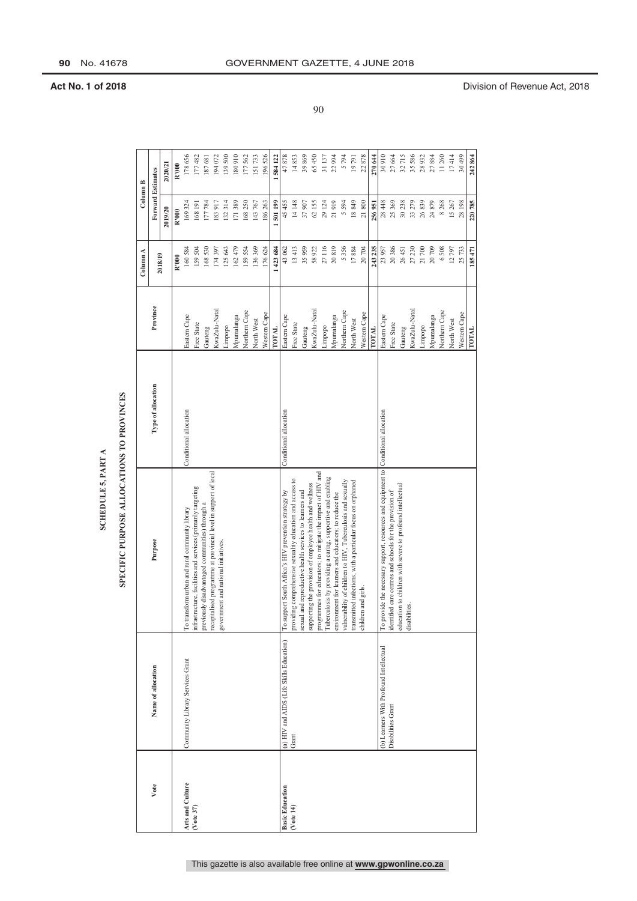### SPECIFIC PURPOSE ALLOCATIONS TO PROVINCES

|                        |                                          | SCHEDULE 5, PART A                                                                                                      |                        |               |           |                          |         |
|------------------------|------------------------------------------|-------------------------------------------------------------------------------------------------------------------------|------------------------|---------------|-----------|--------------------------|---------|
|                        |                                          | SPECIFIC PURPOSE ALLOCATIONS TO PROVINCES                                                                               |                        |               |           |                          |         |
|                        |                                          |                                                                                                                         |                        |               | Column A  | Column B                 |         |
| Vote                   | Name of allocation                       | Purpose                                                                                                                 | Type of allocation     | Province      |           | <b>Forward Estimates</b> |         |
|                        |                                          |                                                                                                                         |                        |               | 2018/19   | 2019/20                  | 2020/21 |
|                        |                                          |                                                                                                                         |                        |               | R'000     | R'000                    | R'000   |
| Arts and Culture       | Community Library Services Grant         | To transform urban and rural community library                                                                          | Conditional allocation | Eastern Cape  | 160584    | 169324                   | 178656  |
| $($ Vote 37)           |                                          | infrastructure, facilities and services (primarily targeting                                                            |                        | Free State    | 159504    | 168 191                  | 177482  |
|                        |                                          | previously disadvantaged communities) through a                                                                         |                        | Gauteng       | 168530    | 177784                   | 187681  |
|                        |                                          | recapitalised programme at provincial level in support of local<br>government and national initiatives.                 |                        | KwaZulu-Natal | 174397    | 183917                   | 194072  |
|                        |                                          |                                                                                                                         |                        | Limpopo       | 125 643   | 132314                   | 139500  |
|                        |                                          |                                                                                                                         |                        | Mpumalanga    | 162479    | 171389                   | 180910  |
|                        |                                          |                                                                                                                         |                        | Northern Cape | 159554    | 168250                   | 177562  |
|                        |                                          |                                                                                                                         |                        | North West    | 136369    | 143767                   | 151733  |
|                        |                                          |                                                                                                                         |                        | Western Cape  | 176624    | 186263                   | 196526  |
|                        |                                          |                                                                                                                         |                        | TOTAL         | 1423684   | 1501199                  | 584 122 |
| <b>Basic Education</b> | (a) HIV and AIDS (Life Skills Education) | To support South Africa's HIV prevention strategy by                                                                    | Conditional allocation | Eastern Cape  | 43 062    | 45455                    | 47878   |
| ( Note 14)             | Grant                                    | providing comprehensive sexuality education and access to                                                               |                        | Free State    | 13413     | 14148                    | 14853   |
|                        |                                          | sexual and reproductive health services to learners and                                                                 |                        | Gauteng       | 35959     | 37907                    | 39869   |
|                        |                                          | programmes for educators; to mitigate the impact of HIV and<br>supporting the provision of employee health and wellness |                        | KwaZulu-Natal | 58922     | 62155                    | 65450   |
|                        |                                          | Tuberculosis by providing a caring, supportive and enabling                                                             |                        | Limpopo       | 27116     | 29 124                   | 31137   |
|                        |                                          | environment for learners and educators; to reduce the                                                                   |                        | Mpumalanga    | 20819     | 21919                    | 22994   |
|                        |                                          | vulnerability of children to HIV, Tuberculosis and sexually                                                             |                        | Northern Cape | 5356      | 5594                     | 5794    |
|                        |                                          | transmitted infections, with a particular focus on orphaned                                                             |                        | North West    | 17884     | 18849                    | 19791   |
|                        |                                          | children and girls.                                                                                                     |                        | Western Cape  | 20704     | 21800                    | 22878   |
|                        |                                          |                                                                                                                         |                        | TOTAL         | 243 235   | 256951                   | 270 644 |
|                        | (b) Learners With Profound Intellectual  | To provide the necessary support, resources and equipment to Conditional allocation                                     |                        | Eastern Cape  | 23957     | 28 448                   | 30910   |
|                        | Disabilities Grant                       | identified care centres and schools for the provision of                                                                |                        | Free State    | 20386     | 25369                    | 27664   |
|                        |                                          | education to children with severe to profound intellectual                                                              |                        | Gauteng       | 26451     | 30238                    | 32715   |
|                        |                                          | disabilities.                                                                                                           |                        | KwaZulu-Natal | 27230     | 33279                    | 35 586  |
|                        |                                          |                                                                                                                         |                        | Limpopo       | $21\,700$ | 26839                    | 28932   |
|                        |                                          |                                                                                                                         |                        | Mpumalanga    | 20709     | 24879                    | 27884   |
|                        |                                          |                                                                                                                         |                        | Northern Cape | 6508      | 8268                     | 11260   |
|                        |                                          |                                                                                                                         |                        | North West    | 12797     | 15267                    | 17414   |
|                        |                                          |                                                                                                                         |                        | Western Cape  | 25733     | 28 198                   | 30499   |
|                        |                                          |                                                                                                                         |                        | TOTAL         | 185471    | 220785                   | 242864  |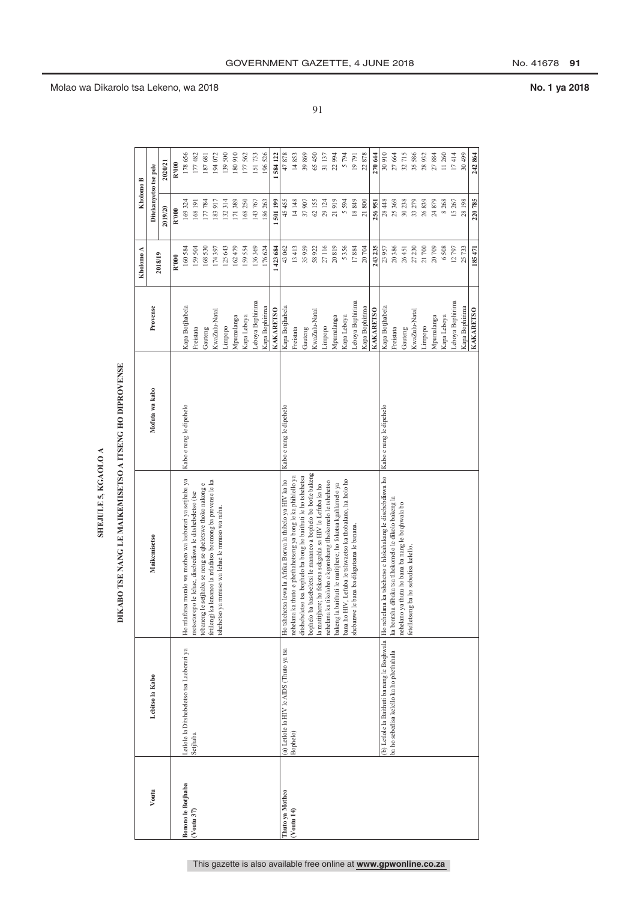| L |
|---|
|   |
|   |
|   |
|   |

## DIKABO TSE NANG LE MAIKEMISETSO A ITSENG HO DIPROVENSE

|                           |                                           | DIKABO TSE NANG LE MAIKEMISETSO A ITSENG HO DIPROVENSE                                                                   |                         |                  | Kholomo A | Kholomo B             |         |
|---------------------------|-------------------------------------------|--------------------------------------------------------------------------------------------------------------------------|-------------------------|------------------|-----------|-----------------------|---------|
| Voutu                     | Lebitso la Kabo                           | <b>Maikemisetso</b>                                                                                                      | Mofuta wa kabo          | Provense         |           | Ditekanyetso tse pele |         |
|                           |                                           |                                                                                                                          |                         |                  | 2018/19   | 2019/20               | 2020/21 |
|                           |                                           |                                                                                                                          |                         |                  | R'000     | R'000                 | R'000   |
| <b>Bonono</b> le Botjhaba | Letlole la Ditshebeletso tsa Laeborari ya | Ho ntlafatsa moralo wa motheo wa laeborari ya setjhaba ya                                                                | Kabo e nang le dipehelo | Kapa Botjhabela  | 160584    | 169324                | 178656  |
| $(V$ outu 37)             | Setjhaba                                  | motsetoropo le lehae, disebediswa le ditshebeletso (tse                                                                  |                         | Freistata        | 159504    | 168 191               | 177482  |
|                           |                                           | tobaneng le setjhaba se neng se qheletswe thoko nakong e                                                                 |                         | Gauteng          | 168530    | 177784                | 187 681 |
|                           |                                           | ka lenaneo la ntlafatso boemong ba provense le ka<br>fetileng) k<br>shehetso                                             |                         | KwaZulu-Natal    | 174397    | 183917                | 194 072 |
|                           |                                           | ya mmuso wa lehae le mmuso wa naha.                                                                                      |                         | Limpopo          | 125643    | 132314                | 139500  |
|                           |                                           |                                                                                                                          |                         | Mpumalanga       | 162479    | 171389                | 180910  |
|                           |                                           |                                                                                                                          |                         | Kapa Leboya      | 159554    | 168250                | 177562  |
|                           |                                           |                                                                                                                          |                         | Leboya Bophirima | 136369    | 143767                | 151733  |
|                           |                                           |                                                                                                                          |                         | Kapa Bophirima   | 176624    | 186263                | 196526  |
|                           |                                           |                                                                                                                          |                         | <b>KAKARETSO</b> | 423 684   | 501199                | 584 122 |
| Thuto ya Motheo           | (a) Letlole la HIV le AIDS (Thuto ya tsa  | Ho tshehetsa lewa la Afrika Borwa la thibelo ya HIV ka ho                                                                | Kabo e nang le dipehelo | Kapa Botjhabela  | 43062     | 45455                 | 47878   |
| $($ Voutu 14 $)$          | Bophelo)                                  | nehelana ka thuto e phethahetseng ya bong le ka phihlello ya                                                             |                         | Freistata        | 13413     | 14148                 | 14853   |
|                           |                                           | ditshebeletso tsa bophelo ba bong ho baithuti le ho tshehetsa                                                            |                         | Gauteng          | 35959     | 37907                 | 39869   |
|                           |                                           | bophelo ba basebeletsi le mananeo a bophelo bo botle bakeng<br>la matitjhere; ho fokotsa sekgahla sa HIV le Lefuba ka ho |                         | KwaZulu-Natal    | 58922     | 62155                 | 65 450  |
|                           |                                           | nehelana ka tikoloho e kgontshang tlhokomelo le tshehetso                                                                |                         | Limpopo          | 27116     | 29 124                | 31 137  |
|                           |                                           | baithuti le matitjhere; ho fokotsa kgahlamelo ya<br>bakeng la                                                            |                         | Mpumalanga       | 20819     | 21919                 | 22 994  |
|                           |                                           | bana ho HIV, Lefuba le tshwaetso ka thobalano, ha holo ho                                                                |                         | Kapa Leboya      | 5356      | 5594                  | 5794    |
|                           |                                           | le bana ba dikgutsana le banana.<br>shebanwe                                                                             |                         | Leboya Bophirima | 17884     | 18849                 | 19791   |
|                           |                                           |                                                                                                                          |                         | Kapa Bophirima   | 20704     | 21800                 | 22878   |
|                           |                                           |                                                                                                                          |                         | KAKARETSO        | 243 235   | 256951                | 270 644 |
|                           |                                           | (b) Letlole la Baithuti ba nang le Boqhwala  Ho nehelana ka tshehetso e hlokahakang le disebebdiswa ho                   | Kabo e nang le dipehelo | Kapa Botjhabela  | 23957     | 28448                 | 30910   |
|                           | ba ho sebedisa kelello ka ho phethahala   | ka bontsha dibaka tsa tlhokomelo le dikolo bakeng la                                                                     |                         | Freistata        | 20386     | 25369                 | 27 664  |
|                           |                                           | nehelano ya thutu ho bana ba nang le boqhwala bo                                                                         |                         | Gauteng          | 26451     | 30238                 | 32715   |
|                           |                                           | fetelletseng ba ho sebedisa kelello.                                                                                     |                         | KwaZulu-Natal    | 27230     | 33279                 | 35 586  |
|                           |                                           |                                                                                                                          |                         | Limpopo          | 21700     | 26839                 | 28932   |
|                           |                                           |                                                                                                                          |                         | Mpumalanga       | 20709     | 24879                 | 27884   |
|                           |                                           |                                                                                                                          |                         | Kapa Leboya      | 6508      | 8268                  | 11 260  |
|                           |                                           |                                                                                                                          |                         | Leboya Bophirima | 12797     | 15267                 | 17414   |
|                           |                                           |                                                                                                                          |                         | Kapa Bophirima   | 25733     | 28198                 | 30 499  |
|                           |                                           |                                                                                                                          |                         | <b>KAKARETSO</b> | 185471    | 220785                | 242.864 |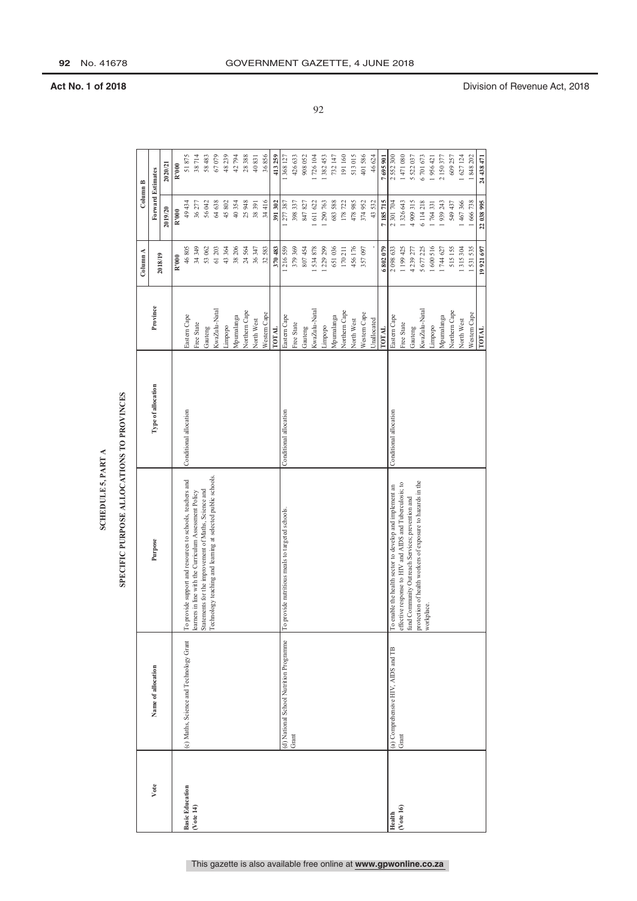### SPECIFIC PURPOSE ALLOCATIONS TO PROVINCES

|                        |                                         | SPECIFIC PURPOSE ALLOCATIONS TO PROVINCES<br>SCHEDULE 5, PART A          |                        |               |           |                                      |            |
|------------------------|-----------------------------------------|--------------------------------------------------------------------------|------------------------|---------------|-----------|--------------------------------------|------------|
|                        |                                         |                                                                          |                        |               |           |                                      |            |
| Vote                   | Name of allocation                      | Purpose                                                                  | Type of allocation     | Province      | Column A  | <b>Forward Estimates</b><br>Column B |            |
|                        |                                         |                                                                          |                        |               | 2018/19   | 2019/20                              | 2020/21    |
|                        |                                         |                                                                          |                        |               | R'000     | R'000                                | R'000      |
| <b>Basic Education</b> | (c) Maths, Science and Technology Grant | To provide support and resources to schools, teachers and                | Conditional allocation | Eastern Cape  | 46805     | 49434                                | 51875      |
| ( Note 14)             |                                         | learners in line with the Curriculum Assessment Policy                   |                        | Free State    | 34 349    | 36277                                | 38714      |
|                        |                                         | Statements for the improvement of Maths, Science and                     |                        | Gauteng       | 53 062    | 56042                                | 58483      |
|                        |                                         | Technology teaching and learning at selected public schools.             |                        | KwaZulu-Natal | 61 203    | 64 638                               | 67079      |
|                        |                                         |                                                                          |                        | Limpopo       | 43 364    | 45802                                | 48239      |
|                        |                                         |                                                                          |                        | Mpumalanga    | 38 206    | 40354                                | 42794      |
|                        |                                         |                                                                          |                        | Northern Cape | 24564     | 25948                                | 28388      |
|                        |                                         |                                                                          |                        | North West    | 36347     | 38391                                | 40831      |
|                        |                                         |                                                                          |                        | Western Cape  | 32583     | 34416                                | 36856      |
|                        |                                         |                                                                          |                        | <b>ТОТАL</b>  | 370 483   | 391 302                              | 413259     |
|                        | (d) National School Nutrition Programme | To provide nutritious meals to targeted schools.                         | Conditional allocation | Eastern Cape  | 1216559   | 1 277 387                            | 1368127    |
|                        | Grant                                   |                                                                          |                        | Free State    | 379369    | 398 337                              | 426633     |
|                        |                                         |                                                                          |                        | Gauteng       | 807454    | 847827                               | 908052     |
|                        |                                         |                                                                          |                        | KwaZulu-Natal | 534878    | 611 622                              | 726 104    |
|                        |                                         |                                                                          |                        | Limpopo       | 1 229 299 | 1 290 763                            | .382453    |
|                        |                                         |                                                                          |                        | Mpumalanga    | 651036    | 683 588                              | 732 147    |
|                        |                                         |                                                                          |                        | Northern Cape | 170 211   | 178722                               | 191160     |
|                        |                                         |                                                                          |                        | North West    | 456176    | 478985                               | 513015     |
|                        |                                         |                                                                          |                        | Western Cape  | 357097    | 374952                               | 401586     |
|                        |                                         |                                                                          |                        | Unallocated   |           | 43532                                | 46624      |
|                        |                                         |                                                                          |                        | TOTAL         | 6802079   | 7185715                              | 7695901    |
| Health                 | (a) Comprehensive HIV, AIDS and TB      | To enable the health sector to develop and implement an                  | Conditional allocation | Eastern Cape  | 2 098 633 | 2 301 704                            | 2552300    |
| (Vote 16)              | Grant                                   | effective response to HIV and AIDS and Tuberculosis; to                  |                        | Free State    | 1 199 425 | 1326643                              | 1471080    |
|                        |                                         | fund Community Outreach Services; prevention and                         |                        | Gauteng       | 4239277   | 4 909 315                            | 5 522 037  |
|                        |                                         | protection of health workers of exposure to hazards in the<br>workplace. |                        | KwaZulu-Natal | 5677225   | 6114218                              | 6701673    |
|                        |                                         |                                                                          |                        | Limpopo       | 1600516   | 1764331                              | 1956421    |
|                        |                                         |                                                                          |                        | Mpumalanga    | 1744627   | 1939243                              | 2 150 377  |
|                        |                                         |                                                                          |                        | Northern Cape | 515155    | 549 437                              | 609 257    |
|                        |                                         |                                                                          |                        | North West    | 1315304   | 1 467 366                            | 1627124    |
|                        |                                         |                                                                          |                        | Western Cape  | 1531535   | 1 666 738                            | 1848202    |
|                        |                                         |                                                                          |                        | TOTAL         | 19921697  | 22 038 995                           | 24 438 471 |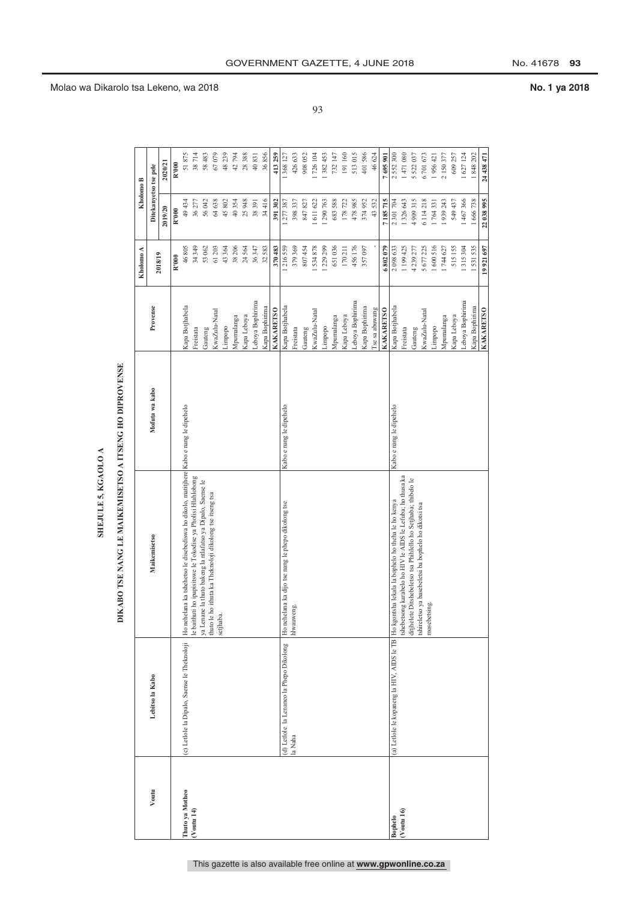| L |
|---|
|   |
|   |
|   |
|   |

## DIKABO TSE NANG LE MAIKEMISETSO A ITSENG HO DIPROVENSE

|                  |                                             |                                                                                               |                         |                  | Kholomo A | Kholomo B             |            |
|------------------|---------------------------------------------|-----------------------------------------------------------------------------------------------|-------------------------|------------------|-----------|-----------------------|------------|
| Voutu            | Lebitso la Kabo                             | <b>Maikemisetso</b>                                                                           | Mofuta wa kabo          | Provense         | 2018/19   | Ditekanyetso tse pele |            |
|                  |                                             |                                                                                               |                         |                  |           | 2019/20               | 2020/21    |
|                  |                                             |                                                                                               |                         |                  | R'000     | R'000                 | R'000      |
| Thuto ya Motheo  | (c) Letlole la Dipalo, Saense le Theknoloji | Ho nehelana ka tshehetso le disebediswa ho dikolo, matitjhere Kabo e nang le dipehelo         |                         | Kapa Botjhabela  | 46805     | 49434                 | 51875      |
| $($ Voutu 14 $)$ |                                             | i ho ipapisitswe le Tokodise ya Pholisi Hlahlobong<br>le baithut                              |                         | Freistata        | 34349     | 36277                 | 38714      |
|                  |                                             | ya Lenane la thuto bakeng la ntlafatso ya Dipalo, Saense le                                   |                         | Gauteng          | 53 062    | 56042                 | 58 483     |
|                  |                                             | thuto le ho ithuta ka Theknoloji dikolong tse itseng tsa<br>setjhaba.                         |                         | KwaZulu-Natal    | 61 203    | 64638                 | 67079      |
|                  |                                             |                                                                                               |                         | Limpopo          | 43364     | 45802                 | 48 239     |
|                  |                                             |                                                                                               |                         | Mpumalanga       | 38 206    | 40354                 | 42794      |
|                  |                                             |                                                                                               |                         | Kapa Leboya      | 24564     | 25948                 | 28388      |
|                  |                                             |                                                                                               |                         | Leboya Bophirima | 36347     | 38391                 | 40831      |
|                  |                                             |                                                                                               |                         | Kapa Bophirima   | 32583     | 34416                 | 36856      |
|                  |                                             |                                                                                               |                         | <b>KAKARETSO</b> | 370483    | 391302                | 413 259    |
|                  | (d) Letlole la Lenaneo la Phepo Dikolong    | Ho nehelana ka dijo tse nang le phepo dikolong tse                                            | Kabo e nang le dipehelo | Kapa Botjhabela  | .216559   | 1277387               | 1 368 127  |
|                  | la Naha                                     | hlwauweng.                                                                                    |                         | Freistata        | 379369    | 398337                | 426 633    |
|                  |                                             |                                                                                               |                         | Gauteng          | 807454    | 847827                | 908 052    |
|                  |                                             |                                                                                               |                         | KwaZulu-Natal    | 534878    | $-611622$             | 726 104    |
|                  |                                             |                                                                                               |                         | Limpopo          | 1229299   | 1290763               | 382 453    |
|                  |                                             |                                                                                               |                         | Mpumalanga       | 651036    | 683588                | 732 147    |
|                  |                                             |                                                                                               |                         | Kapa Leboya      | 170211    | 178722                | 191160     |
|                  |                                             |                                                                                               |                         | Leboya Bophirima | 456176    | 478985                | 513015     |
|                  |                                             |                                                                                               |                         | Kapa Bophirima   | 357097    | 374952                | 401586     |
|                  |                                             |                                                                                               |                         | I'se sa abuwang  |           | 43532                 | 46 624     |
|                  |                                             |                                                                                               |                         | <b>KAKARETSO</b> | 6802079   | 7185715               | 7695901    |
| <b>Bophelo</b>   |                                             | (a) Letlole le kopaneng la HIV, AIDS le TB Ho kgontsha lekala la bophelo ho theha le ho kenya | Kabo e nang le dipehelo | Kapa Botjhabela  | 2 098 633 | 2 301 704             | 2552300    |
| $($ Voutu 16 $)$ |                                             | tshebetsong karabelo ho HIV le AIDS le Lefuba; ho thusa ka                                    |                         | Freistata        | 1 199 425 | 1326643               | 1471080    |
|                  |                                             | ditjhelete Ditshebeletso tsa Phihlello ho Setjhaba; thibelo le                                |                         | Gauteng          | 4239277   | 4909315               | 5 522 037  |
|                  |                                             | tshireletso ya basebeletsi ba bophelo ho dikotsi tsa                                          |                         | KwaZulu-Natal    | 5 677 225 | 6114218               | 6701673    |
|                  |                                             | ing.<br>mosebetsi                                                                             |                         | Limpopo          | 1600516   | 1764331               | 1956 421   |
|                  |                                             |                                                                                               |                         | Mpumalanga       | 1744627   | 1939243               | 2 150 377  |
|                  |                                             |                                                                                               |                         | Kapa Leboya      | 515155    | 549 437               | 609 257    |
|                  |                                             |                                                                                               |                         | Leboya Bophirima | 315304    | 1467366               | 1 627 124  |
|                  |                                             |                                                                                               |                         | Kapa Bophirima   | 531535    | 1666738               | 848 202    |
|                  |                                             |                                                                                               |                         | <b>KAKARETSO</b> | 19921697  | 22.038.995            | 24 438 471 |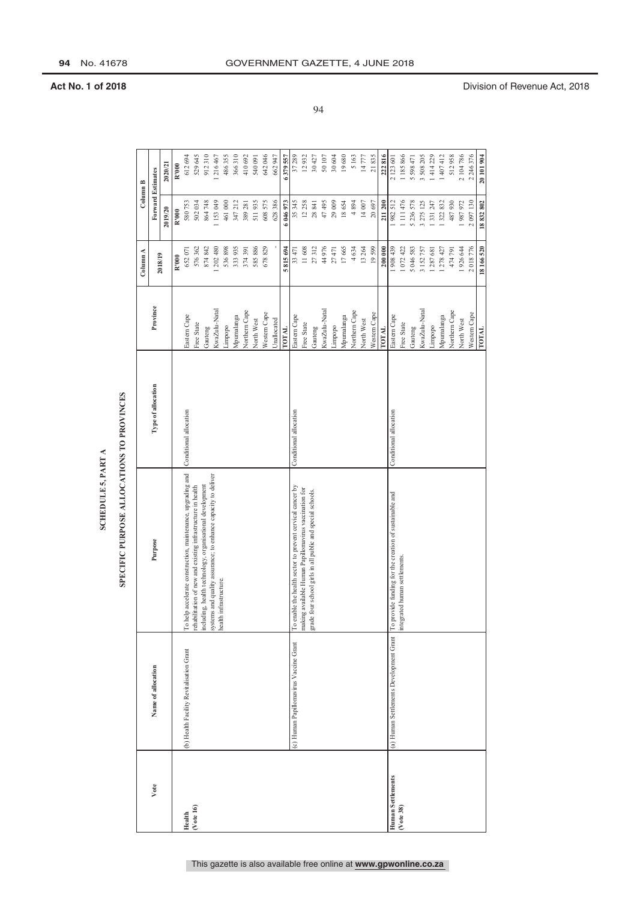### **SCHEDULE 5, PART A**

### SPECIFIC PURPOSE ALLOCATIONS TO PROVINCES

|                          |                                          | SPECIFIC PURPOSE ALLOCATIONS TO PROVINCES<br>SCHEDULE 5, PART A                         |                        |               |              |                          |            |
|--------------------------|------------------------------------------|-----------------------------------------------------------------------------------------|------------------------|---------------|--------------|--------------------------|------------|
|                          |                                          |                                                                                         |                        |               |              |                          |            |
|                          |                                          |                                                                                         |                        |               | Column A     | Column B                 |            |
| Vote                     | Name of allocation                       | Purpose                                                                                 | Type of allocation     | Province      | 2018/19      | <b>Forward Estimates</b> |            |
|                          |                                          |                                                                                         |                        |               |              | 2019/20                  | 2020/21    |
|                          |                                          |                                                                                         |                        |               | R'000        | R'000                    | R'000      |
| Health                   | (b) Health Facility Revitalisation Grant | To help accelerate construction, maintenance, upgrading and                             | Conditional allocation | Eastern Cape  | 652071       | 580753                   | 612694     |
| $($ Vote 16 $)$          |                                          | rehabilitation of new and existing infrastructure in health                             |                        | Free State    | 576362       | 502034                   | 529645     |
|                          |                                          | including, health technology, organisational development                                |                        | Gauteng       | 874 842      | 864748                   | 912310     |
|                          |                                          | systems and quality assurance; to enhance capacity to deliver<br>health infrastructure. |                        | KwaZulu-Natal | 1 202 480    | 153049                   | 1216467    |
|                          |                                          |                                                                                         |                        | Limpopo       | 536898       | 461000                   | 486355     |
|                          |                                          |                                                                                         |                        | Mpumalanga    | 333 935      | 347 212                  | 366310     |
|                          |                                          |                                                                                         |                        | Northern Cape | 374391       | 389 281                  | 410692     |
|                          |                                          |                                                                                         |                        | North West    | 585886       | 511935                   | 540091     |
|                          |                                          |                                                                                         |                        | Western Cape  | 678829       | 608 575                  | 642046     |
|                          |                                          |                                                                                         |                        | Unallocated   |              | 628386                   | 662947     |
|                          |                                          |                                                                                         |                        | <b>TOTAL</b>  | 815 694<br>S | 6 046 973                | 6379557    |
|                          | (c) Human Papillomavirus Vaccine Grant   | To enable the health sector to prevent cervical cancer by                               | Conditional allocation | Eastern Cape  | 33 471       | 35345                    | 37289      |
|                          |                                          | making available Human Papillomavirus vaccination for                                   |                        | Free State    | 11608        | 12258                    | 12932      |
|                          |                                          | grade four school girls in all public and special schools.                              |                        | Gauteng       | 27312        | 28 841                   | 30427      |
|                          |                                          |                                                                                         |                        | KwaZulu-Natal | 44976        | 47495                    | 50107      |
|                          |                                          |                                                                                         |                        | Limpopo       | 27471        | 29009                    | 30 604     |
|                          |                                          |                                                                                         |                        | Mpumalanga    | 17665        | 18654                    | 19680      |
|                          |                                          |                                                                                         |                        | Northern Cape | 4634         | 4894                     | 5163       |
|                          |                                          |                                                                                         |                        | North West    | 13264        | 14007                    | 14777      |
|                          |                                          |                                                                                         |                        | Western Cape  | 19599        | 20697                    | 21835      |
|                          |                                          |                                                                                         |                        | TOTAL         | 200 000      | 211 200                  | 222816     |
| <b>Human Settlements</b> | (a) Human Settlements Development Grant  | To provide funding for the creation of sustainable and                                  | Conditional allocation | Eastern Cape  | 1908439      | 1982512                  | 2 123 601  |
| (Vote 38)                |                                          | integrated human settlements.                                                           |                        | Free State    | 1072422      | 1 111 476                | 1 185 866  |
|                          |                                          |                                                                                         |                        | Gauteng       | 5 046 583    | 5 236 578                | 5 598 471  |
|                          |                                          |                                                                                         |                        | KwaZulu-Natal | 3 1 52 7 57  | 3 275 125                | 3 508 205  |
|                          |                                          |                                                                                         |                        | Limpopo       | 1287681      | 331 247                  | 1414229    |
|                          |                                          |                                                                                         |                        | Mpumalanga    | 1 278 427    | 1322832                  | 1 407 412  |
|                          |                                          |                                                                                         |                        | Northern Cape | 474791       | 487930                   | 512958     |
|                          |                                          |                                                                                         |                        | North West    | 1926644      | 1987972                  | 2 104 786  |
|                          |                                          |                                                                                         |                        | Western Cape  | 2018776      | 2 097 130                | 2 246 376  |
|                          |                                          |                                                                                         |                        | TOTAL         | 18166520     | 18832802                 | 20 101 904 |

**94** No. 41678 GOVERNMENT GAZETTE, 4 JUNE 2018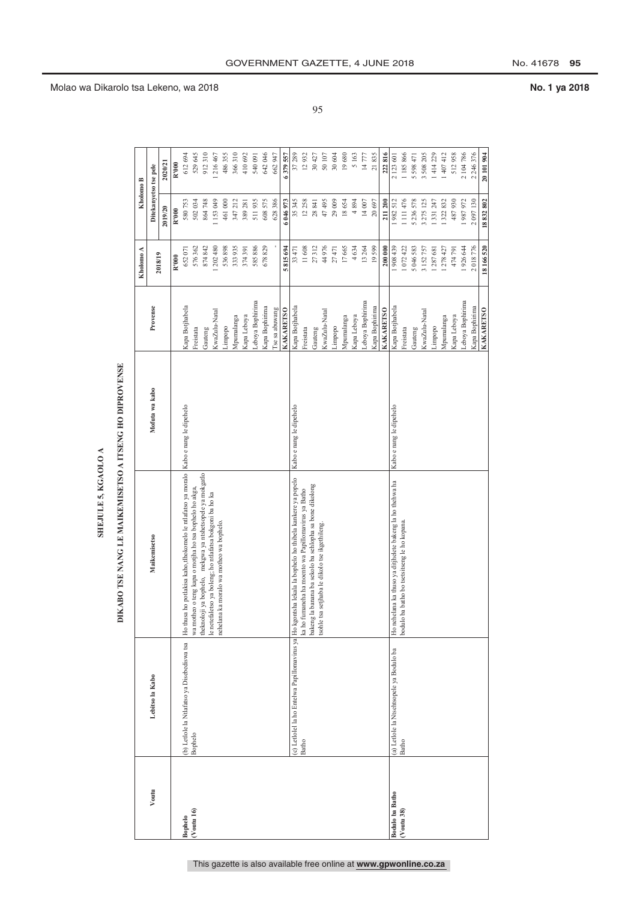| L |
|---|
|   |
|   |
|   |
|   |

## DIKABO TSE NANG LE MAIKEMISETSO A ITSENG HO DIPROVENSE

|                        |                                             |                                                                                                         |                         |                  | Kholomo A  | Kholomo B             |            |
|------------------------|---------------------------------------------|---------------------------------------------------------------------------------------------------------|-------------------------|------------------|------------|-----------------------|------------|
| Voutu                  | Lebitso la Kabo                             | <b>Maikemisetso</b>                                                                                     | Mofuta wa kabo          | Provense         |            | Ditekanyetso tse pele |            |
|                        |                                             |                                                                                                         |                         |                  | 2018/19    | 2019/20               | 2020/21    |
|                        |                                             |                                                                                                         |                         |                  | R'000      | R'000                 | R'000      |
| <b>Bophelo</b>         | (b) Letlole la Ntlafatso ya Disebediswa tsa | Ho thusa ho potlakisa kaho,tlhokomelo le ntlafatso ya moralo   Kabo e nang le dipehelo                  |                         | Kapa Botjhabela  | 652071     | 580753                | 612 694    |
| (Voutu 16)             | Bophelo                                     | wa motheo o teng kapa o motjha ho tsa bophelo ho akga,                                                  |                         | Freistata        | 576362     | 502034                | 529 645    |
|                        |                                             | ya bophelo, mekgwa ya ntshetsopele ya mokgatlo<br>theknoloji                                            |                         | Gauteng          | 874 842    | 864748                | 912310     |
|                        |                                             | le netefaletso ya boleng; ho ntlafatsa bokgoni ba ho ka<br>nehelana ka moralo wa motheo wa bophelo.     |                         | KwaZulu-Natal    | 1 202 480  | 1153049               | 1216467    |
|                        |                                             |                                                                                                         |                         | Limpopo          | 536898     | 461000                | 486 355    |
|                        |                                             |                                                                                                         |                         | Mpumalanga       | 333 935    | 347212                | 366 310    |
|                        |                                             |                                                                                                         |                         | Kapa Leboya      | 374391     | 389281                | 410 692    |
|                        |                                             |                                                                                                         |                         | Leboya Bophirima | 585886     | 511935                | 540 091    |
|                        |                                             |                                                                                                         |                         | Kapa Bophirima   | 678829     | 608575                | 642 046    |
|                        |                                             |                                                                                                         |                         | I'se sa abuwang  |            | 628386                | 662947     |
|                        |                                             |                                                                                                         |                         | <b>KAKARETSO</b> | 5815694    | 6046973               | 6379557    |
|                        |                                             | (c) Letlolel la ho Entelwa Papillomavirus ya Ho kgontsha lekala la bophelo ho thibela kankere ya popelo | Kabo e nang le dipehelo | Kapa Botjhabela  | 33471      | 35345                 | 37 289     |
|                        | Batho                                       | ka ho fumaneha ha moento wa Papillomavirus ya Batho                                                     |                         | Freistata        | 11608      | 12258                 | 12932      |
|                        |                                             | bakeng la banana ba sekolo ba sehlopha sa bone dikolong                                                 |                         | Gauteng          | 27312      | 28841                 | 30 427     |
|                        |                                             | setjhaba le dikolo tse ikgethileng.<br>tsohle tsa                                                       |                         | KwaZulu-Natal    | 44976      | 47495                 | 50 107     |
|                        |                                             |                                                                                                         |                         | Limpopo          | 27471      | 29009                 | 30 604     |
|                        |                                             |                                                                                                         |                         | Mpumalanga       | 17665      | 18654                 | 19680      |
|                        |                                             |                                                                                                         |                         | Kapa Leboya      | 4634       | 4894                  | 5 163      |
|                        |                                             |                                                                                                         |                         | Leboya Bophirima | 13264      | 14007                 | 14777      |
|                        |                                             |                                                                                                         |                         | Kapa Bophirima   | 19599      | 20697                 | 21835      |
|                        |                                             |                                                                                                         |                         | <b>KAKARETSO</b> | 200000     | 211200                | 222 816    |
| <b>Bodulo ba Batho</b> | (a) Letlole la Ntsehtsopele ya Bodulo ba    | Ho nehelana ka thuso ya ditjhelete bakeng la ho thehwa ha                                               | Kabo e nang le dipehelo | Kapa Botjhabela  | 1908439    | 1982512               | 2 123 601  |
| (Voutu 38)             | Batho                                       | batho bo tsetsitseng le ho kopana.<br>bodulo ba                                                         |                         | Freistata        | 1072422    | 1111476               | 1 185 866  |
|                        |                                             |                                                                                                         |                         | Gauteng          | 5 046 583  | 5236578               | 5 598 471  |
|                        |                                             |                                                                                                         |                         | KwaZulu-Natal    | 3 152 757  | 3 275 125             | 3 508 205  |
|                        |                                             |                                                                                                         |                         | Limpopo          | 1287681    | 1331247               | 1414229    |
|                        |                                             |                                                                                                         |                         | Mpumalanga       | 1 278 4 27 | 1322832               | 1 407 412  |
|                        |                                             |                                                                                                         |                         | Kapa Leboya      | 474791     | 487930                | 512958     |
|                        |                                             |                                                                                                         |                         | Leboya Bophirima | 1926644    | 1987972               | 2 104 786  |
|                        |                                             |                                                                                                         |                         | Kapa Bophirima   | 2018776    | 2097130               | 2 246 376  |
|                        |                                             |                                                                                                         |                         | <b>KAKARETSO</b> | 8166520    | 18832802              | 20 101 904 |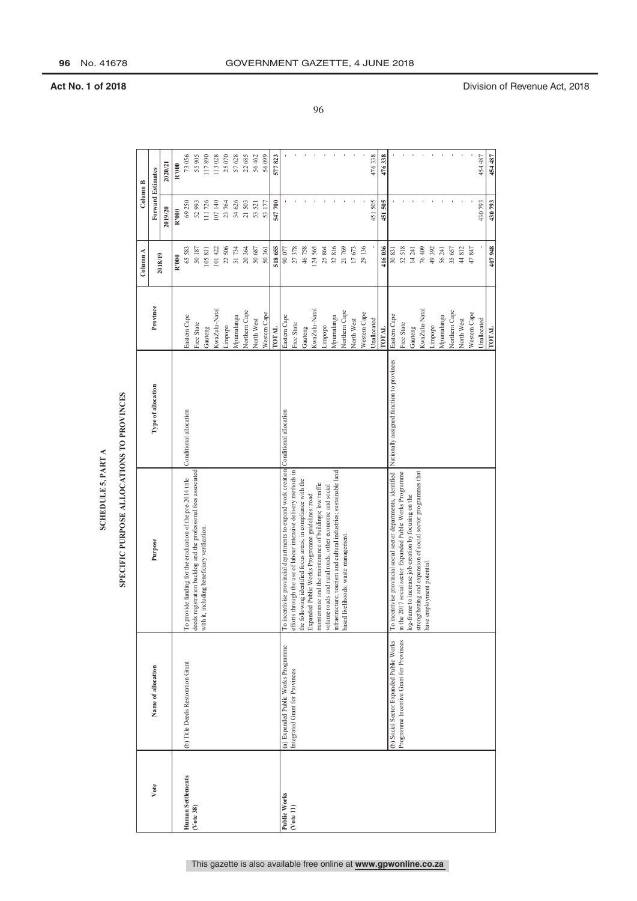### **SCHEDULE 5, PART A**

### SPECIFIC PURPOSE ALLOCATIONS TO PROVINCES

|                   |                                         | SCHEDULE 5, PART A                                                                                            |                        |               |                  |                          |         |
|-------------------|-----------------------------------------|---------------------------------------------------------------------------------------------------------------|------------------------|---------------|------------------|--------------------------|---------|
|                   |                                         | SPECIFIC PURPOSE ALLOCATIONS TO PROVINCES                                                                     |                        |               |                  |                          |         |
|                   |                                         |                                                                                                               |                        |               | Column A         | Column B                 |         |
| Vote              | Name of allocation                      | Purpose                                                                                                       | Type of allocation     | Province      | 2018/19          | <b>Forward Estimates</b> |         |
|                   |                                         |                                                                                                               |                        |               |                  | 2019/20                  | 2020/21 |
|                   |                                         |                                                                                                               |                        |               | R'000            | R'000                    | R'000   |
| Human Settlements | (b) Title Deeds Restoration Grant       | To provide funding for the eradication of the pre-2014 title                                                  | Conditional allocation | Eastern Cape  | 65583            | 69250                    | 73056   |
| (Vote 38)         |                                         | deeds registration backlog and the professional fees associated                                               |                        | Free State    | 50187            | 52993                    | 55 905  |
|                   |                                         | it, including beneficiary verification.<br>with                                                               |                        | Gauteng       | 105811           | 111726                   | 117890  |
|                   |                                         |                                                                                                               |                        | KwaZulu-Natal | 101 422          | 107140                   | 113028  |
|                   |                                         |                                                                                                               |                        | Limpopo       | 22506            | 23764                    | 25070   |
|                   |                                         |                                                                                                               |                        | Mpumalanga    | 51734            | 54626                    | 57628   |
|                   |                                         |                                                                                                               |                        | Northern Cape | 20364            | 21503                    | 22685   |
|                   |                                         |                                                                                                               |                        | North West    | 50 687           | 53 521                   | 56462   |
|                   |                                         |                                                                                                               |                        | Western Cape  | 50 361           | 53 177                   | 56099   |
|                   |                                         |                                                                                                               |                        | тота          | 518 655          | 547700                   | 577823  |
| Public Works      | (a) Expanded Public Works Programme     | To incentivise provincial departments to expand work creation Conditional allocation                          |                        | Eastern Cape  | 90077            |                          |         |
| (Note 11)         | Integrated Grant for Provinces          | efforts through the use of labour intensive delivery methods in                                               |                        | Free State    | 27378            |                          |         |
|                   |                                         | the following identified focus areas, in compliance with the                                                  |                        | Gauteng       | 46758            |                          |         |
|                   |                                         | maintenance and the maintenance of buildings; low traffic<br>Expanded Public Works Programme guidelines: road |                        | KwaZulu-Natal | 124565           |                          |         |
|                   |                                         | volume roads and rural roads; other economic and social                                                       |                        | Limpopo       | 25 864<br>32 816 |                          |         |
|                   |                                         | infrastructure; tourism and cultural industries; sustainable land                                             |                        | Mpumalanga    |                  |                          |         |
|                   |                                         | based livelihoods; waste management.                                                                          |                        | Northern Cape | 21769            |                          |         |
|                   |                                         |                                                                                                               |                        | North West    | 17673            |                          |         |
|                   |                                         |                                                                                                               |                        | Western Cape  | 29136            |                          |         |
|                   |                                         |                                                                                                               |                        | Unallocated   |                  | 451505                   | 476338  |
|                   |                                         |                                                                                                               |                        | <b>TOTAL</b>  | 416036           | 451505                   | 476338  |
|                   | (b) Social Sector Expanded Public Works | To incentivise provincial social sector departments, identified Nationally assigned function to provinces     |                        | Eastern Cape  | 30831            |                          |         |
|                   | Programme Incentive Grant for Provinces | in the 2017 social sector Expanded Public Works Programme                                                     |                        | Free State    | 52518            |                          |         |
|                   |                                         | log-frame to increase job creation by focusing on the                                                         |                        | Gauteng       | 14241            |                          |         |
|                   |                                         | strengthening and expansion of social sector programmes that                                                  |                        | KwaZulu-Natal | 76409            |                          |         |
|                   |                                         | have employment potential.                                                                                    |                        | Limpopo       | 49392            |                          |         |
|                   |                                         |                                                                                                               |                        | Mpumalanga    | 56241            |                          |         |
|                   |                                         |                                                                                                               |                        | Northern Cape | 35 657           |                          |         |
|                   |                                         |                                                                                                               |                        | North West    | 44812            |                          |         |
|                   |                                         |                                                                                                               |                        | Western Cape  | 47847            |                          |         |
|                   |                                         |                                                                                                               |                        | Unallocated   |                  | 430793                   | 454487  |
|                   |                                         |                                                                                                               |                        | TOTAL         | 407948           | 430793                   | 454 487 |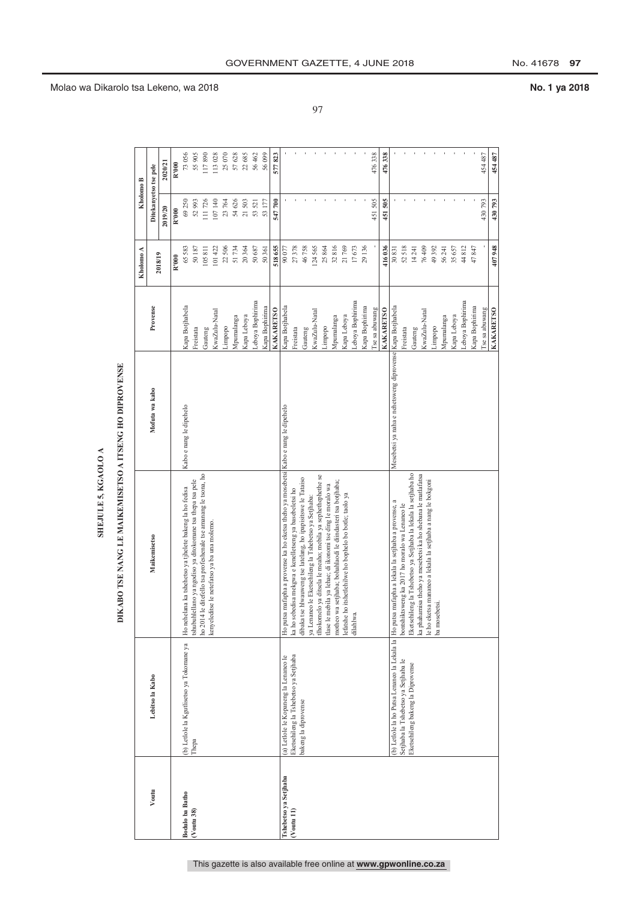| į  |
|----|
| ۳. |
|    |
|    |
|    |
|    |

 $\blacktriangleleft$ 

## DIKABO TSE NANG LE MAIKEMISETSO A ITSENG HO DIPROVENSE

|                        |                                                       |                                                                                                                     | DIKABO TSE NANG LE MAIKEMISETSO A ITSENG HO DIPROVENSE    |                  |           |                       |         |
|------------------------|-------------------------------------------------------|---------------------------------------------------------------------------------------------------------------------|-----------------------------------------------------------|------------------|-----------|-----------------------|---------|
|                        |                                                       |                                                                                                                     |                                                           |                  | Kholomo A | Kholomo B             |         |
| Voutu                  | Lebitso la Kabo                                       | <b>Maikemisetso</b>                                                                                                 | Mofuta wa kabo                                            | Provense         |           | Ditekanyetso tse pele |         |
|                        |                                                       |                                                                                                                     |                                                           |                  | 2018/19   | 2019/20               | 2020/21 |
|                        |                                                       |                                                                                                                     |                                                           |                  | R'000     | R'000                 | R'000   |
| <b>Bodulo ba Batho</b> | (b) Letlole la Kgutlisetso ya Tokomane ya             | Ho nehelana ka tshehetso ya tjhelete bakeng la ho fedisa                                                            | Kabo e nang le dipehelo                                   | Kapa Botjhabela  | 65583     | 69250                 | 73 056  |
| $(V$ outu 38)          | Thepa                                                 | ishubuhlellano ya ngodiso ya ditokomane tsa thepa tsa pele                                                          |                                                           | Freistata        | 50187     | 52993                 | 55 905  |
|                        |                                                       | ho 2014 le ditefello tsa profeshenale tse amanang le tsona, ho                                                      |                                                           | Gauteng          | 105811    | 111726                | 117890  |
|                        |                                                       | se le netefatso ya ba una molemo.<br>kenyeledit                                                                     |                                                           | KwaZulu-Natal    | 101422    | 107140                | 113028  |
|                        |                                                       |                                                                                                                     |                                                           | Limpopo          | 22506     | 23764                 | 25 070  |
|                        |                                                       |                                                                                                                     |                                                           | Mpumalanga       | 51734     | 54626                 | 57628   |
|                        |                                                       |                                                                                                                     |                                                           | Kapa Leboya      | 20364     | 21503                 | 22685   |
|                        |                                                       |                                                                                                                     |                                                           | Leboya Bophirima | 50687     | 53 521                | 56 462  |
|                        |                                                       |                                                                                                                     |                                                           | Kapa Bophirima   | 50361     | 53 177                | 56 099  |
|                        |                                                       |                                                                                                                     |                                                           | <b>KAKARETSO</b> | 518655    | 547700                | 577823  |
| Tshebetso ya Setjhaba  | (a) Letlole le Kopaneng la Lenaneo le                 | mafapha a provense ka ho eketsa theho ya mosebetsi Kabo e nang le dipehelo<br>Ho putsa                              |                                                           | Kapa Botjhabela  | 90077     |                       |         |
| $(V$ outu $11)$        | Eketsehileng la Tshebetso ya Setjhaba                 | ka ho sebedisa mekgwa e kenelletseng ya basebeletsi ho                                                              |                                                           | Freistata        | 27378     |                       |         |
|                        | bakeng la diprovense                                  | dibaka tse hlwauweng tse latelang, ho ipapisitswe le Tataiso                                                        |                                                           | Gauteng          | 46758     |                       |         |
|                        |                                                       | ilhokomelo ya ditsela le meaho; mebila ya sephethephethe se<br>ya Lenaneo le Eketsehileng la Tshebetso ya Setjhaba: |                                                           | KwaZulu-Natal    | 124565    |                       |         |
|                        |                                                       | tlase le mebila ya lehae; di ikonomi tse ding le moralo wa                                                          |                                                           | Limpopo          | 25864     |                       |         |
|                        |                                                       | motheo wa setjhaba; bohahlaodi le diindasteri tsa botjhaba;                                                         |                                                           | Mpumalanga       | 32816     |                       |         |
|                        |                                                       | lefatshe ho itshetlehilwe ho bophelo bo botle; taolo ya                                                             |                                                           | Kapa Leboya      | 21769     |                       |         |
|                        |                                                       | dilahlwa.                                                                                                           |                                                           | Leboya Bophirima | 17673     |                       |         |
|                        |                                                       |                                                                                                                     |                                                           | Kapa Bophirima   | 29136     |                       |         |
|                        |                                                       |                                                                                                                     |                                                           | I'se sa abuwang  |           | 451505                | 476338  |
|                        |                                                       |                                                                                                                     |                                                           | <b>KAKARETSO</b> | 416036    | 451505                | 476338  |
|                        | (b) Letlole la ho Putsa Lenaneo la Lekala la Ho putsa | mafapha a lekala la setjhaba a provense, a                                                                          | Mesebetsi ya naha e nehetsweng diprovense Kapa Botjhabela |                  | 30831     |                       |         |
|                        | Setjhaba la Tshebetso ya Setjhaba le                  | bontshiktsweng ka 2017 ho moralo wa Lenaneo le                                                                      |                                                           | Freistata        | 52 518    |                       |         |
|                        | Eketsehileng bakeng la Diprovense                     | Eketsehileng la Tshebetso ya Setjhaba la lekala la setjhaba ho                                                      |                                                           | Gauteng          | 14241     |                       |         |
|                        |                                                       | ka phahamisa theho ya mesebetsi ka ho shebana le matlafatsa                                                         |                                                           | KwaZulu-Natal    | 76409     |                       |         |
|                        |                                                       | le ho eketsa mananeo a lekala la setjhaba a nang le bokgoni<br>ba mosebetsi.                                        |                                                           | Limpopo          | 49 392    |                       |         |
|                        |                                                       |                                                                                                                     |                                                           | Mpumalanga       | 56 241    |                       |         |
|                        |                                                       |                                                                                                                     |                                                           | Kapa Leboya      | 35 657    |                       |         |
|                        |                                                       |                                                                                                                     |                                                           | Leboya Bophirima | $44812$   |                       |         |
|                        |                                                       |                                                                                                                     |                                                           | Kapa Bophirima   | 47847     |                       |         |
|                        |                                                       |                                                                                                                     |                                                           | I'se sa abuwang  |           | 430793                | 454 487 |
|                        |                                                       |                                                                                                                     |                                                           | <b>KAKARETSO</b> | 407948    | 430793                | 454 487 |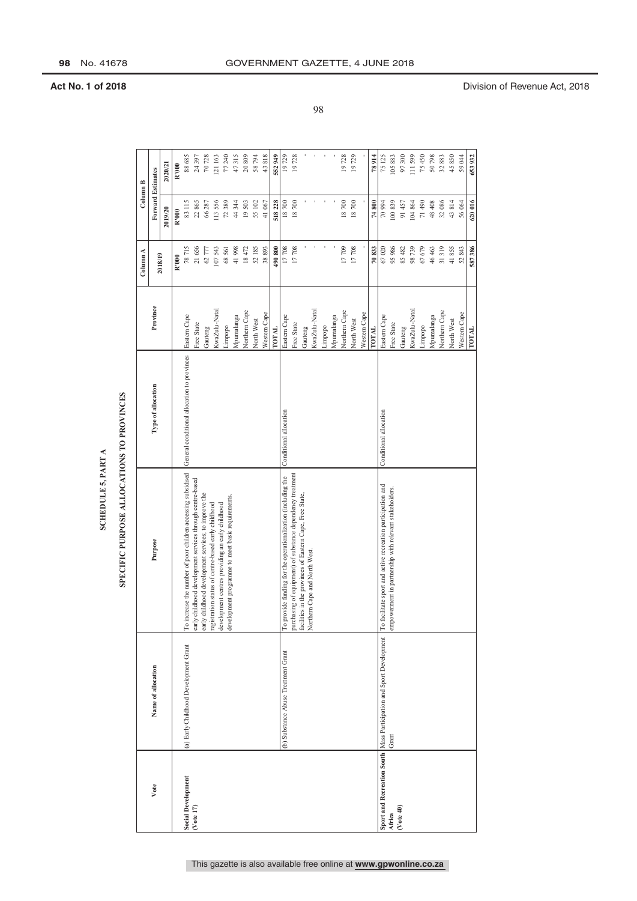### **SCHEDULE 5, PART A**

### SPECIFIC PURPOSE ALLOCATIONS TO PROVINCES

|                           |                                                                     | SPECIFIC PURPOSE ALLOCATIONS TO PROVINCES<br>SCHEDULE 5, PART A                                                        |                                             |               |           |                          |           |
|---------------------------|---------------------------------------------------------------------|------------------------------------------------------------------------------------------------------------------------|---------------------------------------------|---------------|-----------|--------------------------|-----------|
|                           |                                                                     |                                                                                                                        |                                             |               | Column A  | Column B                 |           |
| Vote                      | Name of allocation                                                  | Purpose                                                                                                                | Type of allocation                          | Province      |           | <b>Forward Estimates</b> |           |
|                           |                                                                     |                                                                                                                        |                                             |               | 2018/19   | 2019/20                  | 2020/21   |
|                           |                                                                     |                                                                                                                        |                                             |               | R'000     | R'000                    | R'000     |
| <b>Social Development</b> | (a) Early Childhood Development Grant                               | To increase the number of poor children accessing subsidised                                                           | General conditional allocation to provinces | Eastern Cape  | 78715     | 83115                    | 88685     |
| ( <i>Note</i> 17)         |                                                                     | early childhood development services through centre-based                                                              |                                             | Free State    | 21656     | 22865                    | 24397     |
|                           |                                                                     | early childhood development services; to improve the                                                                   |                                             | Gauteng       | 62777     | 66287                    | $70\,728$ |
|                           |                                                                     | development centres providing an early childhood<br>registration status of centre-based early childhood                |                                             | KwaZulu-Natal | 107543    | 113556                   | 121163    |
|                           |                                                                     | development programme to meet basic requirements.                                                                      |                                             | Limpopo       | 68561     | 72389                    | 77240     |
|                           |                                                                     |                                                                                                                        |                                             | Mpumalanga    | 41998     | 44 344                   | 47315     |
|                           |                                                                     |                                                                                                                        |                                             | Northern Cape | 18472     | 19503                    | 20809     |
|                           |                                                                     |                                                                                                                        |                                             | North West    | 52185     | 55 102                   | 58794     |
|                           |                                                                     |                                                                                                                        |                                             | Western Cape  | 38893     | 41067                    | 43818     |
|                           |                                                                     |                                                                                                                        |                                             | <b>LOTAL</b>  | 490800    | 518228                   | 552949    |
|                           | (b) Substance Abuse Treatment Grant                                 | To provide funding for the operationalization (including the                                                           | Conditional allocation                      | Eastern Cape  | 17708     | 18700                    | 19729     |
|                           |                                                                     | purchasing of equipment) of substance dependency treatment<br>facilities in the provinces of Eastern Cape, Free State, |                                             | Free State    | 17708     | 18700                    | 19728     |
|                           |                                                                     |                                                                                                                        |                                             | Gauteng       |           |                          |           |
|                           |                                                                     | Northern Cape and North West.                                                                                          |                                             | KwaZulu-Natal |           |                          |           |
|                           |                                                                     |                                                                                                                        |                                             | Limpopo       |           |                          |           |
|                           |                                                                     |                                                                                                                        |                                             | Mpumalanga    |           |                          |           |
|                           |                                                                     |                                                                                                                        |                                             | Northern Cape | 17709     | 18700                    | 19728     |
|                           |                                                                     |                                                                                                                        |                                             | North West    | $17\,708$ | $18\ 700$                | 19729     |
|                           |                                                                     |                                                                                                                        |                                             | Western Cape  |           |                          |           |
|                           |                                                                     |                                                                                                                        |                                             | TOTAL         | 70833     | 74800                    | 78914     |
|                           | Sport and Recreation South Mass Participation and Sport Development | To facilitate sport and active recreation participation and                                                            | Conditional allocation                      | Eastern Cape  | 67020     | 70994                    | 75125     |
| Africa                    | Grant                                                               | empowerment in partnership with relevant stakeholders.                                                                 |                                             | Free State    | 95986     | 100839                   | 105883    |
| ( <i>Note</i> 40)         |                                                                     |                                                                                                                        |                                             | Gauteng       | 85482     | 91457                    | 97300     |
|                           |                                                                     |                                                                                                                        |                                             | KwaZulu-Natal | 98739     | 104864                   | 111 599   |
|                           |                                                                     |                                                                                                                        |                                             | Limpopo       | 67679     | 71490                    | 75450     |
|                           |                                                                     |                                                                                                                        |                                             | Mpumalanga    | 46 463    | 48 408                   | 50798     |
|                           |                                                                     |                                                                                                                        |                                             | Northern Cape | 31319     | 32086                    | 32883     |
|                           |                                                                     |                                                                                                                        |                                             | North West    | 41855     | 43814                    | 45850     |
|                           |                                                                     |                                                                                                                        |                                             | Western Cape  | 52843     | 56064                    | 59044     |
|                           |                                                                     |                                                                                                                        |                                             | TOTAL         | 587386    | 620016                   | 653932    |

**98** No. 41678 GOVERNMENT GAZETTE, 4 JUNE 2018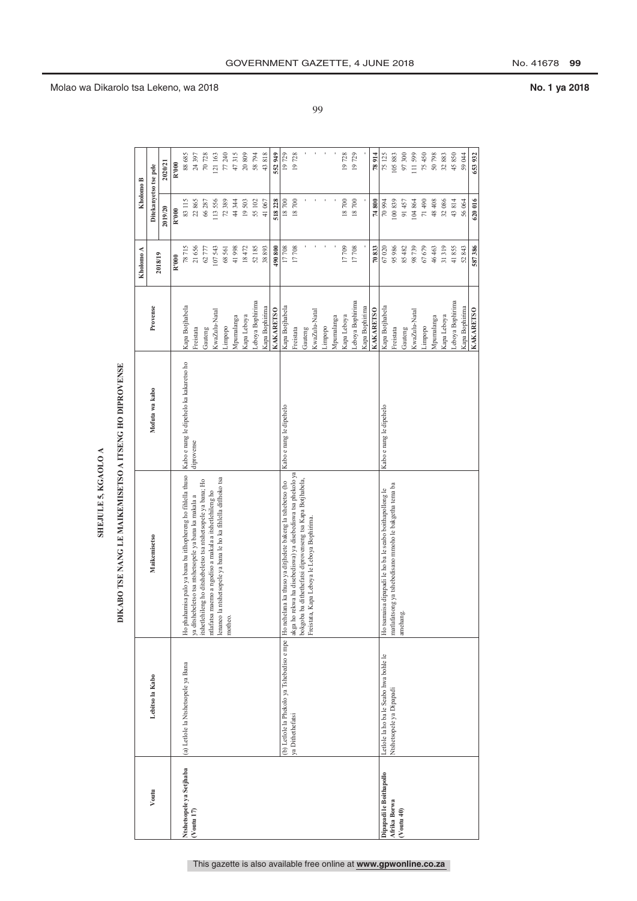| L |
|---|
|   |
|   |
|   |
|   |

## DIKABO TSE NANG LE MAIKEMISETSO A ITSENG HO DIPROVENSE

|                          |                                        | DIKABO TSE NANG LE MAIKEMISETSO A ITSENG HO DIPROVENSE                                                                      |                                         |                  |           |                       |                  |
|--------------------------|----------------------------------------|-----------------------------------------------------------------------------------------------------------------------------|-----------------------------------------|------------------|-----------|-----------------------|------------------|
|                          |                                        |                                                                                                                             |                                         |                  | Kholomo A | Kholomo B             |                  |
| Voutu                    | Lebitso la Kabo                        | Maikemisetso                                                                                                                | Mofuta wa kabo                          | Provense         |           | Ditekanyetso tse pele |                  |
|                          |                                        |                                                                                                                             |                                         |                  | 2018/19   | 2019/20               | 2020/21          |
|                          |                                        |                                                                                                                             |                                         |                  | R'000     | R'000                 | R'000            |
| Ntshetsopele ya Setjhaba | (a) Letlole la Ntshetsopele ya Bana    | Ho phahamisa palo ya bana ba itlhophereng ho fihlella thuso                                                                 | Kabo e nang le dipehelo ka kakaretso ho | Kapa Botjhabela  | 78715     | 83115                 | 88 685           |
| $(V$ outu 17)            |                                        | ya ditshebeletso tsa ntshetsopele ya bana ka makala a                                                                       | diprovense                              | Freistata        | 21656     | 22865                 | 24 397<br>70 728 |
|                          |                                        | itshetlehileng ho ditshebeletso tsa ntshetsopele ya bana; Ho                                                                |                                         | Gauteng          | 62777     | 66287                 |                  |
|                          |                                        | ntshetsopele ya bana le ho ka fihlella ditlhoko tsa<br>ntlafatsa maemo a ngodiso a makala a itshetlehileng ho<br>lenaneo la |                                         | KwaZulu-Natal    | 107543    | 113556                | 121 163          |
|                          |                                        | motheo.                                                                                                                     |                                         | Limpopo          | 68561     | 72389                 | 77 240           |
|                          |                                        |                                                                                                                             |                                         | Mpumalanga       | 41998     | 44344                 | 47315            |
|                          |                                        |                                                                                                                             |                                         | Kapa Leboya      | 18472     | 19503                 | $20\ 809$        |
|                          |                                        |                                                                                                                             |                                         | Leboya Bophirima | 52185     | 55 102                | 58 794           |
|                          |                                        |                                                                                                                             |                                         | Kapa Bophirima   | 38893     | 41067                 | 43818            |
|                          |                                        |                                                                                                                             |                                         | <b>KAKARETSO</b> | 490800    | 518228                | 552 949          |
|                          |                                        | (b) Letlole la Phekolo ya Tshebediso e mpe  Ho nehelana ka thuso ya ditjhelete bakeng la tshebetso (ho                      | Kabo e nang le dipehelo                 | Kapa Botjhabela  | 17708     | 18700                 | 19729            |
|                          | ya Dithethefatsi                       | akga ho rekwa ha disebediswa) ya disebediswa tsa phekolo ya                                                                 |                                         | Freistata        | 17708     | 18700                 | 19728            |
|                          |                                        | bokgoba ba dithethefatsi diprovenseng tsa Kapa Botjhabela,                                                                  |                                         | Gauteng          |           |                       |                  |
|                          |                                        | Kapa Leboya le Leboya Bophirima.<br>Freistata, F                                                                            |                                         | KwaZulu-Natal    |           |                       |                  |
|                          |                                        |                                                                                                                             |                                         | Limpopo          |           |                       |                  |
|                          |                                        |                                                                                                                             |                                         | Mpumalanga       |           |                       |                  |
|                          |                                        |                                                                                                                             |                                         | Kapa Leboya      | 17709     | 18700                 | 19728            |
|                          |                                        |                                                                                                                             |                                         | Leboya Bophirima | 17708     | 18700                 | 19729            |
|                          |                                        |                                                                                                                             |                                         | Kapa Bophirima   |           |                       |                  |
|                          |                                        |                                                                                                                             |                                         | <b>KAKARETSO</b> | 70833     | 74800                 | 78914            |
| Dipapadi le Boithapollo  | Letlole la ho ba le Seabo hwa bohle le | Ho tsamaisa dipapadi le ho ba le seabo boithapollong le                                                                     | Kabo e nang le dipehelo                 | Kapa Botjhabela  | 67020     | 70994                 | 75 125           |
| Afrika Borwa             | Ntshetsopele ya Dipapadi               | matlafatsong ya tshebedisano mmoho le bakgetha tema ba                                                                      |                                         | Freistata        | 95986     | 100839                | 105883           |
| $(V$ outu 40)            |                                        | amehang.                                                                                                                    |                                         | Gauteng          | 85482     | 91457                 | 97300            |
|                          |                                        |                                                                                                                             |                                         | KwaZulu-Natal    | 98739     | 104864                | 111 599          |
|                          |                                        |                                                                                                                             |                                         | Limpopo          | 67679     | 71490                 | 75 450<br>50 798 |
|                          |                                        |                                                                                                                             |                                         | Mpumalanga       | 46463     | 48 408                |                  |
|                          |                                        |                                                                                                                             |                                         | Kapa Leboya      | 31319     | 32086                 | 32883            |
|                          |                                        |                                                                                                                             |                                         | Leboya Bophirima | 41855     | 43814                 | 45850            |
|                          |                                        |                                                                                                                             |                                         | Kapa Bophirima   | 52843     | 56064                 | 59044            |
|                          |                                        |                                                                                                                             |                                         | <b>KAKARETSO</b> | 587386    | 620016                | 653 932          |

99

### Molao wa Dikarolo tsa Lekeno, wa 2018 **No. 1 ya 2018**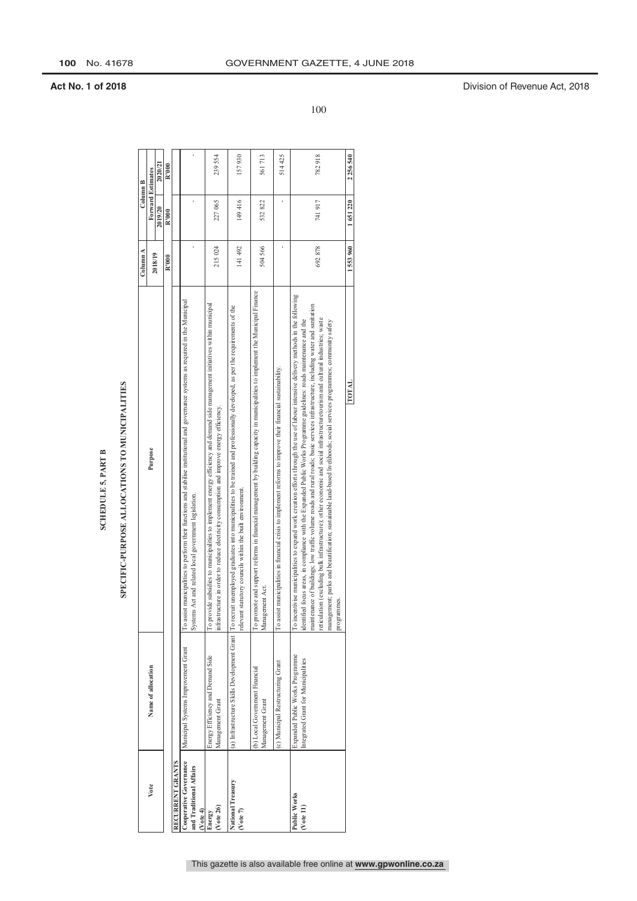### SPECIFIC-PURPOSE ALLOCATIONS TO MUNICIPALITIES

|                                                                       |                                                                        | SCHEDULE 5, PART B                                                                                                                                                                                                                                                                                                                                                                                                                                                                                                                                                                                                                                                           |          |                   |           |
|-----------------------------------------------------------------------|------------------------------------------------------------------------|------------------------------------------------------------------------------------------------------------------------------------------------------------------------------------------------------------------------------------------------------------------------------------------------------------------------------------------------------------------------------------------------------------------------------------------------------------------------------------------------------------------------------------------------------------------------------------------------------------------------------------------------------------------------------|----------|-------------------|-----------|
|                                                                       |                                                                        | SPECIFIC-PURPOSE ALLOCATIONS TO MUNICIPALITIES                                                                                                                                                                                                                                                                                                                                                                                                                                                                                                                                                                                                                               |          |                   |           |
|                                                                       |                                                                        |                                                                                                                                                                                                                                                                                                                                                                                                                                                                                                                                                                                                                                                                              | Column A | Column B          |           |
| Vote                                                                  | Name of allocation                                                     | Purpose                                                                                                                                                                                                                                                                                                                                                                                                                                                                                                                                                                                                                                                                      |          | Forward Estimates |           |
|                                                                       |                                                                        |                                                                                                                                                                                                                                                                                                                                                                                                                                                                                                                                                                                                                                                                              | 2018/19  | 2019/20           | 2020/21   |
|                                                                       |                                                                        |                                                                                                                                                                                                                                                                                                                                                                                                                                                                                                                                                                                                                                                                              | R'000    | R'000             | R'000     |
| Cooperative Governance<br>RECURRENT GRANTS<br>and Traditional Affairs | Municipal Systems Improvement Grant                                    | To assist municipalities to perform their functions and stabilise institutional and governance systems as required in the Municipal<br>Systems Act and related local government legislation.                                                                                                                                                                                                                                                                                                                                                                                                                                                                                 |          |                   |           |
| $(1)$ vote 26 $($<br>$($ $Vote 4)$<br>Energy                          | Energy Efficiency and Demand Side<br>Management Grant                  | To provide subsidies to municipalities to implement energy efficiency and demand side management initiatives within municipal<br>infrastructure in order to reduce electricity consumption and improve energy efficiency.                                                                                                                                                                                                                                                                                                                                                                                                                                                    | 215024   | 227065            | 239554    |
| National Treasury<br>(Vote 7)                                         | (a) Infrastructure Skills Development Grant   To recruit               | unemployed graduates into municipalities to be trained and professionally developed, as per the requirements of the<br>relevant statutory councils within the built environment.                                                                                                                                                                                                                                                                                                                                                                                                                                                                                             | 141 492  | 149416            | 157930    |
|                                                                       | (b) Local Government Financial<br>Management Grant                     | To promote and support reforms in financial management by building capacity in municipalities to implement the Municipal Finance<br>Management Act.                                                                                                                                                                                                                                                                                                                                                                                                                                                                                                                          | 504 566  | 532822            | 561713    |
|                                                                       | (c) Municipal Restructuring Grant                                      | To assist municipalities in financial crisis to implement reforms to improve their financial sustainability.                                                                                                                                                                                                                                                                                                                                                                                                                                                                                                                                                                 |          |                   | 514425    |
| Public Works<br>( <i>Note</i> 11)                                     | Expanded Public Works Programme<br>Integrated Grant for Municipalities | To incentivise municipalities to expand work creation efforts through the use of labour intensive delivery methods in the following<br>maintenance of buildings; low traffic volume roads and rural roads; basic services infrastructure, including water and sanitation<br>reticulation (excluding bulk infrastructure); other economic and social infrastructuretourism and cultural industries; waste<br>focus areas, in compliance with the Expanded Public Works Programme guidelines: roads maintenance and the<br>management; parks and beautification; sustainable land-based livelihoods; social services programmes; community safety<br>programmes.<br>identified | 692878   | 741917            | 782918    |
|                                                                       |                                                                        | TOTAL                                                                                                                                                                                                                                                                                                                                                                                                                                                                                                                                                                                                                                                                        | 1553960  | 1651220           | 2 256 540 |

100

**Act No. 1 of 2018** Division of Revenue Act, 2018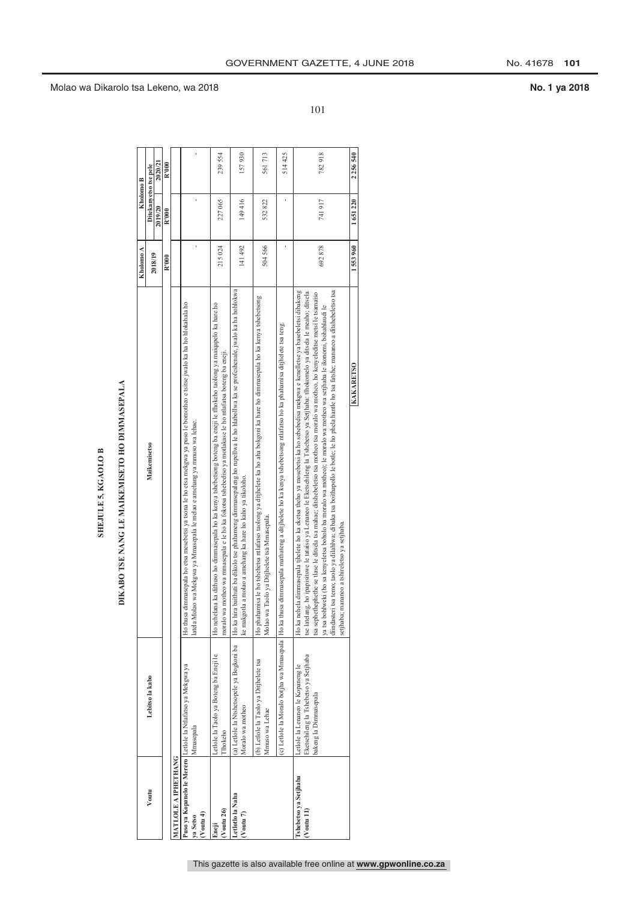### **SHEJULE 5, KGAOLO B**

## DIKABO TSE NANG LE MAIKEMISETO HO DIMMASEPALA

| Voutu                                                        |                                                                                                     | DIKABO TSE NANG LE MAIKEMISETO HO DIMMASEPALA                                                                                                                                                                                                                                                                                                                                                                                                                                                                                                                                                                                                                                       |           |                       |         |
|--------------------------------------------------------------|-----------------------------------------------------------------------------------------------------|-------------------------------------------------------------------------------------------------------------------------------------------------------------------------------------------------------------------------------------------------------------------------------------------------------------------------------------------------------------------------------------------------------------------------------------------------------------------------------------------------------------------------------------------------------------------------------------------------------------------------------------------------------------------------------------|-----------|-----------------------|---------|
|                                                              |                                                                                                     |                                                                                                                                                                                                                                                                                                                                                                                                                                                                                                                                                                                                                                                                                     | Kholomo A | Kholomo B             |         |
|                                                              | Lebitso la kabo                                                                                     | Maikemisetso                                                                                                                                                                                                                                                                                                                                                                                                                                                                                                                                                                                                                                                                        |           | Ditekanyetso tse pele |         |
|                                                              |                                                                                                     |                                                                                                                                                                                                                                                                                                                                                                                                                                                                                                                                                                                                                                                                                     | 2018/19   | 2019/20               | 2020/21 |
|                                                              |                                                                                                     |                                                                                                                                                                                                                                                                                                                                                                                                                                                                                                                                                                                                                                                                                     | R'000     | R'000                 | R'000   |
| MATLOLE A IPHETHANG                                          |                                                                                                     |                                                                                                                                                                                                                                                                                                                                                                                                                                                                                                                                                                                                                                                                                     |           |                       |         |
| Puso ya Kopanelo le Merero Letlole la Ntlafatso ya Mekgwa ya |                                                                                                     | Ho thusa dimmasepala ho etsa mesebetsi ya tsona le ho etsa mekgwa ya puso le bomotheo e tsitse jwalo ka ha ho hlokahala ho                                                                                                                                                                                                                                                                                                                                                                                                                                                                                                                                                          |           |                       |         |
| Mmasepala<br>$(V$ outu 4)<br>ya Setso                        |                                                                                                     | latela Molao wa Mekgwa ya Mmasepala le melao e amehang ya mmuso wa lehae.                                                                                                                                                                                                                                                                                                                                                                                                                                                                                                                                                                                                           |           |                       |         |
| Thokeho<br>$($ Voutu 26 $)$<br>Eneji                         | Letlole la Taolo ya Boteng ba Eneji le                                                              | Ho nehelana ka dithuso ho dimmasepala ho ka kenya tshebetsong boteng ba eneji le tlhokeho taolong ya maiqapelo ka hare ho<br>moralo wa motheo wa mmasepala e le ho ka fokotsa tshebediso ya motlakase le ho ntlafatsa boteng ba eneji.                                                                                                                                                                                                                                                                                                                                                                                                                                              | 215024    | 227 065               | 239554  |
| Letlotlo la Naha                                             | (a) Letlole la Ntshetsopele ya Bogkoni ba                                                           | Ho ka hira baithuti ba dikolo tse phahameng dimmasepaleng ho rupellwa le ho hlabollwa ka se profeshenale, jwalo ka ha hohlokwa                                                                                                                                                                                                                                                                                                                                                                                                                                                                                                                                                      |           |                       |         |
| (Voutu 7)                                                    | Moralo wa motheo                                                                                    | ke makgotla a molao a amehang ka hare ho kaho ya tikoloho.                                                                                                                                                                                                                                                                                                                                                                                                                                                                                                                                                                                                                          | 141 492   | 149 416               | 157930  |
|                                                              | (b) Letlole la Taolo ya Ditjhelete tsa<br>Mmuso wa Lehae                                            | Ho phahamisa le ho tshehetsa ntlafatso taolong ya ditjhelete ka ho aha bokgoni ka hare ho dimmasepala ho ka kenya tshebetsong<br>Taolo ya Ditjhelete tsa Mmasepala.<br>Molao wa                                                                                                                                                                                                                                                                                                                                                                                                                                                                                                     | 504566    | 532822                | 561713  |
|                                                              |                                                                                                     | (c) Letlole la Moralo botjha wa Mmasepala [Ho ka thusa dimmasepala mathateng a ditjhelete ho ka tkenya tshebetsong ntlafatso ho ka phahamisa ditjhelete tsa teng.                                                                                                                                                                                                                                                                                                                                                                                                                                                                                                                   |           | 1                     | 514425  |
| Ishebetso ya Setjhaba<br>$(V$ outu $11)$                     | Eketsehileng la Tshebetso ya Setjhaba<br>Letlole la Lenaneo le Kopaneng le<br>bakeng la Dimmasepala | Ho ka nehela dimmasepala tihelete ho ka eketsa theho ya mosebetsi ka ho sebebedisa mekgwa e kenelletse ya basebeletsi dibakeng<br>diindasteri tsa temo; taolo ya dilahlwa; dibaka tsa boithapollo le botle; le ho phela hantle ho tsa fatshe; mananeo a ditshebeletso tsa<br>tse latelang, ho ipapisitswe le tataiso ya Lenaneo le Eketsehileng la Tshebetso ya Setjhaba: tlhokomelo ya ditsela le meaho; ditsela<br>tsa sephethephethe se tlase le ditsela tsa mahae; ditshebeletso tsa motheo tsa moralo wa motheo, ho kenyeleditse metsi le tsamaiso<br>ya tsa bohlweki (ho sa kenyeletsa boholo ba moralo wa motheo); le moralo wa motheo wa setjhaba le ikonomi, bohahlaudi le | 692878    | 741 917               | 782918  |
|                                                              |                                                                                                     | KAKARETSO<br>setjhaba; mananeo a tshireletso ya setjhaba.                                                                                                                                                                                                                                                                                                                                                                                                                                                                                                                                                                                                                           | 1553960   | 1651220               | 2256540 |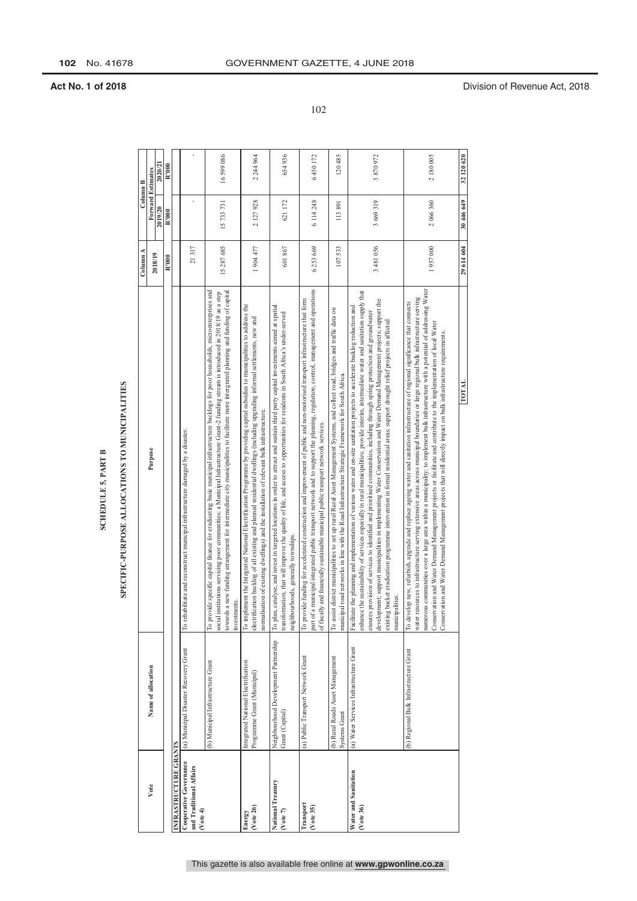### **SCHEDULE 5, PART B**

### SPECIFIC-PURPOSE ALLOCATIONS TO MUNICIPALITIES

|                       |                                                                    | SPECIFIC-PURPOSE ALLOCATIONS TO MUNICIPALITIES                                                                                                                                                                                                                                                                                                                                                                                                                                                                                                                                                                                                                                             |                     |                                     |                     |
|-----------------------|--------------------------------------------------------------------|--------------------------------------------------------------------------------------------------------------------------------------------------------------------------------------------------------------------------------------------------------------------------------------------------------------------------------------------------------------------------------------------------------------------------------------------------------------------------------------------------------------------------------------------------------------------------------------------------------------------------------------------------------------------------------------------|---------------------|-------------------------------------|---------------------|
|                       | Name of allocation                                                 | Purpose                                                                                                                                                                                                                                                                                                                                                                                                                                                                                                                                                                                                                                                                                    | Column A<br>2018/19 | <b>Forward Estimates</b><br>2019/20 | 2020/21<br>Column B |
| INFRASTRUCTURE GRANTS |                                                                    |                                                                                                                                                                                                                                                                                                                                                                                                                                                                                                                                                                                                                                                                                            | R'000               | R'000                               | R'000               |
|                       | (a) Municipal Disaster Recovery Grant                              | itate and reconstruct municipal infrastructure damaged by a disaster.<br>To rehabil                                                                                                                                                                                                                                                                                                                                                                                                                                                                                                                                                                                                        | 21317               |                                     |                     |
|                       | (b) Municipal Infrastructure Grant                                 | To provide specific capital finance for eradicating basic municipal infrastructure backlogs for poor households, microenterprises and<br>towards a new funding arrangement for intermediate city municipalities to facilitate more intergrated planning and funding of capital<br>social institutions servicing poor communities; a Municipal Infrastructure Grant-2 funding stream is introduced in 2018/19 as a step<br>investments.                                                                                                                                                                                                                                                     | 15 287 685          | 15 733 731                          | 16599086            |
|                       | Integrated National Electrification<br>Programme Grant (Municipal) | To implement the Integrated National Electrification Programme by providing capital subsidies to municipalities to address the<br>electrification backlog of all existing and planned residential dwellings (including upgrading informal settlements, new and<br>normalisation of existing dwellings) and the installation of relevant bulk infrastructure.                                                                                                                                                                                                                                                                                                                               | 1904477             | 2 127 928                           | 2 244 964           |
|                       | Neighbourhood Development Partnership<br>Grant (Capital)           | To plan, catalyse, and invest in targeted locations in order to attract and sustain third party capital investments aimed at spatial<br>transformation, that will improve the quality of life, and access to opportunities for residents in South Africa's under-served<br>neighbourhoods, generally townships.                                                                                                                                                                                                                                                                                                                                                                            | 601867              | 621172                              | 654936              |
|                       | (a) Public Transport Network Grant                                 | part of a municipal integrated public transport network and to support the plaming, regulation, control, management and operations<br>To provide funding for accelerated construction and improvement of public and non-motorised transport infrastructure that form<br>and financially sustainable municipal public transport network services.<br>of fiscally                                                                                                                                                                                                                                                                                                                            | 6 253 669           | 6 114 248                           | 6450172             |
|                       | (b) Rural Roads Asset Management<br><b>Systems Grant</b>           | To assist district municipalities to set up rural Rural Asset Management Systems, and collect road, bridges and traffic data on<br>road networks in line with the Road Infrastructure Strategic Framework for South Africa.<br>municipal                                                                                                                                                                                                                                                                                                                                                                                                                                                   | 107533              | 113891                              | 120485              |
|                       | (a) Water Services Infrastructure Grant                            | enhance the sustainability of services especially in rural municipalities; provide interim, intermediate water and sanitation supply that<br>development; support municipalities in implementing Water Conservation and Water Demand Management projects; support the<br>Facilitate the planning and implementation of various water and on-site sanitation projects to accelerate backlog reduction and<br>ensures provision of services to identified and prioritised communities, including through spring protection and groundwater<br>existing bucket eradication programme intervention in formal residential areas; support drought relief projects in affected<br>municipalities. | 3481056             | 3 669 319                           | 3870972             |
|                       | (b) Regional Bulk Infrastructure Grant                             | numerous communities over a large area within a municipality; to implement bulk infrastructure with a potential of addressing Water<br>water resources to infrastructure serving extensive areas across municipal boundaries or large regional bulk infrastructure serving<br>To develop new, refurbish, upgrade and replace ageing water and sanitation infrastructure of regional significance that connects<br>Conservation and Water Demand Management projects or facilitate and contribute to the implementation of local Water<br>Conservation and Water Demand Management projects that will directly impact on bulk infrastructure requirements.                                  | 1957000             | 2 066 360                           | 2 180 005           |
|                       |                                                                    | <b>TOTAL</b>                                                                                                                                                                                                                                                                                                                                                                                                                                                                                                                                                                                                                                                                               | 29 614 604          | 30 446 649                          | 32 120 620          |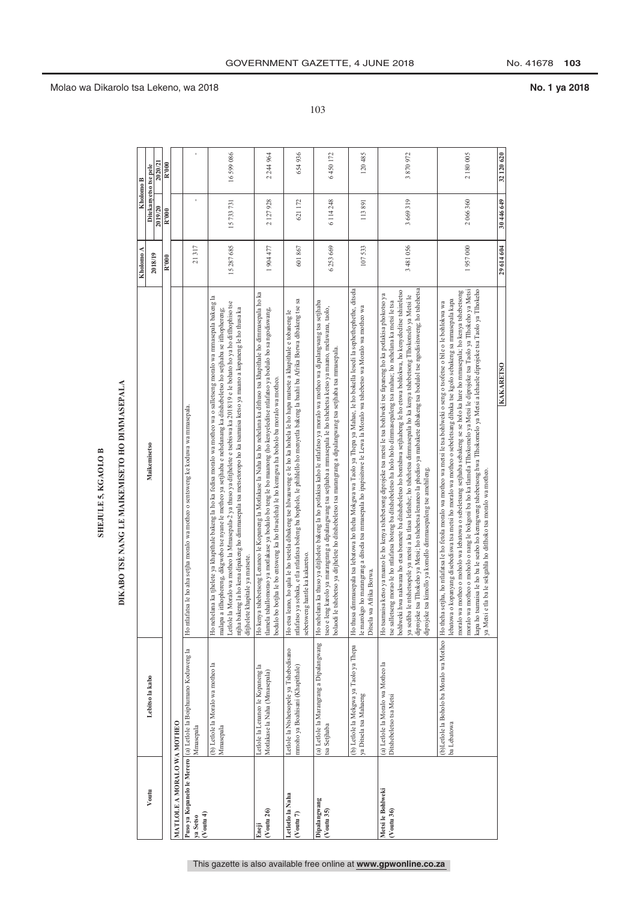## DIKABO TSE NANG LE MAIKEMISETO HO DIMMASEPALA

|                                     |                                                                               | DIKABO TSE NANG LE MAIKEMISETO HO DIMMASEPALA<br><b>SHEJULE 5, KGAOLO B</b>                                                                                                                                                                                                                                                                                                                                                                                                                                                                                                                                                                                                                                                                                                 |           |            |                                  |
|-------------------------------------|-------------------------------------------------------------------------------|-----------------------------------------------------------------------------------------------------------------------------------------------------------------------------------------------------------------------------------------------------------------------------------------------------------------------------------------------------------------------------------------------------------------------------------------------------------------------------------------------------------------------------------------------------------------------------------------------------------------------------------------------------------------------------------------------------------------------------------------------------------------------------|-----------|------------|----------------------------------|
|                                     |                                                                               |                                                                                                                                                                                                                                                                                                                                                                                                                                                                                                                                                                                                                                                                                                                                                                             | Kholomo A |            | Kholomo B                        |
| Voutu                               | Lebitso la kabo                                                               | Maikemisetso                                                                                                                                                                                                                                                                                                                                                                                                                                                                                                                                                                                                                                                                                                                                                                | 2018/19   | 2019/20    | 2020/21<br>Ditekanyetso tse pele |
|                                     |                                                                               |                                                                                                                                                                                                                                                                                                                                                                                                                                                                                                                                                                                                                                                                                                                                                                             | R'000     | R'000      | R'000                            |
| MATLOLE A MORALO WA MOTHEO          |                                                                               |                                                                                                                                                                                                                                                                                                                                                                                                                                                                                                                                                                                                                                                                                                                                                                             |           |            |                                  |
| $($ Voutu 4 $)$<br>ya Setso         | Puso ya Kopanelo le Merero (a) Letlole la Boiphumano Koduweng la<br>Mmasepala | Ho ntlafatsa le ho aha setjha moralo wa motheo o sentsweng ke koduwa wa mmasepala.                                                                                                                                                                                                                                                                                                                                                                                                                                                                                                                                                                                                                                                                                          | 21317     |            |                                  |
|                                     | (b) Letlole la Moralo wa motheo la<br>Mmasepala                               | Ho nehelana ka tihelete ya khapithale bakeng la ho ka fedisa moralo wa motheo wa o salletseng moralo wa mmasepala bakeng la<br>Letlole la Moralo wa motheo la Mmasepala-2 ya thuso ya ditjhelete e tsebiswa ka 2018/19 e le bohato ho ya ho ditlhophiso tse<br>ntjha bakeng la ho kena dipakeng ho dimmasepala tsa metsetoropo ho ka tsamaisa ketso ya maano a kopaneng le ho thusa ka<br>malapa a itlhophereng, dikgwebo tse nyane le metheo ya setjhaba e nehelanang ka ditshebeletso ho setjhaba se itlhophereng;<br>ditjhelete khapitale ya matsete.                                                                                                                                                                                                                    | 15287685  | 15 733 731 | 16599086                         |
| $($ Voutu 26 $)$<br>Eneji           | Letlole la Lenaneo le Kopaneng la<br>Motlakase la Naha (Mmasepala)            | Ho kenya tshebetsong Lenaneo le Kopaneng la Motlakase la Naha ka ho nehelana ka dithuso tsa khapithale ho dimmasepala ho ka<br>tlamela tshallomorao ya motlakase ya bodulo bo teng le bo maanong (ho kenyeleditse ntlafatso ya bodulo bo sa ngodiswang,<br>botjha le bo entsweng ka ho tlwaeleha) le ho kenngwa ha boholo ba moralo wa motheo<br>bodulo bo                                                                                                                                                                                                                                                                                                                                                                                                                  | 1904477   | 2 127 928  | 2244964                          |
| Letlotlo la Naha<br>$($ Voutu 7 $)$ | Letlole la Ntshetsopele ya Tshebedisano<br>mmoho ya Boahisani (Khapithale)    | ntlafatso ya sebaka, e tla ntlafatsa boleng ba bophelo, le phihlello ho menyetla bakeng la baahi ba Afrika Borwa dibakeng tse sa<br>Ho etsa leano, ho qala le ho tsetela dibakeng tse hiwauweng e le ho ka hohela le ho hapa matsete a khapithale e tobaneng le<br>hantle ka kakaretso.<br>sebetsweng                                                                                                                                                                                                                                                                                                                                                                                                                                                                       | 601867    | 621 172    | 654936                           |
| Dipalangwang<br>(Voutu 35)          | (a) Letlole la Marangrang a Dipalangwang<br>tsa Setjhaba                      | Ho nehelana ka thuso ya ditjhelete bakeng la ho potlakisa kaho le ntlafatso ya moralo wa motheo wa dipalangwang tsa setjhaba<br>seo e leng karolo ya marangrang a dipalangwang tsa setjhaba a mmasepala le ho tshehetsa ketso ya maano, melawana, taolo,<br>bolaodi le tshebetso ya ditjhelete ho ditshebeletso tsa marangrang a dipalangwang tsa setjhaba tsa mmasepala.                                                                                                                                                                                                                                                                                                                                                                                                   | 6253669   | 6 114 248  | 6450172                          |
|                                     | (b) Letlole la Mekgwa ya Taolo ya Thepa<br>ya Ditsela tsa Mahaeng             | Ho thusa dimmasepala tsa lebatowa ho theha Mokgwa wa Taolo ya Thepa ya Mahae, le ho bokella lesedi la sephethephethe, ditsela<br>ho marangrang a ditsela tsa mmasepala ho ipapisitswe le Lewa la Moralo wa tshebetso wa Moralo wa motheo wa<br>Afrika Borwa.<br>le marokgo<br>Ditsela wa                                                                                                                                                                                                                                                                                                                                                                                                                                                                                    | 107533    | 113891     | 120485                           |
| Metsi le Bohlweki<br>$(V$ outu 36)  | (a) Letlole la Moralo wa Motheo la<br>Ditshebeletso tsa Metsi                 | diprojeke tsa Tlhokeho ya Metsi, ho tshehetsa lenaneo la phediso ya mabakete dibakeng tsa bodulol tse ngodisitsweng, ho tshehetsa<br>bohlweki hwa nakwana ho etsa bonnete ba ditshebeletso ho bontshwa setjhabeng le ho etswa bohlokwa, ho kenyeleditse tshireletso<br>Ho tsamaisa ketso ya maano le ho kenya tshebetsong diprojeke tsa metsi le tsa bohlweki tse fapaneng ho ka potlakisa phokotso ya<br>ya sediba le ntshetsopele ya metsi a ka tlasa lefatshe; ho tshehetsa dimmasepala ho ka kenya tshebetsong Tlhokomelo ya Metsi le<br>ng morao le ho ntlafatsa boteng ba ditshebeletso ha holo holo dimmasepaleng tsa mahae; ho nehelana ka metsi le tsa<br>diprojeke tsa kimollo ya komello dimmasepaleng tse amehileng.<br>tse salletser                           | 3481056   | 3 669 319  | 3870972                          |
|                                     | ba Lebatowa                                                                   | moralo wa motheo o moholo o nang le bokgoni ba ho ka tlamela Tlhokomelo ya Metsi le diprojeke tsa Taolo ya Tlhokeho ya Metsi<br>kapa ho tsamaisa le ho ba le seabo ho kenngweng tshebetsong hwa Tlhokomelo ya Metsi a lehaele diprojeke tsa Taolo ya Tlhokeho<br>moralo wa motheo o moholo wa lebatowa o sebeletsang setjinaba sebakeng se se holo ka hare ho mmasepala; ho kenya tshebetsong<br>kopanyang disebediswa tsa metsi ho moralo wa motheo o sebeletsang dibaka tse kgolo sebakeng sa mmasepala kapa<br>(b)Letlole la Boholo ba Moralo wa Motheo  Ho theha setjha, ho ntlafatsa le ho fetola moralo wa motheo wa metsi le tsa bohlweki o seng o tsofetse o bile o le bohlokwa wa<br>ya Metsi e tla ba le sekgahla ho ditlhoko tsa moralo wa motheo.<br>lebatowa o | 1957000   | 2 066 360  | 2180005                          |
|                                     |                                                                               | KAKARETSO                                                                                                                                                                                                                                                                                                                                                                                                                                                                                                                                                                                                                                                                                                                                                                   | 29614604  | 30 446 649 | 32.120.620                       |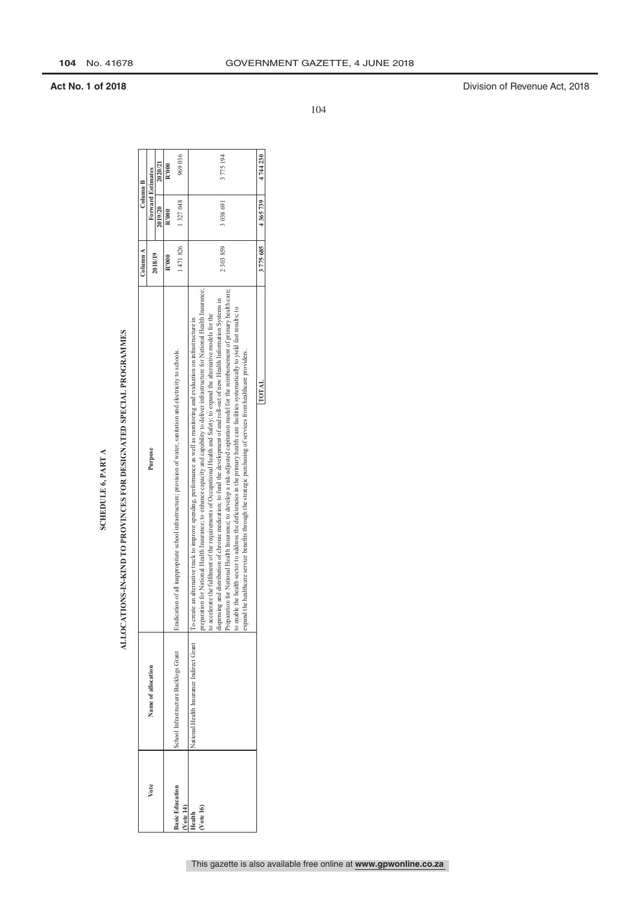# ALLOCATIONS-IN-KIND TO PROVINCES FOR DESIGNATED SPECIAL PROGRAMMES

|                                           |                                                      | ALLOCATIONS-IN-KIND TO PROVINCES FOR DESIGNATED SPECIAL PROGRAMMES                                                                                                                                                                                                                                                                                                                                                                                                                                                                                                                                                                                                                                                                                                                                           |                            |                   |           |
|-------------------------------------------|------------------------------------------------------|--------------------------------------------------------------------------------------------------------------------------------------------------------------------------------------------------------------------------------------------------------------------------------------------------------------------------------------------------------------------------------------------------------------------------------------------------------------------------------------------------------------------------------------------------------------------------------------------------------------------------------------------------------------------------------------------------------------------------------------------------------------------------------------------------------------|----------------------------|-------------------|-----------|
|                                           |                                                      |                                                                                                                                                                                                                                                                                                                                                                                                                                                                                                                                                                                                                                                                                                                                                                                                              |                            |                   |           |
|                                           |                                                      |                                                                                                                                                                                                                                                                                                                                                                                                                                                                                                                                                                                                                                                                                                                                                                                                              | $\mathop{\mathrm{Column}}$ | Column B          |           |
| Vote                                      | Name of allocation                                   | Purpose                                                                                                                                                                                                                                                                                                                                                                                                                                                                                                                                                                                                                                                                                                                                                                                                      | 2018/19                    | Forward Estimates |           |
|                                           |                                                      |                                                                                                                                                                                                                                                                                                                                                                                                                                                                                                                                                                                                                                                                                                                                                                                                              |                            | 2019/20           | 2020/21   |
|                                           |                                                      |                                                                                                                                                                                                                                                                                                                                                                                                                                                                                                                                                                                                                                                                                                                                                                                                              | R'000                      | R'000             | R'000     |
| <b>Basic Education</b><br><b>Vote 14)</b> | School Infrastructure Backlogs Grant                 | Eradication of all inappropriate school infrastructure; provision of water, sanitation and electricity to schools.                                                                                                                                                                                                                                                                                                                                                                                                                                                                                                                                                                                                                                                                                           | 1471826                    | 1327048           | 969036    |
| Health                                    | National Health Insurance Indirect Grant   To create | an alternative track to improve spending, performance as well as monitoring and evaluation on infrastructure in                                                                                                                                                                                                                                                                                                                                                                                                                                                                                                                                                                                                                                                                                              |                            |                   |           |
| Vote 16)                                  |                                                      | preparation for National Health Insurance; to enhance capacity and capability to deliver infrastructure for National Health Insurance;<br>Preparation for National Health Insurance; to develop a risk-adjusted capitation model for the reimbursement of primary health care;<br>dispensing and distribution of chronic medication; to fund the development of and roll-out of new Health Information Systems in<br>to enable the health sector to address the deficiencies in the primary health care facilities systematically to yield fast results; to<br>o accelerate the fulfilment of the requirements of Occupational Health and Safety; to expand the alternative models for the<br>expand the healthcare service benefits through the strategic purchasing of services from healthcare providers. | 2 303 859                  | 3 038 691         | 3 775 194 |
|                                           |                                                      |                                                                                                                                                                                                                                                                                                                                                                                                                                                                                                                                                                                                                                                                                                                                                                                                              |                            |                   |           |
|                                           |                                                      | <b>TOTAL</b>                                                                                                                                                                                                                                                                                                                                                                                                                                                                                                                                                                                                                                                                                                                                                                                                 | 3775685                    | 4365739           | 4744230   |

**104** No. 41678 GOVERNMENT GAZETTE, 4 JUNE 2018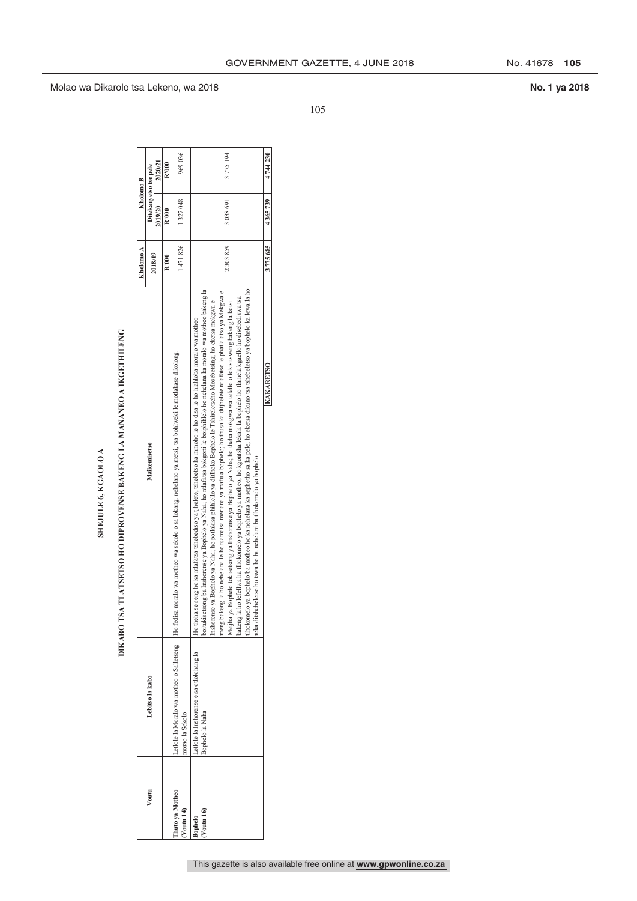| ь |
|---|
|   |
|   |
|   |
| L |
| E |

# DIKABO TSA TLATSETSO HO DIPROVENSE BAKENG LA MANANEO A IKGETHILENG

|                                |                                                            | TLATSETSO HO DIPROVENSE BAKENG LA MANANEO A IKGETHILENG<br><b>DIKABO TSA</b>                                                                                                                                                                                                                                                                                                                                                                                                                                                                                                                                                                                                                                                                                                                                                                                                                                                                                                                        |           |           |                       |
|--------------------------------|------------------------------------------------------------|-----------------------------------------------------------------------------------------------------------------------------------------------------------------------------------------------------------------------------------------------------------------------------------------------------------------------------------------------------------------------------------------------------------------------------------------------------------------------------------------------------------------------------------------------------------------------------------------------------------------------------------------------------------------------------------------------------------------------------------------------------------------------------------------------------------------------------------------------------------------------------------------------------------------------------------------------------------------------------------------------------|-----------|-----------|-----------------------|
|                                |                                                            |                                                                                                                                                                                                                                                                                                                                                                                                                                                                                                                                                                                                                                                                                                                                                                                                                                                                                                                                                                                                     | Kholomo A |           | Kholomo B             |
| Voutu                          | Lebitso la kabo                                            | Maikemisetso                                                                                                                                                                                                                                                                                                                                                                                                                                                                                                                                                                                                                                                                                                                                                                                                                                                                                                                                                                                        |           |           | Ditekanvetso tse pele |
|                                |                                                            |                                                                                                                                                                                                                                                                                                                                                                                                                                                                                                                                                                                                                                                                                                                                                                                                                                                                                                                                                                                                     | 2018/19   | 2019/20   | 2020/21               |
|                                |                                                            |                                                                                                                                                                                                                                                                                                                                                                                                                                                                                                                                                                                                                                                                                                                                                                                                                                                                                                                                                                                                     | R'000     | R'000     | R'000                 |
| huto ya Motheo<br>$V$ outu 14) | morao la Sekolo                                            | Letlole la Moralo wa motheo o Salletseng Ho fedisa moralo wa motheo wa sekolo o sa lokang; nehelano ya metsi, tsa bohlweki le motlakase dikolong.                                                                                                                                                                                                                                                                                                                                                                                                                                                                                                                                                                                                                                                                                                                                                                                                                                                   | 1471826   | 1327048   | 969036                |
| (Voutu 16)<br><b>Bophelo</b>   | etlole la Inshorense e sa otlolohang la<br>Bophelo la Naha | lhokomelo ya bophelo ba motheo ho ka nehelana ka sephetho sa ka pele; ho eketsa dikuno tsa tshebeletso ya bophelo ka lewa la ho<br>oitukisetsong ba Inshorense ya Bophelo ya Naha; ho ntlafatsa bokgoni le boiphihlelo ho nehelana ka moralo wa motheo bakeng la<br>meng bakeng la ho nehelana le ho tsamaisa meriana ya mafu a bophelo; ho thusa ka ditjhelete ntlafatso le phatlalatso ya Mekgwa e<br>akeng la ho lefellwa ha tihokomelo ya bophelo ya motheo; ho kgontsha lekala la bophelo ho tlamela kgaello ho disebediswa tsa<br>Inshorense ya Bophelo ya Naha; ho potlakisa phihlello ya ditlhoko Bophelo le Tshireletseho Mosebetsing; ho eketsa mekgwa e<br>Metjia ya Bophelo tokisetsong ya Inshorense ya Bophelo ya Naha; ho theha mokgwa wa tefello o lokisitsweng bakeng la kotsi<br>seng ho ka ntlafatsa tshebediso ya tjhelete, tshebetso ha mmoho le ho disa le ho hlahloba moralo wa motheo<br>reka ditshebeletso ho tswa ho ba nehelani ba tlhokomelo ya bophelo.<br>Ho theha se | 2303859   | 3 038 691 | 3775194               |
|                                |                                                            | <b>KAKARETSO</b>                                                                                                                                                                                                                                                                                                                                                                                                                                                                                                                                                                                                                                                                                                                                                                                                                                                                                                                                                                                    | 3775685   | 4365739   | 4744230               |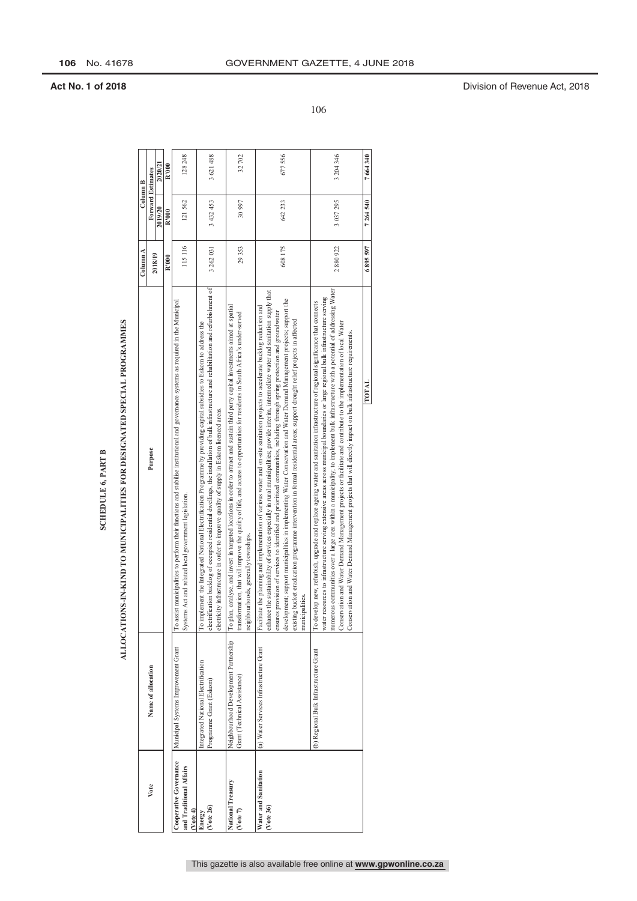### **SCHEDULE 6, PART B**

# ALLOCATIONS-IN-KIND TO MUNICIPALITIES FOR DESIGNATED SPECIAL PROGRAMMES

|                                                              |                                                                       | ALLOCATIONS-IN-KIND TO MUNICIPALITIES FOR DESIGNATED SPECIAL PROGRAMMES                                                                                                                                                                                                                                                                                                                                                                                                                                                                                                                                                                                                                       |           |           |                   |
|--------------------------------------------------------------|-----------------------------------------------------------------------|-----------------------------------------------------------------------------------------------------------------------------------------------------------------------------------------------------------------------------------------------------------------------------------------------------------------------------------------------------------------------------------------------------------------------------------------------------------------------------------------------------------------------------------------------------------------------------------------------------------------------------------------------------------------------------------------------|-----------|-----------|-------------------|
|                                                              |                                                                       |                                                                                                                                                                                                                                                                                                                                                                                                                                                                                                                                                                                                                                                                                               | Column A  |           | Column B          |
| Vote                                                         | Name of allocation                                                    | Purpose                                                                                                                                                                                                                                                                                                                                                                                                                                                                                                                                                                                                                                                                                       |           |           | Forward Estimates |
|                                                              |                                                                       |                                                                                                                                                                                                                                                                                                                                                                                                                                                                                                                                                                                                                                                                                               | 2018/19   | 2019/20   | 2020/21           |
|                                                              |                                                                       |                                                                                                                                                                                                                                                                                                                                                                                                                                                                                                                                                                                                                                                                                               | R'000     | R'000     | R'000             |
| Cooperative Governance<br>and Traditional Affairs<br>Note 4) | Municipal Systems Improvement Grant                                   | To assist municipalities to perform their functions and stabilise institutional and governance systems as required in the Municipal<br>Systems Act and related local government legislation.                                                                                                                                                                                                                                                                                                                                                                                                                                                                                                  | 115116    | 121562    | 128 248           |
| $($ Vote 26 $)$<br>Energy                                    | Integrated National Electrification<br>Programme Grant (Eskom)        | electrification backlog of occupied residential dwellings, the installation of bulk infrastructure and rehabilitation and refurbishment of<br>To implement the Integrated National Electrification Programme by providing capital subsidies to Eskom to address the<br>electricity infrastructure in order to improve quality of supply in Eskom licenced areas.                                                                                                                                                                                                                                                                                                                              | 3 262 031 | 3 432 453 | 3621488           |
| National Treasury<br>(Vote 7)                                | Neighbourhood Development Partnership<br>Grant (Technical Assistance) | To plan, catalyse, and invest in targeted locations in order to attract and sustain third party capital investments aimed at spatial<br>transformation, that will improve the quality of life, and access to opportunities for residents in South Africa's under-served<br>neighbourhoods, generally townships.                                                                                                                                                                                                                                                                                                                                                                               | 29353     | 30 997    | 32702             |
| Water and Sanitation<br>$($ Vote 36 $)$                      | (a) Water Services Infrastructure Grant                               | sustainability of services especially in rural municipalities; provide interim, intermediate water and sanitation supply that<br>development; support municipalities in implementing Water Conservation and Water Demand Management projects; support the<br>Facilitate the planning and implementation of various water and on-site sanitation projects to accelerate backlog reduction and<br>ensures provision of services to identified and prioritised communities, including through spring protection and groundwater<br>existing bucket eradication programme intervention in formal residential areas; support drought relief projects in affected<br>municipalities.<br>enhance the | 608175    | 642 233   | 677556            |
|                                                              | (b) Regional Bulk Infrastructure Grant                                | numerous communities over a large area within a municipality; to implement bulk infrastructure with a potential of addressing Water<br>water resources to infrastructure serving extensive areas across municipal boundaries or large regional bulk infrastructure serving<br>To develop new, refurbish, upgrade and replace ageing water and sanitation infrastructure of regional significance that connects<br>Conservation and Water Demand Management projects or facilitate and contribute to the implementation of local Water<br>Conservation and Water Demand Management projects that will directly impact on bulk infrastructure requirements.                                     | 2880922   | 3 037 295 | 3 204 346         |
|                                                              |                                                                       | TOTAL                                                                                                                                                                                                                                                                                                                                                                                                                                                                                                                                                                                                                                                                                         | 6895597   | 7 264 540 | 7 664 340         |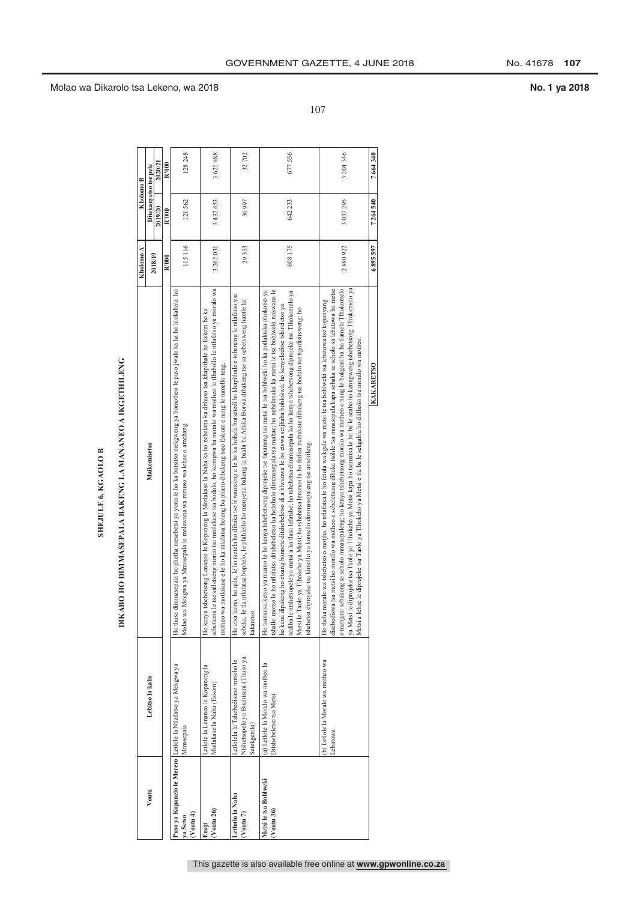### **SHEJULE 6, KGAOLO B**

## DIKABO HO DIMMASEPALA BAKENG LA MANANEO A IKGETHILENG

|                                        |                                                                                           | DIKABO HO DIMMASEPALA BAKENG LA MANANEO A IKGETHILENG                                                                                                                                                                                                                                                                                                                                                                                                                                                                                                                                                                                                                                                                                             |              |                       |           |
|----------------------------------------|-------------------------------------------------------------------------------------------|---------------------------------------------------------------------------------------------------------------------------------------------------------------------------------------------------------------------------------------------------------------------------------------------------------------------------------------------------------------------------------------------------------------------------------------------------------------------------------------------------------------------------------------------------------------------------------------------------------------------------------------------------------------------------------------------------------------------------------------------------|--------------|-----------------------|-----------|
|                                        |                                                                                           |                                                                                                                                                                                                                                                                                                                                                                                                                                                                                                                                                                                                                                                                                                                                                   | Kholomo A    | Kholomo B             |           |
| Voutu                                  | Lebitso la kabo                                                                           | Maikemisetso                                                                                                                                                                                                                                                                                                                                                                                                                                                                                                                                                                                                                                                                                                                                      |              | Ditekanyetso tse pele |           |
|                                        |                                                                                           |                                                                                                                                                                                                                                                                                                                                                                                                                                                                                                                                                                                                                                                                                                                                                   | 2018/19      | 2019/20               | 2020/21   |
|                                        |                                                                                           |                                                                                                                                                                                                                                                                                                                                                                                                                                                                                                                                                                                                                                                                                                                                                   | R'000        | R'000                 | R'000     |
| $($ Voutu 4)<br>a Setso                | Puso ya Kopanelo le Merero Letlole la Ntlafatso ya Mekgwa ya<br>Mmasepala                 | Ho thusa dimmasepala ho phetha mesebetsi ya yona le ho ka botsitso mekgweng ya bomotheo le puso jwalo ka ha ho hlokahala  ho<br>Molao wa Mekgwa ya Mmasepala le molawana wa mmuso wa lehae o amehang.                                                                                                                                                                                                                                                                                                                                                                                                                                                                                                                                             | 115116       | 121562                | 128248    |
| Voutu 26)<br>Eneji                     | Letlole la Lenaneo le Kopaneng la<br>Motlakase la Naha (Eskom)                            | sebetsana le tse salletseng morao tsa motlakase tsa bodulo, ho kenngwa ha moralo wa motheo le tlhabollo le ntlafatso ya moralo wa<br>Ho kenya tshebetsong Lenaneo le Kopaneng la Motlakase la Naha ka ho nehelana ka dithuso tsa khapithale ho Eskom ho ka<br>motheo wa motlakase e le ho ka ntlafatsa boleng ba phano dibakeng tseo Eskom e nang le tumello teng.                                                                                                                                                                                                                                                                                                                                                                                | 3 26 2 0 3 1 | 3 432 453             | 3621488   |
| Letlotlo la Naha<br>(Voutu 7)          | Ntshetsopele ya Boahisani (Thuso ya<br>Letlolela la Tshebedisano mmoho le<br>Setekgeniki) | Ho etsa leano, ho qala, le ho tsetela ho dibaka tse hlwauweng e le ho ka hohela botsetedi ba khapithale e tobaneng le ntlafatso ysa<br>ntlafatsa bophelo, le phihlello ho menyetla bakeng la baahi ba Afrika Borwa dibakeng tse sa sebetsweng hande ka<br>sebaka, le tla<br>kakaretso.                                                                                                                                                                                                                                                                                                                                                                                                                                                            | 29353        | 30 997                | 32702     |
| Metsi le tsa Bohlweki<br>$(V$ outu 36) | (a) Letlole la Moralo wa motheo la<br>Ditshebeletso tsa Metsi                             | le ho ntlafatsa ditshebeletso ha holoholo dimmasepala tsa mahae; ho nehelanaka ka metsi le tsa bohlweki nakwana le<br>Ho tsamaisa ketso ya maano le ho kenya tshebetsong diprojeke tse fapaneng tsa metsi le tsa bohlweki ho ka potlakiska phokotso ya<br>sediba le ntshetsopele ya metsi a ka tlasa lefatshe; ho tshehetsa dimmasepala ka ho kenya tshebetsong diprojeke tsa Tlhokomelo ya<br>ho kena dipakeng ho etsang bonnete ditshebeletso di a hlwauwa le ho etswa setjhaba bohlokwa, ho kenyeleditse tshireletso ya<br>Metsi le Taolo ya Tlhokeho ya Metsi; ho tshehetsa lenaneo la ho fedisa mabakete dibakeng tsa bodulo tse ngodisitsweng; ho<br>shehetsa diprojeke tsa kimollo ya komello dimmasepaleng tse amehileng.<br>shallo morao | 608175       | 642 233               | 677556    |
|                                        | (b) Letlole la Moralo wa motheo wa<br>Lebatowa                                            | e mengata sebakeng se seholo mmasepaleng; ho kenya tshebetsong moralo wa motheo o nang le bokgoni ba ho tlamela [Tlhokomelo]<br>disebediswa tsa metsi ho moralo wa motheo o sebeletsang dibaka tsohle tsa mmasepala kapa sebaka se seholo sa lebatowa ho metse<br>ya Metsi le diprojeke tsa Taolo ya Tlhokeho ya Metsi kapa ho tsamaisa le ho ba le seabo ho kenngweng tshebetsong Tlhokomelo ya<br>Ho theha moralo wa tshebetso o motjha, ho ntlafatsa le ho fetola wa kgale wa metsi le tsa bohlweki tsa lebatowa tse kopanyang<br>le diprojeke tsa Taolo ya Tlhokeho ya Metsi e tla ba le sekgahla ho ditlhoko tsa moralo wa motheo<br>Metsi a lehae                                                                                           | 2880922      | 3 037 295             | 3 204 346 |
|                                        |                                                                                           | KAKARETSO                                                                                                                                                                                                                                                                                                                                                                                                                                                                                                                                                                                                                                                                                                                                         | 6895597      | 7 264 540             | 7664340   |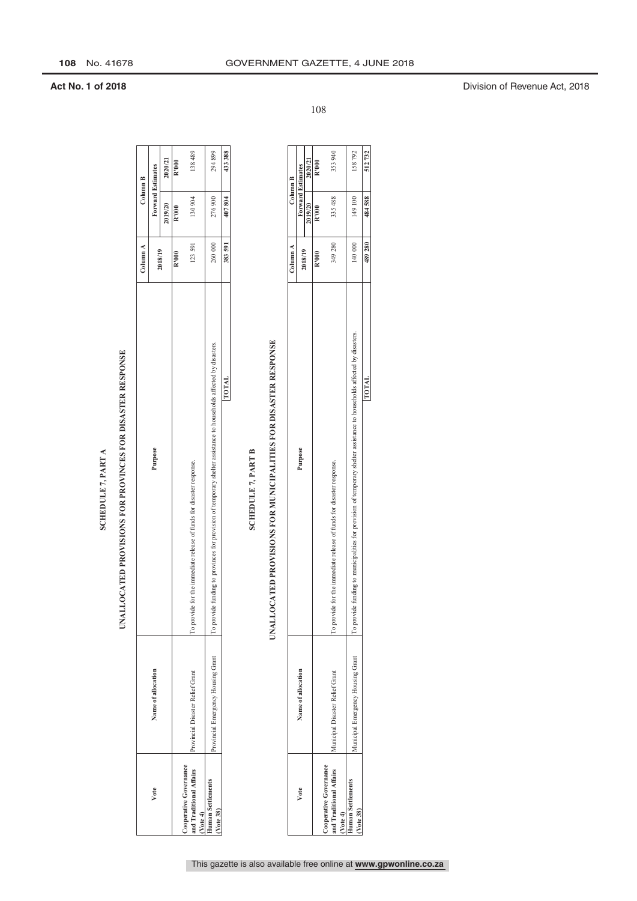## UNALLOCATED PROVISIONS FOR PROVINCES FOR DISASTER RESPONSE

|                                                              |                                    | SCHEDULE 7, PART A                                                                                                 |          |                   |         |
|--------------------------------------------------------------|------------------------------------|--------------------------------------------------------------------------------------------------------------------|----------|-------------------|---------|
|                                                              |                                    | UNALLOCATED PROVISIONS FOR PROVINCES FOR DISASTER RESPONSE                                                         |          |                   |         |
|                                                              |                                    |                                                                                                                    | Column A | Column B          |         |
| Vote                                                         | Name of allocation                 | Purpose                                                                                                            | 2018/19  | Forward Estimates |         |
|                                                              |                                    |                                                                                                                    |          | 2019/20           | 2020/21 |
|                                                              |                                    |                                                                                                                    | R'000    | R'000             | R'000   |
| and Traditional Affairs<br>Cooperative Governance<br>Vote 4) | Provincial Disaster Relief Grant   | for the immediate release of funds for disaster response.<br>To provide                                            | 123591   | 130 904           | 138489  |
| <b>Human Settlements</b><br>(Vote 38)                        | Provincial Emergency Housing Grant | To provide funding to provinces for provision of temporary shelter assistance to households affected by disasters. | 260000   | 276900            | 294899  |
|                                                              |                                    | <b>TOTAL</b>                                                                                                       | 383591   | 407804            | 433 388 |

### **SCHEDULE 7, PART B SCHEDULE 7, PART B**

### UNALLOCATED PROVISIONS FOR MUNICIPALITIES FOR DISASTER RESPONSE **UNALLOCATED PROVISIONS FOR MUNICIPALITIES FOR DISASTER RESPONSE**

|                                                   |                                   |                                                                                                                            | Column A |                          | Column B |
|---------------------------------------------------|-----------------------------------|----------------------------------------------------------------------------------------------------------------------------|----------|--------------------------|----------|
| Vote                                              | Name of allocation                | Purpose                                                                                                                    | 2018/19  | <b>Forward Estimates</b> |          |
|                                                   |                                   |                                                                                                                            |          | 2019/20                  | 2020/21  |
|                                                   |                                   |                                                                                                                            | R'000    | R'000                    | R'000    |
| and Traditional Affairs<br>Cooperative Governance | Municipal Disaster Relief Grant   | for the immediate release of funds for disaster response.<br>lo provide                                                    | 349 280  | 335 488                  | 353940   |
| Vote 4)                                           |                                   |                                                                                                                            |          |                          |          |
| Human Settlements                                 | Aunicipal Emergency Housing Grant | funding to municipalities for provision of temporary shelter assistance to households affected by disasters.<br>To provide | 140 000  | 149 100                  | 158792   |
| (Vote 38)                                         |                                   |                                                                                                                            |          |                          |          |
|                                                   |                                   | <b>TOTAL</b>                                                                                                               | 489280   | 484588 1                 | 512732   |

108

**Act No. 1 of 2018** Division of Revenue Act, 2018